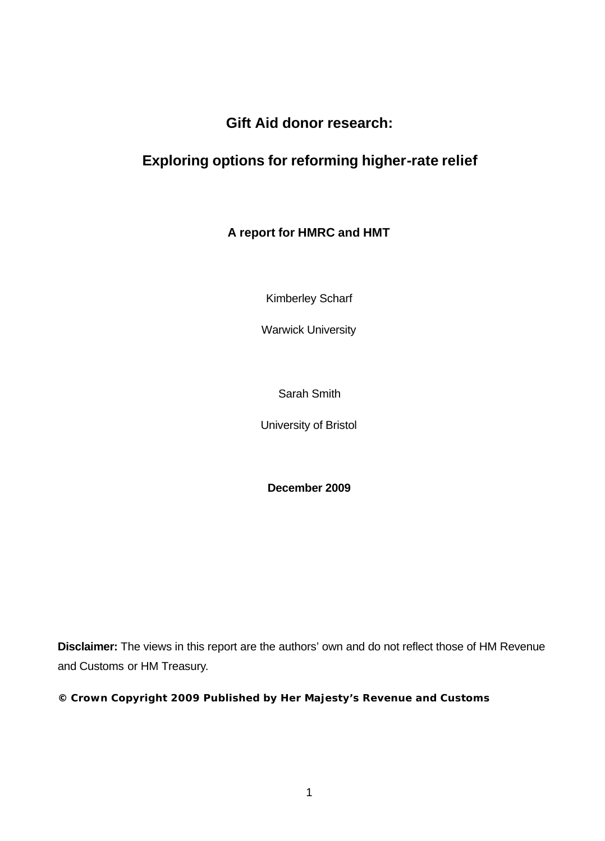## **Gift Aid donor research:**

## **Exploring options for reforming higher-rate relief**

## **A report for HMRC and HMT**

Kimberley Scharf

Warwick University

Sarah Smith

University of Bristol

**December 2009**

**Disclaimer:** The views in this report are the authors' own and do not reflect those of HM Revenue and Customs or HM Treasury.

**© Crown Copyright 2009 Published by Her Majesty's Revenue and Customs**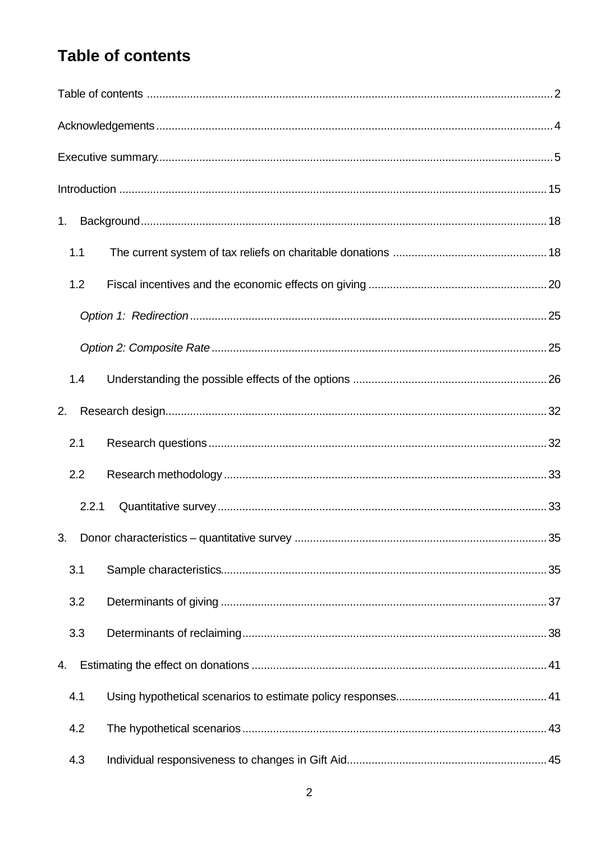# **Table of contents**

| 1.    |  |
|-------|--|
| 1.1   |  |
| 1.2   |  |
|       |  |
|       |  |
| 1.4   |  |
| 2.    |  |
| 2.1   |  |
| 2.2   |  |
| 2.2.1 |  |
| 3.    |  |
| 3.1   |  |
| 3.2   |  |
| 3.3   |  |
| 4.    |  |
| 4.1   |  |
| 4.2   |  |
| 4.3   |  |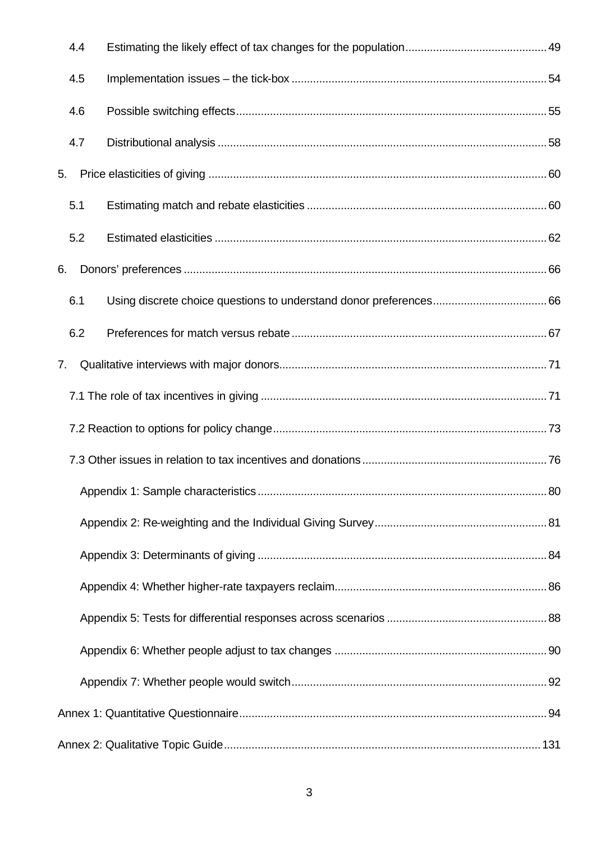|    | 4.4 |      |
|----|-----|------|
|    | 4.5 |      |
|    | 4.6 |      |
|    | 4.7 |      |
| 5. |     |      |
|    | 5.1 |      |
|    | 5.2 |      |
| 6. |     |      |
|    | 6.1 |      |
|    | 6.2 |      |
| 7. |     |      |
|    |     |      |
|    |     |      |
|    |     |      |
|    |     | . 80 |
|    |     |      |
|    |     |      |
|    |     |      |
|    |     |      |
|    |     |      |
|    |     |      |
|    |     |      |
|    |     |      |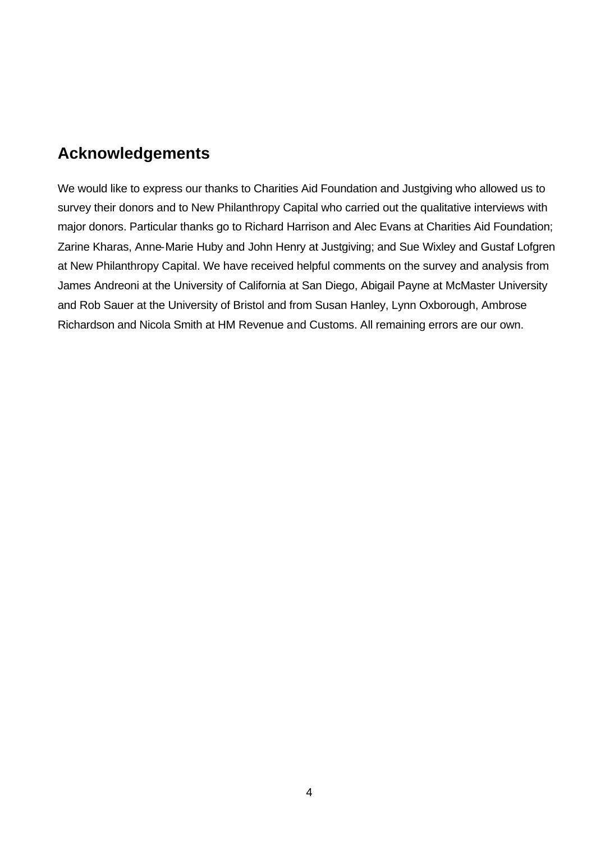# **Acknowledgements**

We would like to express our thanks to Charities Aid Foundation and Justgiving who allowed us to survey their donors and to New Philanthropy Capital who carried out the qualitative interviews with major donors. Particular thanks go to Richard Harrison and Alec Evans at Charities Aid Foundation; Zarine Kharas, Anne-Marie Huby and John Henry at Justgiving; and Sue Wixley and Gustaf Lofgren at New Philanthropy Capital. We have received helpful comments on the survey and analysis from James Andreoni at the University of California at San Diego, Abigail Payne at McMaster University and Rob Sauer at the University of Bristol and from Susan Hanley, Lynn Oxborough, Ambrose Richardson and Nicola Smith at HM Revenue and Customs. All remaining errors are our own.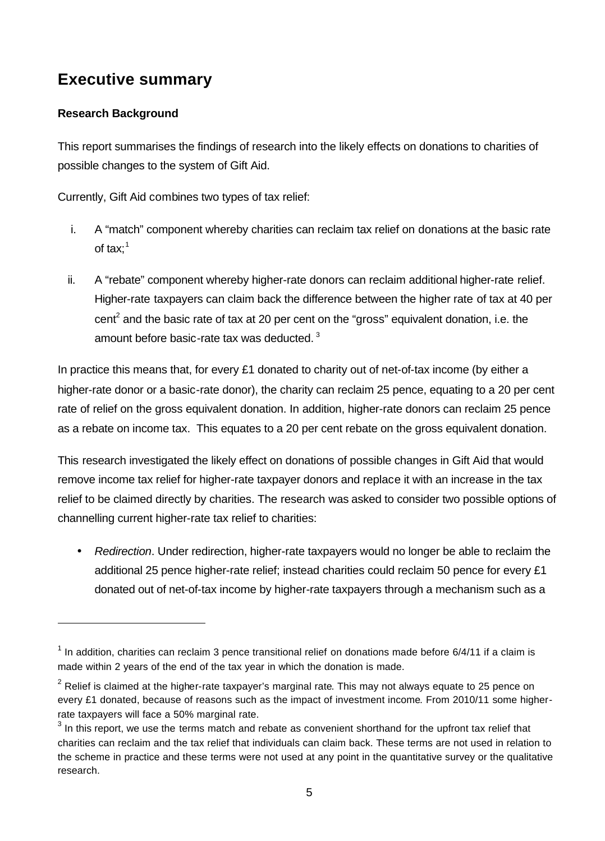# **Executive summary**

## **Research Background**

l

This report summarises the findings of research into the likely effects on donations to charities of possible changes to the system of Gift Aid.

Currently, Gift Aid combines two types of tax relief:

- i. A "match" component whereby charities can reclaim tax relief on donations at the basic rate of tax: $1$
- ii. A "rebate" component whereby higher-rate donors can reclaim additional higher-rate relief. Higher-rate taxpayers can claim back the difference between the higher rate of tax at 40 per cent<sup>2</sup> and the basic rate of tax at 20 per cent on the "gross" equivalent donation, i.e. the amount before basic-rate tax was deducted.<sup>3</sup>

In practice this means that, for every £1 donated to charity out of net-of-tax income (by either a higher-rate donor or a basic-rate donor), the charity can reclaim 25 pence, equating to a 20 per cent rate of relief on the gross equivalent donation. In addition, higher-rate donors can reclaim 25 pence as a rebate on income tax. This equates to a 20 per cent rebate on the gross equivalent donation.

This research investigated the likely effect on donations of possible changes in Gift Aid that would remove income tax relief for higher-rate taxpayer donors and replace it with an increase in the tax relief to be claimed directly by charities. The research was asked to consider two possible options of channelling current higher-rate tax relief to charities:

• *Redirection*. Under redirection, higher-rate taxpayers would no longer be able to reclaim the additional 25 pence higher-rate relief; instead charities could reclaim 50 pence for every £1 donated out of net-of-tax income by higher*-*rate taxpayers through a mechanism such as a

 $1$  In addition, charities can reclaim 3 pence transitional relief on donations made before 6/4/11 if a claim is made within 2 years of the end of the tax year in which the donation is made.

 $2$  Relief is claimed at the higher-rate taxpayer's marginal rate. This may not always equate to 25 pence on every £1 donated, because of reasons such as the impact of investment income. From 2010/11 some higherrate taxpayers will face a 50% marginal rate.

 $3$  In this report, we use the terms match and rebate as convenient shorthand for the upfront tax relief that charities can reclaim and the tax relief that individuals can claim back. These terms are not used in relation to the scheme in practice and these terms were not used at any point in the quantitative survey or the qualitative research.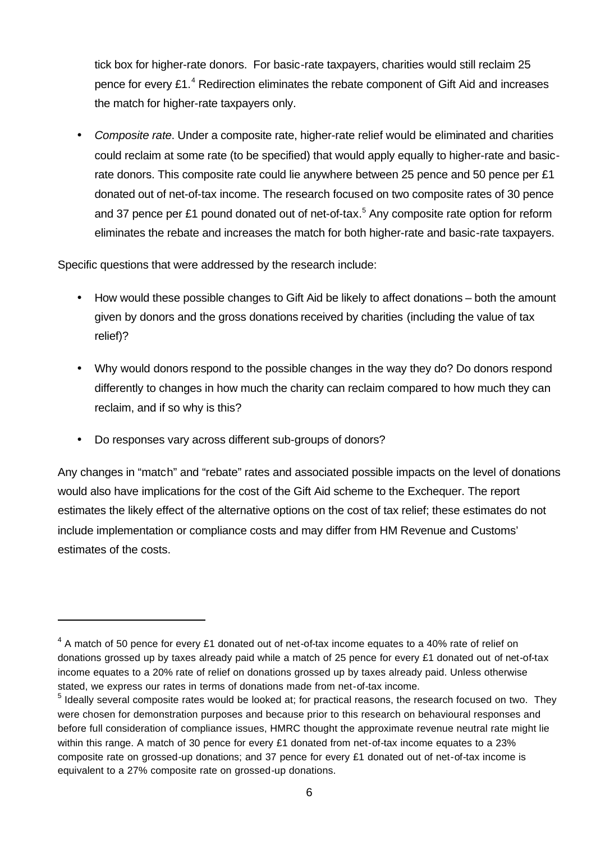tick box for higher-rate donors. For basic-rate taxpayers, charities would still reclaim 25 pence for every  $£1.^4$  Redirection eliminates the rebate component of Gift Aid and increases the match for higher-rate taxpayers only.

• *Composite rate*. Under a composite rate, higher-rate relief would be eliminated and charities could reclaim at some rate (to be specified) that would apply equally to higher-rate and basicrate donors. This composite rate could lie anywhere between 25 pence and 50 pence per £1 donated out of net-of-tax income. The research focused on two composite rates of 30 pence and 37 pence per £1 pound donated out of net-of-tax.<sup>5</sup> Any composite rate option for reform eliminates the rebate and increases the match for both higher-rate and basic-rate taxpayers.

Specific questions that were addressed by the research include:

- How would these possible changes to Gift Aid be likely to affect donations both the amount given by donors and the gross donations received by charities (including the value of tax relief)?
- Why would donors respond to the possible changes in the way they do? Do donors respond differently to changes in how much the charity can reclaim compared to how much they can reclaim, and if so why is this?
- Do responses vary across different sub-groups of donors?

l

Any changes in "match" and "rebate" rates and associated possible impacts on the level of donations would also have implications for the cost of the Gift Aid scheme to the Exchequer. The report estimates the likely effect of the alternative options on the cost of tax relief; these estimates do not include implementation or compliance costs and may differ from HM Revenue and Customs' estimates of the costs.

 $4$  A match of 50 pence for every £1 donated out of net-of-tax income equates to a 40% rate of relief on donations grossed up by taxes already paid while a match of 25 pence for every £1 donated out of net-of-tax income equates to a 20% rate of relief on donations grossed up by taxes already paid. Unless otherwise stated, we express our rates in terms of donations made from net-of-tax income.

 $<sup>5</sup>$  Ideally several composite rates would be looked at; for practical reasons, the research focused on two. They</sup> were chosen for demonstration purposes and because prior to this research on behavioural responses and before full consideration of compliance issues, HMRC thought the approximate revenue neutral rate might lie within this range. A match of 30 pence for every £1 donated from net-of-tax income equates to a 23% composite rate on grossed-up donations; and 37 pence for every £1 donated out of net-of-tax income is equivalent to a 27% composite rate on grossed-up donations.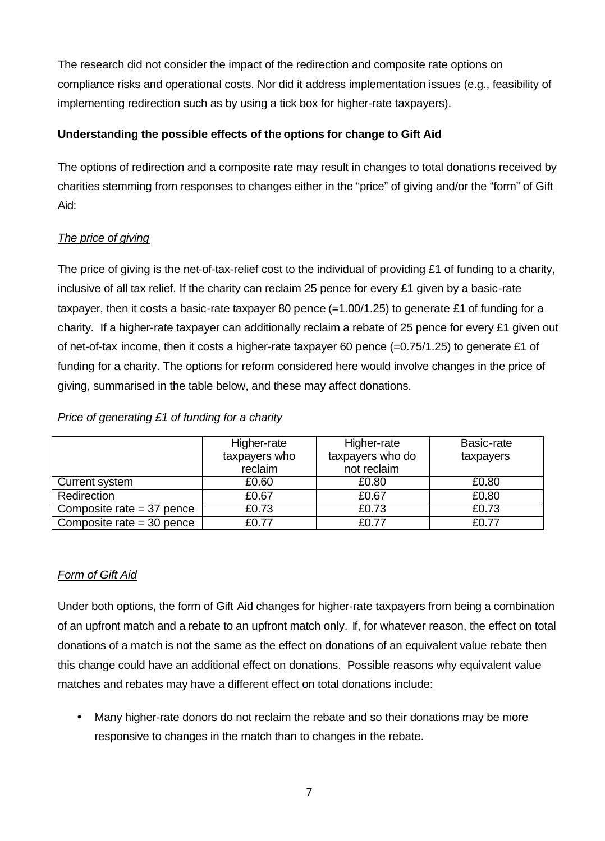The research did not consider the impact of the redirection and composite rate options on compliance risks and operational costs. Nor did it address implementation issues (e.g., feasibility of implementing redirection such as by using a tick box for higher-rate taxpayers).

## **Understanding the possible effects of the options for change to Gift Aid**

The options of redirection and a composite rate may result in changes to total donations received by charities stemming from responses to changes either in the "price" of giving and/or the "form" of Gift Aid:

## *The price of giving*

The price of giving is the net-of-tax-relief cost to the individual of providing £1 of funding to a charity, inclusive of all tax relief. If the charity can reclaim 25 pence for every £1 given by a basic-rate taxpayer, then it costs a basic-rate taxpayer 80 pence  $(=1.00/1.25)$  to generate £1 of funding for a charity. If a higher-rate taxpayer can additionally reclaim a rebate of 25 pence for every £1 given out of net-of-tax income, then it costs a higher-rate taxpayer 60 pence (=0.75/1.25) to generate £1 of funding for a charity. The options for reform considered here would involve changes in the price of giving, summarised in the table below, and these may affect donations.

## *Price of generating £1 of funding for a charity*

|                             | Higher-rate   | Higher-rate      | Basic-rate |
|-----------------------------|---------------|------------------|------------|
|                             | taxpayers who | taxpayers who do | taxpayers  |
|                             | reclaim       | not reclaim      |            |
| Current system              | £0.60         | £0.80            | £0.80      |
| Redirection                 | £0.67         | £0.67            | £0.80      |
| Composite rate $=$ 37 pence | £0.73         | £0.73            | £0.73      |
| Composite rate $=$ 30 pence | £0.77         | £0.77            | £0.77      |

## *Form of Gift Aid*

Under both options, the form of Gift Aid changes for higher-rate taxpayers from being a combination of an upfront match and a rebate to an upfront match only. If, for whatever reason, the effect on total donations of a match is not the same as the effect on donations of an equivalent value rebate then this change could have an additional effect on donations. Possible reasons why equivalent value matches and rebates may have a different effect on total donations include:

• Many higher-rate donors do not reclaim the rebate and so their donations may be more responsive to changes in the match than to changes in the rebate.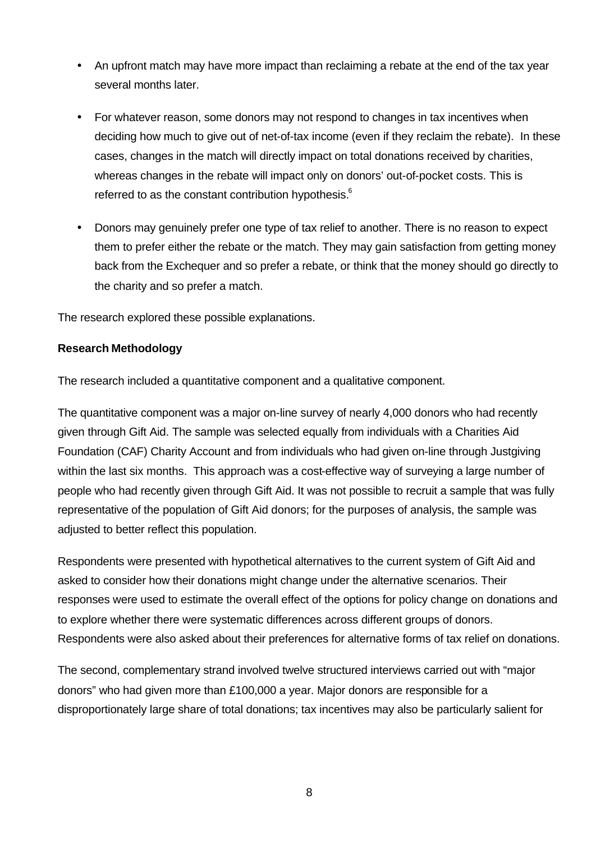- An upfront match may have more impact than reclaiming a rebate at the end of the tax year several months later.
- For whatever reason, some donors may not respond to changes in tax incentives when deciding how much to give out of net-of-tax income (even if they reclaim the rebate). In these cases, changes in the match will directly impact on total donations received by charities, whereas changes in the rebate will impact only on donors' out-of-pocket costs. This is referred to as the constant contribution hypothesis.<sup>6</sup>
- Donors may genuinely prefer one type of tax relief to another. There is no reason to expect them to prefer either the rebate or the match. They may gain satisfaction from getting money back from the Exchequer and so prefer a rebate, or think that the money should go directly to the charity and so prefer a match.

The research explored these possible explanations.

#### **Research Methodology**

The research included a quantitative component and a qualitative component.

The quantitative component was a major on-line survey of nearly 4,000 donors who had recently given through Gift Aid. The sample was selected equally from individuals with a Charities Aid Foundation (CAF) Charity Account and from individuals who had given on-line through Justgiving within the last six months. This approach was a cost-effective way of surveying a large number of people who had recently given through Gift Aid. It was not possible to recruit a sample that was fully representative of the population of Gift Aid donors; for the purposes of analysis, the sample was adjusted to better reflect this population.

Respondents were presented with hypothetical alternatives to the current system of Gift Aid and asked to consider how their donations might change under the alternative scenarios. Their responses were used to estimate the overall effect of the options for policy change on donations and to explore whether there were systematic differences across different groups of donors. Respondents were also asked about their preferences for alternative forms of tax relief on donations.

The second, complementary strand involved twelve structured interviews carried out with "major donors" who had given more than £100,000 a year. Major donors are responsible for a disproportionately large share of total donations; tax incentives may also be particularly salient for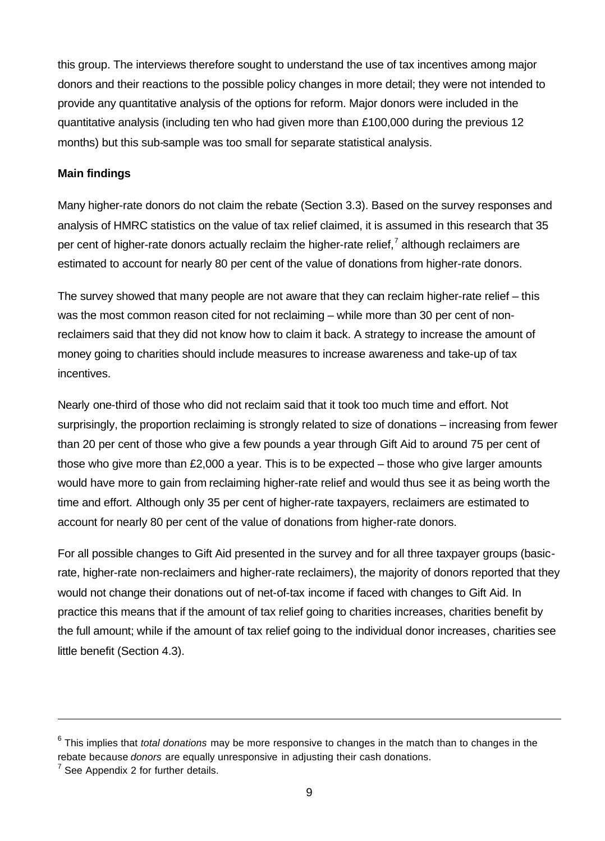this group. The interviews therefore sought to understand the use of tax incentives among major donors and their reactions to the possible policy changes in more detail; they were not intended to provide any quantitative analysis of the options for reform. Major donors were included in the quantitative analysis (including ten who had given more than £100,000 during the previous 12 months) but this sub-sample was too small for separate statistical analysis.

#### **Main findings**

Many higher-rate donors do not claim the rebate (Section 3.3). Based on the survey responses and analysis of HMRC statistics on the value of tax relief claimed, it is assumed in this research that 35 per cent of higher-rate donors actually reclaim the higher-rate relief,<sup>7</sup> although reclaimers are estimated to account for nearly 80 per cent of the value of donations from higher-rate donors.

The survey showed that many people are not aware that they can reclaim higher-rate relief – this was the most common reason cited for not reclaiming – while more than 30 per cent of nonreclaimers said that they did not know how to claim it back. A strategy to increase the amount of money going to charities should include measures to increase awareness and take-up of tax incentives.

Nearly one-third of those who did not reclaim said that it took too much time and effort. Not surprisingly, the proportion reclaiming is strongly related to size of donations – increasing from fewer than 20 per cent of those who give a few pounds a year through Gift Aid to around 75 per cent of those who give more than £2,000 a year. This is to be expected – those who give larger amounts would have more to gain from reclaiming higher-rate relief and would thus see it as being worth the time and effort. Although only 35 per cent of higher-rate taxpayers, reclaimers are estimated to account for nearly 80 per cent of the value of donations from higher-rate donors.

For all possible changes to Gift Aid presented in the survey and for all three taxpayer groups (basicrate, higher-rate non-reclaimers and higher-rate reclaimers), the majority of donors reported that they would not change their donations out of net-of-tax income if faced with changes to Gift Aid. In practice this means that if the amount of tax relief going to charities increases, charities benefit by the full amount; while if the amount of tax relief going to the individual donor increases, charities see little benefit (Section 4.3).

l

<sup>6</sup> This implies that *total donations* may be more responsive to changes in the match than to changes in the rebate because *donors* are equally unresponsive in adjusting their cash donations.

 $7$  See Appendix 2 for further details.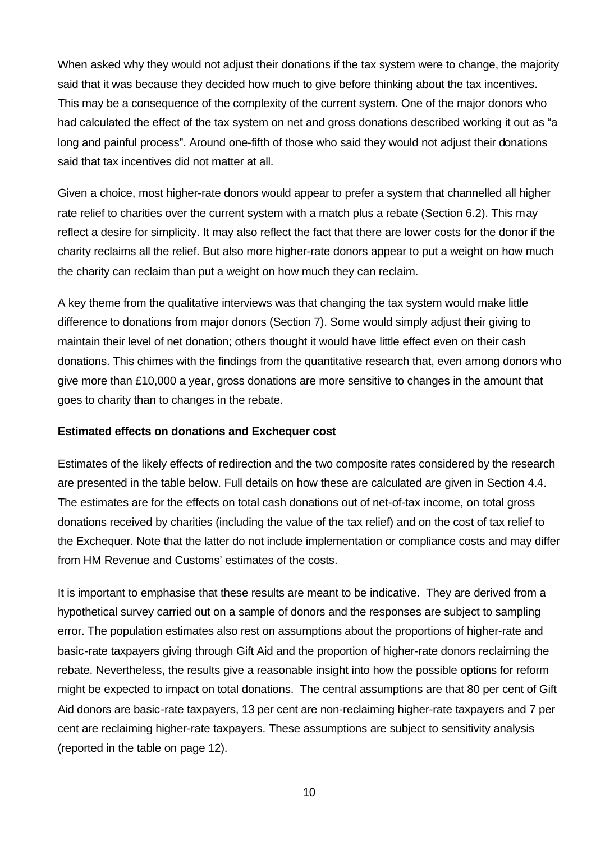When asked why they would not adjust their donations if the tax system were to change, the majority said that it was because they decided how much to give before thinking about the tax incentives. This may be a consequence of the complexity of the current system. One of the major donors who had calculated the effect of the tax system on net and gross donations described working it out as "a long and painful process". Around one-fifth of those who said they would not adjust their donations said that tax incentives did not matter at all.

Given a choice, most higher-rate donors would appear to prefer a system that channelled all higher rate relief to charities over the current system with a match plus a rebate (Section 6.2). This may reflect a desire for simplicity. It may also reflect the fact that there are lower costs for the donor if the charity reclaims all the relief. But also more higher-rate donors appear to put a weight on how much the charity can reclaim than put a weight on how much they can reclaim.

A key theme from the qualitative interviews was that changing the tax system would make little difference to donations from major donors (Section 7). Some would simply adjust their giving to maintain their level of net donation; others thought it would have little effect even on their cash donations. This chimes with the findings from the quantitative research that, even among donors who give more than £10,000 a year, gross donations are more sensitive to changes in the amount that goes to charity than to changes in the rebate.

#### **Estimated effects on donations and Exchequer cost**

Estimates of the likely effects of redirection and the two composite rates considered by the research are presented in the table below. Full details on how these are calculated are given in Section 4.4. The estimates are for the effects on total cash donations out of net-of-tax income, on total gross donations received by charities (including the value of the tax relief) and on the cost of tax relief to the Exchequer. Note that the latter do not include implementation or compliance costs and may differ from HM Revenue and Customs' estimates of the costs.

It is important to emphasise that these results are meant to be indicative. They are derived from a hypothetical survey carried out on a sample of donors and the responses are subject to sampling error. The population estimates also rest on assumptions about the proportions of higher-rate and basic-rate taxpayers giving through Gift Aid and the proportion of higher-rate donors reclaiming the rebate. Nevertheless, the results give a reasonable insight into how the possible options for reform might be expected to impact on total donations. The central assumptions are that 80 per cent of Gift Aid donors are basic-rate taxpayers, 13 per cent are non-reclaiming higher-rate taxpayers and 7 per cent are reclaiming higher-rate taxpayers. These assumptions are subject to sensitivity analysis (reported in the table on page 12).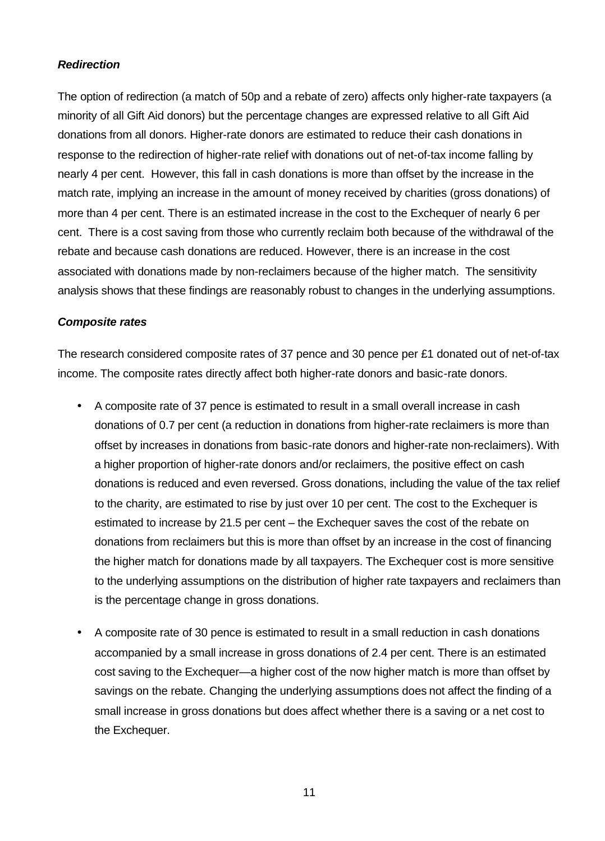#### *Redirection*

The option of redirection (a match of 50p and a rebate of zero) affects only higher-rate taxpayers (a minority of all Gift Aid donors) but the percentage changes are expressed relative to all Gift Aid donations from all donors. Higher-rate donors are estimated to reduce their cash donations in response to the redirection of higher-rate relief with donations out of net-of-tax income falling by nearly 4 per cent. However, this fall in cash donations is more than offset by the increase in the match rate, implying an increase in the amount of money received by charities (gross donations) of more than 4 per cent. There is an estimated increase in the cost to the Exchequer of nearly 6 per cent. There is a cost saving from those who currently reclaim both because of the withdrawal of the rebate and because cash donations are reduced. However, there is an increase in the cost associated with donations made by non-reclaimers because of the higher match. The sensitivity analysis shows that these findings are reasonably robust to changes in the underlying assumptions.

#### *Composite rates*

The research considered composite rates of 37 pence and 30 pence per £1 donated out of net-of-tax income. The composite rates directly affect both higher-rate donors and basic-rate donors.

- A composite rate of 37 pence is estimated to result in a small overall increase in cash donations of 0.7 per cent (a reduction in donations from higher-rate reclaimers is more than offset by increases in donations from basic-rate donors and higher-rate non-reclaimers). With a higher proportion of higher-rate donors and/or reclaimers, the positive effect on cash donations is reduced and even reversed. Gross donations, including the value of the tax relief to the charity, are estimated to rise by just over 10 per cent. The cost to the Exchequer is estimated to increase by 21.5 per cent – the Exchequer saves the cost of the rebate on donations from reclaimers but this is more than offset by an increase in the cost of financing the higher match for donations made by all taxpayers. The Exchequer cost is more sensitive to the underlying assumptions on the distribution of higher rate taxpayers and reclaimers than is the percentage change in gross donations.
- A composite rate of 30 pence is estimated to result in a small reduction in cash donations accompanied by a small increase in gross donations of 2.4 per cent. There is an estimated cost saving to the Exchequer—a higher cost of the now higher match is more than offset by savings on the rebate. Changing the underlying assumptions does not affect the finding of a small increase in gross donations but does affect whether there is a saving or a net cost to the Exchequer.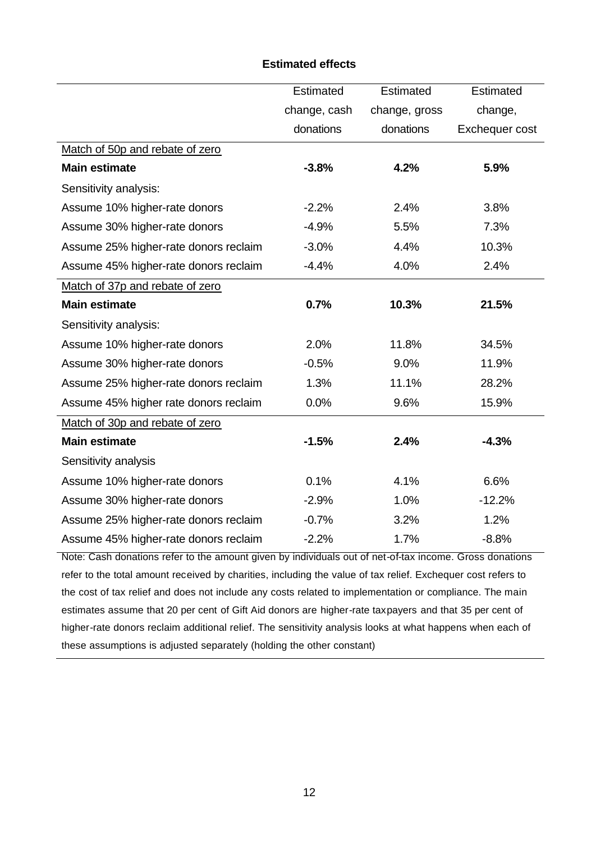#### **Estimated effects**

|                                       | Estimated    | Estimated     | Estimated      |
|---------------------------------------|--------------|---------------|----------------|
|                                       | change, cash | change, gross | change,        |
|                                       | donations    | donations     | Exchequer cost |
| Match of 50p and rebate of zero       |              |               |                |
| <b>Main estimate</b>                  | $-3.8%$      | 4.2%          | 5.9%           |
| Sensitivity analysis:                 |              |               |                |
| Assume 10% higher-rate donors         | $-2.2%$      | 2.4%          | 3.8%           |
| Assume 30% higher-rate donors         | $-4.9%$      | 5.5%          | 7.3%           |
| Assume 25% higher-rate donors reclaim | $-3.0%$      | 4.4%          | 10.3%          |
| Assume 45% higher-rate donors reclaim | $-4.4%$      | 4.0%          | 2.4%           |
| Match of 37p and rebate of zero       |              |               |                |
| <b>Main estimate</b>                  | 0.7%         | 10.3%         | 21.5%          |
| Sensitivity analysis:                 |              |               |                |
| Assume 10% higher-rate donors         | 2.0%         | 11.8%         | 34.5%          |
| Assume 30% higher-rate donors         | $-0.5%$      | 9.0%          | 11.9%          |
| Assume 25% higher-rate donors reclaim | 1.3%         | 11.1%         | 28.2%          |
| Assume 45% higher rate donors reclaim | 0.0%         | 9.6%          | 15.9%          |
| Match of 30p and rebate of zero       |              |               |                |
| <b>Main estimate</b>                  | $-1.5%$      | 2.4%          | $-4.3%$        |
| Sensitivity analysis                  |              |               |                |
| Assume 10% higher-rate donors         | 0.1%         | 4.1%          | 6.6%           |
| Assume 30% higher-rate donors         | $-2.9%$      | 1.0%          | $-12.2%$       |
| Assume 25% higher-rate donors reclaim | $-0.7%$      | 3.2%          | 1.2%           |
| Assume 45% higher-rate donors reclaim | $-2.2%$      | 1.7%          | $-8.8%$        |

Note: Cash donations refer to the amount given by individuals out of net-of-tax income. Gross donations refer to the total amount received by charities, including the value of tax relief. Exchequer cost refers to the cost of tax relief and does not include any costs related to implementation or compliance. The main estimates assume that 20 per cent of Gift Aid donors are higher-rate taxpayers and that 35 per cent of higher-rate donors reclaim additional relief. The sensitivity analysis looks at what happens when each of these assumptions is adjusted separately (holding the other constant)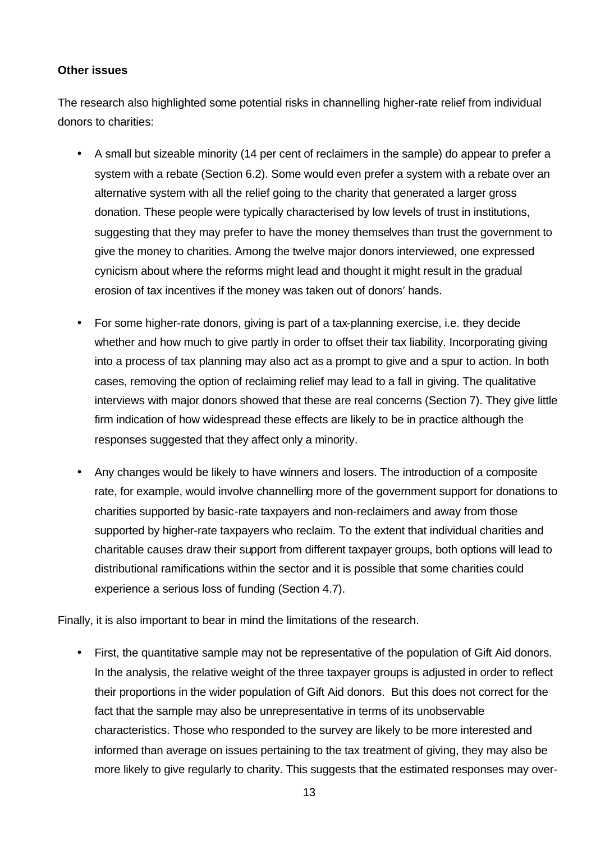#### **Other issues**

The research also highlighted some potential risks in channelling higher-rate relief from individual donors to charities:

- A small but sizeable minority (14 per cent of reclaimers in the sample) do appear to prefer a system with a rebate (Section 6.2). Some would even prefer a system with a rebate over an alternative system with all the relief going to the charity that generated a larger gross donation. These people were typically characterised by low levels of trust in institutions, suggesting that they may prefer to have the money themselves than trust the government to give the money to charities. Among the twelve major donors interviewed, one expressed cynicism about where the reforms might lead and thought it might result in the gradual erosion of tax incentives if the money was taken out of donors' hands.
- For some higher-rate donors, giving is part of a tax-planning exercise, i.e. they decide whether and how much to give partly in order to offset their tax liability. Incorporating giving into a process of tax planning may also act as a prompt to give and a spur to action. In both cases, removing the option of reclaiming relief may lead to a fall in giving. The qualitative interviews with major donors showed that these are real concerns (Section 7). They give little firm indication of how widespread these effects are likely to be in practice although the responses suggested that they affect only a minority.
- Any changes would be likely to have winners and losers. The introduction of a composite rate, for example, would involve channelling more of the government support for donations to charities supported by basic-rate taxpayers and non-reclaimers and away from those supported by higher-rate taxpayers who reclaim. To the extent that individual charities and charitable causes draw their support from different taxpayer groups, both options will lead to distributional ramifications within the sector and it is possible that some charities could experience a serious loss of funding (Section 4.7).

Finally, it is also important to bear in mind the limitations of the research.

• First, the quantitative sample may not be representative of the population of Gift Aid donors. In the analysis, the relative weight of the three taxpayer groups is adjusted in order to reflect their proportions in the wider population of Gift Aid donors. But this does not correct for the fact that the sample may also be unrepresentative in terms of its unobservable characteristics. Those who responded to the survey are likely to be more interested and informed than average on issues pertaining to the tax treatment of giving, they may also be more likely to give regularly to charity. This suggests that the estimated responses may over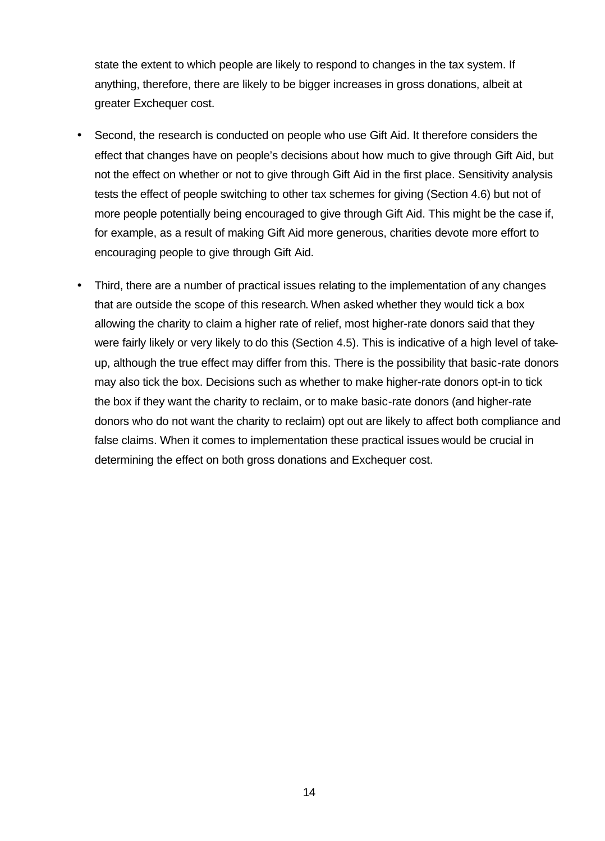state the extent to which people are likely to respond to changes in the tax system. If anything, therefore, there are likely to be bigger increases in gross donations, albeit at greater Exchequer cost.

- Second, the research is conducted on people who use Gift Aid. It therefore considers the effect that changes have on people's decisions about how much to give through Gift Aid, but not the effect on whether or not to give through Gift Aid in the first place. Sensitivity analysis tests the effect of people switching to other tax schemes for giving (Section 4.6) but not of more people potentially being encouraged to give through Gift Aid. This might be the case if, for example, as a result of making Gift Aid more generous, charities devote more effort to encouraging people to give through Gift Aid.
- Third, there are a number of practical issues relating to the implementation of any changes that are outside the scope of this research. When asked whether they would tick a box allowing the charity to claim a higher rate of relief, most higher-rate donors said that they were fairly likely or very likely to do this (Section 4.5). This is indicative of a high level of takeup, although the true effect may differ from this. There is the possibility that basic-rate donors may also tick the box. Decisions such as whether to make higher-rate donors opt-in to tick the box if they want the charity to reclaim, or to make basic-rate donors (and higher-rate donors who do not want the charity to reclaim) opt out are likely to affect both compliance and false claims. When it comes to implementation these practical issues would be crucial in determining the effect on both gross donations and Exchequer cost.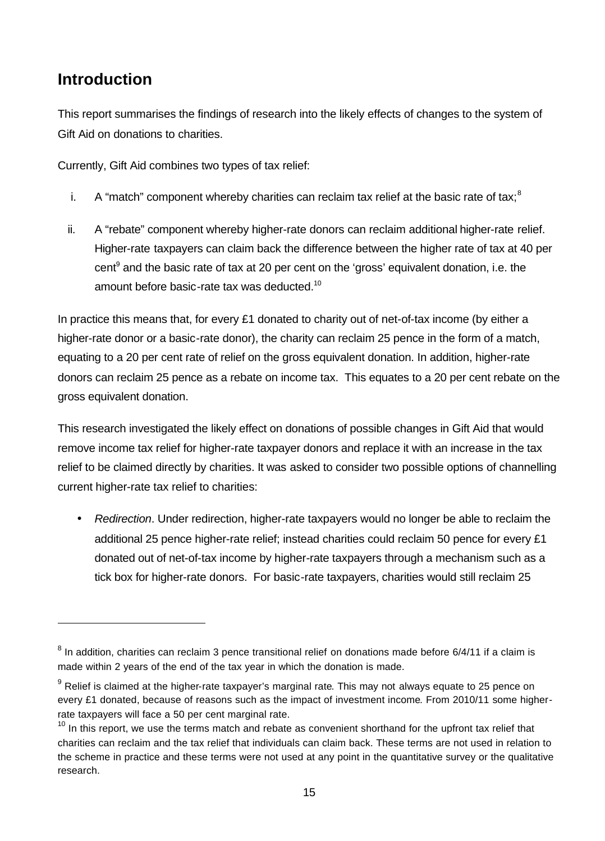# **Introduction**

l

This report summarises the findings of research into the likely effects of changes to the system of Gift Aid on donations to charities.

Currently, Gift Aid combines two types of tax relief:

- i. A "match" component whereby charities can reclaim tax relief at the basic rate of tax;  $8<sup>8</sup>$
- ii. A "rebate" component whereby higher-rate donors can reclaim additional higher-rate relief. Higher-rate taxpayers can claim back the difference between the higher rate of tax at 40 per cent<sup>9</sup> and the basic rate of tax at 20 per cent on the 'gross' equivalent donation, i.e. the amount before basic-rate tax was deducted.<sup>10</sup>

In practice this means that, for every £1 donated to charity out of net-of-tax income (by either a higher-rate donor or a basic-rate donor), the charity can reclaim 25 pence in the form of a match, equating to a 20 per cent rate of relief on the gross equivalent donation. In addition, higher-rate donors can reclaim 25 pence as a rebate on income tax. This equates to a 20 per cent rebate on the gross equivalent donation.

This research investigated the likely effect on donations of possible changes in Gift Aid that would remove income tax relief for higher-rate taxpayer donors and replace it with an increase in the tax relief to be claimed directly by charities. It was asked to consider two possible options of channelling current higher-rate tax relief to charities:

• *Redirection*. Under redirection, higher-rate taxpayers would no longer be able to reclaim the additional 25 pence higher-rate relief; instead charities could reclaim 50 pence for every £1 donated out of net-of-tax income by higher*-*rate taxpayers through a mechanism such as a tick box for higher-rate donors. For basic-rate taxpayers, charities would still reclaim 25

 $^8$  In addition, charities can reclaim 3 pence transitional relief on donations made before 6/4/11 if a claim is made within 2 years of the end of the tax year in which the donation is made.

 $9$  Relief is claimed at the higher-rate taxpayer's marginal rate. This may not always equate to 25 pence on every £1 donated, because of reasons such as the impact of investment income. From 2010/11 some higherrate taxpayers will face a 50 per cent marginal rate.

 $10$  In this report, we use the terms match and rebate as convenient shorthand for the upfront tax relief that charities can reclaim and the tax relief that individuals can claim back. These terms are not used in relation to the scheme in practice and these terms were not used at any point in the quantitative survey or the qualitative research.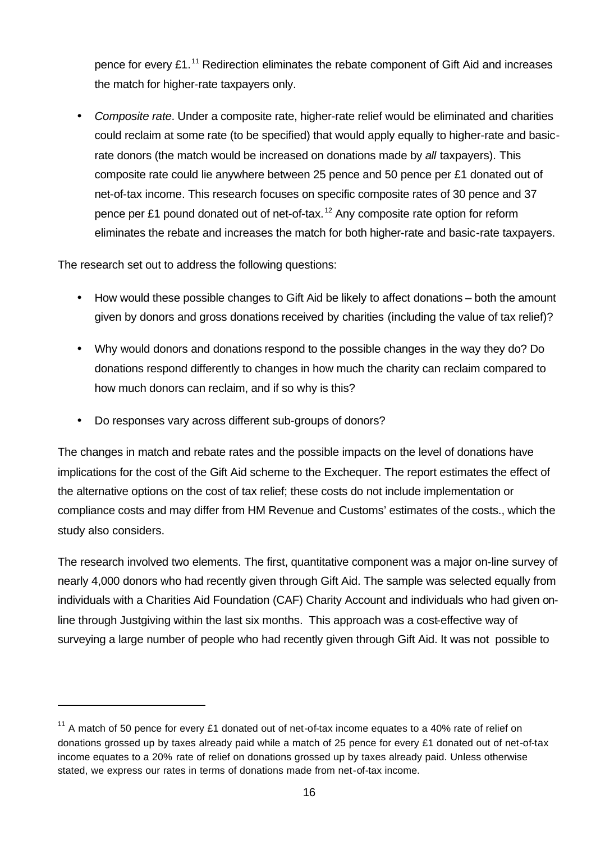pence for every  $£1.^{11}$  Redirection eliminates the rebate component of Gift Aid and increases the match for higher-rate taxpayers only.

• *Composite rate*. Under a composite rate, higher-rate relief would be eliminated and charities could reclaim at some rate (to be specified) that would apply equally to higher-rate and basicrate donors (the match would be increased on donations made by *all* taxpayers). This composite rate could lie anywhere between 25 pence and 50 pence per £1 donated out of net-of-tax income. This research focuses on specific composite rates of 30 pence and 37 pence per £1 pound donated out of net-of-tax.<sup>12</sup> Any composite rate option for reform eliminates the rebate and increases the match for both higher-rate and basic-rate taxpayers.

The research set out to address the following questions:

l

- How would these possible changes to Gift Aid be likely to affect donations both the amount given by donors and gross donations received by charities (including the value of tax relief)?
- Why would donors and donations respond to the possible changes in the way they do? Do donations respond differently to changes in how much the charity can reclaim compared to how much donors can reclaim, and if so why is this?
- Do responses vary across different sub-groups of donors?

The changes in match and rebate rates and the possible impacts on the level of donations have implications for the cost of the Gift Aid scheme to the Exchequer. The report estimates the effect of the alternative options on the cost of tax relief; these costs do not include implementation or compliance costs and may differ from HM Revenue and Customs' estimates of the costs., which the study also considers.

The research involved two elements. The first, quantitative component was a major on-line survey of nearly 4,000 donors who had recently given through Gift Aid. The sample was selected equally from individuals with a Charities Aid Foundation (CAF) Charity Account and individuals who had given online through Justgiving within the last six months. This approach was a cost-effective way of surveying a large number of people who had recently given through Gift Aid. It was not possible to

<sup>&</sup>lt;sup>11</sup> A match of 50 pence for every £1 donated out of net-of-tax income equates to a 40% rate of relief on donations grossed up by taxes already paid while a match of 25 pence for every £1 donated out of net-of-tax income equates to a 20% rate of relief on donations grossed up by taxes already paid. Unless otherwise stated, we express our rates in terms of donations made from net-of-tax income.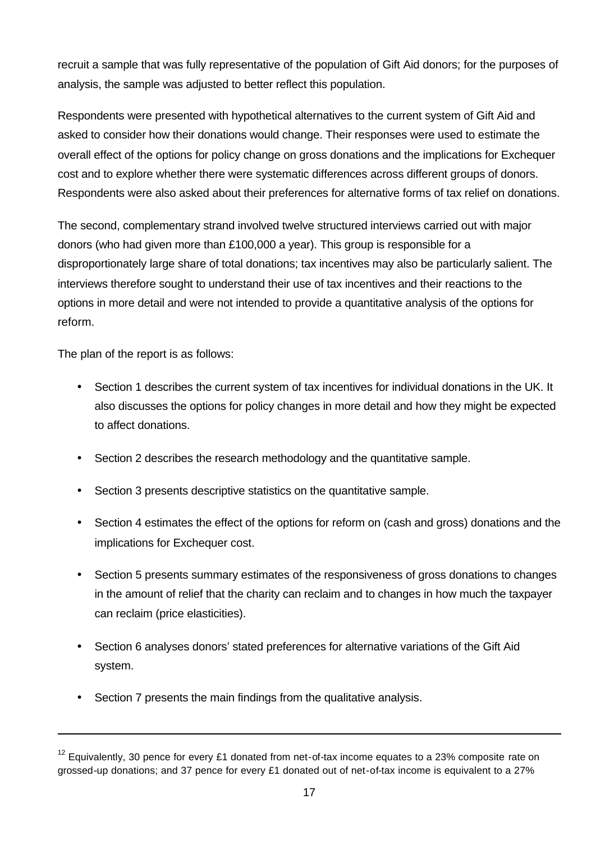recruit a sample that was fully representative of the population of Gift Aid donors; for the purposes of analysis, the sample was adjusted to better reflect this population.

Respondents were presented with hypothetical alternatives to the current system of Gift Aid and asked to consider how their donations would change. Their responses were used to estimate the overall effect of the options for policy change on gross donations and the implications for Exchequer cost and to explore whether there were systematic differences across different groups of donors. Respondents were also asked about their preferences for alternative forms of tax relief on donations.

The second, complementary strand involved twelve structured interviews carried out with major donors (who had given more than £100,000 a year). This group is responsible for a disproportionately large share of total donations; tax incentives may also be particularly salient. The interviews therefore sought to understand their use of tax incentives and their reactions to the options in more detail and were not intended to provide a quantitative analysis of the options for reform.

The plan of the report is as follows:

l

- Section 1 describes the current system of tax incentives for individual donations in the UK. It also discusses the options for policy changes in more detail and how they might be expected to affect donations.
- Section 2 describes the research methodology and the quantitative sample.
- Section 3 presents descriptive statistics on the quantitative sample.
- Section 4 estimates the effect of the options for reform on (cash and gross) donations and the implications for Exchequer cost.
- Section 5 presents summary estimates of the responsiveness of gross donations to changes in the amount of relief that the charity can reclaim and to changes in how much the taxpayer can reclaim (price elasticities).
- Section 6 analyses donors' stated preferences for alternative variations of the Gift Aid system.
- Section 7 presents the main findings from the qualitative analysis.

 $12$  Equivalently, 30 pence for every £1 donated from net-of-tax income equates to a 23% composite rate on grossed-up donations; and 37 pence for every £1 donated out of net-of-tax income is equivalent to a 27%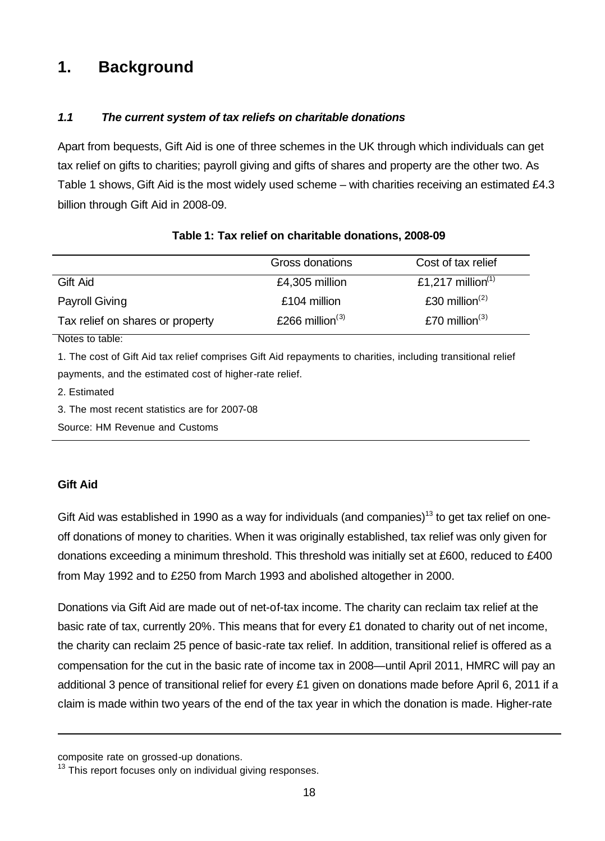# **1. Background**

## *1.1 The current system of tax reliefs on charitable donations*

Apart from bequests, Gift Aid is one of three schemes in the UK through which individuals can get tax relief on gifts to charities; payroll giving and gifts of shares and property are the other two. As Table 1 shows, Gift Aid is the most widely used scheme – with charities receiving an estimated £4.3 billion through Gift Aid in 2008-09.

|                                  | Gross donations    | Cost of tax relief            |  |
|----------------------------------|--------------------|-------------------------------|--|
| Gift Aid                         | £4,305 million     | £1,217 million <sup>(1)</sup> |  |
| Payroll Giving                   | £104 million       | £30 million $(2)$             |  |
| Tax relief on shares or property | £266 million $(3)$ | £70 million $(3)$             |  |
| <b>ALAN ARASH</b>                |                    |                               |  |

## **Table 1: Tax relief on charitable donations, 2008-09**

Notes to table:

1. The cost of Gift Aid tax relief comprises Gift Aid repayments to charities, including transitional relief payments, and the estimated cost of higher-rate relief.

2. Estimated

3. The most recent statistics are for 2007-08

Source: HM Revenue and Customs

#### **Gift Aid**

l

Gift Aid was established in 1990 as a way for individuals (and companies)<sup>13</sup> to get tax relief on oneoff donations of money to charities. When it was originally established, tax relief was only given for donations exceeding a minimum threshold. This threshold was initially set at £600, reduced to £400 from May 1992 and to £250 from March 1993 and abolished altogether in 2000.

Donations via Gift Aid are made out of net-of-tax income. The charity can reclaim tax relief at the basic rate of tax, currently 20%. This means that for every £1 donated to charity out of net income, the charity can reclaim 25 pence of basic-rate tax relief. In addition, transitional relief is offered as a compensation for the cut in the basic rate of income tax in 2008—until April 2011, HMRC will pay an additional 3 pence of transitional relief for every £1 given on donations made before April 6, 2011 if a claim is made within two years of the end of the tax year in which the donation is made. Higher-rate

composite rate on grossed-up donations.

 $13$  This report focuses only on individual giving responses.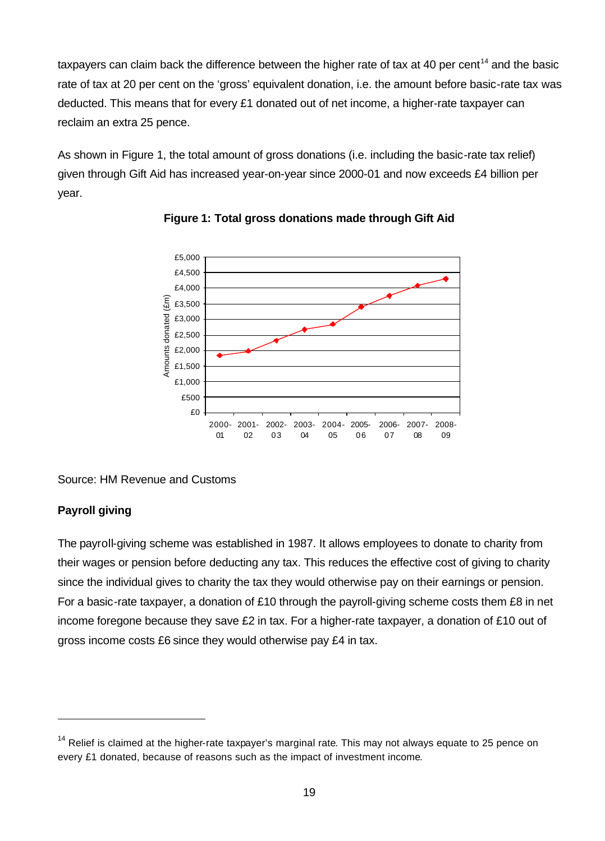taxpayers can claim back the difference between the higher rate of tax at 40 per cent<sup>14</sup> and the basic rate of tax at 20 per cent on the 'gross' equivalent donation, i.e. the amount before basic-rate tax was deducted. This means that for every £1 donated out of net income, a higher-rate taxpayer can reclaim an extra 25 pence.

As shown in Figure 1, the total amount of gross donations (i.e. including the basic-rate tax relief) given through Gift Aid has increased year-on-year since 2000-01 and now exceeds £4 billion per year.





#### Source: HM Revenue and Customs

## **Payroll giving**

l

The payroll-giving scheme was established in 1987. It allows employees to donate to charity from their wages or pension before deducting any tax. This reduces the effective cost of giving to charity since the individual gives to charity the tax they would otherwise pay on their earnings or pension. For a basic-rate taxpayer, a donation of £10 through the payroll-giving scheme costs them £8 in net income foregone because they save £2 in tax. For a higher-rate taxpayer, a donation of £10 out of gross income costs £6 since they would otherwise pay £4 in tax.

 $14$  Relief is claimed at the higher-rate taxpayer's marginal rate. This may not always equate to 25 pence on every £1 donated, because of reasons such as the impact of investment income.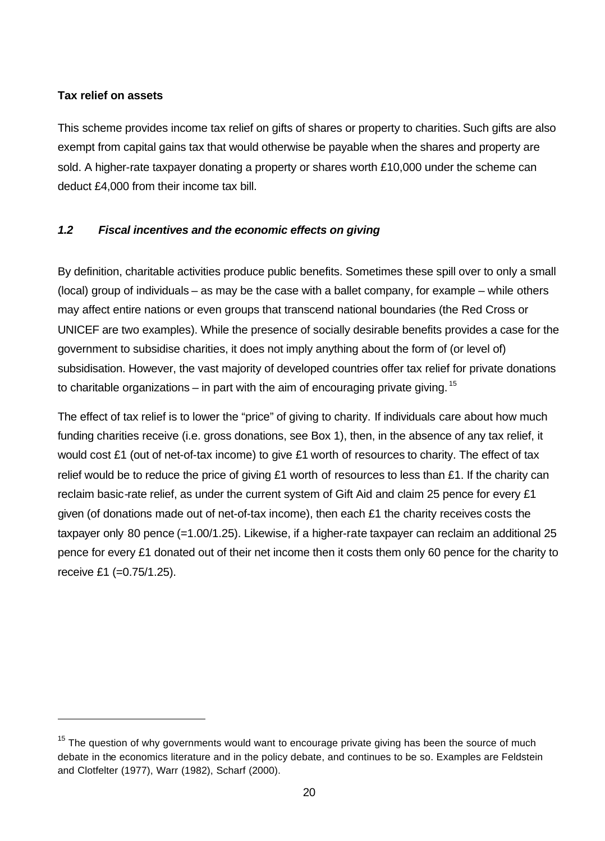### **Tax relief on assets**

l

This scheme provides income tax relief on gifts of shares or property to charities. Such gifts are also exempt from capital gains tax that would otherwise be payable when the shares and property are sold. A higher-rate taxpayer donating a property or shares worth £10,000 under the scheme can deduct £4,000 from their income tax bill.

## *1.2 Fiscal incentives and the economic effects on giving*

By definition, charitable activities produce public benefits. Sometimes these spill over to only a small (local) group of individuals – as may be the case with a ballet company, for example – while others may affect entire nations or even groups that transcend national boundaries (the Red Cross or UNICEF are two examples). While the presence of socially desirable benefits provides a case for the government to subsidise charities, it does not imply anything about the form of (or level of) subsidisation. However, the vast majority of developed countries offer tax relief for private donations to charitable organizations – in part with the aim of encouraging private giving.  $15$ 

The effect of tax relief is to lower the "price" of giving to charity. If individuals care about how much funding charities receive (i.e. gross donations, see Box 1), then, in the absence of any tax relief, it would cost £1 (out of net-of-tax income) to give £1 worth of resources to charity. The effect of tax relief would be to reduce the price of giving £1 worth of resources to less than £1. If the charity can reclaim basic-rate relief, as under the current system of Gift Aid and claim 25 pence for every £1 given (of donations made out of net-of-tax income), then each £1 the charity receives costs the taxpayer only 80 pence (=1.00/1.25). Likewise, if a higher-rate taxpayer can reclaim an additional 25 pence for every £1 donated out of their net income then it costs them only 60 pence for the charity to receive £1 (=0.75/1.25).

 $15$  The question of why governments would want to encourage private giving has been the source of much debate in the economics literature and in the policy debate, and continues to be so. Examples are Feldstein and Clotfelter (1977), Warr (1982), Scharf (2000).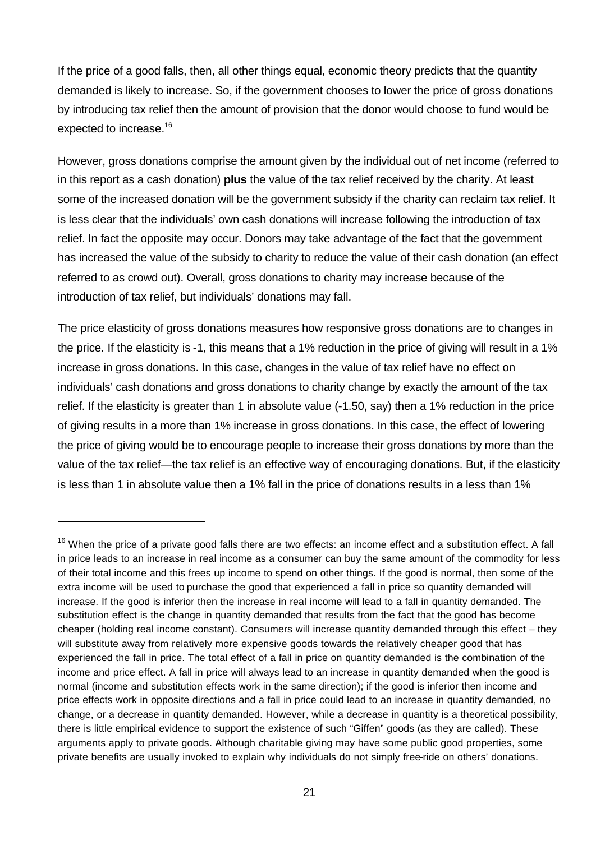If the price of a good falls, then, all other things equal, economic theory predicts that the quantity demanded is likely to increase. So, if the government chooses to lower the price of gross donations by introducing tax relief then the amount of provision that the donor would choose to fund would be expected to increase.<sup>16</sup>

However, gross donations comprise the amount given by the individual out of net income (referred to in this report as a cash donation) **plus** the value of the tax relief received by the charity. At least some of the increased donation will be the government subsidy if the charity can reclaim tax relief. It is less clear that the individuals' own cash donations will increase following the introduction of tax relief. In fact the opposite may occur. Donors may take advantage of the fact that the government has increased the value of the subsidy to charity to reduce the value of their cash donation (an effect referred to as crowd out). Overall, gross donations to charity may increase because of the introduction of tax relief, but individuals' donations may fall.

The price elasticity of gross donations measures how responsive gross donations are to changes in the price. If the elasticity is -1, this means that a 1% reduction in the price of giving will result in a 1% increase in gross donations. In this case, changes in the value of tax relief have no effect on individuals' cash donations and gross donations to charity change by exactly the amount of the tax relief. If the elasticity is greater than 1 in absolute value (-1.50, say) then a 1% reduction in the price of giving results in a more than 1% increase in gross donations. In this case, the effect of lowering the price of giving would be to encourage people to increase their gross donations by more than the value of the tax relief—the tax relief is an effective way of encouraging donations. But, if the elasticity is less than 1 in absolute value then a 1% fall in the price of donations results in a less than 1%

l

 $16$  When the price of a private good falls there are two effects: an income effect and a substitution effect. A fall in price leads to an increase in real income as a consumer can buy the same amount of the commodity for less of their total income and this frees up income to spend on other things. If the good is normal, then some of the extra income will be used to purchase the good that experienced a fall in price so quantity demanded will increase. If the good is inferior then the increase in real income will lead to a fall in quantity demanded. The substitution effect is the change in quantity demanded that results from the fact that the good has become cheaper (holding real income constant). Consumers will increase quantity demanded through this effect – they will substitute away from relatively more expensive goods towards the relatively cheaper good that has experienced the fall in price. The total effect of a fall in price on quantity demanded is the combination of the income and price effect. A fall in price will always lead to an increase in quantity demanded when the good is normal (income and substitution effects work in the same direction); if the good is inferior then income and price effects work in opposite directions and a fall in price could lead to an increase in quantity demanded, no change, or a decrease in quantity demanded. However, while a decrease in quantity is a theoretical possibility, there is little empirical evidence to support the existence of such "Giffen" goods (as they are called). These arguments apply to private goods. Although charitable giving may have some public good properties, some private benefits are usually invoked to explain why individuals do not simply free-ride on others' donations.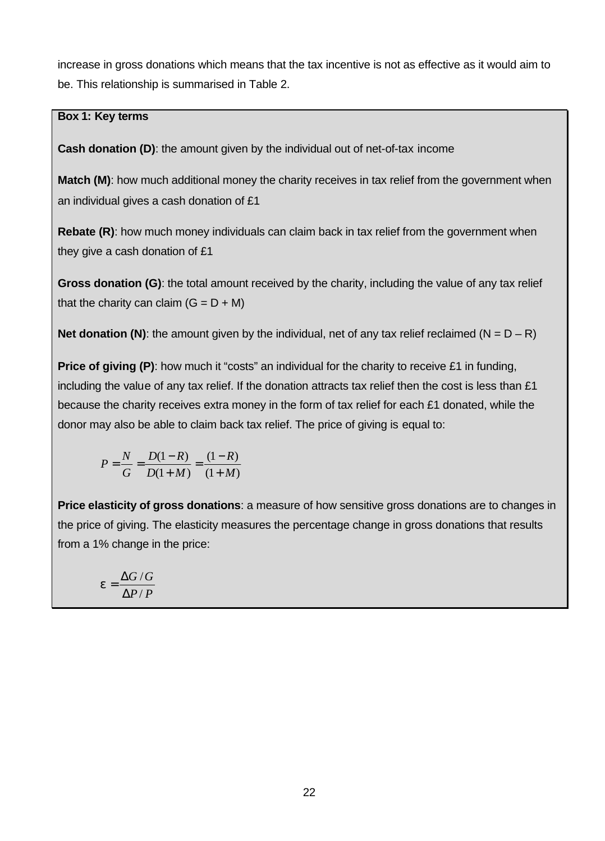increase in gross donations which means that the tax incentive is not as effective as it would aim to be. This relationship is summarised in Table 2.

### **Box 1: Key terms**

**Cash donation (D)**: the amount given by the individual out of net-of-tax income

**Match (M)**: how much additional money the charity receives in tax relief from the government when an individual gives a cash donation of £1

**Rebate (R)**: how much money individuals can claim back in tax relief from the government when they give a cash donation of £1

**Gross donation (G)**: the total amount received by the charity, including the value of any tax relief that the charity can claim  $(G = D + M)$ 

**Net donation (N)**: the amount given by the individual, net of any tax relief reclaimed (N =  $D - R$ )

**Price of giving (P)**: how much it "costs" an individual for the charity to receive £1 in funding, including the value of any tax relief. If the donation attracts tax relief then the cost is less than £1 because the charity receives extra money in the form of tax relief for each £1 donated, while the donor may also be able to claim back tax relief. The price of giving is equal to:

$$
P = \frac{N}{G} = \frac{D(1 - R)}{D(1 + M)} = \frac{(1 - R)}{(1 + M)}
$$

**Price elasticity of gross donations**: a measure of how sensitive gross donations are to changes in the price of giving. The elasticity measures the percentage change in gross donations that results from a 1% change in the price:

$$
e = \frac{\Delta G/G}{\Delta P/P}
$$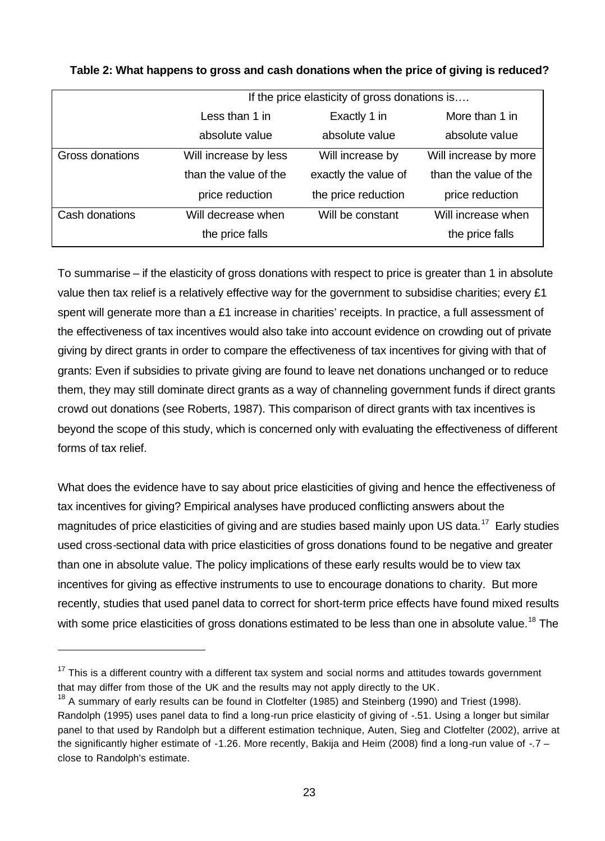|                 | If the price elasticity of gross donations is |                      |                       |
|-----------------|-----------------------------------------------|----------------------|-----------------------|
|                 | Less than 1 in                                | Exactly 1 in         | More than 1 in        |
|                 | absolute value                                | absolute value       | absolute value        |
| Gross donations | Will increase by less                         | Will increase by     | Will increase by more |
|                 | than the value of the                         | exactly the value of | than the value of the |
|                 | price reduction                               | the price reduction  | price reduction       |
| Cash donations  | Will decrease when                            | Will be constant     | Will increase when    |
|                 | the price falls                               |                      | the price falls       |

**Table 2: What happens to gross and cash donations when the price of giving is reduced?**

To summarise – if the elasticity of gross donations with respect to price is greater than 1 in absolute value then tax relief is a relatively effective way for the government to subsidise charities; every £1 spent will generate more than a £1 increase in charities' receipts. In practice, a full assessment of the effectiveness of tax incentives would also take into account evidence on crowding out of private giving by direct grants in order to compare the effectiveness of tax incentives for giving with that of grants: Even if subsidies to private giving are found to leave net donations unchanged or to reduce them, they may still dominate direct grants as a way of channeling government funds if direct grants crowd out donations (see Roberts, 1987). This comparison of direct grants with tax incentives is beyond the scope of this study, which is concerned only with evaluating the effectiveness of different forms of tax relief.

What does the evidence have to say about price elasticities of giving and hence the effectiveness of tax incentives for giving? Empirical analyses have produced conflicting answers about the magnitudes of price elasticities of giving and are studies based mainly upon US data.<sup>17</sup> Early studies used cross-sectional data with price elasticities of gross donations found to be negative and greater than one in absolute value. The policy implications of these early results would be to view tax incentives for giving as effective instruments to use to encourage donations to charity. But more recently, studies that used panel data to correct for short-term price effects have found mixed results with some price elasticities of gross donations estimated to be less than one in absolute value.<sup>18</sup> The

l

 $17$  This is a different country with a different tax system and social norms and attitudes towards government that may differ from those of the UK and the results may not apply directly to the UK.

<sup>&</sup>lt;sup>18</sup> A summary of early results can be found in Clotfelter (1985) and Steinberg (1990) and Triest (1998). Randolph (1995) uses panel data to find a long-run price elasticity of giving of -.51. Using a longer but similar panel to that used by Randolph but a different estimation technique, Auten, Sieg and Clotfelter (2002), arrive at the significantly higher estimate of -1.26. More recently, Bakija and Heim (2008) find a long-run value of -.7 – close to Randolph's estimate.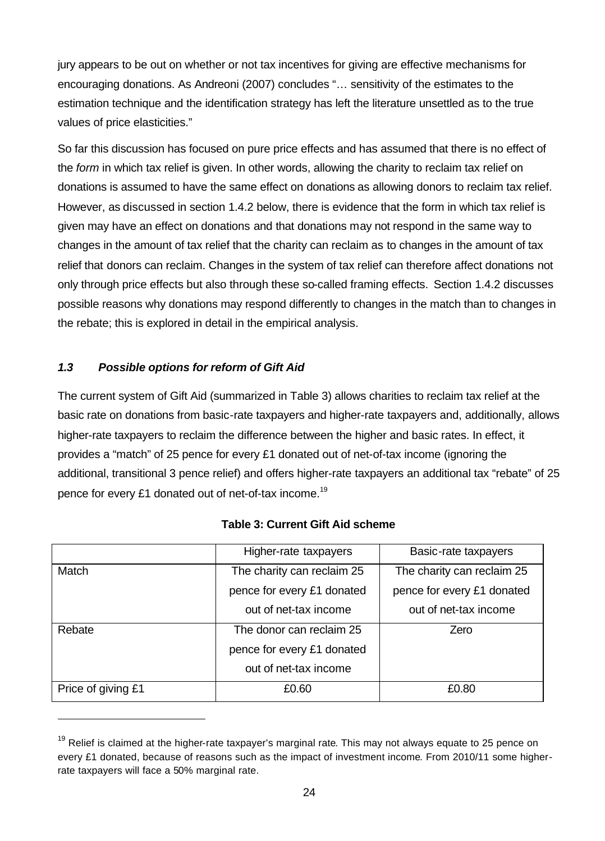jury appears to be out on whether or not tax incentives for giving are effective mechanisms for encouraging donations. As Andreoni (2007) concludes "… sensitivity of the estimates to the estimation technique and the identification strategy has left the literature unsettled as to the true values of price elasticities."

So far this discussion has focused on pure price effects and has assumed that there is no effect of the *form* in which tax relief is given. In other words, allowing the charity to reclaim tax relief on donations is assumed to have the same effect on donations as allowing donors to reclaim tax relief. However, as discussed in section 1.4.2 below, there is evidence that the form in which tax relief is given may have an effect on donations and that donations may not respond in the same way to changes in the amount of tax relief that the charity can reclaim as to changes in the amount of tax relief that donors can reclaim. Changes in the system of tax relief can therefore affect donations not only through price effects but also through these so-called framing effects. Section 1.4.2 discusses possible reasons why donations may respond differently to changes in the match than to changes in the rebate; this is explored in detail in the empirical analysis.

#### *1.3 Possible options for reform of Gift Aid*

l

The current system of Gift Aid (summarized in Table 3) allows charities to reclaim tax relief at the basic rate on donations from basic-rate taxpayers and higher-rate taxpayers and, additionally, allows higher-rate taxpayers to reclaim the difference between the higher and basic rates. In effect, it provides a "match" of 25 pence for every £1 donated out of net-of-tax income (ignoring the additional, transitional 3 pence relief) and offers higher-rate taxpayers an additional tax "rebate" of 25 pence for every £1 donated out of net-of-tax income.<sup>19</sup>

|                    | Higher-rate taxpayers      | Basic-rate taxpayers       |
|--------------------|----------------------------|----------------------------|
| Match              | The charity can reclaim 25 | The charity can reclaim 25 |
|                    | pence for every £1 donated | pence for every £1 donated |
|                    | out of net-tax income      | out of net-tax income      |
| Rebate             | The donor can reclaim 25   | Zero                       |
|                    | pence for every £1 donated |                            |
|                    | out of net-tax income      |                            |
| Price of giving £1 | £0.60                      | £0.80                      |

#### **Table 3: Current Gift Aid scheme**

<sup>&</sup>lt;sup>19</sup> Relief is claimed at the higher-rate taxpayer's marginal rate. This may not always equate to 25 pence on every £1 donated, because of reasons such as the impact of investment income. From 2010/11 some higherrate taxpayers will face a 50% marginal rate.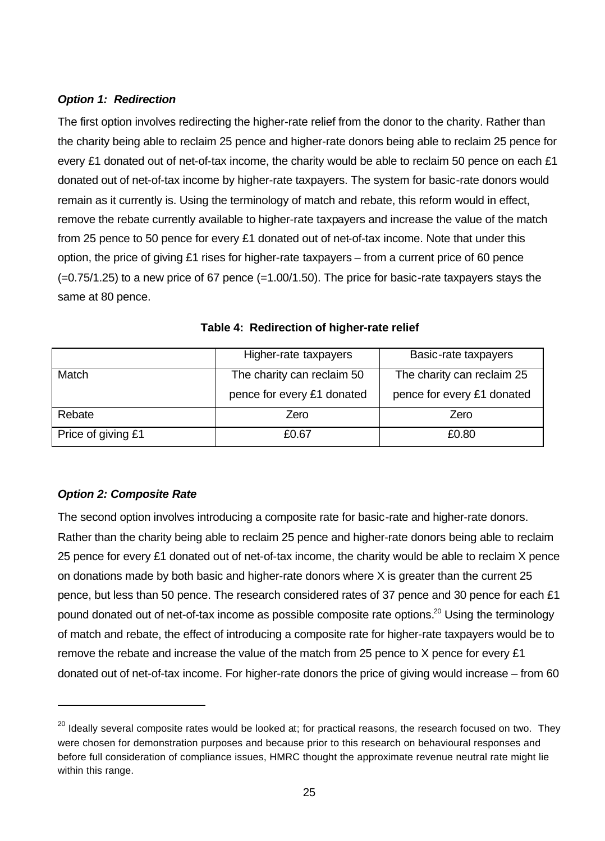### *Option 1: Redirection*

The first option involves redirecting the higher-rate relief from the donor to the charity. Rather than the charity being able to reclaim 25 pence and higher-rate donors being able to reclaim 25 pence for every £1 donated out of net-of-tax income, the charity would be able to reclaim 50 pence on each £1 donated out of net-of-tax income by higher-rate taxpayers. The system for basic-rate donors would remain as it currently is. Using the terminology of match and rebate, this reform would in effect, remove the rebate currently available to higher-rate taxpayers and increase the value of the match from 25 pence to 50 pence for every £1 donated out of net-of-tax income. Note that under this option, the price of giving £1 rises for higher-rate taxpayers – from a current price of 60 pence  $(=0.75/1.25)$  to a new price of 67 pence  $(=1.00/1.50)$ . The price for basic-rate taxpayers stays the same at 80 pence.

|                    | Higher-rate taxpayers      | Basic-rate taxpayers       |
|--------------------|----------------------------|----------------------------|
| Match              | The charity can reclaim 50 | The charity can reclaim 25 |
|                    | pence for every £1 donated | pence for every £1 donated |
| Rebate             | Zero                       | Zero                       |
| Price of giving £1 | £0.67                      | £0.80                      |

**Table 4: Redirection of higher-rate relief**

## *Option 2: Composite Rate*

l

The second option involves introducing a composite rate for basic-rate and higher-rate donors. Rather than the charity being able to reclaim 25 pence and higher-rate donors being able to reclaim 25 pence for every £1 donated out of net-of-tax income, the charity would be able to reclaim X pence on donations made by both basic and higher-rate donors where X is greater than the current 25 pence, but less than 50 pence. The research considered rates of 37 pence and 30 pence for each £1 pound donated out of net-of-tax income as possible composite rate options.<sup>20</sup> Using the terminology of match and rebate, the effect of introducing a composite rate for higher-rate taxpayers would be to remove the rebate and increase the value of the match from 25 pence to X pence for every £1 donated out of net-of-tax income. For higher-rate donors the price of giving would increase – from 60

<sup>&</sup>lt;sup>20</sup> Ideally several composite rates would be looked at; for practical reasons, the research focused on two. They were chosen for demonstration purposes and because prior to this research on behavioural responses and before full consideration of compliance issues, HMRC thought the approximate revenue neutral rate might lie within this range.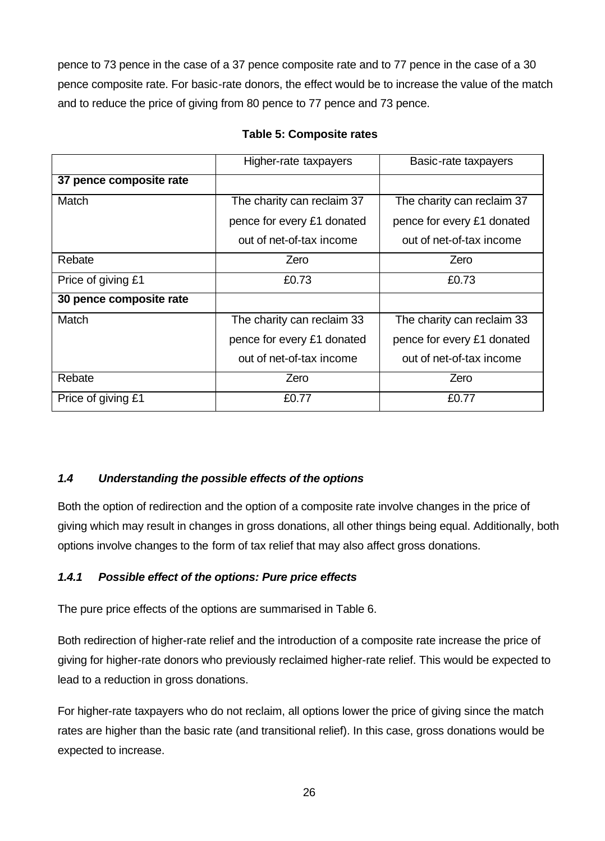pence to 73 pence in the case of a 37 pence composite rate and to 77 pence in the case of a 30 pence composite rate. For basic-rate donors, the effect would be to increase the value of the match and to reduce the price of giving from 80 pence to 77 pence and 73 pence.

|                         | Higher-rate taxpayers      | Basic-rate taxpayers       |  |
|-------------------------|----------------------------|----------------------------|--|
| 37 pence composite rate |                            |                            |  |
| Match                   | The charity can reclaim 37 | The charity can reclaim 37 |  |
|                         | pence for every £1 donated | pence for every £1 donated |  |
|                         | out of net-of-tax income   | out of net-of-tax income   |  |
| Rebate                  | Zero                       | Zero                       |  |
| Price of giving £1      | £0.73                      | £0.73                      |  |
| 30 pence composite rate |                            |                            |  |
| Match                   | The charity can reclaim 33 | The charity can reclaim 33 |  |
|                         | pence for every £1 donated | pence for every £1 donated |  |
|                         | out of net-of-tax income   | out of net-of-tax income   |  |
| Rebate                  | Zero                       | Zero                       |  |
| Price of giving £1      | £0.77                      | £0.77                      |  |

### **Table 5: Composite rates**

## *1.4 Understanding the possible effects of the options*

Both the option of redirection and the option of a composite rate involve changes in the price of giving which may result in changes in gross donations, all other things being equal. Additionally, both options involve changes to the form of tax relief that may also affect gross donations.

## *1.4.1 Possible effect of the options: Pure price effects*

The pure price effects of the options are summarised in Table 6.

Both redirection of higher-rate relief and the introduction of a composite rate increase the price of giving for higher-rate donors who previously reclaimed higher-rate relief. This would be expected to lead to a reduction in gross donations.

For higher-rate taxpayers who do not reclaim, all options lower the price of giving since the match rates are higher than the basic rate (and transitional relief). In this case, gross donations would be expected to increase.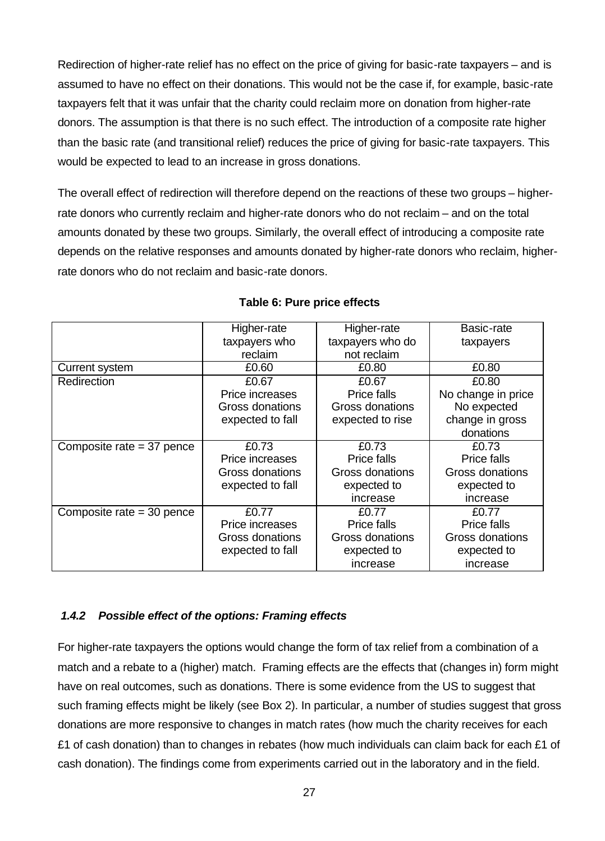Redirection of higher-rate relief has no effect on the price of giving for basic-rate taxpayers – and is assumed to have no effect on their donations. This would not be the case if, for example, basic-rate taxpayers felt that it was unfair that the charity could reclaim more on donation from higher-rate donors. The assumption is that there is no such effect. The introduction of a composite rate higher than the basic rate (and transitional relief) reduces the price of giving for basic-rate taxpayers. This would be expected to lead to an increase in gross donations.

The overall effect of redirection will therefore depend on the reactions of these two groups – higherrate donors who currently reclaim and higher-rate donors who do not reclaim – and on the total amounts donated by these two groups. Similarly, the overall effect of introducing a composite rate depends on the relative responses and amounts donated by higher-rate donors who reclaim, higherrate donors who do not reclaim and basic-rate donors.

|                             | Higher-rate      | Higher-rate      | Basic-rate         |
|-----------------------------|------------------|------------------|--------------------|
|                             | taxpayers who    | taxpayers who do | taxpayers          |
|                             | reclaim          | not reclaim      |                    |
| <b>Current system</b>       | £0.60            | £0.80            | £0.80              |
| Redirection                 | £0.67            | £0.67            | £0.80              |
|                             | Price increases  | Price falls      | No change in price |
|                             | Gross donations  | Gross donations  | No expected        |
|                             | expected to fall | expected to rise | change in gross    |
|                             |                  |                  | donations          |
| Composite rate $=$ 37 pence | £0.73            | £0.73            | £0.73              |
|                             | Price increases  | Price falls      | Price falls        |
|                             | Gross donations  | Gross donations  | Gross donations    |
|                             | expected to fall | expected to      | expected to        |
|                             |                  | increase         | increase           |
| Composite rate = 30 pence   | £0.77            | £0.77            | £0.77              |
|                             | Price increases  | Price falls      | Price falls        |
|                             | Gross donations  | Gross donations  | Gross donations    |
|                             | expected to fall | expected to      | expected to        |
|                             |                  | increase         | increase           |

#### **Table 6: Pure price effects**

#### *1.4.2 Possible effect of the options: Framing effects*

For higher-rate taxpayers the options would change the form of tax relief from a combination of a match and a rebate to a (higher) match. Framing effects are the effects that (changes in) form might have on real outcomes, such as donations. There is some evidence from the US to suggest that such framing effects might be likely (see Box 2). In particular, a number of studies suggest that gross donations are more responsive to changes in match rates (how much the charity receives for each £1 of cash donation) than to changes in rebates (how much individuals can claim back for each £1 of cash donation). The findings come from experiments carried out in the laboratory and in the field.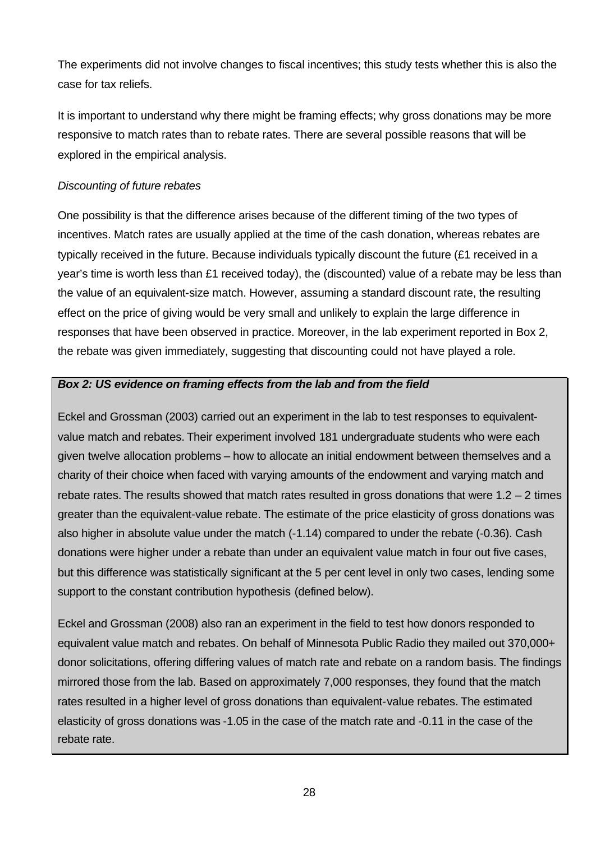The experiments did not involve changes to fiscal incentives; this study tests whether this is also the case for tax reliefs.

It is important to understand why there might be framing effects; why gross donations may be more responsive to match rates than to rebate rates. There are several possible reasons that will be explored in the empirical analysis.

### *Discounting of future rebates*

One possibility is that the difference arises because of the different timing of the two types of incentives. Match rates are usually applied at the time of the cash donation, whereas rebates are typically received in the future. Because individuals typically discount the future (£1 received in a year's time is worth less than £1 received today), the (discounted) value of a rebate may be less than the value of an equivalent-size match. However, assuming a standard discount rate, the resulting effect on the price of giving would be very small and unlikely to explain the large difference in responses that have been observed in practice. Moreover, in the lab experiment reported in Box 2, the rebate was given immediately, suggesting that discounting could not have played a role.

#### *Box 2: US evidence on framing effects from the lab and from the field*

Eckel and Grossman (2003) carried out an experiment in the lab to test responses to equivalentvalue match and rebates. Their experiment involved 181 undergraduate students who were each given twelve allocation problems – how to allocate an initial endowment between themselves and a charity of their choice when faced with varying amounts of the endowment and varying match and rebate rates. The results showed that match rates resulted in gross donations that were  $1.2 - 2$  times greater than the equivalent-value rebate. The estimate of the price elasticity of gross donations was also higher in absolute value under the match (-1.14) compared to under the rebate (-0.36). Cash donations were higher under a rebate than under an equivalent value match in four out five cases, but this difference was statistically significant at the 5 per cent level in only two cases, lending some support to the constant contribution hypothesis (defined below).

Eckel and Grossman (2008) also ran an experiment in the field to test how donors responded to equivalent value match and rebates. On behalf of Minnesota Public Radio they mailed out 370,000+ donor solicitations, offering differing values of match rate and rebate on a random basis. The findings mirrored those from the lab. Based on approximately 7,000 responses, they found that the match rates resulted in a higher level of gross donations than equivalent-value rebates. The estimated elasticity of gross donations was -1.05 in the case of the match rate and -0.11 in the case of the rebate rate.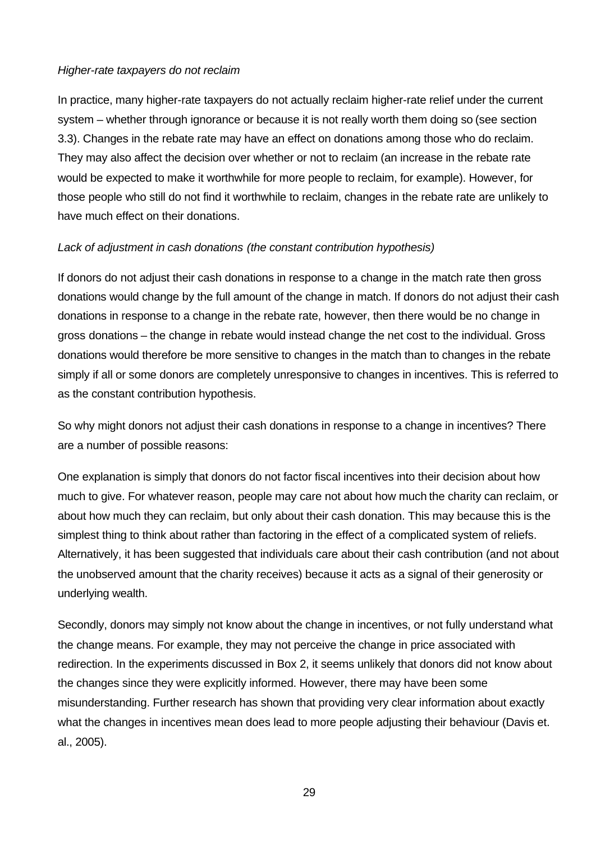#### *Higher-rate taxpayers do not reclaim*

In practice, many higher-rate taxpayers do not actually reclaim higher-rate relief under the current system – whether through ignorance or because it is not really worth them doing so (see section 3.3). Changes in the rebate rate may have an effect on donations among those who do reclaim. They may also affect the decision over whether or not to reclaim (an increase in the rebate rate would be expected to make it worthwhile for more people to reclaim, for example). However, for those people who still do not find it worthwhile to reclaim, changes in the rebate rate are unlikely to have much effect on their donations.

#### *Lack of adjustment in cash donations (the constant contribution hypothesis)*

If donors do not adjust their cash donations in response to a change in the match rate then gross donations would change by the full amount of the change in match. If donors do not adjust their cash donations in response to a change in the rebate rate, however, then there would be no change in gross donations – the change in rebate would instead change the net cost to the individual. Gross donations would therefore be more sensitive to changes in the match than to changes in the rebate simply if all or some donors are completely unresponsive to changes in incentives. This is referred to as the constant contribution hypothesis.

So why might donors not adjust their cash donations in response to a change in incentives? There are a number of possible reasons:

One explanation is simply that donors do not factor fiscal incentives into their decision about how much to give. For whatever reason, people may care not about how much the charity can reclaim, or about how much they can reclaim, but only about their cash donation. This may because this is the simplest thing to think about rather than factoring in the effect of a complicated system of reliefs. Alternatively, it has been suggested that individuals care about their cash contribution (and not about the unobserved amount that the charity receives) because it acts as a signal of their generosity or underlying wealth.

Secondly, donors may simply not know about the change in incentives, or not fully understand what the change means. For example, they may not perceive the change in price associated with redirection. In the experiments discussed in Box 2, it seems unlikely that donors did not know about the changes since they were explicitly informed. However, there may have been some misunderstanding. Further research has shown that providing very clear information about exactly what the changes in incentives mean does lead to more people adjusting their behaviour (Davis et. al., 2005).

29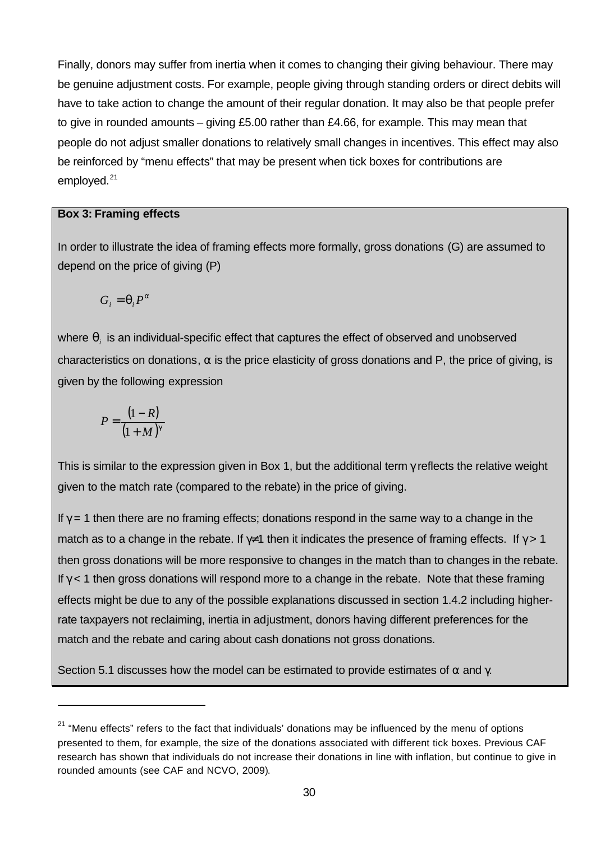Finally, donors may suffer from inertia when it comes to changing their giving behaviour. There may be genuine adjustment costs. For example, people giving through standing orders or direct debits will have to take action to change the amount of their regular donation. It may also be that people prefer to give in rounded amounts – giving £5.00 rather than £4.66, for example. This may mean that people do not adjust smaller donations to relatively small changes in incentives. This effect may also be reinforced by "menu effects" that may be present when tick boxes for contributions are employed.<sup>21</sup>

#### **Box 3: Framing effects**

In order to illustrate the idea of framing effects more formally, gross donations (G) are assumed to depend on the price of giving (P)

$$
G_i = \boldsymbol{q}_i P^a
$$

where  $\boldsymbol{q}_i$  is an individual-specific effect that captures the effect of observed and unobserved characteristics on donations,  $\alpha$  is the price elasticity of gross donations and P, the price of giving, is given by the following expression

$$
P = \frac{(1 - R)}{(1 + M)^g}
$$

l

This is similar to the expression given in Box 1, but the additional term  $\gamma$  reflects the relative weight given to the match rate (compared to the rebate) in the price of giving.

If  $\gamma = 1$  then there are no framing effects; donations respond in the same way to a change in the match as to a change in the rebate. If  $\gamma \neq 1$  then it indicates the presence of framing effects. If  $\gamma > 1$ then gross donations will be more responsive to changes in the match than to changes in the rebate. If  $\gamma$  < 1 then gross donations will respond more to a change in the rebate. Note that these framing effects might be due to any of the possible explanations discussed in section 1.4.2 including higherrate taxpayers not reclaiming, inertia in adjustment, donors having different preferences for the match and the rebate and caring about cash donations not gross donations.

Section 5.1 discusses how the model can be estimated to provide estimates of  $\alpha$  and  $\gamma$ .

 $21$  "Menu effects" refers to the fact that individuals' donations may be influenced by the menu of options presented to them, for example, the size of the donations associated with different tick boxes. Previous CAF research has shown that individuals do not increase their donations in line with inflation, but continue to give in rounded amounts (see CAF and NCVO, 2009).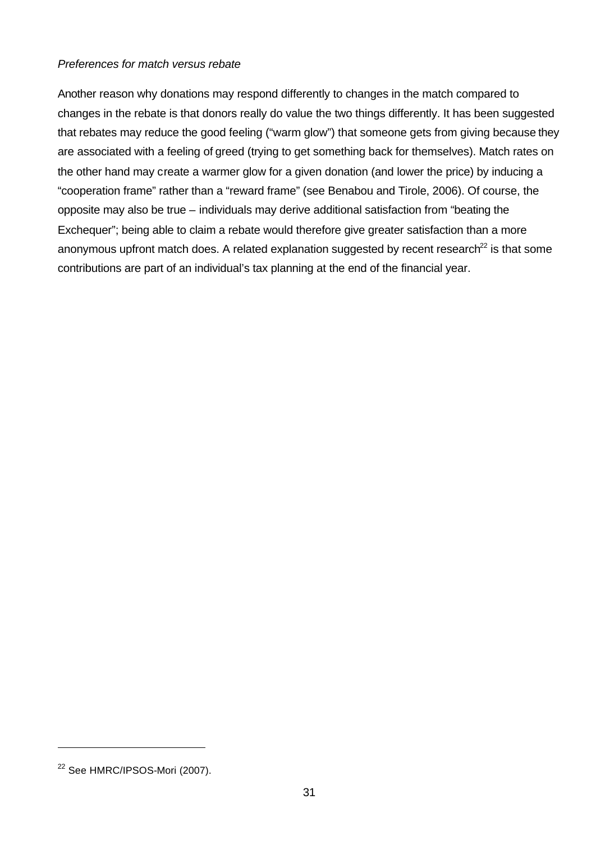#### *Preferences for match versus rebate*

Another reason why donations may respond differently to changes in the match compared to changes in the rebate is that donors really do value the two things differently. It has been suggested that rebates may reduce the good feeling ("warm glow") that someone gets from giving because they are associated with a feeling of greed (trying to get something back for themselves). Match rates on the other hand may create a warmer glow for a given donation (and lower the price) by inducing a "cooperation frame" rather than a "reward frame" (see Benabou and Tirole, 2006). Of course, the opposite may also be true – individuals may derive additional satisfaction from "beating the Exchequer"; being able to claim a rebate would therefore give greater satisfaction than a more anonymous upfront match does. A related explanation suggested by recent research<sup>22</sup> is that some contributions are part of an individual's tax planning at the end of the financial year.

l

<sup>&</sup>lt;sup>22</sup> See HMRC/IPSOS-Mori (2007).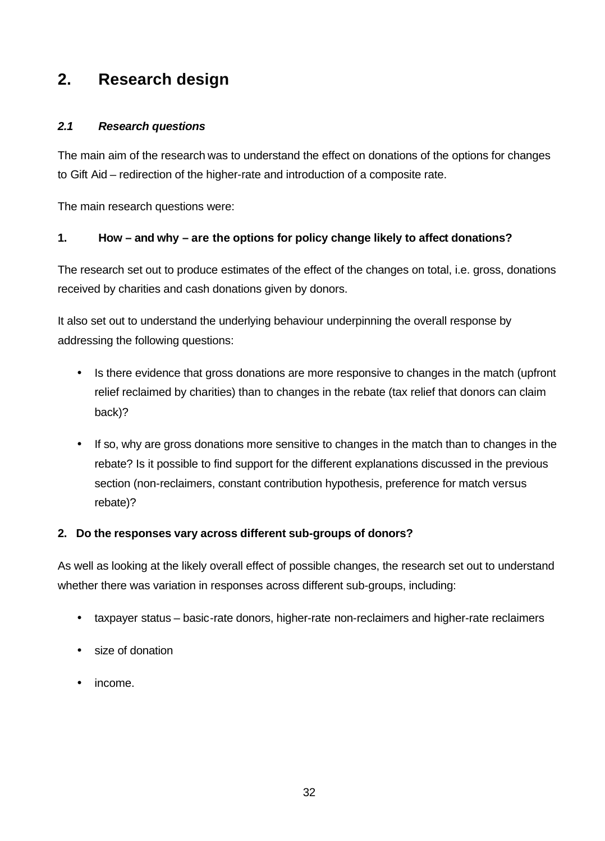# **2. Research design**

### *2.1 Research questions*

The main aim of the research was to understand the effect on donations of the options for changes to Gift Aid – redirection of the higher-rate and introduction of a composite rate.

The main research questions were:

### **1. How – and why – are the options for policy change likely to affect donations?**

The research set out to produce estimates of the effect of the changes on total, i.e. gross, donations received by charities and cash donations given by donors.

It also set out to understand the underlying behaviour underpinning the overall response by addressing the following questions:

- Is there evidence that gross donations are more responsive to changes in the match (upfront relief reclaimed by charities) than to changes in the rebate (tax relief that donors can claim back)?
- If so, why are gross donations more sensitive to changes in the match than to changes in the rebate? Is it possible to find support for the different explanations discussed in the previous section (non-reclaimers, constant contribution hypothesis, preference for match versus rebate)?

#### **2. Do the responses vary across different sub-groups of donors?**

As well as looking at the likely overall effect of possible changes, the research set out to understand whether there was variation in responses across different sub-groups, including:

- taxpayer status basic-rate donors, higher-rate non-reclaimers and higher-rate reclaimers
- size of donation
- income.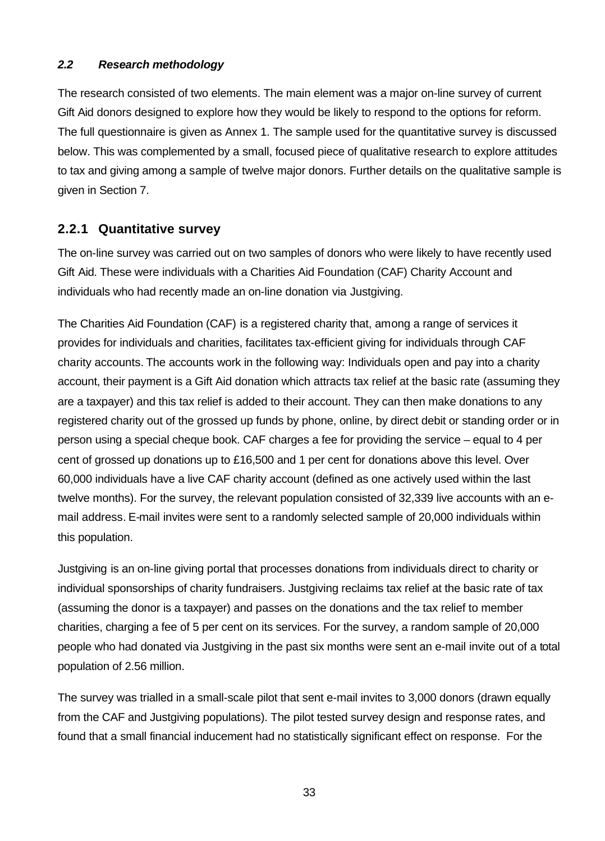### *2.2 Research methodology*

The research consisted of two elements. The main element was a major on-line survey of current Gift Aid donors designed to explore how they would be likely to respond to the options for reform. The full questionnaire is given as Annex 1. The sample used for the quantitative survey is discussed below. This was complemented by a small, focused piece of qualitative research to explore attitudes to tax and giving among a sample of twelve major donors. Further details on the qualitative sample is given in Section 7.

## **2.2.1 Quantitative survey**

The on-line survey was carried out on two samples of donors who were likely to have recently used Gift Aid. These were individuals with a Charities Aid Foundation (CAF) Charity Account and individuals who had recently made an on-line donation via Justgiving.

The Charities Aid Foundation (CAF) is a registered charity that, among a range of services it provides for individuals and charities, facilitates tax-efficient giving for individuals through CAF charity accounts. The accounts work in the following way: Individuals open and pay into a charity account, their payment is a Gift Aid donation which attracts tax relief at the basic rate (assuming they are a taxpayer) and this tax relief is added to their account. They can then make donations to any registered charity out of the grossed up funds by phone, online, by direct debit or standing order or in person using a special cheque book. CAF charges a fee for providing the service – equal to 4 per cent of grossed up donations up to £16,500 and 1 per cent for donations above this level. Over 60,000 individuals have a live CAF charity account (defined as one actively used within the last twelve months). For the survey, the relevant population consisted of 32,339 live accounts with an email address. E-mail invites were sent to a randomly selected sample of 20,000 individuals within this population.

Justgiving is an on-line giving portal that processes donations from individuals direct to charity or individual sponsorships of charity fundraisers. Justgiving reclaims tax relief at the basic rate of tax (assuming the donor is a taxpayer) and passes on the donations and the tax relief to member charities, charging a fee of 5 per cent on its services. For the survey, a random sample of 20,000 people who had donated via Justgiving in the past six months were sent an e-mail invite out of a total population of 2.56 million.

The survey was trialled in a small-scale pilot that sent e-mail invites to 3,000 donors (drawn equally from the CAF and Justgiving populations). The pilot tested survey design and response rates, and found that a small financial inducement had no statistically significant effect on response. For the

33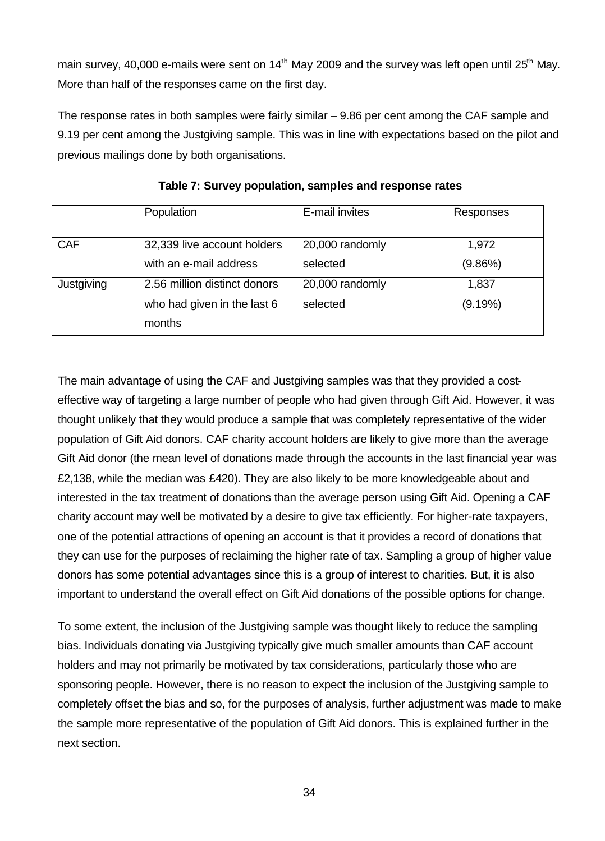main survey, 40,000 e-mails were sent on  $14<sup>th</sup>$  May 2009 and the survey was left open until  $25<sup>th</sup>$  May. More than half of the responses came on the first day.

The response rates in both samples were fairly similar – 9.86 per cent among the CAF sample and 9.19 per cent among the Justgiving sample. This was in line with expectations based on the pilot and previous mailings done by both organisations.

|            | Population                   | E-mail invites  | Responses |
|------------|------------------------------|-----------------|-----------|
| <b>CAF</b> | 32,339 live account holders  | 20,000 randomly | 1,972     |
|            | with an e-mail address       | selected        | (9.86%)   |
| Justgiving | 2.56 million distinct donors | 20,000 randomly | 1,837     |
|            | who had given in the last 6  | selected        | (9.19%)   |
|            | months                       |                 |           |

The main advantage of using the CAF and Justgiving samples was that they provided a costeffective way of targeting a large number of people who had given through Gift Aid. However, it was thought unlikely that they would produce a sample that was completely representative of the wider population of Gift Aid donors. CAF charity account holders are likely to give more than the average Gift Aid donor (the mean level of donations made through the accounts in the last financial year was £2,138, while the median was £420). They are also likely to be more knowledgeable about and interested in the tax treatment of donations than the average person using Gift Aid. Opening a CAF charity account may well be motivated by a desire to give tax efficiently. For higher-rate taxpayers, one of the potential attractions of opening an account is that it provides a record of donations that they can use for the purposes of reclaiming the higher rate of tax. Sampling a group of higher value donors has some potential advantages since this is a group of interest to charities. But, it is also important to understand the overall effect on Gift Aid donations of the possible options for change.

To some extent, the inclusion of the Justgiving sample was thought likely to reduce the sampling bias. Individuals donating via Justgiving typically give much smaller amounts than CAF account holders and may not primarily be motivated by tax considerations, particularly those who are sponsoring people. However, there is no reason to expect the inclusion of the Justgiving sample to completely offset the bias and so, for the purposes of analysis, further adjustment was made to make the sample more representative of the population of Gift Aid donors. This is explained further in the next section.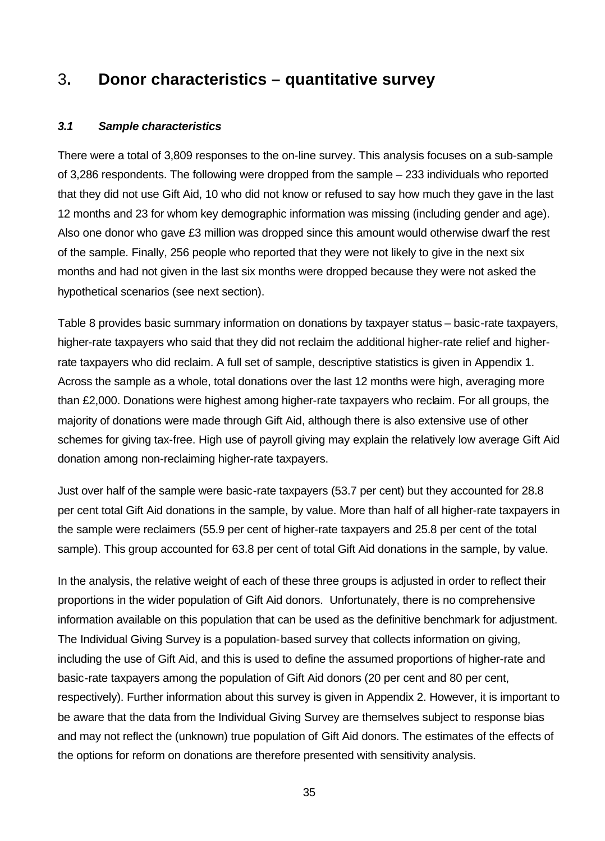# 3**. Donor characteristics – quantitative survey**

### *3.1 Sample characteristics*

There were a total of 3,809 responses to the on-line survey. This analysis focuses on a sub-sample of 3,286 respondents. The following were dropped from the sample – 233 individuals who reported that they did not use Gift Aid, 10 who did not know or refused to say how much they gave in the last 12 months and 23 for whom key demographic information was missing (including gender and age). Also one donor who gave £3 million was dropped since this amount would otherwise dwarf the rest of the sample. Finally, 256 people who reported that they were not likely to give in the next six months and had not given in the last six months were dropped because they were not asked the hypothetical scenarios (see next section).

Table 8 provides basic summary information on donations by taxpayer status – basic-rate taxpayers, higher-rate taxpayers who said that they did not reclaim the additional higher-rate relief and higherrate taxpayers who did reclaim. A full set of sample, descriptive statistics is given in Appendix 1. Across the sample as a whole, total donations over the last 12 months were high, averaging more than £2,000. Donations were highest among higher-rate taxpayers who reclaim. For all groups, the majority of donations were made through Gift Aid, although there is also extensive use of other schemes for giving tax-free. High use of payroll giving may explain the relatively low average Gift Aid donation among non-reclaiming higher-rate taxpayers.

Just over half of the sample were basic-rate taxpayers (53.7 per cent) but they accounted for 28.8 per cent total Gift Aid donations in the sample, by value. More than half of all higher-rate taxpayers in the sample were reclaimers (55.9 per cent of higher-rate taxpayers and 25.8 per cent of the total sample). This group accounted for 63.8 per cent of total Gift Aid donations in the sample, by value.

In the analysis, the relative weight of each of these three groups is adjusted in order to reflect their proportions in the wider population of Gift Aid donors. Unfortunately, there is no comprehensive information available on this population that can be used as the definitive benchmark for adjustment. The Individual Giving Survey is a population-based survey that collects information on giving, including the use of Gift Aid, and this is used to define the assumed proportions of higher-rate and basic-rate taxpayers among the population of Gift Aid donors (20 per cent and 80 per cent, respectively). Further information about this survey is given in Appendix 2. However, it is important to be aware that the data from the Individual Giving Survey are themselves subject to response bias and may not reflect the (unknown) true population of Gift Aid donors. The estimates of the effects of the options for reform on donations are therefore presented with sensitivity analysis.

35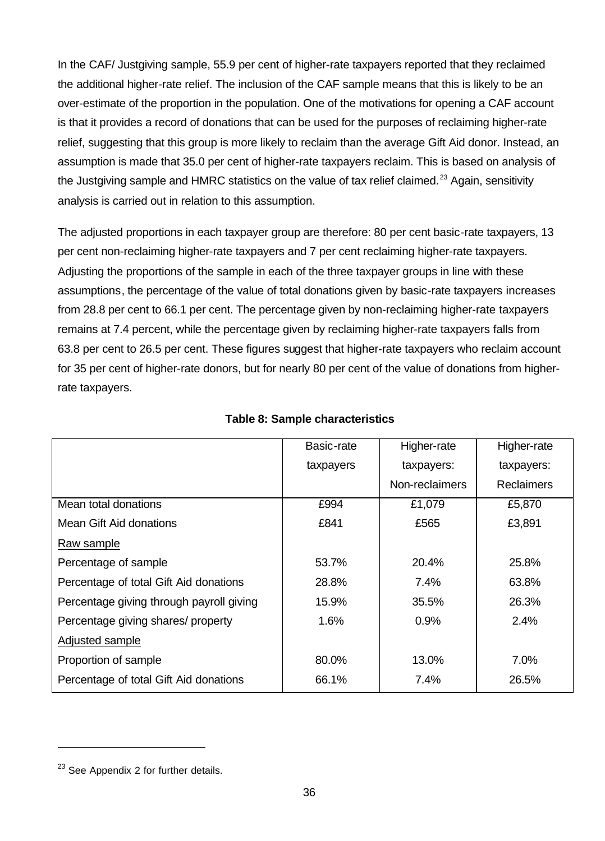In the CAF/ Justgiving sample, 55.9 per cent of higher-rate taxpayers reported that they reclaimed the additional higher-rate relief. The inclusion of the CAF sample means that this is likely to be an over-estimate of the proportion in the population. One of the motivations for opening a CAF account is that it provides a record of donations that can be used for the purposes of reclaiming higher-rate relief, suggesting that this group is more likely to reclaim than the average Gift Aid donor. Instead, an assumption is made that 35.0 per cent of higher-rate taxpayers reclaim. This is based on analysis of the Justgiving sample and HMRC statistics on the value of tax relief claimed.<sup>23</sup> Again, sensitivity analysis is carried out in relation to this assumption.

The adjusted proportions in each taxpayer group are therefore: 80 per cent basic-rate taxpayers, 13 per cent non-reclaiming higher-rate taxpayers and 7 per cent reclaiming higher-rate taxpayers. Adjusting the proportions of the sample in each of the three taxpayer groups in line with these assumptions, the percentage of the value of total donations given by basic-rate taxpayers increases from 28.8 per cent to 66.1 per cent. The percentage given by non-reclaiming higher-rate taxpayers remains at 7.4 percent, while the percentage given by reclaiming higher-rate taxpayers falls from 63.8 per cent to 26.5 per cent. These figures suggest that higher-rate taxpayers who reclaim account for 35 per cent of higher-rate donors, but for nearly 80 per cent of the value of donations from higherrate taxpayers.

|                                          | Basic-rate | Higher-rate    | Higher-rate       |
|------------------------------------------|------------|----------------|-------------------|
|                                          | taxpayers  | taxpayers:     | taxpayers:        |
|                                          |            | Non-reclaimers | <b>Reclaimers</b> |
| Mean total donations                     | £994       | £1,079         | £5,870            |
| Mean Gift Aid donations                  | £841       | £565           | £3,891            |
| Raw sample                               |            |                |                   |
| Percentage of sample                     | 53.7%      | 20.4%          | 25.8%             |
| Percentage of total Gift Aid donations   | 28.8%      | 7.4%           | 63.8%             |
| Percentage giving through payroll giving | 15.9%      | 35.5%          | 26.3%             |
| Percentage giving shares/ property       | 1.6%       | 0.9%           | 2.4%              |
| Adjusted sample                          |            |                |                   |
| Proportion of sample                     | 80.0%      | 13.0%          | $7.0\%$           |
| Percentage of total Gift Aid donations   | 66.1%      | 7.4%           | 26.5%             |

#### **Table 8: Sample characteristics**

l

 $23$  See Appendix 2 for further details.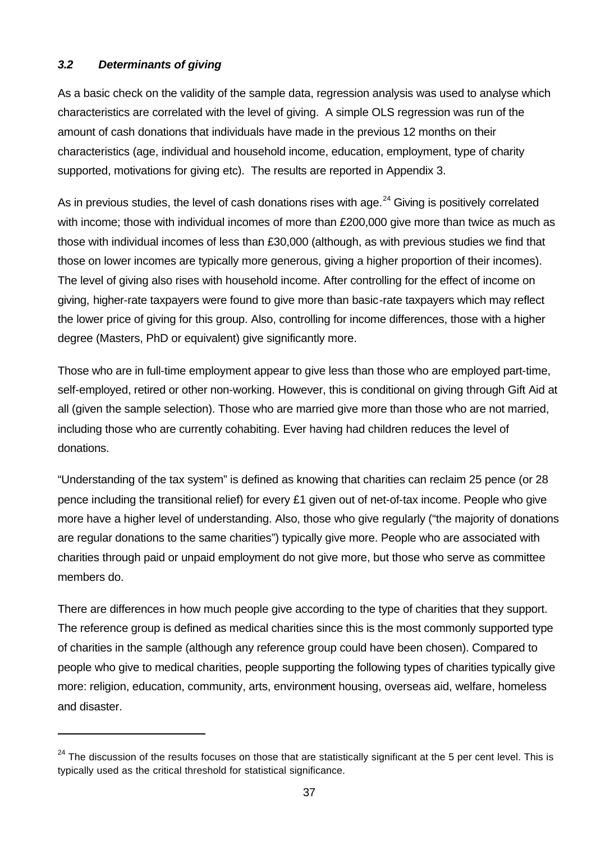## *3.2 Determinants of giving*

l

As a basic check on the validity of the sample data, regression analysis was used to analyse which characteristics are correlated with the level of giving. A simple OLS regression was run of the amount of cash donations that individuals have made in the previous 12 months on their characteristics (age, individual and household income, education, employment, type of charity supported, motivations for giving etc). The results are reported in Appendix 3.

As in previous studies, the level of cash donations rises with age. $^{24}$  Giving is positively correlated with income; those with individual incomes of more than £200,000 give more than twice as much as those with individual incomes of less than £30,000 (although, as with previous studies we find that those on lower incomes are typically more generous, giving a higher proportion of their incomes). The level of giving also rises with household income. After controlling for the effect of income on giving, higher-rate taxpayers were found to give more than basic-rate taxpayers which may reflect the lower price of giving for this group. Also, controlling for income differences, those with a higher degree (Masters, PhD or equivalent) give significantly more.

Those who are in full-time employment appear to give less than those who are employed part-time, self-employed, retired or other non-working. However, this is conditional on giving through Gift Aid at all (given the sample selection). Those who are married give more than those who are not married, including those who are currently cohabiting. Ever having had children reduces the level of donations.

"Understanding of the tax system" is defined as knowing that charities can reclaim 25 pence (or 28 pence including the transitional relief) for every £1 given out of net-of-tax income. People who give more have a higher level of understanding. Also, those who give regularly ("the majority of donations are regular donations to the same charities") typically give more. People who are associated with charities through paid or unpaid employment do not give more, but those who serve as committee members do.

There are differences in how much people give according to the type of charities that they support. The reference group is defined as medical charities since this is the most commonly supported type of charities in the sample (although any reference group could have been chosen). Compared to people who give to medical charities, people supporting the following types of charities typically give more: religion, education, community, arts, environment housing, overseas aid, welfare, homeless and disaster.

 $24$  The discussion of the results focuses on those that are statistically significant at the 5 per cent level. This is typically used as the critical threshold for statistical significance.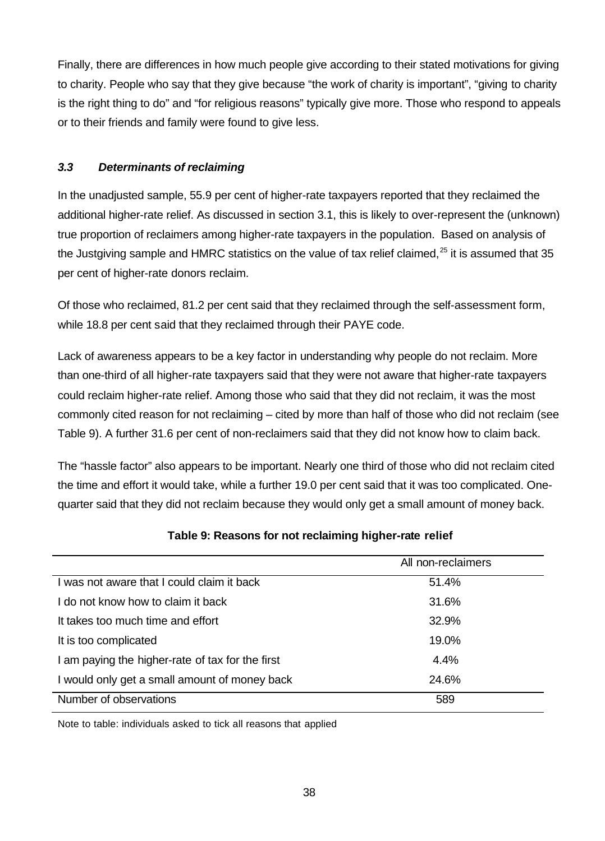Finally, there are differences in how much people give according to their stated motivations for giving to charity. People who say that they give because "the work of charity is important", "giving to charity is the right thing to do" and "for religious reasons" typically give more. Those who respond to appeals or to their friends and family were found to give less.

## *3.3 Determinants of reclaiming*

In the unadjusted sample, 55.9 per cent of higher-rate taxpayers reported that they reclaimed the additional higher-rate relief. As discussed in section 3.1, this is likely to over-represent the (unknown) true proportion of reclaimers among higher-rate taxpayers in the population. Based on analysis of the Justgiving sample and HMRC statistics on the value of tax relief claimed, $^{25}$  it is assumed that 35 per cent of higher-rate donors reclaim.

Of those who reclaimed, 81.2 per cent said that they reclaimed through the self-assessment form, while 18.8 per cent said that they reclaimed through their PAYE code.

Lack of awareness appears to be a key factor in understanding why people do not reclaim. More than one-third of all higher-rate taxpayers said that they were not aware that higher-rate taxpayers could reclaim higher-rate relief. Among those who said that they did not reclaim, it was the most commonly cited reason for not reclaiming – cited by more than half of those who did not reclaim (see Table 9). A further 31.6 per cent of non-reclaimers said that they did not know how to claim back.

The "hassle factor" also appears to be important. Nearly one third of those who did not reclaim cited the time and effort it would take, while a further 19.0 per cent said that it was too complicated. Onequarter said that they did not reclaim because they would only get a small amount of money back.

|                                                  | All non-reclaimers |
|--------------------------------------------------|--------------------|
| I was not aware that I could claim it back       | 51.4%              |
| I do not know how to claim it back               | 31.6%              |
| It takes too much time and effort                | 32.9%              |
| It is too complicated                            | 19.0%              |
| I am paying the higher-rate of tax for the first | 4.4%               |
| I would only get a small amount of money back    | 24.6%              |
| Number of observations                           | 589                |

## **Table 9: Reasons for not reclaiming higher-rate relief**

Note to table: individuals asked to tick all reasons that applied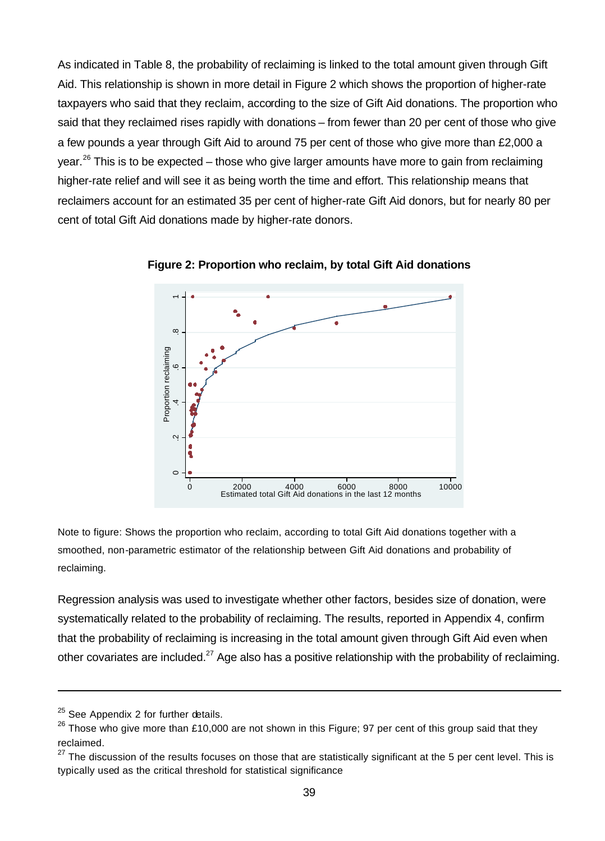As indicated in Table 8, the probability of reclaiming is linked to the total amount given through Gift Aid. This relationship is shown in more detail in Figure 2 which shows the proportion of higher-rate taxpayers who said that they reclaim, according to the size of Gift Aid donations. The proportion who said that they reclaimed rises rapidly with donations – from fewer than 20 per cent of those who give a few pounds a year through Gift Aid to around 75 per cent of those who give more than £2,000 a year.<sup>26</sup> This is to be expected – those who give larger amounts have more to gain from reclaiming higher-rate relief and will see it as being worth the time and effort. This relationship means that reclaimers account for an estimated 35 per cent of higher-rate Gift Aid donors, but for nearly 80 per cent of total Gift Aid donations made by higher-rate donors.



**Figure 2: Proportion who reclaim, by total Gift Aid donations**

Note to figure: Shows the proportion who reclaim, according to total Gift Aid donations together with a smoothed, non-parametric estimator of the relationship between Gift Aid donations and probability of reclaiming.

Regression analysis was used to investigate whether other factors, besides size of donation, were systematically related to the probability of reclaiming. The results, reported in Appendix 4, confirm that the probability of reclaiming is increasing in the total amount given through Gift Aid even when other covariates are included.<sup>27</sup> Age also has a positive relationship with the probability of reclaiming.

l

 $25$  See Appendix 2 for further details.

 $26$  Those who give more than £10,000 are not shown in this Figure; 97 per cent of this group said that they reclaimed.

 $27$  The discussion of the results focuses on those that are statistically significant at the 5 per cent level. This is typically used as the critical threshold for statistical significance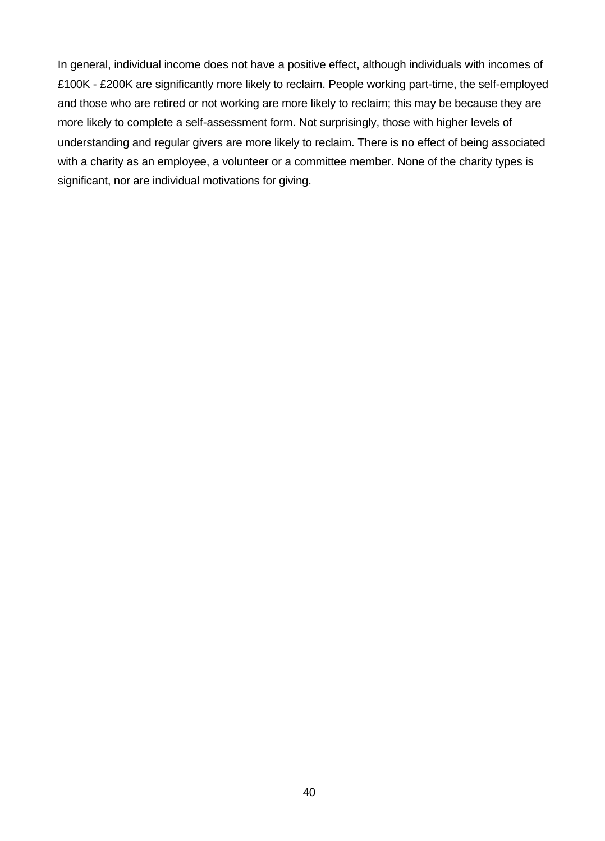In general, individual income does not have a positive effect, although individuals with incomes of £100K - £200K are significantly more likely to reclaim. People working part-time, the self-employed and those who are retired or not working are more likely to reclaim; this may be because they are more likely to complete a self-assessment form. Not surprisingly, those with higher levels of understanding and regular givers are more likely to reclaim. There is no effect of being associated with a charity as an employee, a volunteer or a committee member. None of the charity types is significant, nor are individual motivations for giving.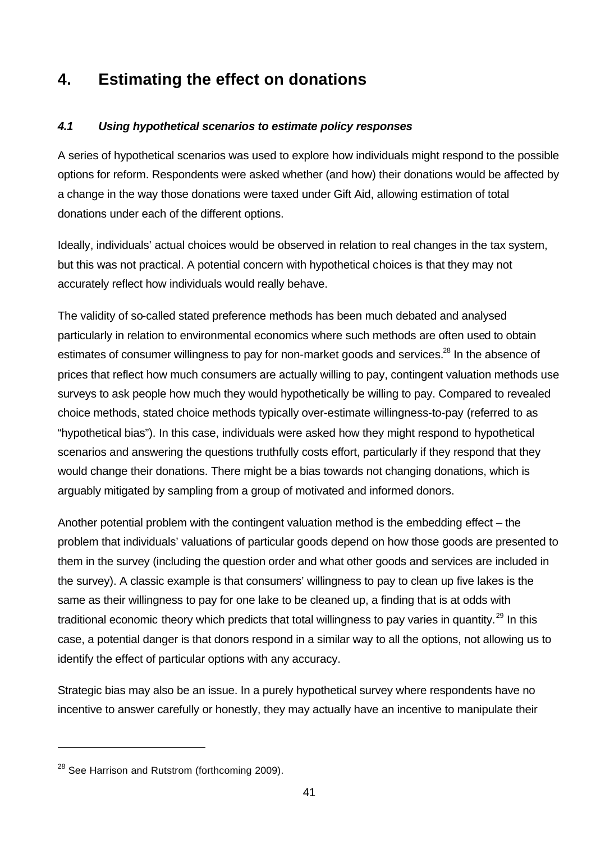# **4. Estimating the effect on donations**

# *4.1 Using hypothetical scenarios to estimate policy responses*

A series of hypothetical scenarios was used to explore how individuals might respond to the possible options for reform. Respondents were asked whether (and how) their donations would be affected by a change in the way those donations were taxed under Gift Aid, allowing estimation of total donations under each of the different options.

Ideally, individuals' actual choices would be observed in relation to real changes in the tax system, but this was not practical. A potential concern with hypothetical choices is that they may not accurately reflect how individuals would really behave.

The validity of so-called stated preference methods has been much debated and analysed particularly in relation to environmental economics where such methods are often used to obtain estimates of consumer willingness to pay for non-market goods and services.<sup>28</sup> In the absence of prices that reflect how much consumers are actually willing to pay, contingent valuation methods use surveys to ask people how much they would hypothetically be willing to pay. Compared to revealed choice methods, stated choice methods typically over-estimate willingness-to-pay (referred to as "hypothetical bias"). In this case, individuals were asked how they might respond to hypothetical scenarios and answering the questions truthfully costs effort, particularly if they respond that they would change their donations. There might be a bias towards not changing donations, which is arguably mitigated by sampling from a group of motivated and informed donors.

Another potential problem with the contingent valuation method is the embedding effect – the problem that individuals' valuations of particular goods depend on how those goods are presented to them in the survey (including the question order and what other goods and services are included in the survey). A classic example is that consumers' willingness to pay to clean up five lakes is the same as their willingness to pay for one lake to be cleaned up, a finding that is at odds with traditional economic theory which predicts that total willingness to pay varies in quantity.<sup>29</sup> In this case, a potential danger is that donors respond in a similar way to all the options, not allowing us to identify the effect of particular options with any accuracy.

Strategic bias may also be an issue. In a purely hypothetical survey where respondents have no incentive to answer carefully or honestly, they may actually have an incentive to manipulate their

l

<sup>&</sup>lt;sup>28</sup> See Harrison and Rutstrom (forthcoming 2009).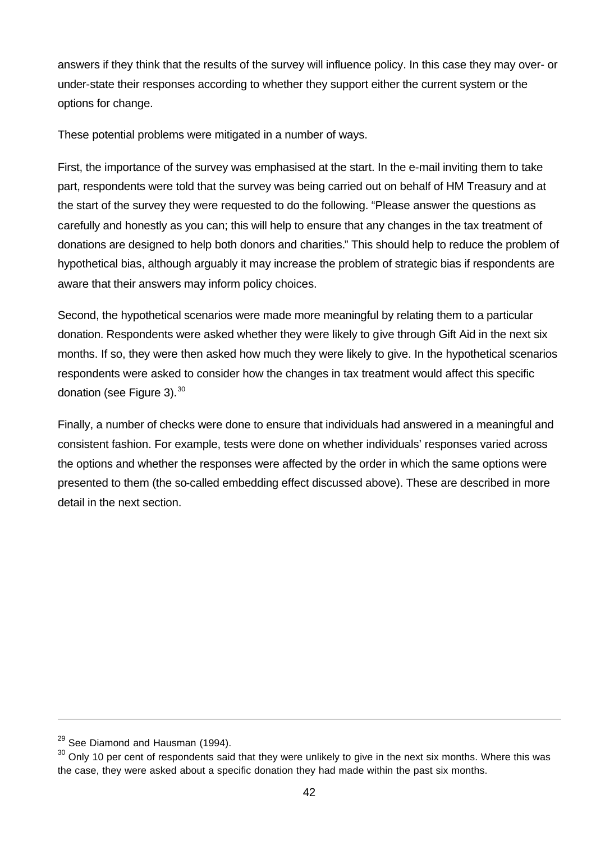answers if they think that the results of the survey will influence policy. In this case they may over- or under-state their responses according to whether they support either the current system or the options for change.

These potential problems were mitigated in a number of ways.

First, the importance of the survey was emphasised at the start. In the e-mail inviting them to take part, respondents were told that the survey was being carried out on behalf of HM Treasury and at the start of the survey they were requested to do the following. "Please answer the questions as carefully and honestly as you can; this will help to ensure that any changes in the tax treatment of donations are designed to help both donors and charities." This should help to reduce the problem of hypothetical bias, although arguably it may increase the problem of strategic bias if respondents are aware that their answers may inform policy choices.

Second, the hypothetical scenarios were made more meaningful by relating them to a particular donation. Respondents were asked whether they were likely to give through Gift Aid in the next six months. If so, they were then asked how much they were likely to give. In the hypothetical scenarios respondents were asked to consider how the changes in tax treatment would affect this specific donation (see Figure 3). $^{30}$ 

Finally, a number of checks were done to ensure that individuals had answered in a meaningful and consistent fashion. For example, tests were done on whether individuals' responses varied across the options and whether the responses were affected by the order in which the same options were presented to them (the so-called embedding effect discussed above). These are described in more detail in the next section.

l

 $29$  See Diamond and Hausman (1994).

 $30$  Only 10 per cent of respondents said that they were unlikely to give in the next six months. Where this was the case, they were asked about a specific donation they had made within the past six months.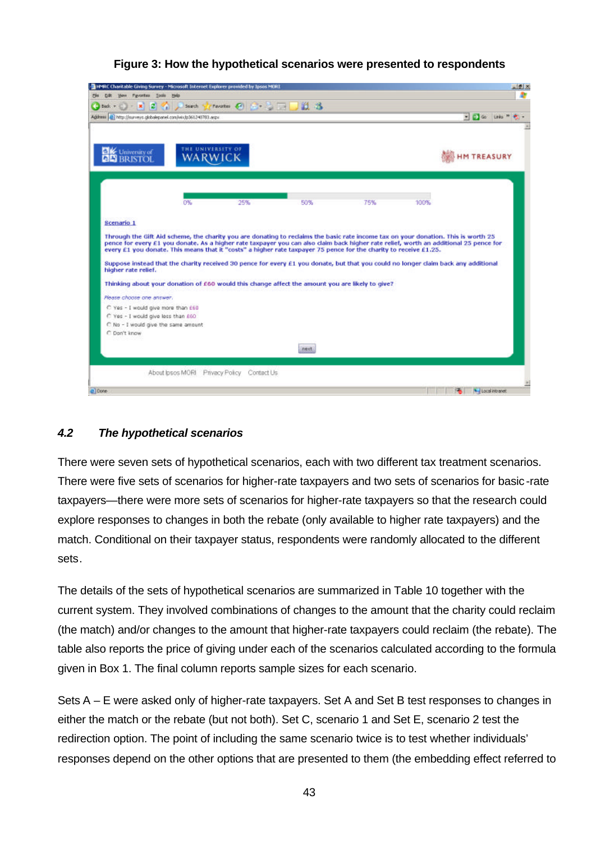| Address   23 http://surveys.globalepanel.com/wixb361240783.aspx                                                                 |                                            | $C$ favorites $C$ $C$ $\rightarrow$ $C$ $C$ $A$ $A$ |                                                                                                                                                                                                                                                                                                                                                                                                  |     |      | $=$ $\frac{1}{2}$ Go Links <sup>30</sup> |
|---------------------------------------------------------------------------------------------------------------------------------|--------------------------------------------|-----------------------------------------------------|--------------------------------------------------------------------------------------------------------------------------------------------------------------------------------------------------------------------------------------------------------------------------------------------------------------------------------------------------------------------------------------------------|-----|------|------------------------------------------|
| University of<br><b>BRISTOI</b>                                                                                                 | THE UNIVERSITY OF<br>WARWICK               |                                                     |                                                                                                                                                                                                                                                                                                                                                                                                  |     |      | <b>HM TREASURY</b>                       |
|                                                                                                                                 | 0%                                         | 25%                                                 | 50%                                                                                                                                                                                                                                                                                                                                                                                              | 75% | 100% |                                          |
| Scenario 1                                                                                                                      |                                            |                                                     |                                                                                                                                                                                                                                                                                                                                                                                                  |     |      |                                          |
|                                                                                                                                 |                                            |                                                     | Through the Gift Aid scheme, the charity you are donating to reclaims the basic rate income tax on your donation. This is worth 25<br>pence for every £1 you donate. As a higher rate taxpayer you can also claim back higher rate relief, worth an additional 25 pence for<br>every £1 you donate. This means that it "costs" a higher rate taxpayer 75 pence for the charity to receive £1.25. |     |      |                                          |
|                                                                                                                                 |                                            |                                                     |                                                                                                                                                                                                                                                                                                                                                                                                  |     |      |                                          |
|                                                                                                                                 |                                            |                                                     | Suppose instead that the charity received 30 pence for every £1 you donate, but that you could no longer claim back any additional                                                                                                                                                                                                                                                               |     |      |                                          |
|                                                                                                                                 |                                            |                                                     | Thinking about your donation of £60 would this change affect the amount you are likely to give?                                                                                                                                                                                                                                                                                                  |     |      |                                          |
|                                                                                                                                 |                                            |                                                     |                                                                                                                                                                                                                                                                                                                                                                                                  |     |      |                                          |
|                                                                                                                                 |                                            |                                                     |                                                                                                                                                                                                                                                                                                                                                                                                  |     |      |                                          |
| C Yes - I would give more than £60<br>C Yes - I would give less than £60<br>C No - I would give the same amount<br>C Don't know |                                            |                                                     |                                                                                                                                                                                                                                                                                                                                                                                                  |     |      |                                          |
|                                                                                                                                 |                                            |                                                     | next.                                                                                                                                                                                                                                                                                                                                                                                            |     |      |                                          |
| higher rate relief.<br>Please choose one answer.                                                                                | About lpsos MORI Privacy Policy Contact Us |                                                     |                                                                                                                                                                                                                                                                                                                                                                                                  |     |      |                                          |

# **Figure 3: How the hypothetical scenarios were presented to respondents**

# *4.2 The hypothetical scenarios*

There were seven sets of hypothetical scenarios, each with two different tax treatment scenarios. There were five sets of scenarios for higher-rate taxpayers and two sets of scenarios for basic-rate taxpayers—there were more sets of scenarios for higher-rate taxpayers so that the research could explore responses to changes in both the rebate (only available to higher rate taxpayers) and the match. Conditional on their taxpayer status, respondents were randomly allocated to the different sets.

The details of the sets of hypothetical scenarios are summarized in Table 10 together with the current system. They involved combinations of changes to the amount that the charity could reclaim (the match) and/or changes to the amount that higher-rate taxpayers could reclaim (the rebate). The table also reports the price of giving under each of the scenarios calculated according to the formula given in Box 1. The final column reports sample sizes for each scenario.

Sets A – E were asked only of higher-rate taxpayers. Set A and Set B test responses to changes in either the match or the rebate (but not both). Set C, scenario 1 and Set E, scenario 2 test the redirection option. The point of including the same scenario twice is to test whether individuals' responses depend on the other options that are presented to them (the embedding effect referred to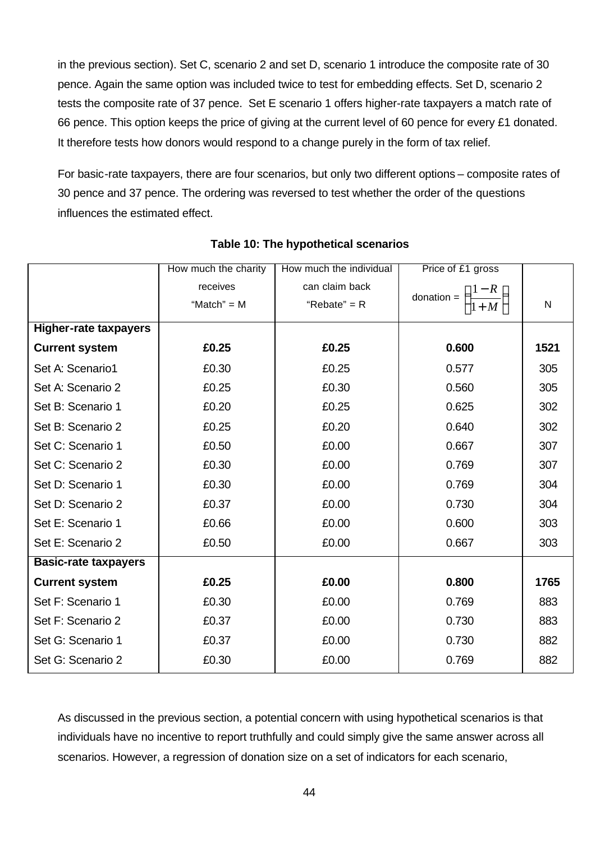in the previous section). Set C, scenario 2 and set D, scenario 1 introduce the composite rate of 30 pence. Again the same option was included twice to test for embedding effects. Set D, scenario 2 tests the composite rate of 37 pence. Set E scenario 1 offers higher-rate taxpayers a match rate of 66 pence. This option keeps the price of giving at the current level of 60 pence for every £1 donated. It therefore tests how donors would respond to a change purely in the form of tax relief.

For basic-rate taxpayers, there are four scenarios, but only two different options – composite rates of 30 pence and 37 pence. The ordering was reversed to test whether the order of the questions influences the estimated effect.

|                              | How much the charity | How much the individual | Price of £1 gross                         |              |
|------------------------------|----------------------|-------------------------|-------------------------------------------|--------------|
|                              | receives             | can claim back          |                                           |              |
|                              | "Match" = $M$        | "Rebate" = $R$          | donation = $\left(\frac{1-R}{1+M}\right)$ | $\mathsf{N}$ |
| <b>Higher-rate taxpayers</b> |                      |                         |                                           |              |
| <b>Current system</b>        | £0.25                | £0.25                   | 0.600                                     | 1521         |
| Set A: Scenario1             | £0.30                | £0.25                   | 0.577                                     | 305          |
| Set A: Scenario 2            | £0.25                | £0.30                   | 0.560                                     | 305          |
| Set B: Scenario 1            | £0.20                | £0.25                   | 0.625                                     | 302          |
| Set B: Scenario 2            | £0.25                | £0.20                   | 0.640                                     | 302          |
| Set C: Scenario 1            | £0.50                | £0.00                   | 0.667                                     | 307          |
| Set C: Scenario 2            | £0.30                | £0.00                   | 0.769                                     | 307          |
| Set D: Scenario 1            | £0.30                | £0.00                   | 0.769                                     | 304          |
| Set D: Scenario 2            | £0.37                | £0.00                   | 0.730                                     | 304          |
| Set E: Scenario 1            | £0.66                | £0.00                   | 0.600                                     | 303          |
| Set E: Scenario 2            | £0.50                | £0.00                   | 0.667                                     | 303          |
| <b>Basic-rate taxpayers</b>  |                      |                         |                                           |              |
| <b>Current system</b>        | £0.25                | £0.00                   | 0.800                                     | 1765         |
| Set F: Scenario 1            | £0.30                | £0.00                   | 0.769                                     | 883          |
| Set F: Scenario 2            | £0.37                | £0.00                   | 0.730                                     | 883          |
| Set G: Scenario 1            | £0.37                | £0.00                   | 0.730                                     | 882          |
| Set G: Scenario 2            | £0.30                | £0.00                   | 0.769                                     | 882          |

## **Table 10: The hypothetical scenarios**

As discussed in the previous section, a potential concern with using hypothetical scenarios is that individuals have no incentive to report truthfully and could simply give the same answer across all scenarios. However, a regression of donation size on a set of indicators for each scenario,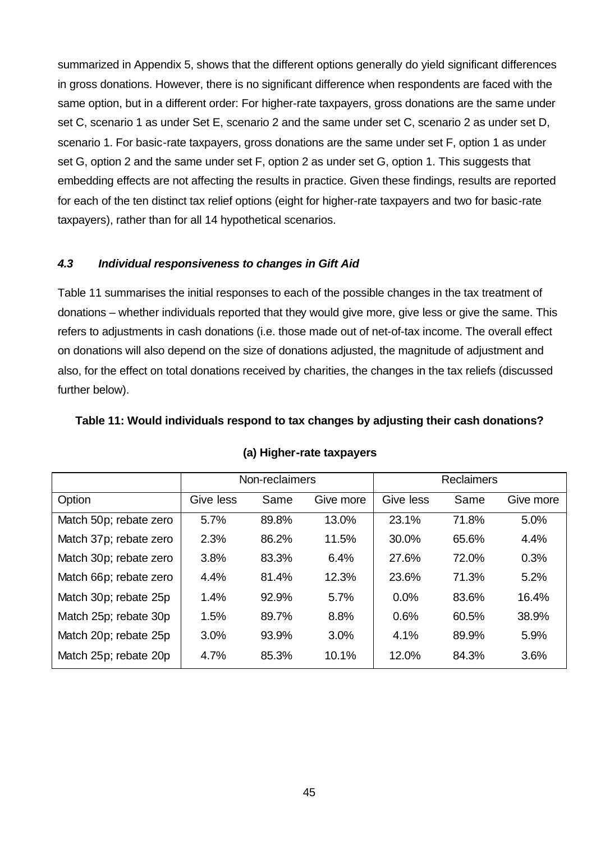summarized in Appendix 5, shows that the different options generally do yield significant differences in gross donations. However, there is no significant difference when respondents are faced with the same option, but in a different order: For higher-rate taxpayers, gross donations are the same under set C, scenario 1 as under Set E, scenario 2 and the same under set C, scenario 2 as under set D, scenario 1. For basic-rate taxpayers, gross donations are the same under set F, option 1 as under set G, option 2 and the same under set F, option 2 as under set G, option 1. This suggests that embedding effects are not affecting the results in practice. Given these findings, results are reported for each of the ten distinct tax relief options (eight for higher-rate taxpayers and two for basic-rate taxpayers), rather than for all 14 hypothetical scenarios.

#### *4.3 Individual responsiveness to changes in Gift Aid*

Table 11 summarises the initial responses to each of the possible changes in the tax treatment of donations – whether individuals reported that they would give more, give less or give the same. This refers to adjustments in cash donations (i.e. those made out of net-of-tax income. The overall effect on donations will also depend on the size of donations adjusted, the magnitude of adjustment and also, for the effect on total donations received by charities, the changes in the tax reliefs (discussed further below).

#### **Table 11: Would individuals respond to tax changes by adjusting their cash donations?**

|                        | Non-reclaimers |       |           |           | <b>Reclaimers</b> |           |
|------------------------|----------------|-------|-----------|-----------|-------------------|-----------|
| Option                 | Give less      | Same  | Give more | Give less | Same              | Give more |
| Match 50p; rebate zero | 5.7%           | 89.8% | 13.0%     | 23.1%     | 71.8%             | 5.0%      |
| Match 37p; rebate zero | 2.3%           | 86.2% | 11.5%     | 30.0%     | 65.6%             | 4.4%      |
| Match 30p; rebate zero | 3.8%           | 83.3% | 6.4%      | 27.6%     | 72.0%             | 0.3%      |
| Match 66p; rebate zero | 4.4%           | 81.4% | 12.3%     | 23.6%     | 71.3%             | 5.2%      |
| Match 30p; rebate 25p  | 1.4%           | 92.9% | 5.7%      | 0.0%      | 83.6%             | 16.4%     |
| Match 25p; rebate 30p  | 1.5%           | 89.7% | 8.8%      | 0.6%      | 60.5%             | 38.9%     |
| Match 20p; rebate 25p  | 3.0%           | 93.9% | 3.0%      | 4.1%      | 89.9%             | 5.9%      |
| Match 25p; rebate 20p  | 4.7%           | 85.3% | 10.1%     | 12.0%     | 84.3%             | 3.6%      |

#### **(a) Higher-rate taxpayers**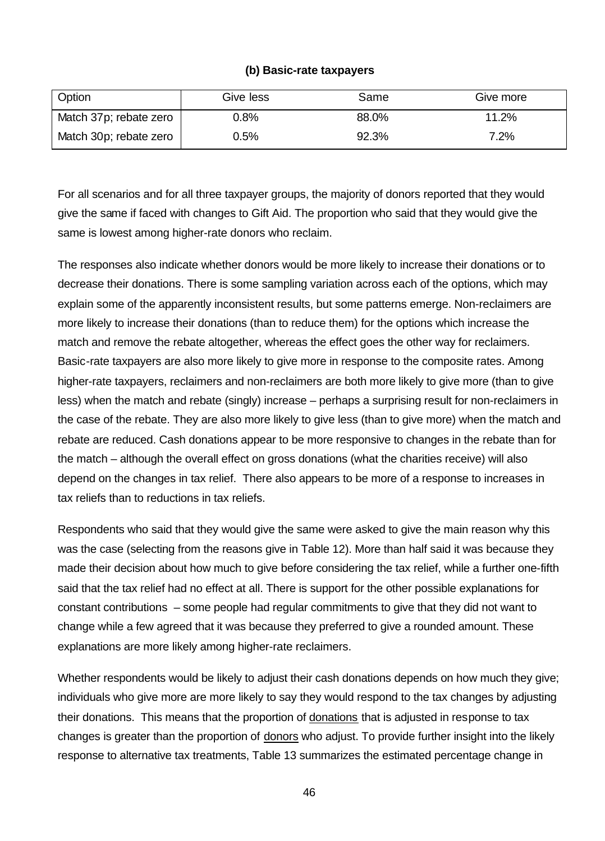#### **(b) Basic-rate taxpayers**

| Option                 | Give less | Same  | Give more |
|------------------------|-----------|-------|-----------|
| Match 37p; rebate zero | $0.8\%$   | 88.0% | 11.2%     |
| Match 30p; rebate zero | $0.5\%$   | 92.3% | $7.2\%$   |

For all scenarios and for all three taxpayer groups, the majority of donors reported that they would give the same if faced with changes to Gift Aid. The proportion who said that they would give the same is lowest among higher-rate donors who reclaim.

The responses also indicate whether donors would be more likely to increase their donations or to decrease their donations. There is some sampling variation across each of the options, which may explain some of the apparently inconsistent results, but some patterns emerge. Non-reclaimers are more likely to increase their donations (than to reduce them) for the options which increase the match and remove the rebate altogether, whereas the effect goes the other way for reclaimers. Basic-rate taxpayers are also more likely to give more in response to the composite rates. Among higher-rate taxpayers, reclaimers and non-reclaimers are both more likely to give more (than to give less) when the match and rebate (singly) increase – perhaps a surprising result for non-reclaimers in the case of the rebate. They are also more likely to give less (than to give more) when the match and rebate are reduced. Cash donations appear to be more responsive to changes in the rebate than for the match – although the overall effect on gross donations (what the charities receive) will also depend on the changes in tax relief. There also appears to be more of a response to increases in tax reliefs than to reductions in tax reliefs.

Respondents who said that they would give the same were asked to give the main reason why this was the case (selecting from the reasons give in Table 12). More than half said it was because they made their decision about how much to give before considering the tax relief, while a further one-fifth said that the tax relief had no effect at all. There is support for the other possible explanations for constant contributions – some people had regular commitments to give that they did not want to change while a few agreed that it was because they preferred to give a rounded amount. These explanations are more likely among higher-rate reclaimers.

Whether respondents would be likely to adjust their cash donations depends on how much they give; individuals who give more are more likely to say they would respond to the tax changes by adjusting their donations. This means that the proportion of donations that is adjusted in response to tax changes is greater than the proportion of donors who adjust. To provide further insight into the likely response to alternative tax treatments, Table 13 summarizes the estimated percentage change in

46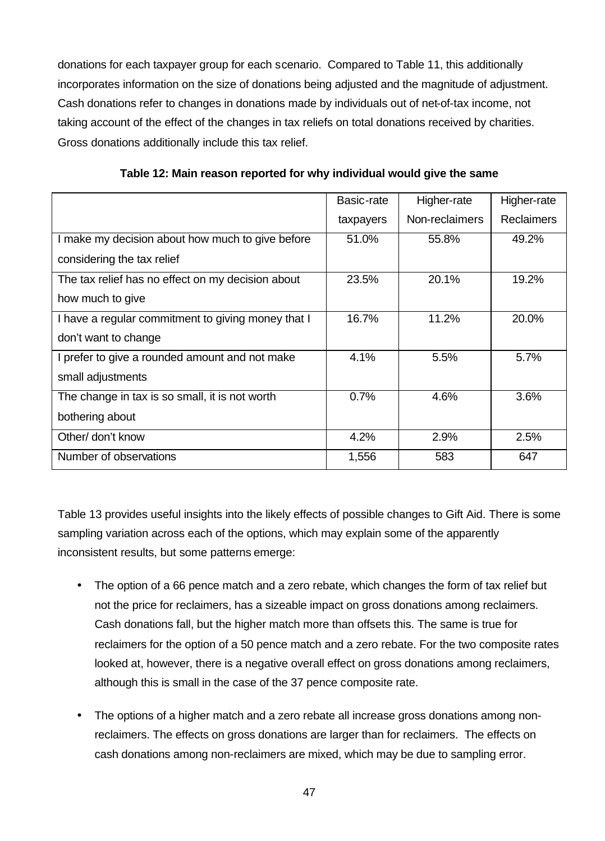donations for each taxpayer group for each scenario. Compared to Table 11, this additionally incorporates information on the size of donations being adjusted and the magnitude of adjustment. Cash donations refer to changes in donations made by individuals out of net-of-tax income, not taking account of the effect of the changes in tax reliefs on total donations received by charities. Gross donations additionally include this tax relief.

|                                                    | Basic-rate | Higher-rate    | Higher-rate       |
|----------------------------------------------------|------------|----------------|-------------------|
|                                                    | taxpayers  | Non-reclaimers | <b>Reclaimers</b> |
| make my decision about how much to give before     | 51.0%      | 55.8%          | 49.2%             |
| considering the tax relief                         |            |                |                   |
| The tax relief has no effect on my decision about  | 23.5%      | 20.1%          | 19.2%             |
| how much to give                                   |            |                |                   |
| I have a regular commitment to giving money that I | 16.7%      | 11.2%          | 20.0%             |
| don't want to change                               |            |                |                   |
| I prefer to give a rounded amount and not make     | 4.1%       | 5.5%           | 5.7%              |
| small adjustments                                  |            |                |                   |
| The change in tax is so small, it is not worth     | 0.7%       | 4.6%           | 3.6%              |
| bothering about                                    |            |                |                   |
| Other/ don't know                                  | 4.2%       | 2.9%           | 2.5%              |
| Number of observations                             | 1,556      | 583            | 647               |

**Table 12: Main reason reported for why individual would give the same**

Table 13 provides useful insights into the likely effects of possible changes to Gift Aid. There is some sampling variation across each of the options, which may explain some of the apparently inconsistent results, but some patterns emerge:

- The option of a 66 pence match and a zero rebate, which changes the form of tax relief but not the price for reclaimers, has a sizeable impact on gross donations among reclaimers. Cash donations fall, but the higher match more than offsets this. The same is true for reclaimers for the option of a 50 pence match and a zero rebate. For the two composite rates looked at, however, there is a negative overall effect on gross donations among reclaimers, although this is small in the case of the 37 pence composite rate.
- The options of a higher match and a zero rebate all increase gross donations among nonreclaimers. The effects on gross donations are larger than for reclaimers. The effects on cash donations among non-reclaimers are mixed, which may be due to sampling error.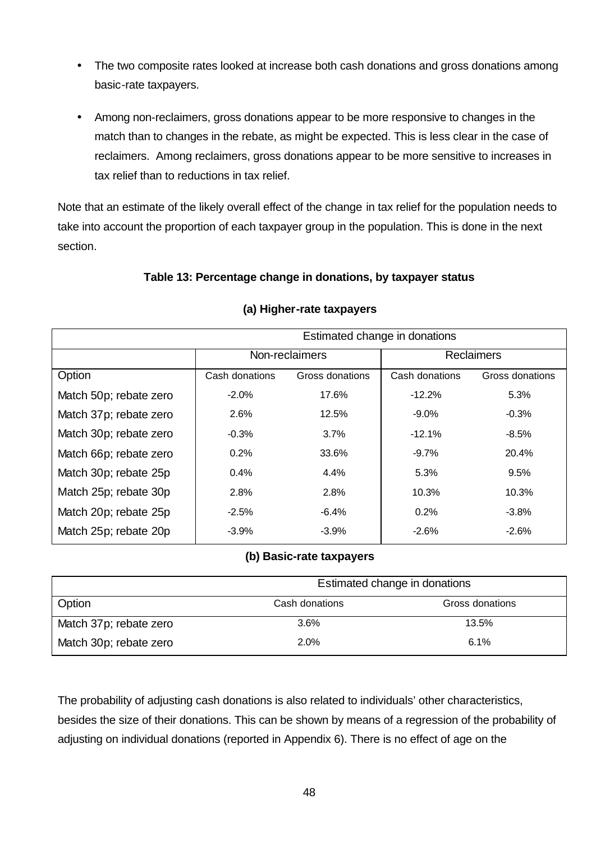- The two composite rates looked at increase both cash donations and gross donations among basic-rate taxpayers.
- Among non-reclaimers, gross donations appear to be more responsive to changes in the match than to changes in the rebate, as might be expected. This is less clear in the case of reclaimers. Among reclaimers, gross donations appear to be more sensitive to increases in tax relief than to reductions in tax relief.

Note that an estimate of the likely overall effect of the change in tax relief for the population needs to take into account the proportion of each taxpayer group in the population. This is done in the next section.

## **Table 13: Percentage change in donations, by taxpayer status**

|                        | Estimated change in donations |                 |                |                   |  |  |
|------------------------|-------------------------------|-----------------|----------------|-------------------|--|--|
|                        | Non-reclaimers                |                 |                | <b>Reclaimers</b> |  |  |
| Option                 | Cash donations                | Gross donations | Cash donations | Gross donations   |  |  |
| Match 50p; rebate zero | $-2.0\%$                      | 17.6%           | $-12.2%$       | $5.3\%$           |  |  |
| Match 37p; rebate zero | 2.6%                          | 12.5%           | $-9.0%$        | $-0.3\%$          |  |  |
| Match 30p; rebate zero | $-0.3%$<br>$3.7\%$            |                 | $-12.1%$       | $-8.5%$           |  |  |
| Match 66p; rebate zero | 0.2%                          | 33.6%           | $-9.7\%$       | 20.4%             |  |  |
| Match 30p; rebate 25p  | $0.4\%$                       | 4.4%            | 5.3%           | 9.5%              |  |  |
| Match 25p; rebate 30p  | 2.8%                          | 2.8%            | 10.3%          | 10.3%             |  |  |
| Match 20p; rebate 25p  | $-2.5%$                       | -6.4%           | 0.2%           | $-3.8%$           |  |  |
| Match 25p; rebate 20p  | $-3.9\%$                      | $-3.9%$         | $-2.6%$        | $-2.6\%$          |  |  |

#### **(a) Higher-rate taxpayers**

## **(b) Basic-rate taxpayers**

|                        | Estimated change in donations |       |  |  |  |
|------------------------|-------------------------------|-------|--|--|--|
| Option                 | Cash donations                |       |  |  |  |
| Match 37p; rebate zero | $3.6\%$                       | 13.5% |  |  |  |
| Match 30p; rebate zero | 2.0%                          | 6.1%  |  |  |  |

The probability of adjusting cash donations is also related to individuals' other characteristics, besides the size of their donations. This can be shown by means of a regression of the probability of adjusting on individual donations (reported in Appendix 6). There is no effect of age on the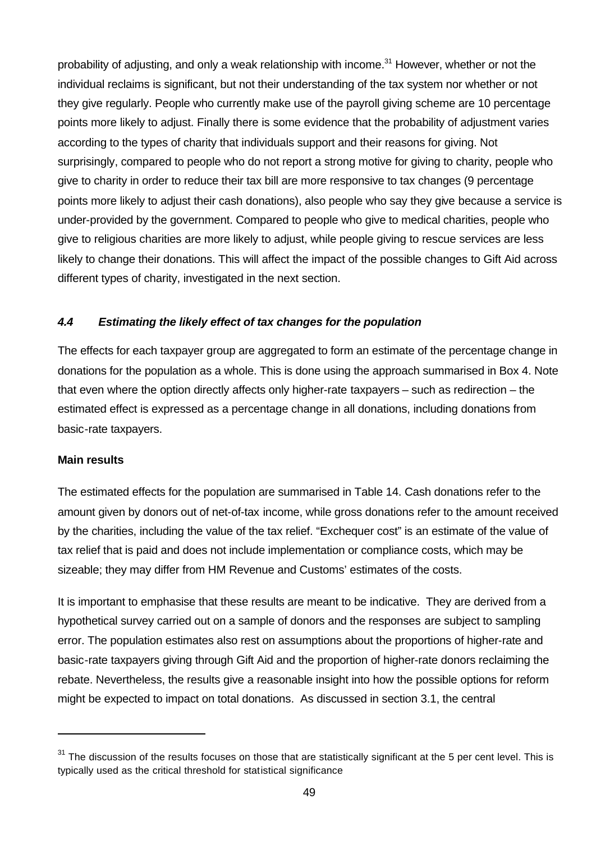probability of adjusting, and only a weak relationship with income.<sup>31</sup> However, whether or not the individual reclaims is significant, but not their understanding of the tax system nor whether or not they give regularly. People who currently make use of the payroll giving scheme are 10 percentage points more likely to adjust. Finally there is some evidence that the probability of adjustment varies according to the types of charity that individuals support and their reasons for giving. Not surprisingly, compared to people who do not report a strong motive for giving to charity, people who give to charity in order to reduce their tax bill are more responsive to tax changes (9 percentage points more likely to adjust their cash donations), also people who say they give because a service is under-provided by the government. Compared to people who give to medical charities, people who give to religious charities are more likely to adjust, while people giving to rescue services are less likely to change their donations. This will affect the impact of the possible changes to Gift Aid across different types of charity, investigated in the next section.

#### *4.4 Estimating the likely effect of tax changes for the population*

The effects for each taxpayer group are aggregated to form an estimate of the percentage change in donations for the population as a whole. This is done using the approach summarised in Box 4. Note that even where the option directly affects only higher-rate taxpayers – such as redirection – the estimated effect is expressed as a percentage change in all donations, including donations from basic-rate taxpayers.

#### **Main results**

l

The estimated effects for the population are summarised in Table 14. Cash donations refer to the amount given by donors out of net-of-tax income, while gross donations refer to the amount received by the charities, including the value of the tax relief. "Exchequer cost" is an estimate of the value of tax relief that is paid and does not include implementation or compliance costs, which may be sizeable; they may differ from HM Revenue and Customs' estimates of the costs.

It is important to emphasise that these results are meant to be indicative. They are derived from a hypothetical survey carried out on a sample of donors and the responses are subject to sampling error. The population estimates also rest on assumptions about the proportions of higher-rate and basic-rate taxpayers giving through Gift Aid and the proportion of higher-rate donors reclaiming the rebate. Nevertheless, the results give a reasonable insight into how the possible options for reform might be expected to impact on total donations. As discussed in section 3.1, the central

 $31$  The discussion of the results focuses on those that are statistically significant at the 5 per cent level. This is typically used as the critical threshold for statistical significance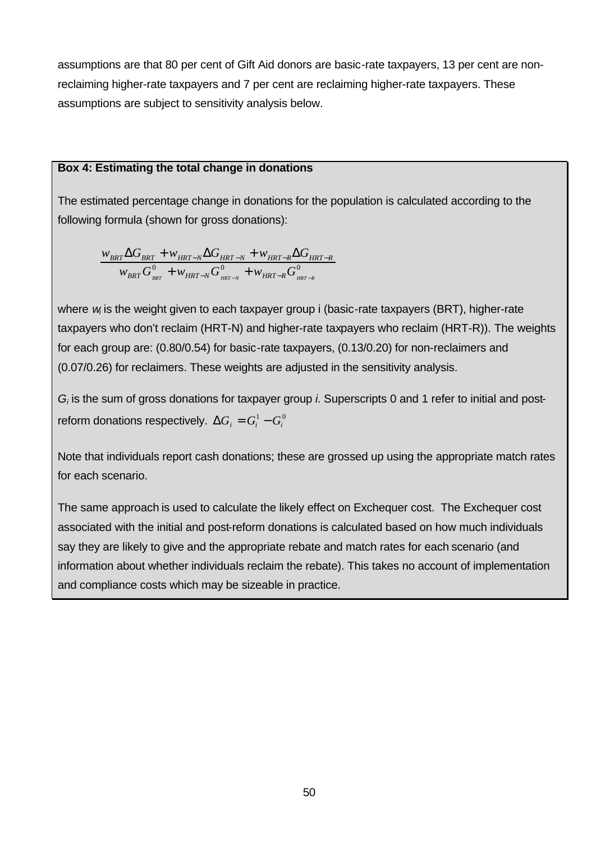assumptions are that 80 per cent of Gift Aid donors are basic-rate taxpayers, 13 per cent are nonreclaiming higher-rate taxpayers and 7 per cent are reclaiming higher-rate taxpayers. These assumptions are subject to sensitivity analysis below.

#### **Box 4: Estimating the total change in donations**

The estimated percentage change in donations for the population is calculated according to the following formula (shown for gross donations):

$$
\frac{w_{BRT} \Delta G_{BRT} + w_{HRT-N} \Delta G_{HRT-N} + w_{HRT-R} \Delta G_{HRT-R}}{w_{BRT} G_{_{BRT}}^0 + w_{_{HRT-N}} G_{_{HRT-N}}^0 + w_{_{HRT-R}} G_{_{HRT-R}}^0}
$$

where *w* is the weight given to each taxpayer group i (basic-rate taxpayers (BRT), higher-rate taxpayers who don't reclaim (HRT-N) and higher-rate taxpayers who reclaim (HRT-R)). The weights for each group are: (0.80/0.54) for basic-rate taxpayers, (0.13/0.20) for non-reclaimers and (0.07/0.26) for reclaimers. These weights are adjusted in the sensitivity analysis.

*Gi* is the sum of gross donations for taxpayer group *i*. Superscripts 0 and 1 refer to initial and postreform donations respectively.  $\Delta G_i = G_i^1 - G_i^0$ 

Note that individuals report cash donations; these are grossed up using the appropriate match rates for each scenario.

The same approach is used to calculate the likely effect on Exchequer cost. The Exchequer cost associated with the initial and post-reform donations is calculated based on how much individuals say they are likely to give and the appropriate rebate and match rates for each scenario (and information about whether individuals reclaim the rebate). This takes no account of implementation and compliance costs which may be sizeable in practice.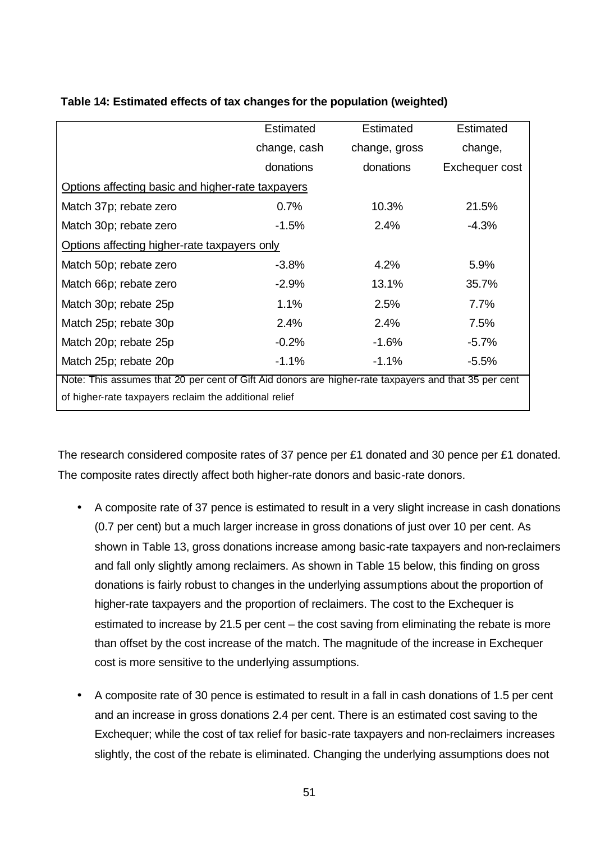|                                                                                                       | <b>Estimated</b> | Estimated     | Estimated      |  |  |
|-------------------------------------------------------------------------------------------------------|------------------|---------------|----------------|--|--|
|                                                                                                       | change, cash     | change, gross | change,        |  |  |
|                                                                                                       | donations        | donations     | Exchequer cost |  |  |
| Options affecting basic and higher-rate taxpayers                                                     |                  |               |                |  |  |
| Match 37p; rebate zero                                                                                | 0.7%             | 10.3%         | 21.5%          |  |  |
| Match 30p; rebate zero                                                                                | $-1.5\%$         | $2.4\%$       | $-4.3\%$       |  |  |
| Options affecting higher-rate taxpayers only                                                          |                  |               |                |  |  |
| Match 50p; rebate zero                                                                                | $-3.8\%$         | 4.2%          | 5.9%           |  |  |
| Match 66p; rebate zero                                                                                | $-2.9\%$         | 13.1%         | 35.7%          |  |  |
| Match 30p; rebate 25p                                                                                 | 1.1%             | 2.5%          | 7.7%           |  |  |
| Match 25p; rebate 30p                                                                                 | 2.4%             | 2.4%          | 7.5%           |  |  |
| Match 20p; rebate 25p                                                                                 | $-0.2%$          | $-1.6%$       | $-5.7\%$       |  |  |
| Match 25p; rebate 20p                                                                                 | $-1.1\%$         | $-1.1\%$      | $-5.5\%$       |  |  |
| Note: This assumes that 20 per cent of Gift Aid donors are higher-rate taxpayers and that 35 per cent |                  |               |                |  |  |
| of higher-rate taxpayers reclaim the additional relief                                                |                  |               |                |  |  |

## **Table 14: Estimated effects of tax changes for the population (weighted)**

The research considered composite rates of 37 pence per £1 donated and 30 pence per £1 donated. The composite rates directly affect both higher-rate donors and basic-rate donors.

- A composite rate of 37 pence is estimated to result in a very slight increase in cash donations (0.7 per cent) but a much larger increase in gross donations of just over 10 per cent. As shown in Table 13, gross donations increase among basic-rate taxpayers and non-reclaimers and fall only slightly among reclaimers. As shown in Table 15 below, this finding on gross donations is fairly robust to changes in the underlying assumptions about the proportion of higher-rate taxpayers and the proportion of reclaimers. The cost to the Exchequer is estimated to increase by 21.5 per cent – the cost saving from eliminating the rebate is more than offset by the cost increase of the match. The magnitude of the increase in Exchequer cost is more sensitive to the underlying assumptions.
- A composite rate of 30 pence is estimated to result in a fall in cash donations of 1.5 per cent and an increase in gross donations 2.4 per cent. There is an estimated cost saving to the Exchequer; while the cost of tax relief for basic-rate taxpayers and non-reclaimers increases slightly, the cost of the rebate is eliminated. Changing the underlying assumptions does not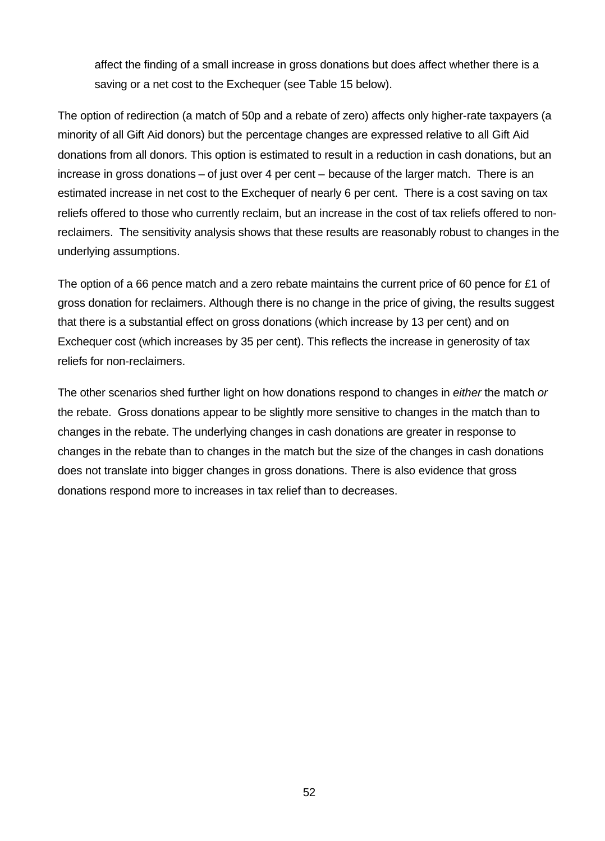affect the finding of a small increase in gross donations but does affect whether there is a saving or a net cost to the Exchequer (see Table 15 below).

The option of redirection (a match of 50p and a rebate of zero) affects only higher-rate taxpayers (a minority of all Gift Aid donors) but the percentage changes are expressed relative to all Gift Aid donations from all donors. This option is estimated to result in a reduction in cash donations, but an increase in gross donations – of just over 4 per cent – because of the larger match. There is an estimated increase in net cost to the Exchequer of nearly 6 per cent. There is a cost saving on tax reliefs offered to those who currently reclaim, but an increase in the cost of tax reliefs offered to nonreclaimers. The sensitivity analysis shows that these results are reasonably robust to changes in the underlying assumptions.

The option of a 66 pence match and a zero rebate maintains the current price of 60 pence for £1 of gross donation for reclaimers. Although there is no change in the price of giving, the results suggest that there is a substantial effect on gross donations (which increase by 13 per cent) and on Exchequer cost (which increases by 35 per cent). This reflects the increase in generosity of tax reliefs for non-reclaimers.

The other scenarios shed further light on how donations respond to changes in *either* the match *or* the rebate. Gross donations appear to be slightly more sensitive to changes in the match than to changes in the rebate. The underlying changes in cash donations are greater in response to changes in the rebate than to changes in the match but the size of the changes in cash donations does not translate into bigger changes in gross donations. There is also evidence that gross donations respond more to increases in tax relief than to decreases.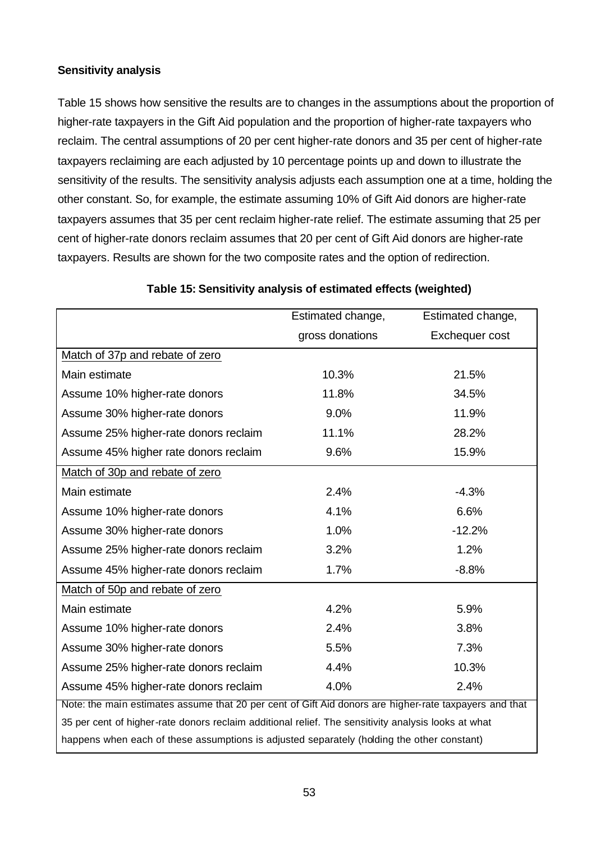#### **Sensitivity analysis**

Table 15 shows how sensitive the results are to changes in the assumptions about the proportion of higher-rate taxpayers in the Gift Aid population and the proportion of higher-rate taxpayers who reclaim. The central assumptions of 20 per cent higher-rate donors and 35 per cent of higher-rate taxpayers reclaiming are each adjusted by 10 percentage points up and down to illustrate the sensitivity of the results. The sensitivity analysis adjusts each assumption one at a time, holding the other constant. So, for example, the estimate assuming 10% of Gift Aid donors are higher-rate taxpayers assumes that 35 per cent reclaim higher-rate relief. The estimate assuming that 25 per cent of higher-rate donors reclaim assumes that 20 per cent of Gift Aid donors are higher-rate taxpayers. Results are shown for the two composite rates and the option of redirection.

|                                                                                                        | Estimated change, | Estimated change, |  |  |  |
|--------------------------------------------------------------------------------------------------------|-------------------|-------------------|--|--|--|
|                                                                                                        | gross donations   | Exchequer cost    |  |  |  |
| Match of 37p and rebate of zero                                                                        |                   |                   |  |  |  |
| Main estimate                                                                                          | 10.3%             | 21.5%             |  |  |  |
| Assume 10% higher-rate donors                                                                          | 11.8%             | 34.5%             |  |  |  |
| Assume 30% higher-rate donors                                                                          | 9.0%              | 11.9%             |  |  |  |
| Assume 25% higher-rate donors reclaim                                                                  | 11.1%             | 28.2%             |  |  |  |
| Assume 45% higher rate donors reclaim                                                                  | 9.6%              | 15.9%             |  |  |  |
| Match of 30p and rebate of zero                                                                        |                   |                   |  |  |  |
| Main estimate                                                                                          | 2.4%              | $-4.3%$           |  |  |  |
| Assume 10% higher-rate donors                                                                          | 4.1%              | 6.6%              |  |  |  |
| Assume 30% higher-rate donors                                                                          | 1.0%              | $-12.2%$          |  |  |  |
| Assume 25% higher-rate donors reclaim                                                                  | 3.2%              | 1.2%              |  |  |  |
| Assume 45% higher-rate donors reclaim                                                                  | 1.7%              | $-8.8%$           |  |  |  |
| Match of 50p and rebate of zero                                                                        |                   |                   |  |  |  |
| Main estimate                                                                                          | 4.2%              | 5.9%              |  |  |  |
| Assume 10% higher-rate donors                                                                          | 2.4%              | 3.8%              |  |  |  |
| Assume 30% higher-rate donors                                                                          | 5.5%              | 7.3%              |  |  |  |
| Assume 25% higher-rate donors reclaim                                                                  | 4.4%              | 10.3%             |  |  |  |
| Assume 45% higher-rate donors reclaim                                                                  | 4.0%              | 2.4%              |  |  |  |
| Note: the main estimates assume that 20 per cent of Gift Aid donors are higher-rate taxpayers and that |                   |                   |  |  |  |
| 35 per cent of higher-rate donors reclaim additional relief. The sensitivity analysis looks at what    |                   |                   |  |  |  |
| happens when each of these assumptions is adjusted separately (holding the other constant)             |                   |                   |  |  |  |

#### **Table 15: Sensitivity analysis of estimated effects (weighted)**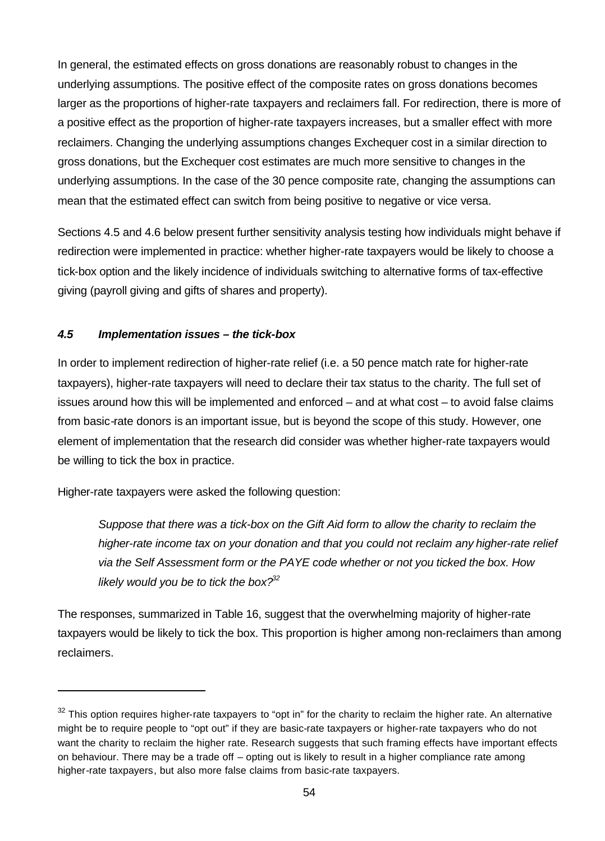In general, the estimated effects on gross donations are reasonably robust to changes in the underlying assumptions. The positive effect of the composite rates on gross donations becomes larger as the proportions of higher-rate taxpayers and reclaimers fall. For redirection, there is more of a positive effect as the proportion of higher-rate taxpayers increases, but a smaller effect with more reclaimers. Changing the underlying assumptions changes Exchequer cost in a similar direction to gross donations, but the Exchequer cost estimates are much more sensitive to changes in the underlying assumptions. In the case of the 30 pence composite rate, changing the assumptions can mean that the estimated effect can switch from being positive to negative or vice versa.

Sections 4.5 and 4.6 below present further sensitivity analysis testing how individuals might behave if redirection were implemented in practice: whether higher-rate taxpayers would be likely to choose a tick-box option and the likely incidence of individuals switching to alternative forms of tax-effective giving (payroll giving and gifts of shares and property).

## *4.5 Implementation issues – the tick-box*

In order to implement redirection of higher-rate relief (i.e. a 50 pence match rate for higher-rate taxpayers), higher-rate taxpayers will need to declare their tax status to the charity. The full set of issues around how this will be implemented and enforced – and at what cost – to avoid false claims from basic-rate donors is an important issue, but is beyond the scope of this study. However, one element of implementation that the research did consider was whether higher-rate taxpayers would be willing to tick the box in practice.

Higher-rate taxpayers were asked the following question:

l

*Suppose that there was a tick-box on the Gift Aid form to allow the charity to reclaim the higher-rate income tax on your donation and that you could not reclaim any higher-rate relief via the Self Assessment form or the PAYE code whether or not you ticked the box. How likely would you be to tick the box?<sup>32</sup>*

The responses, summarized in Table 16, suggest that the overwhelming majority of higher-rate taxpayers would be likely to tick the box. This proportion is higher among non-reclaimers than among reclaimers.

 $32$  This option requires higher-rate taxpayers to "opt in" for the charity to reclaim the higher rate. An alternative might be to require people to "opt out" if they are basic-rate taxpayers or higher-rate taxpayers who do not want the charity to reclaim the higher rate. Research suggests that such framing effects have important effects on behaviour. There may be a trade off – opting out is likely to result in a higher compliance rate among higher-rate taxpayers, but also more false claims from basic-rate taxpayers.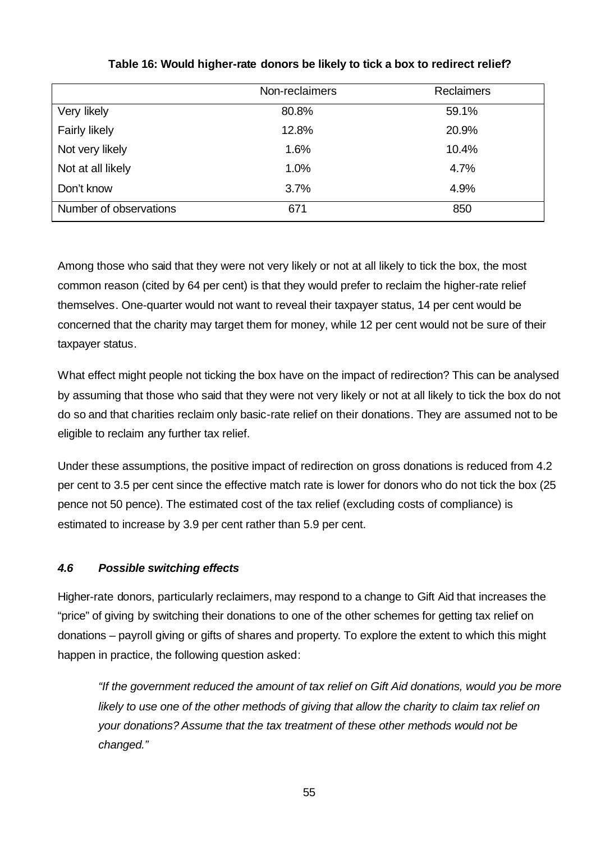|                        | Non-reclaimers | <b>Reclaimers</b> |
|------------------------|----------------|-------------------|
| Very likely            | 80.8%          | 59.1%             |
| <b>Fairly likely</b>   | 12.8%          | 20.9%             |
| Not very likely        | 1.6%           | 10.4%             |
| Not at all likely      | 1.0%           | 4.7%              |
| Don't know             | 3.7%           | 4.9%              |
| Number of observations | 671            | 850               |

## **Table 16: Would higher-rate donors be likely to tick a box to redirect relief?**

Among those who said that they were not very likely or not at all likely to tick the box, the most common reason (cited by 64 per cent) is that they would prefer to reclaim the higher-rate relief themselves. One-quarter would not want to reveal their taxpayer status, 14 per cent would be concerned that the charity may target them for money, while 12 per cent would not be sure of their taxpayer status.

What effect might people not ticking the box have on the impact of redirection? This can be analysed by assuming that those who said that they were not very likely or not at all likely to tick the box do not do so and that charities reclaim only basic-rate relief on their donations. They are assumed not to be eligible to reclaim any further tax relief.

Under these assumptions, the positive impact of redirection on gross donations is reduced from 4.2 per cent to 3.5 per cent since the effective match rate is lower for donors who do not tick the box (25 pence not 50 pence). The estimated cost of the tax relief (excluding costs of compliance) is estimated to increase by 3.9 per cent rather than 5.9 per cent.

# *4.6 Possible switching effects*

Higher-rate donors, particularly reclaimers, may respond to a change to Gift Aid that increases the "price" of giving by switching their donations to one of the other schemes for getting tax relief on donations – payroll giving or gifts of shares and property. To explore the extent to which this might happen in practice, the following question asked:

*"If the government reduced the amount of tax relief on Gift Aid donations, would you be more likely to use one of the other methods of giving that allow the charity to claim tax relief on your donations? Assume that the tax treatment of these other methods would not be changed."*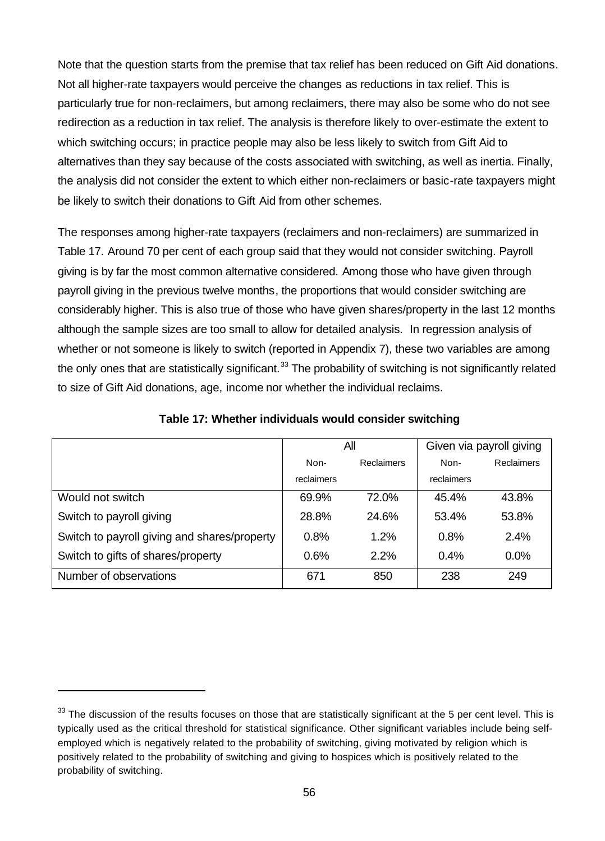Note that the question starts from the premise that tax relief has been reduced on Gift Aid donations. Not all higher-rate taxpayers would perceive the changes as reductions in tax relief. This is particularly true for non-reclaimers, but among reclaimers, there may also be some who do not see redirection as a reduction in tax relief. The analysis is therefore likely to over-estimate the extent to which switching occurs; in practice people may also be less likely to switch from Gift Aid to alternatives than they say because of the costs associated with switching, as well as inertia. Finally, the analysis did not consider the extent to which either non-reclaimers or basic-rate taxpayers might be likely to switch their donations to Gift Aid from other schemes.

The responses among higher-rate taxpayers (reclaimers and non-reclaimers) are summarized in Table 17. Around 70 per cent of each group said that they would not consider switching. Payroll giving is by far the most common alternative considered. Among those who have given through payroll giving in the previous twelve months, the proportions that would consider switching are considerably higher. This is also true of those who have given shares/property in the last 12 months although the sample sizes are too small to allow for detailed analysis. In regression analysis of whether or not someone is likely to switch (reported in Appendix 7), these two variables are among the only ones that are statistically significant.<sup>33</sup> The probability of switching is not significantly related to size of Gift Aid donations, age, income nor whether the individual reclaims.

|                                              | All        |            | Given via payroll giving |                   |
|----------------------------------------------|------------|------------|--------------------------|-------------------|
|                                              | Non-       | Reclaimers | Non-                     | <b>Reclaimers</b> |
|                                              | reclaimers |            | reclaimers               |                   |
| Would not switch                             | 69.9%      | 72.0%      | 45.4%                    | 43.8%             |
| Switch to payroll giving                     | 28.8%      | 24.6%      | 53.4%                    | 53.8%             |
| Switch to payroll giving and shares/property | 0.8%       | 1.2%       | 0.8%                     | 2.4%              |
| Switch to gifts of shares/property           | 0.6%       | $2.2\%$    | $0.4\%$                  | $0.0\%$           |
| Number of observations                       | 671        | 850        | 238                      | 249               |

**Table 17: Whether individuals would consider switching**

l

 $33$  The discussion of the results focuses on those that are statistically significant at the 5 per cent level. This is typically used as the critical threshold for statistical significance. Other significant variables include being selfemployed which is negatively related to the probability of switching, giving motivated by religion which is positively related to the probability of switching and giving to hospices which is positively related to the probability of switching.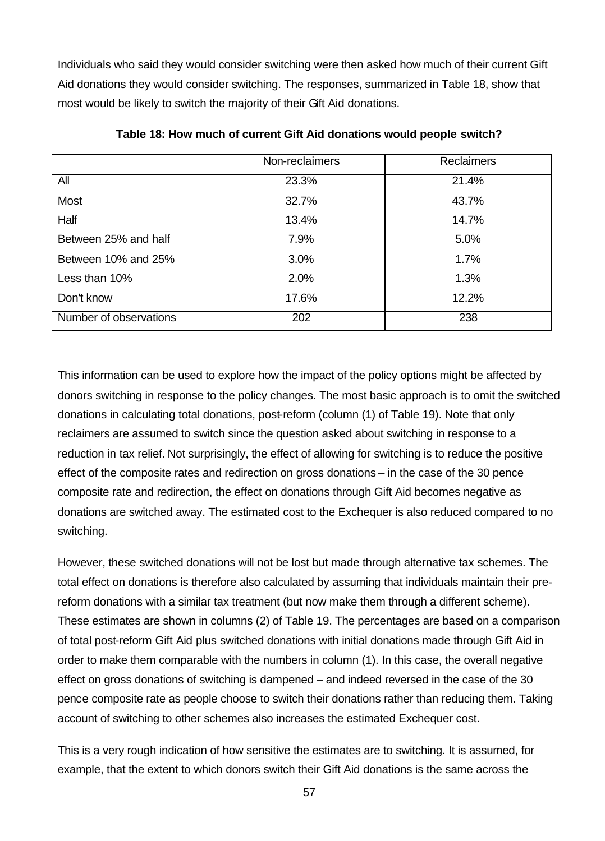Individuals who said they would consider switching were then asked how much of their current Gift Aid donations they would consider switching. The responses, summarized in Table 18, show that most would be likely to switch the majority of their Gift Aid donations.

|                        | Non-reclaimers | <b>Reclaimers</b> |
|------------------------|----------------|-------------------|
| All                    | 23.3%          | 21.4%             |
| <b>Most</b>            | 32.7%          | 43.7%             |
| Half                   | 13.4%          | 14.7%             |
| Between 25% and half   | 7.9%           | 5.0%              |
| Between 10% and 25%    | 3.0%           | 1.7%              |
| Less than 10%          | 2.0%           | 1.3%              |
| Don't know             | 17.6%          | 12.2%             |
| Number of observations | 202            | 238               |

**Table 18: How much of current Gift Aid donations would people switch?**

This information can be used to explore how the impact of the policy options might be affected by donors switching in response to the policy changes. The most basic approach is to omit the switched donations in calculating total donations, post-reform (column (1) of Table 19). Note that only reclaimers are assumed to switch since the question asked about switching in response to a reduction in tax relief. Not surprisingly, the effect of allowing for switching is to reduce the positive effect of the composite rates and redirection on gross donations – in the case of the 30 pence composite rate and redirection, the effect on donations through Gift Aid becomes negative as donations are switched away. The estimated cost to the Exchequer is also reduced compared to no switching.

However, these switched donations will not be lost but made through alternative tax schemes. The total effect on donations is therefore also calculated by assuming that individuals maintain their prereform donations with a similar tax treatment (but now make them through a different scheme). These estimates are shown in columns (2) of Table 19. The percentages are based on a comparison of total post-reform Gift Aid plus switched donations with initial donations made through Gift Aid in order to make them comparable with the numbers in column (1). In this case, the overall negative effect on gross donations of switching is dampened – and indeed reversed in the case of the 30 pence composite rate as people choose to switch their donations rather than reducing them. Taking account of switching to other schemes also increases the estimated Exchequer cost.

This is a very rough indication of how sensitive the estimates are to switching. It is assumed, for example, that the extent to which donors switch their Gift Aid donations is the same across the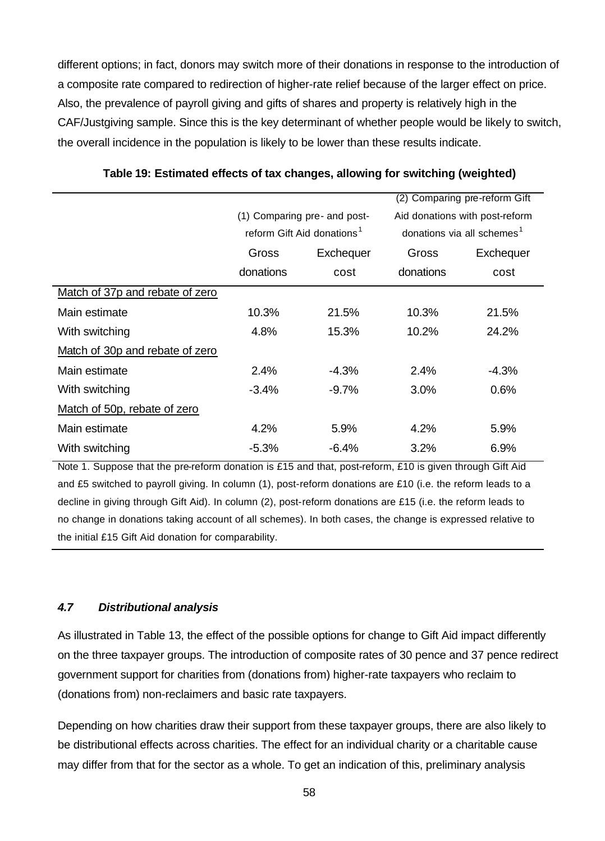different options; in fact, donors may switch more of their donations in response to the introduction of a composite rate compared to redirection of higher-rate relief because of the larger effect on price. Also, the prevalence of payroll giving and gifts of shares and property is relatively high in the CAF/Justgiving sample. Since this is the key determinant of whether people would be likely to switch, the overall incidence in the population is likely to be lower than these results indicate.

|                                 |                              |                                        | Comparing pre-reform Gift<br>(2)       |           |  |
|---------------------------------|------------------------------|----------------------------------------|----------------------------------------|-----------|--|
|                                 | (1) Comparing pre- and post- |                                        | Aid donations with post-reform         |           |  |
|                                 |                              | reform Gift Aid donations <sup>1</sup> | donations via all schemes <sup>1</sup> |           |  |
|                                 | Gross                        | Exchequer                              | Gross                                  | Exchequer |  |
|                                 | donations                    | cost                                   | donations                              | cost      |  |
| Match of 37p and rebate of zero |                              |                                        |                                        |           |  |
| Main estimate                   | 10.3%                        | 21.5%                                  | 10.3%                                  | 21.5%     |  |
| With switching                  | 4.8%                         | 15.3%                                  | 10.2%                                  | 24.2%     |  |
| Match of 30p and rebate of zero |                              |                                        |                                        |           |  |
| Main estimate                   | 2.4%                         | $-4.3%$                                | 2.4%                                   | $-4.3%$   |  |
| With switching                  | $-3.4%$                      | $-9.7\%$                               | 3.0%                                   | 0.6%      |  |
| Match of 50p, rebate of zero    |                              |                                        |                                        |           |  |
| Main estimate                   | 4.2%                         | 5.9%                                   | 4.2%                                   | 5.9%      |  |
| With switching                  | $-5.3\%$                     | $-6.4%$                                | 3.2%                                   | 6.9%      |  |

**Table 19: Estimated effects of tax changes, allowing for switching (weighted)**

Note 1. Suppose that the pre-reform donation is £15 and that, post-reform, £10 is given through Gift Aid and £5 switched to payroll giving. In column (1), post-reform donations are £10 (i.e. the reform leads to a decline in giving through Gift Aid). In column (2), post-reform donations are £15 (i.e. the reform leads to no change in donations taking account of all schemes). In both cases, the change is expressed relative to the initial £15 Gift Aid donation for comparability.

# *4.7 Distributional analysis*

As illustrated in Table 13, the effect of the possible options for change to Gift Aid impact differently on the three taxpayer groups. The introduction of composite rates of 30 pence and 37 pence redirect government support for charities from (donations from) higher-rate taxpayers who reclaim to (donations from) non-reclaimers and basic rate taxpayers.

Depending on how charities draw their support from these taxpayer groups, there are also likely to be distributional effects across charities. The effect for an individual charity or a charitable cause may differ from that for the sector as a whole. To get an indication of this, preliminary analysis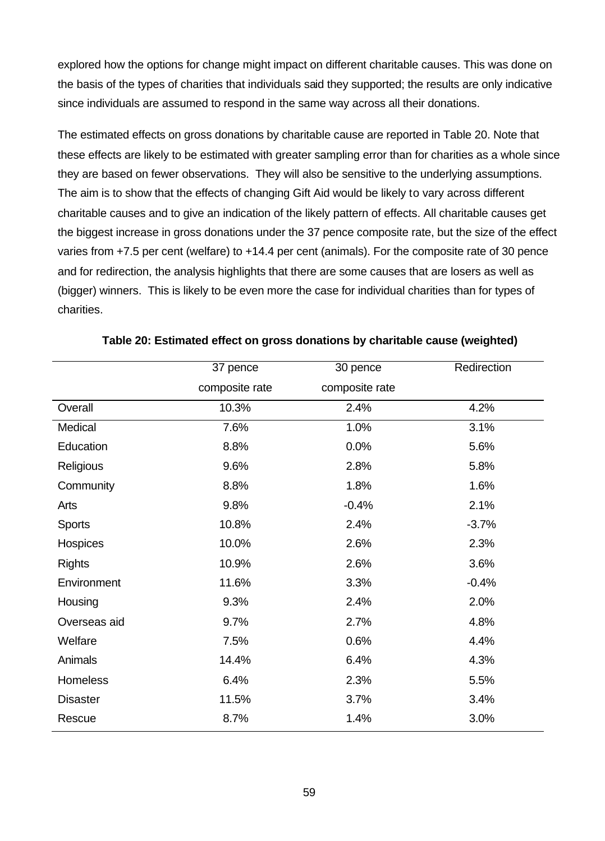explored how the options for change might impact on different charitable causes. This was done on the basis of the types of charities that individuals said they supported; the results are only indicative since individuals are assumed to respond in the same way across all their donations.

The estimated effects on gross donations by charitable cause are reported in Table 20. Note that these effects are likely to be estimated with greater sampling error than for charities as a whole since they are based on fewer observations. They will also be sensitive to the underlying assumptions. The aim is to show that the effects of changing Gift Aid would be likely to vary across different charitable causes and to give an indication of the likely pattern of effects. All charitable causes get the biggest increase in gross donations under the 37 pence composite rate, but the size of the effect varies from +7.5 per cent (welfare) to +14.4 per cent (animals). For the composite rate of 30 pence and for redirection, the analysis highlights that there are some causes that are losers as well as (bigger) winners. This is likely to be even more the case for individual charities than for types of charities.

|                 | 37 pence       | 30 pence       | Redirection |
|-----------------|----------------|----------------|-------------|
|                 | composite rate | composite rate |             |
| Overall         | 10.3%          | 2.4%           | 4.2%        |
| Medical         | 7.6%           | 1.0%           | 3.1%        |
| Education       | 8.8%           | 0.0%           | 5.6%        |
| Religious       | 9.6%           | 2.8%           | 5.8%        |
| Community       | 8.8%           | 1.8%           | 1.6%        |
| Arts            | 9.8%           | $-0.4%$        | 2.1%        |
| <b>Sports</b>   | 10.8%          | 2.4%           | $-3.7%$     |
| Hospices        | 10.0%          | 2.6%           | 2.3%        |
| <b>Rights</b>   | 10.9%          | 2.6%           | 3.6%        |
| Environment     | 11.6%          | 3.3%           | $-0.4%$     |
| Housing         | 9.3%           | 2.4%           | 2.0%        |
| Overseas aid    | 9.7%           | 2.7%           | 4.8%        |
| Welfare         | 7.5%           | 0.6%           | 4.4%        |
| Animals         | 14.4%          | 6.4%           | 4.3%        |
| <b>Homeless</b> | 6.4%           | 2.3%           | 5.5%        |
| <b>Disaster</b> | 11.5%          | 3.7%           | 3.4%        |
| Rescue          | 8.7%           | 1.4%           | 3.0%        |

| Table 20: Estimated effect on gross donations by charitable cause (weighted) |  |  |  |
|------------------------------------------------------------------------------|--|--|--|
|------------------------------------------------------------------------------|--|--|--|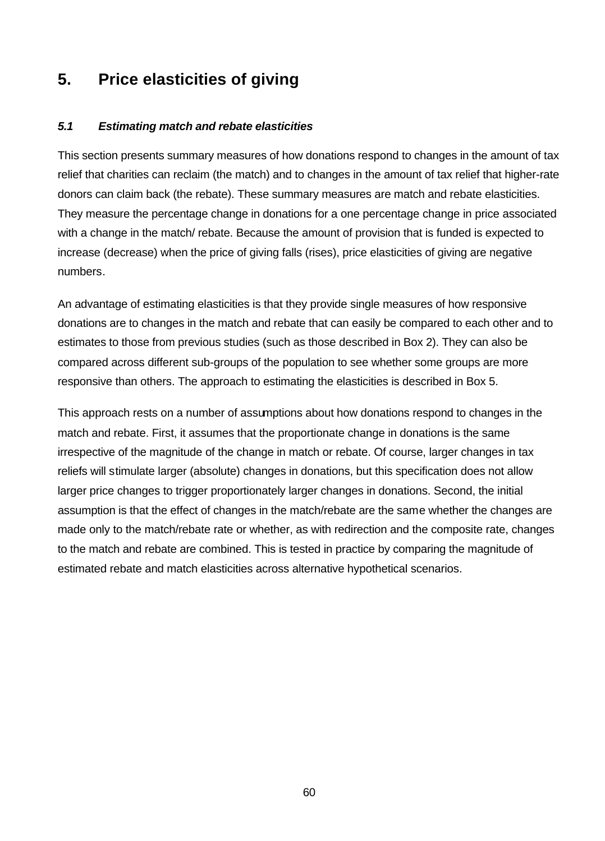# **5. Price elasticities of giving**

## *5.1 Estimating match and rebate elasticities*

This section presents summary measures of how donations respond to changes in the amount of tax relief that charities can reclaim (the match) and to changes in the amount of tax relief that higher-rate donors can claim back (the rebate). These summary measures are match and rebate elasticities. They measure the percentage change in donations for a one percentage change in price associated with a change in the match/ rebate. Because the amount of provision that is funded is expected to increase (decrease) when the price of giving falls (rises), price elasticities of giving are negative numbers.

An advantage of estimating elasticities is that they provide single measures of how responsive donations are to changes in the match and rebate that can easily be compared to each other and to estimates to those from previous studies (such as those described in Box 2). They can also be compared across different sub-groups of the population to see whether some groups are more responsive than others. The approach to estimating the elasticities is described in Box 5.

This approach rests on a number of assumptions about how donations respond to changes in the match and rebate. First, it assumes that the proportionate change in donations is the same irrespective of the magnitude of the change in match or rebate. Of course, larger changes in tax reliefs will stimulate larger (absolute) changes in donations, but this specification does not allow larger price changes to trigger proportionately larger changes in donations. Second, the initial assumption is that the effect of changes in the match/rebate are the same whether the changes are made only to the match/rebate rate or whether, as with redirection and the composite rate, changes to the match and rebate are combined. This is tested in practice by comparing the magnitude of estimated rebate and match elasticities across alternative hypothetical scenarios.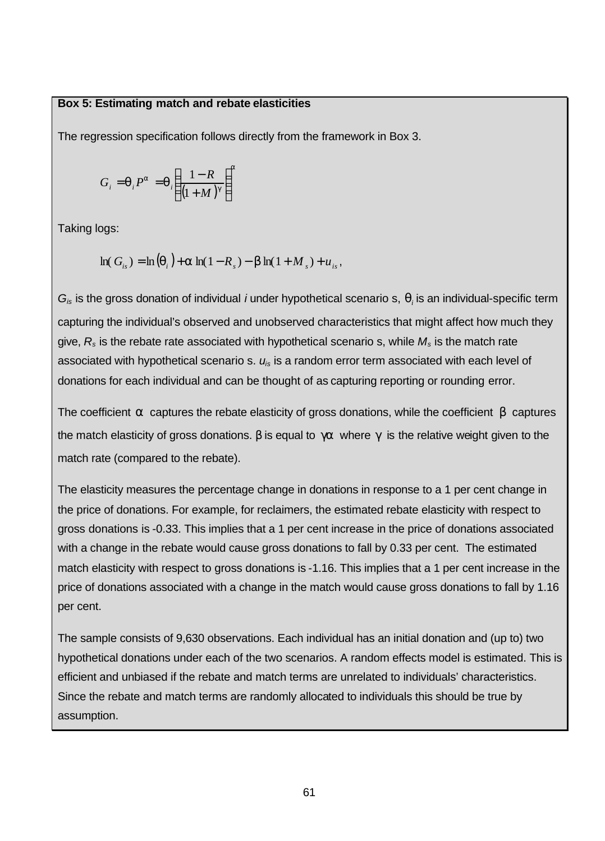#### **Box 5: Estimating match and rebate elasticities**

The regression specification follows directly from the framework in Box 3.

$$
G_i = \boldsymbol{q}_i P^a = \boldsymbol{q}_i \left( \frac{1 - R}{\left(1 + M\right)^g} \right)^a
$$

Taking logs:

$$
\ln(G_{is}) = \ln(q_i) + a \ln(1 - R_s) - b \ln(1 + M_s) + u_{is},
$$

*Gis* is the gross donation of individual *i* under hypothetical scenario s, *q<sup>i</sup>* is an individual-specific term capturing the individual's observed and unobserved characteristics that might affect how much they give, *R<sup>s</sup>* is the rebate rate associated with hypothetical scenario s, while *M<sup>s</sup>* is the match rate associated with hypothetical scenario s. *uis* is a random error term associated with each level of donations for each individual and can be thought of as capturing reporting or rounding error.

The coefficient *a* captures the rebate elasticity of gross donations, while the coefficient *b* captures the match elasticity of gross donations. *b* is equal to *ga* where *g* is the relative weight given to the match rate (compared to the rebate).

The elasticity measures the percentage change in donations in response to a 1 per cent change in the price of donations. For example, for reclaimers, the estimated rebate elasticity with respect to gross donations is -0.33. This implies that a 1 per cent increase in the price of donations associated with a change in the rebate would cause gross donations to fall by 0.33 per cent. The estimated match elasticity with respect to gross donations is -1.16. This implies that a 1 per cent increase in the price of donations associated with a change in the match would cause gross donations to fall by 1.16 per cent.

The sample consists of 9,630 observations. Each individual has an initial donation and (up to) two hypothetical donations under each of the two scenarios. A random effects model is estimated. This is efficient and unbiased if the rebate and match terms are unrelated to individuals' characteristics. Since the rebate and match terms are randomly allocated to individuals this should be true by assumption.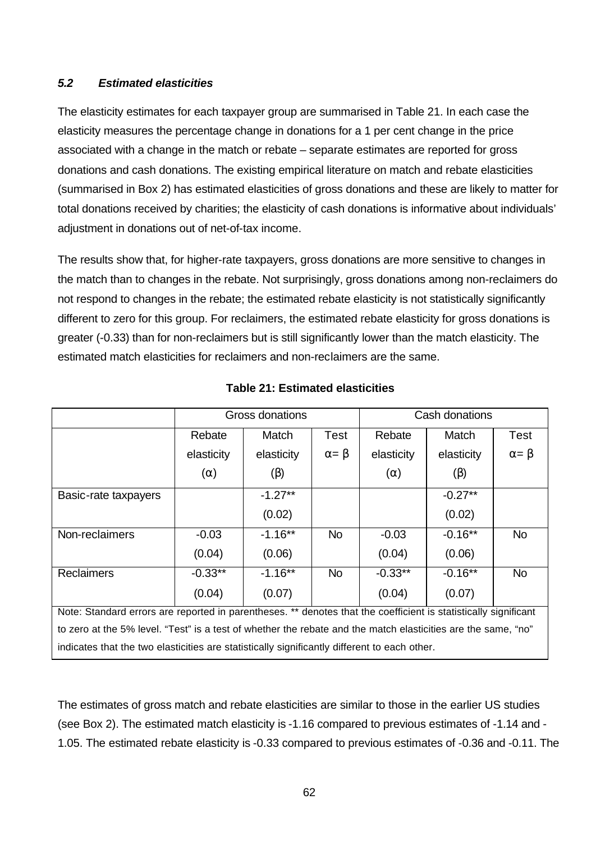#### *5.2 Estimated elasticities*

The elasticity estimates for each taxpayer group are summarised in Table 21. In each case the elasticity measures the percentage change in donations for a 1 per cent change in the price associated with a change in the match or rebate – separate estimates are reported for gross donations and cash donations. The existing empirical literature on match and rebate elasticities (summarised in Box 2) has estimated elasticities of gross donations and these are likely to matter for total donations received by charities; the elasticity of cash donations is informative about individuals' adjustment in donations out of net-of-tax income.

The results show that, for higher-rate taxpayers, gross donations are more sensitive to changes in the match than to changes in the rebate. Not surprisingly, gross donations among non-reclaimers do not respond to changes in the rebate; the estimated rebate elasticity is not statistically significantly different to zero for this group. For reclaimers, the estimated rebate elasticity for gross donations is greater (-0.33) than for non-reclaimers but is still significantly lower than the match elasticity. The estimated match elasticities for reclaimers and non-reclaimers are the same.

|                                                                                                                 | Gross donations |            |                  | Cash donations |            |                  |  |
|-----------------------------------------------------------------------------------------------------------------|-----------------|------------|------------------|----------------|------------|------------------|--|
|                                                                                                                 | Rebate          | Match      | <b>Test</b>      | Rebate         | Match      | Test             |  |
|                                                                                                                 | elasticity      | elasticity | $\alpha = \beta$ | elasticity     | elasticity | $\alpha = \beta$ |  |
|                                                                                                                 | $(\alpha)$      | $(\beta)$  |                  | $(\alpha)$     | $(\beta)$  |                  |  |
| Basic-rate taxpayers                                                                                            |                 | $-1.27**$  |                  |                | $-0.27**$  |                  |  |
|                                                                                                                 |                 | (0.02)     |                  |                | (0.02)     |                  |  |
| Non-reclaimers                                                                                                  | $-0.03$         | $-1.16***$ | <b>No</b>        | $-0.03$        | $-0.16**$  | <b>No</b>        |  |
|                                                                                                                 | (0.04)          | (0.06)     |                  | (0.04)         | (0.06)     |                  |  |
| <b>Reclaimers</b>                                                                                               | $-0.33**$       | $-1.16***$ | <b>No</b>        | $-0.33**$      | $-0.16**$  | <b>No</b>        |  |
|                                                                                                                 | (0.04)          | (0.07)     |                  | (0.04)         | (0.07)     |                  |  |
| Note: Standard errors are reported in parentheses. ** denotes that the coefficient is statistically significant |                 |            |                  |                |            |                  |  |
| to zero at the 5% level. "Test" is a test of whether the rebate and the match elasticities are the same, "no"   |                 |            |                  |                |            |                  |  |
| indicates that the two elasticities are statistically significantly different to each other.                    |                 |            |                  |                |            |                  |  |

#### **Table 21: Estimated elasticities**

The estimates of gross match and rebate elasticities are similar to those in the earlier US studies (see Box 2). The estimated match elasticity is -1.16 compared to previous estimates of -1.14 and - 1.05. The estimated rebate elasticity is -0.33 compared to previous estimates of -0.36 and -0.11. The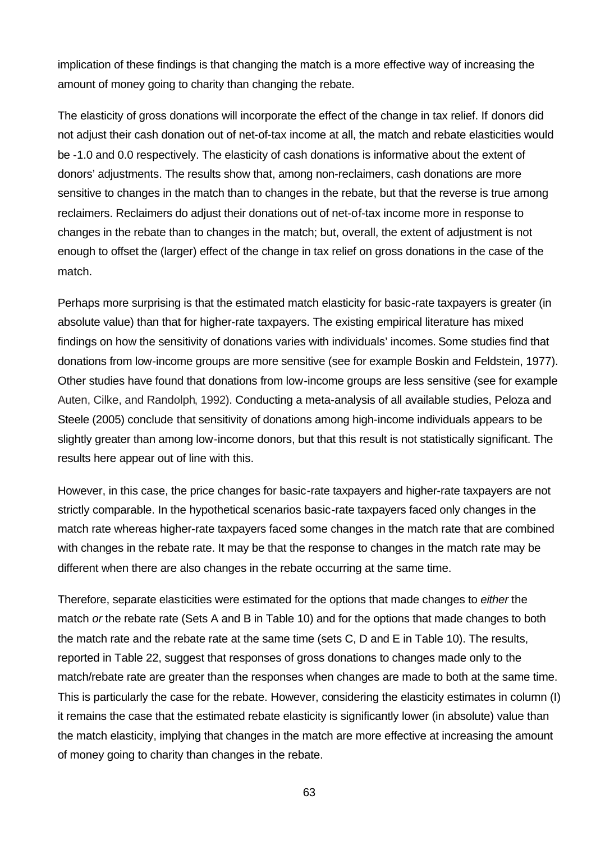implication of these findings is that changing the match is a more effective way of increasing the amount of money going to charity than changing the rebate.

The elasticity of gross donations will incorporate the effect of the change in tax relief. If donors did not adjust their cash donation out of net-of-tax income at all, the match and rebate elasticities would be -1.0 and 0.0 respectively. The elasticity of cash donations is informative about the extent of donors' adjustments. The results show that, among non-reclaimers, cash donations are more sensitive to changes in the match than to changes in the rebate, but that the reverse is true among reclaimers. Reclaimers do adjust their donations out of net-of-tax income more in response to changes in the rebate than to changes in the match; but, overall, the extent of adjustment is not enough to offset the (larger) effect of the change in tax relief on gross donations in the case of the match.

Perhaps more surprising is that the estimated match elasticity for basic-rate taxpayers is greater (in absolute value) than that for higher-rate taxpayers. The existing empirical literature has mixed findings on how the sensitivity of donations varies with individuals' incomes. Some studies find that donations from low-income groups are more sensitive (see for example Boskin and Feldstein, 1977). Other studies have found that donations from low-income groups are less sensitive (see for example Auten, Cilke, and Randolph, 1992). Conducting a meta-analysis of all available studies, Peloza and Steele (2005) conclude that sensitivity of donations among high-income individuals appears to be slightly greater than among low-income donors, but that this result is not statistically significant. The results here appear out of line with this.

However, in this case, the price changes for basic-rate taxpayers and higher-rate taxpayers are not strictly comparable. In the hypothetical scenarios basic-rate taxpayers faced only changes in the match rate whereas higher-rate taxpayers faced some changes in the match rate that are combined with changes in the rebate rate. It may be that the response to changes in the match rate may be different when there are also changes in the rebate occurring at the same time.

Therefore, separate elasticities were estimated for the options that made changes to *either* the match *or* the rebate rate (Sets A and B in Table 10) and for the options that made changes to both the match rate and the rebate rate at the same time (sets C, D and E in Table 10). The results, reported in Table 22, suggest that responses of gross donations to changes made only to the match/rebate rate are greater than the responses when changes are made to both at the same time. This is particularly the case for the rebate. However, considering the elasticity estimates in column (I) it remains the case that the estimated rebate elasticity is significantly lower (in absolute) value than the match elasticity, implying that changes in the match are more effective at increasing the amount of money going to charity than changes in the rebate.

63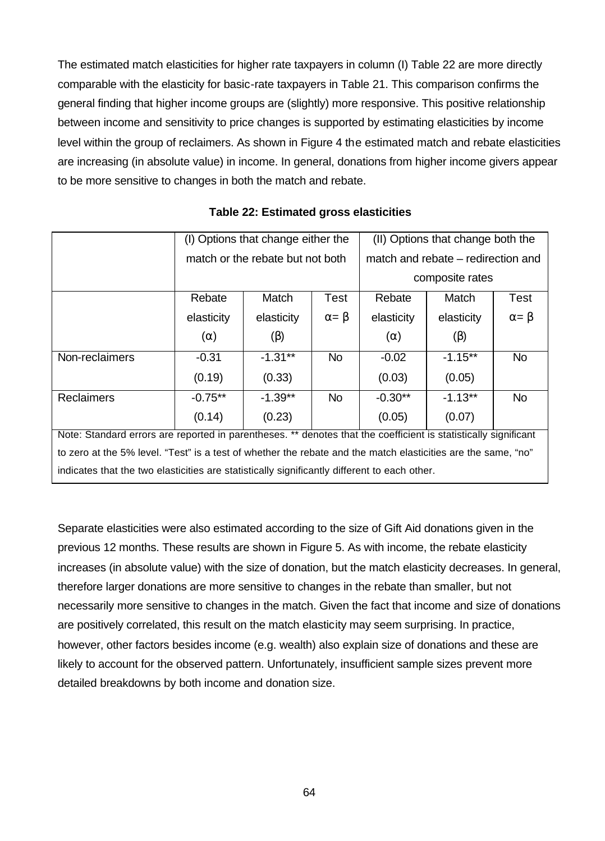The estimated match elasticities for higher rate taxpayers in column (I) Table 22 are more directly comparable with the elasticity for basic-rate taxpayers in Table 21. This comparison confirms the general finding that higher income groups are (slightly) more responsive. This positive relationship between income and sensitivity to price changes is supported by estimating elasticities by income level within the group of reclaimers. As shown in Figure 4 the estimated match and rebate elasticities are increasing (in absolute value) in income. In general, donations from higher income givers appear to be more sensitive to changes in both the match and rebate.

|                                                                                                                 |            | (I) Options that change either the |                  | (II) Options that change both the |                                    |                  |
|-----------------------------------------------------------------------------------------------------------------|------------|------------------------------------|------------------|-----------------------------------|------------------------------------|------------------|
|                                                                                                                 |            | match or the rebate but not both   |                  |                                   | match and rebate – redirection and |                  |
|                                                                                                                 |            |                                    |                  | composite rates                   |                                    |                  |
|                                                                                                                 | Rebate     | Match                              | Test             | Rebate                            | Match                              | <b>Test</b>      |
|                                                                                                                 | elasticity | elasticity                         | $\alpha = \beta$ | elasticity                        | elasticity                         | $\alpha = \beta$ |
|                                                                                                                 | $(\alpha)$ | $(\beta)$                          |                  | $(\alpha)$                        | $(\beta)$                          |                  |
| Non-reclaimers                                                                                                  | $-0.31$    | $-1.31***$                         | <b>No</b>        | $-0.02$                           | $-1.15**$                          | No.              |
|                                                                                                                 | (0.19)     | (0.33)                             |                  | (0.03)                            | (0.05)                             |                  |
| <b>Reclaimers</b>                                                                                               | $-0.75**$  | $-1.39**$                          | <b>No</b>        | $-0.30**$                         | $-1.13**$                          | <b>No</b>        |
|                                                                                                                 | (0.14)     | (0.23)                             |                  | (0.05)                            | (0.07)                             |                  |
| Note: Standard errors are reported in parentheses. ** denotes that the coefficient is statistically significant |            |                                    |                  |                                   |                                    |                  |
| to zero at the 5% level. "Test" is a test of whether the rebate and the match elasticities are the same, "no"   |            |                                    |                  |                                   |                                    |                  |
| indicates that the two elasticities are statistically significantly different to each other.                    |            |                                    |                  |                                   |                                    |                  |

**Table 22: Estimated gross elasticities**

Separate elasticities were also estimated according to the size of Gift Aid donations given in the previous 12 months. These results are shown in Figure 5. As with income, the rebate elasticity increases (in absolute value) with the size of donation, but the match elasticity decreases. In general, therefore larger donations are more sensitive to changes in the rebate than smaller, but not necessarily more sensitive to changes in the match. Given the fact that income and size of donations are positively correlated, this result on the match elasticity may seem surprising. In practice, however, other factors besides income (e.g. wealth) also explain size of donations and these are likely to account for the observed pattern. Unfortunately, insufficient sample sizes prevent more detailed breakdowns by both income and donation size.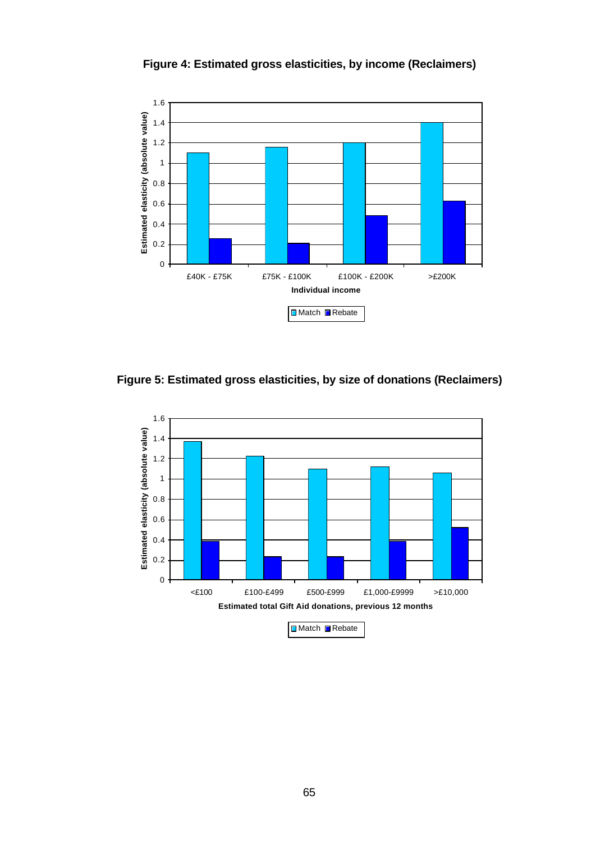

**Figure 4: Estimated gross elasticities, by income (Reclaimers)**

**Figure 5: Estimated gross elasticities, by size of donations (Reclaimers)**

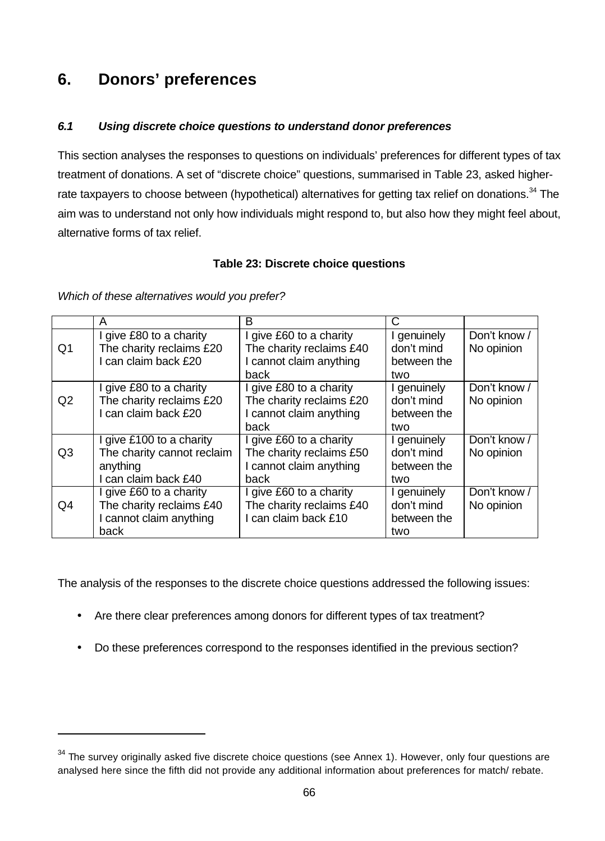# **6. Donors' preferences**

# *6.1 Using discrete choice questions to understand donor preferences*

This section analyses the responses to questions on individuals' preferences for different types of tax treatment of donations. A set of "discrete choice" questions, summarised in Table 23, asked higherrate taxpayers to choose between (hypothetical) alternatives for getting tax relief on donations.<sup>34</sup> The aim was to understand not only how individuals might respond to, but also how they might feel about, alternative forms of tax relief.

# **Table 23: Discrete choice questions**

|                | A                          | В                        | C           |              |
|----------------|----------------------------|--------------------------|-------------|--------------|
|                | I give £80 to a charity    | give £60 to a charity    | genuinely   | Don't know / |
| Q1             | The charity reclaims £20   | The charity reclaims £40 | don't mind  | No opinion   |
|                | I can claim back £20       | I cannot claim anything  | between the |              |
|                |                            | back                     | two         |              |
|                | I give £80 to a charity    | I give £80 to a charity  | I genuinely | Don't know / |
| Q <sub>2</sub> | The charity reclaims £20   | The charity reclaims £20 | don't mind  | No opinion   |
|                | I can claim back £20       | I cannot claim anything  | between the |              |
|                |                            | back                     | two         |              |
|                | I give £100 to a charity   | give £60 to a charity    | I genuinely | Don't know / |
| Q <sub>3</sub> | The charity cannot reclaim | The charity reclaims £50 | don't mind  | No opinion   |
|                | anything                   | I cannot claim anything  | between the |              |
|                | I can claim back £40       | back                     | two         |              |
|                | I give £60 to a charity    | give £60 to a charity    | genuinely   | Don't know / |
| Q4             | The charity reclaims £40   | The charity reclaims £40 | don't mind  | No opinion   |
|                | I cannot claim anything    | can claim back £10       | between the |              |
|                | back                       |                          | two         |              |

*Which of these alternatives would you prefer?*

l

The analysis of the responses to the discrete choice questions addressed the following issues:

- Are there clear preferences among donors for different types of tax treatment?
- Do these preferences correspond to the responses identified in the previous section?

 $34$  The survey originally asked five discrete choice questions (see Annex 1). However, only four questions are analysed here since the fifth did not provide any additional information about preferences for match/ rebate.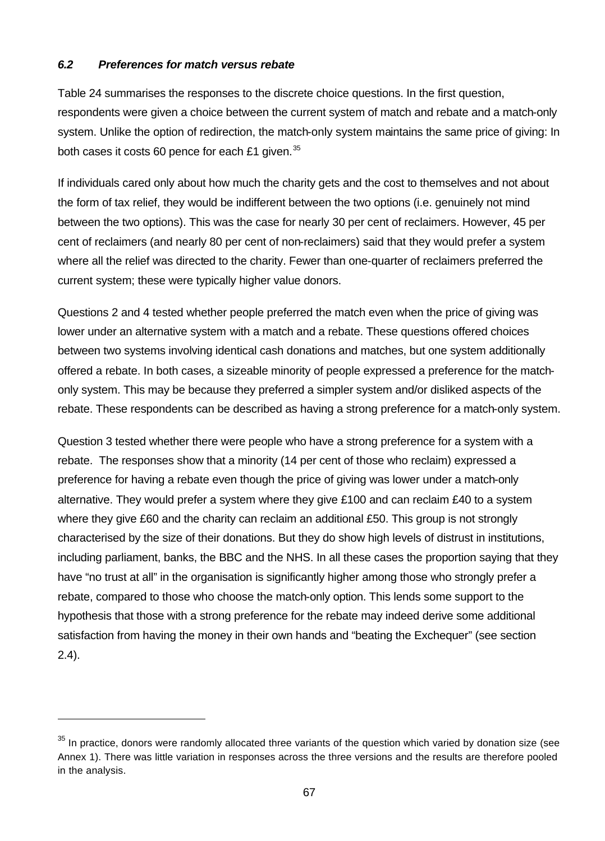## *6.2 Preferences for match versus rebate*

l

Table 24 summarises the responses to the discrete choice questions. In the first question, respondents were given a choice between the current system of match and rebate and a match-only system. Unlike the option of redirection, the match-only system maintains the same price of giving: In both cases it costs 60 pence for each £1 given. $35$ 

If individuals cared only about how much the charity gets and the cost to themselves and not about the form of tax relief, they would be indifferent between the two options (i.e. genuinely not mind between the two options). This was the case for nearly 30 per cent of reclaimers. However, 45 per cent of reclaimers (and nearly 80 per cent of non-reclaimers) said that they would prefer a system where all the relief was directed to the charity. Fewer than one-quarter of reclaimers preferred the current system; these were typically higher value donors.

Questions 2 and 4 tested whether people preferred the match even when the price of giving was lower under an alternative system with a match and a rebate. These questions offered choices between two systems involving identical cash donations and matches, but one system additionally offered a rebate. In both cases, a sizeable minority of people expressed a preference for the matchonly system. This may be because they preferred a simpler system and/or disliked aspects of the rebate. These respondents can be described as having a strong preference for a match-only system.

Question 3 tested whether there were people who have a strong preference for a system with a rebate. The responses show that a minority (14 per cent of those who reclaim) expressed a preference for having a rebate even though the price of giving was lower under a match-only alternative. They would prefer a system where they give  $£100$  and can reclaim  $£40$  to a system where they give £60 and the charity can reclaim an additional £50. This group is not strongly characterised by the size of their donations. But they do show high levels of distrust in institutions, including parliament, banks, the BBC and the NHS. In all these cases the proportion saying that they have "no trust at all" in the organisation is significantly higher among those who strongly prefer a rebate, compared to those who choose the match-only option. This lends some support to the hypothesis that those with a strong preference for the rebate may indeed derive some additional satisfaction from having the money in their own hands and "beating the Exchequer" (see section 2.4).

 $35$  In practice, donors were randomly allocated three variants of the question which varied by donation size (see Annex 1). There was little variation in responses across the three versions and the results are therefore pooled in the analysis.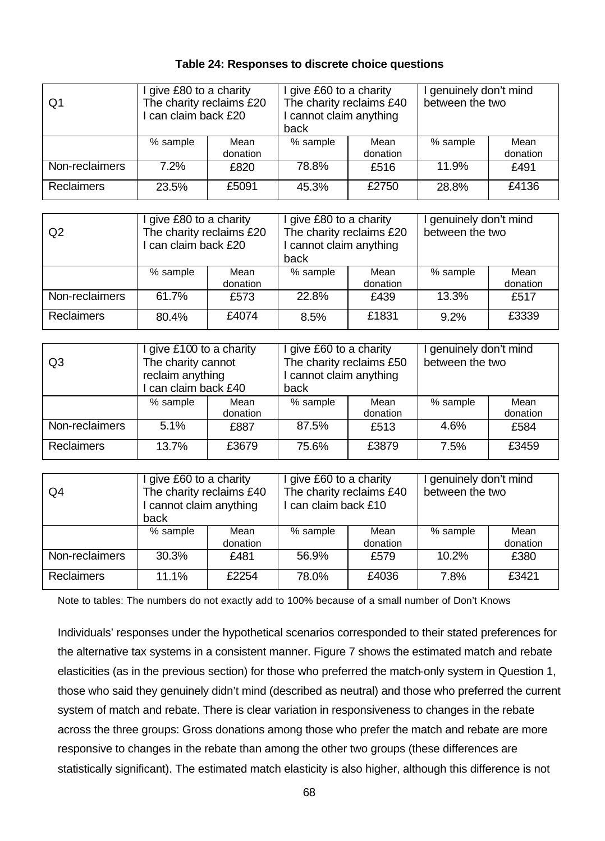## **Table 24: Responses to discrete choice questions**

| Q1                | give £80 to a charity<br>The charity reclaims £20<br>can claim back £20 |                  | give £60 to a charity<br>The charity reclaims £40<br>cannot claim anything<br>back |                  | I genuinely don't mind<br>between the two |                  |
|-------------------|-------------------------------------------------------------------------|------------------|------------------------------------------------------------------------------------|------------------|-------------------------------------------|------------------|
|                   | % sample                                                                | Mean<br>donation | % sample                                                                           | Mean<br>donation | % sample                                  | Mean<br>donation |
| Non-reclaimers    | 7.2%                                                                    | £820             | 78.8%                                                                              | £516             | 11.9%                                     | £491             |
| <b>Reclaimers</b> | 23.5%                                                                   | £5091            | 45.3%                                                                              | £2750            | 28.8%                                     | £4136            |

| Q <sub>2</sub>    | I give £80 to a charity<br>The charity reclaims £20<br>I can claim back £20 |                  | I give £80 to a charity<br>The charity reclaims £20<br>I cannot claim anything<br>back |                  | I genuinely don't mind<br>between the two |                  |
|-------------------|-----------------------------------------------------------------------------|------------------|----------------------------------------------------------------------------------------|------------------|-------------------------------------------|------------------|
|                   | % sample                                                                    | Mean<br>donation | % sample                                                                               | Mean<br>donation | % sample                                  | Mean<br>donation |
| Non-reclaimers    | 61.7%                                                                       | £573             | 22.8%                                                                                  | £439             | 13.3%                                     | £517             |
| <b>Reclaimers</b> | 80.4%                                                                       | £4074            | 8.5%                                                                                   | £1831            | $9.2\%$                                   | £3339            |

| Q3                | I give £100 to a charity<br>The charity cannot<br>reclaim anything<br>can claim back £40 |                  | give £60 to a charity<br>The charity reclaims £50<br>cannot claim anything<br>back |                  | I genuinely don't mind<br>between the two |                  |
|-------------------|------------------------------------------------------------------------------------------|------------------|------------------------------------------------------------------------------------|------------------|-------------------------------------------|------------------|
|                   | % sample                                                                                 | Mean<br>donation | % sample                                                                           | Mean<br>donation | % sample                                  | Mean<br>donation |
| Non-reclaimers    | 5.1%                                                                                     | £887             | 87.5%                                                                              | £513             | 4.6%                                      | £584             |
| <b>Reclaimers</b> | 13.7%                                                                                    | £3679            | 75.6%                                                                              | £3879            | 7.5%                                      | £3459            |

| Q4                | I give £60 to a charity<br>The charity reclaims £40<br>I cannot claim anything<br>back |                  | I give £60 to a charity<br>The charity reclaims £40<br>I can claim back £10 |                  | I genuinely don't mind<br>between the two |                  |
|-------------------|----------------------------------------------------------------------------------------|------------------|-----------------------------------------------------------------------------|------------------|-------------------------------------------|------------------|
|                   | % sample                                                                               | Mean<br>donation | % sample                                                                    | Mean<br>donation | % sample                                  | Mean<br>donation |
| Non-reclaimers    | 30.3%                                                                                  | £481             | 56.9%                                                                       | £579             | 10.2%                                     | £380             |
| <b>Reclaimers</b> | 11.1%                                                                                  | £2254            | 78.0%                                                                       | £4036            | 7.8%                                      | £3421            |

Note to tables: The numbers do not exactly add to 100% because of a small number of Don't Knows

Individuals' responses under the hypothetical scenarios corresponded to their stated preferences for the alternative tax systems in a consistent manner. Figure 7 shows the estimated match and rebate elasticities (as in the previous section) for those who preferred the match-only system in Question 1, those who said they genuinely didn't mind (described as neutral) and those who preferred the current system of match and rebate. There is clear variation in responsiveness to changes in the rebate across the three groups: Gross donations among those who prefer the match and rebate are more responsive to changes in the rebate than among the other two groups (these differences are statistically significant). The estimated match elasticity is also higher, although this difference is not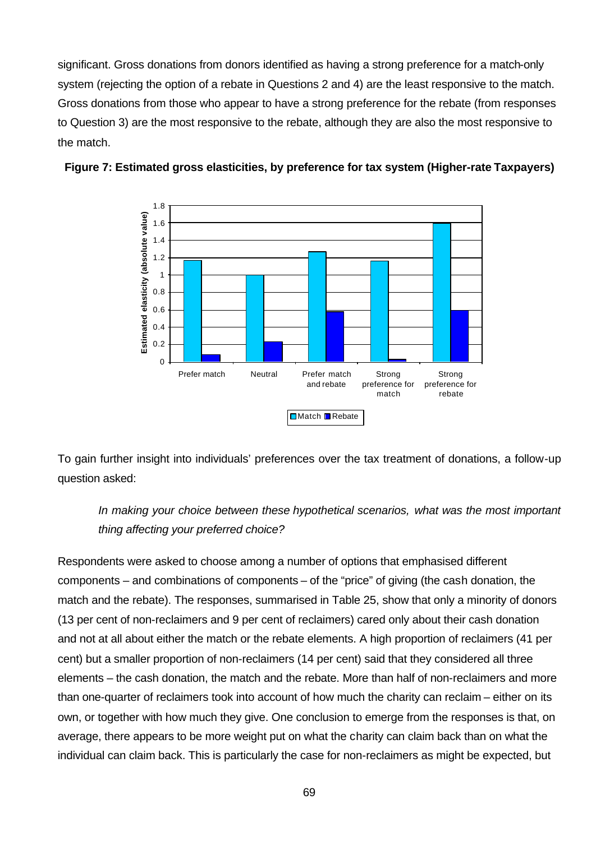significant. Gross donations from donors identified as having a strong preference for a match-only system (rejecting the option of a rebate in Questions 2 and 4) are the least responsive to the match. Gross donations from those who appear to have a strong preference for the rebate (from responses to Question 3) are the most responsive to the rebate, although they are also the most responsive to the match.





To gain further insight into individuals' preferences over the tax treatment of donations, a follow-up question asked:

*In making your choice between these hypothetical scenarios, what was the most important thing affecting your preferred choice?*

Respondents were asked to choose among a number of options that emphasised different components – and combinations of components – of the "price" of giving (the cash donation, the match and the rebate). The responses, summarised in Table 25, show that only a minority of donors (13 per cent of non-reclaimers and 9 per cent of reclaimers) cared only about their cash donation and not at all about either the match or the rebate elements. A high proportion of reclaimers (41 per cent) but a smaller proportion of non-reclaimers (14 per cent) said that they considered all three elements – the cash donation, the match and the rebate. More than half of non-reclaimers and more than one-quarter of reclaimers took into account of how much the charity can reclaim – either on its own, or together with how much they give. One conclusion to emerge from the responses is that, on average, there appears to be more weight put on what the charity can claim back than on what the individual can claim back. This is particularly the case for non-reclaimers as might be expected, but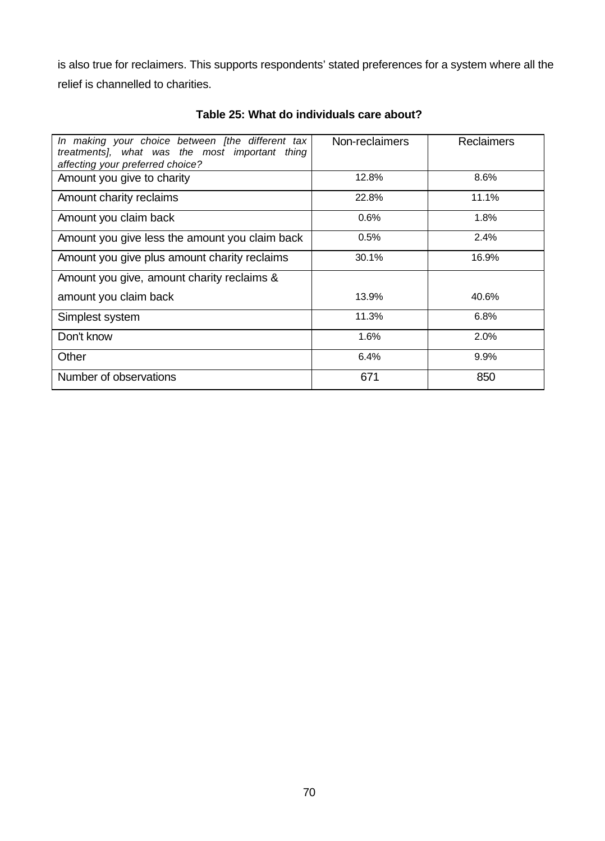is also true for reclaimers. This supports respondents' stated preferences for a system where all the relief is channelled to charities.

| In making your choice between [the different tax<br>treatments], what was the most important thing<br>affecting your preferred choice? | Non-reclaimers | <b>Reclaimers</b> |
|----------------------------------------------------------------------------------------------------------------------------------------|----------------|-------------------|
| Amount you give to charity                                                                                                             | 12.8%          | 8.6%              |
| Amount charity reclaims                                                                                                                | 22.8%          | 11.1%             |
| Amount you claim back                                                                                                                  | 0.6%           | 1.8%              |
| Amount you give less the amount you claim back                                                                                         | 0.5%           | 2.4%              |
| Amount you give plus amount charity reclaims                                                                                           | 30.1%          | 16.9%             |
| Amount you give, amount charity reclaims &                                                                                             |                |                   |
| amount you claim back                                                                                                                  | 13.9%          | 40.6%             |
| Simplest system                                                                                                                        | 11.3%          | 6.8%              |
| Don't know                                                                                                                             | 1.6%           | 2.0%              |
| Other                                                                                                                                  | 6.4%           | 9.9%              |
| Number of observations                                                                                                                 | 671            | 850               |

**Table 25: What do individuals care about?**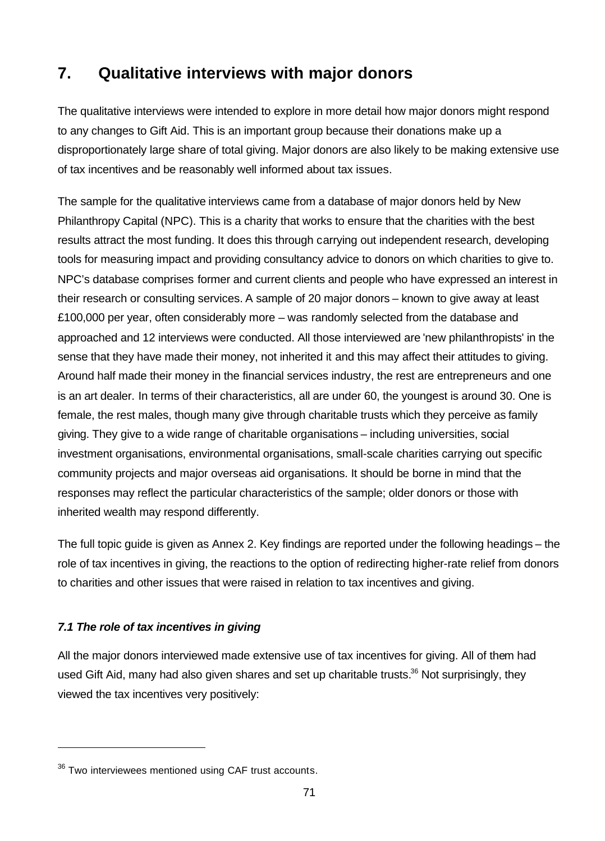# **7. Qualitative interviews with major donors**

The qualitative interviews were intended to explore in more detail how major donors might respond to any changes to Gift Aid. This is an important group because their donations make up a disproportionately large share of total giving. Major donors are also likely to be making extensive use of tax incentives and be reasonably well informed about tax issues.

The sample for the qualitative interviews came from a database of major donors held by New Philanthropy Capital (NPC). This is a charity that works to ensure that the charities with the best results attract the most funding. It does this through carrying out independent research, developing tools for measuring impact and providing consultancy advice to donors on which charities to give to. NPC's database comprises former and current clients and people who have expressed an interest in their research or consulting services. A sample of 20 major donors – known to give away at least £100,000 per year, often considerably more – was randomly selected from the database and approached and 12 interviews were conducted. All those interviewed are 'new philanthropists' in the sense that they have made their money, not inherited it and this may affect their attitudes to giving. Around half made their money in the financial services industry, the rest are entrepreneurs and one is an art dealer. In terms of their characteristics, all are under 60, the youngest is around 30. One is female, the rest males, though many give through charitable trusts which they perceive as family giving. They give to a wide range of charitable organisations – including universities, social investment organisations, environmental organisations, small-scale charities carrying out specific community projects and major overseas aid organisations. It should be borne in mind that the responses may reflect the particular characteristics of the sample; older donors or those with inherited wealth may respond differently.

The full topic guide is given as Annex 2. Key findings are reported under the following headings – the role of tax incentives in giving, the reactions to the option of redirecting higher-rate relief from donors to charities and other issues that were raised in relation to tax incentives and giving.

# *7.1 The role of tax incentives in giving*

l

All the major donors interviewed made extensive use of tax incentives for giving. All of them had used Gift Aid, many had also given shares and set up charitable trusts.<sup>36</sup> Not surprisingly, they viewed the tax incentives very positively:

 $36$  Two interviewees mentioned using CAF trust accounts.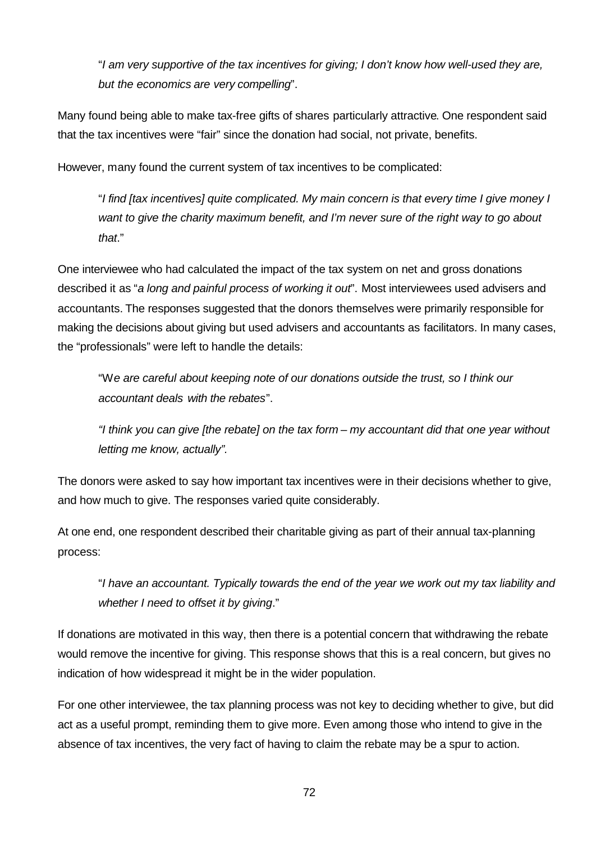"*I am very supportive of the tax incentives for giving; I don't know how well-used they are, but the economics are very compelling*".

Many found being able to make tax-free gifts of shares particularly attractive. One respondent said that the tax incentives were "fair" since the donation had social, not private, benefits.

However, many found the current system of tax incentives to be complicated:

"*I find [tax incentives] quite complicated. My main concern is that every time I give money I want to give the charity maximum benefit, and I'm never sure of the right way to go about that*."

One interviewee who had calculated the impact of the tax system on net and gross donations described it as "*a long and painful process of working it out*". Most interviewees used advisers and accountants. The responses suggested that the donors themselves were primarily responsible for making the decisions about giving but used advisers and accountants as facilitators. In many cases, the "professionals" were left to handle the details:

"W*e are careful about keeping note of our donations outside the trust, so I think our accountant deals with the rebates*".

*"I think you can give [the rebate] on the tax form – my accountant did that one year without letting me know, actually".* 

The donors were asked to say how important tax incentives were in their decisions whether to give, and how much to give. The responses varied quite considerably.

At one end, one respondent described their charitable giving as part of their annual tax-planning process:

"*I have an accountant. Typically towards the end of the year we work out my tax liability and whether I need to offset it by giving*."

If donations are motivated in this way, then there is a potential concern that withdrawing the rebate would remove the incentive for giving. This response shows that this is a real concern, but gives no indication of how widespread it might be in the wider population.

For one other interviewee, the tax planning process was not key to deciding whether to give, but did act as a useful prompt, reminding them to give more. Even among those who intend to give in the absence of tax incentives, the very fact of having to claim the rebate may be a spur to action.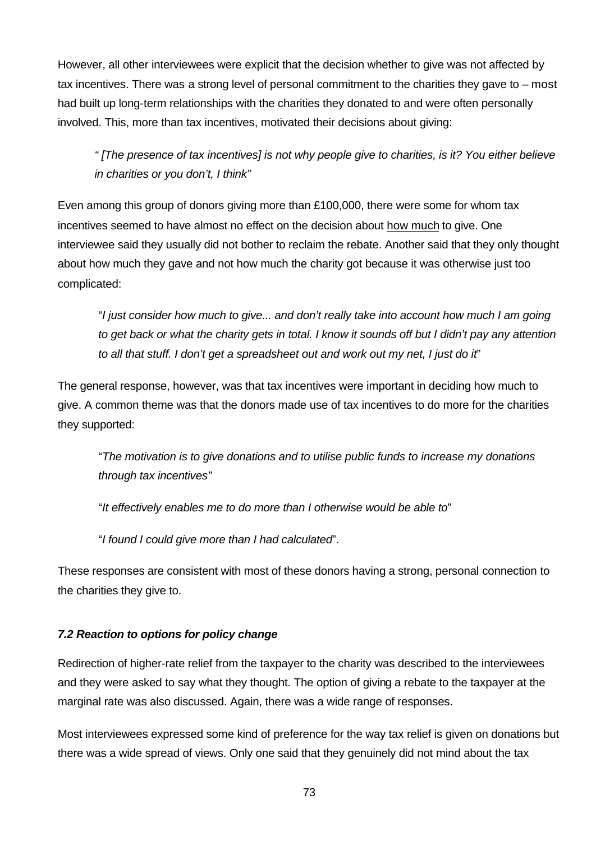However, all other interviewees were explicit that the decision whether to give was not affected by tax incentives. There was a strong level of personal commitment to the charities they gave to – most had built up long-term relationships with the charities they donated to and were often personally involved. This, more than tax incentives, motivated their decisions about giving:

*" [The presence of tax incentives] is not why people give to charities, is it? You either believe in charities or you don't, I think"*

Even among this group of donors giving more than £100,000, there were some for whom tax incentives seemed to have almost no effect on the decision about how much to give. One interviewee said they usually did not bother to reclaim the rebate. Another said that they only thought about how much they gave and not how much the charity got because it was otherwise just too complicated:

"*I just consider how much to give... and don't really take into account how much I am going to get back or what the charity gets in total. I know it sounds off but I didn't pay any attention to all that stuff. I don't get a spreadsheet out and work out my net, I just do it*"

The general response, however, was that tax incentives were important in deciding how much to give. A common theme was that the donors made use of tax incentives to do more for the charities they supported:

"*The motivation is to give donations and to utilise public funds to increase my donations through tax incentives*"

"*It effectively enables me to do more than I otherwise would be able to*"

"*I found I could give more than I had calculated*".

These responses are consistent with most of these donors having a strong, personal connection to the charities they give to.

## *7.2 Reaction to options for policy change*

Redirection of higher-rate relief from the taxpayer to the charity was described to the interviewees and they were asked to say what they thought. The option of giving a rebate to the taxpayer at the marginal rate was also discussed. Again, there was a wide range of responses.

Most interviewees expressed some kind of preference for the way tax relief is given on donations but there was a wide spread of views. Only one said that they genuinely did not mind about the tax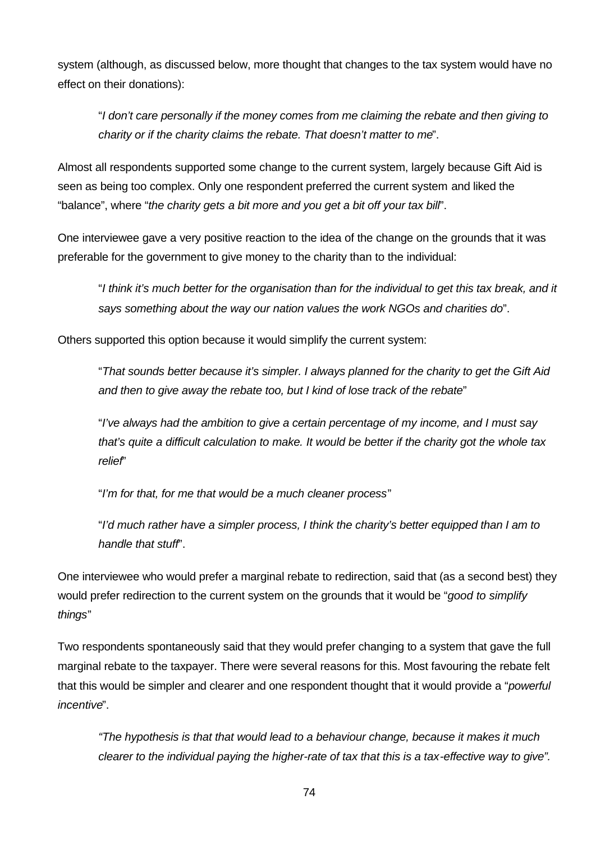system (although, as discussed below, more thought that changes to the tax system would have no effect on their donations):

"*I don't care personally if the money comes from me claiming the rebate and then giving to charity or if the charity claims the rebate. That doesn't matter to me*".

Almost all respondents supported some change to the current system, largely because Gift Aid is seen as being too complex. Only one respondent preferred the current system and liked the "balance", where "*the charity gets a bit more and you get a bit off your tax bill*".

One interviewee gave a very positive reaction to the idea of the change on the grounds that it was preferable for the government to give money to the charity than to the individual:

"*I think it's much better for the organisation than for the individual to get this tax break, and it says something about the way our nation values the work NGOs and charities do*".

Others supported this option because it would simplify the current system:

"*That sounds better because it's simpler. I always planned for the charity to get the Gift Aid and then to give away the rebate too, but I kind of lose track of the rebate*"

"*I've always had the ambition to give a certain percentage of my income, and I must say that's quite a difficult calculation to make. It would be better if the charity got the whole tax relief*"

"*I'm for that, for me that would be a much cleaner process*"

"*I'd much rather have a simpler process, I think the charity's better equipped than I am to handle that stuff*".

One interviewee who would prefer a marginal rebate to redirection, said that (as a second best) they would prefer redirection to the current system on the grounds that it would be "*good to simplify things*"

Two respondents spontaneously said that they would prefer changing to a system that gave the full marginal rebate to the taxpayer. There were several reasons for this. Most favouring the rebate felt that this would be simpler and clearer and one respondent thought that it would provide a "*powerful incentive*".

*"The hypothesis is that that would lead to a behaviour change, because it makes it much clearer to the individual paying the higher-rate of tax that this is a tax-effective way to give".*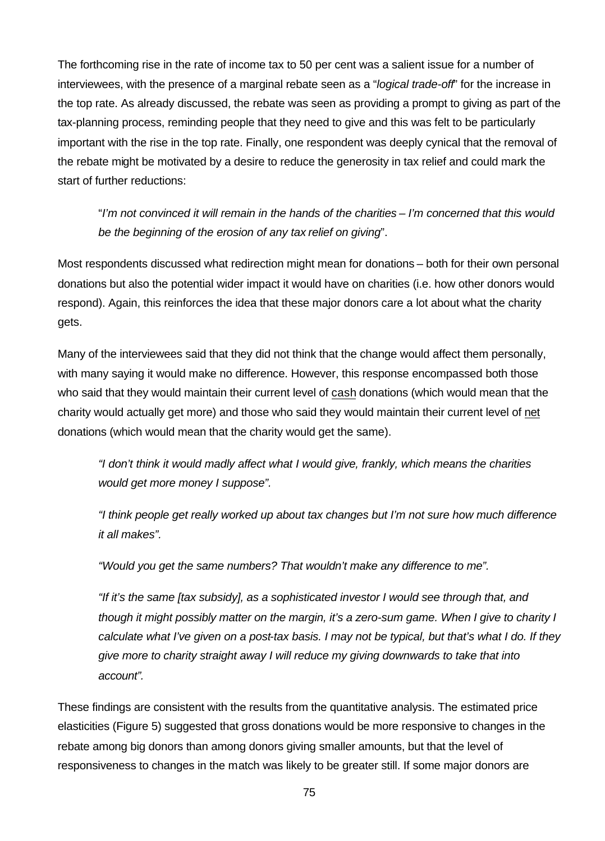The forthcoming rise in the rate of income tax to 50 per cent was a salient issue for a number of interviewees, with the presence of a marginal rebate seen as a "*logical trade-off*" for the increase in the top rate. As already discussed, the rebate was seen as providing a prompt to giving as part of the tax-planning process, reminding people that they need to give and this was felt to be particularly important with the rise in the top rate. Finally, one respondent was deeply cynical that the removal of the rebate might be motivated by a desire to reduce the generosity in tax relief and could mark the start of further reductions:

"*I'm not convinced it will remain in the hands of the charities – I'm concerned that this would be the beginning of the erosion of any tax relief on giving*".

Most respondents discussed what redirection might mean for donations – both for their own personal donations but also the potential wider impact it would have on charities (i.e. how other donors would respond). Again, this reinforces the idea that these major donors care a lot about what the charity gets.

Many of the interviewees said that they did not think that the change would affect them personally, with many saying it would make no difference. However, this response encompassed both those who said that they would maintain their current level of cash donations (which would mean that the charity would actually get more) and those who said they would maintain their current level of net donations (which would mean that the charity would get the same).

*"I don't think it would madly affect what I would give, frankly, which means the charities would get more money I suppose".* 

*"I think people get really worked up about tax changes but I'm not sure how much difference it all makes".* 

*"Would you get the same numbers? That wouldn't make any difference to me".*

*"If it's the same [tax subsidy], as a sophisticated investor I would see through that, and though it might possibly matter on the margin, it's a zero-sum game. When I give to charity I calculate what I've given on a post-tax basis. I may not be typical, but that's what I do. If they give more to charity straight away I will reduce my giving downwards to take that into account".*

These findings are consistent with the results from the quantitative analysis. The estimated price elasticities (Figure 5) suggested that gross donations would be more responsive to changes in the rebate among big donors than among donors giving smaller amounts, but that the level of responsiveness to changes in the match was likely to be greater still. If some major donors are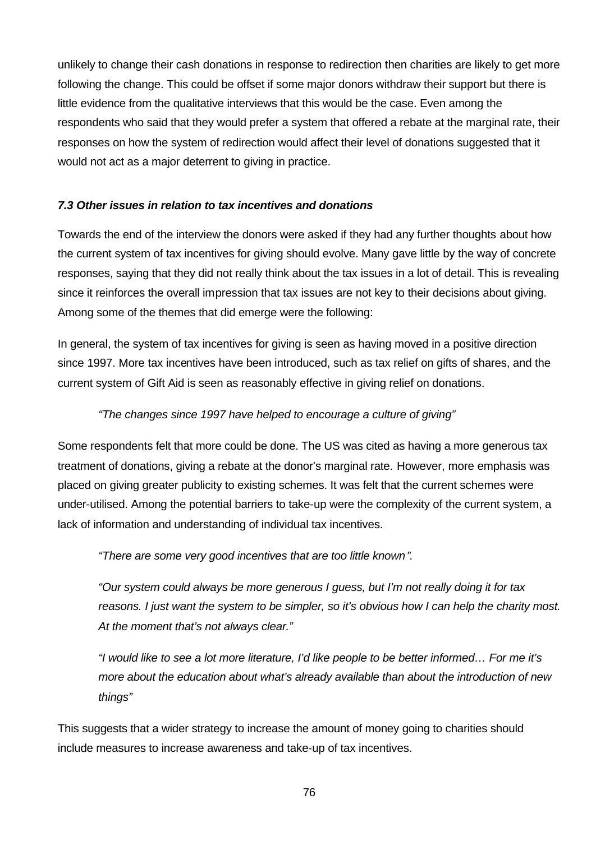unlikely to change their cash donations in response to redirection then charities are likely to get more following the change. This could be offset if some major donors withdraw their support but there is little evidence from the qualitative interviews that this would be the case. Even among the respondents who said that they would prefer a system that offered a rebate at the marginal rate, their responses on how the system of redirection would affect their level of donations suggested that it would not act as a major deterrent to giving in practice.

#### *7.3 Other issues in relation to tax incentives and donations*

Towards the end of the interview the donors were asked if they had any further thoughts about how the current system of tax incentives for giving should evolve. Many gave little by the way of concrete responses, saying that they did not really think about the tax issues in a lot of detail. This is revealing since it reinforces the overall impression that tax issues are not key to their decisions about giving. Among some of the themes that did emerge were the following:

In general, the system of tax incentives for giving is seen as having moved in a positive direction since 1997. More tax incentives have been introduced, such as tax relief on gifts of shares, and the current system of Gift Aid is seen as reasonably effective in giving relief on donations.

#### *"The changes since 1997 have helped to encourage a culture of giving"*

Some respondents felt that more could be done. The US was cited as having a more generous tax treatment of donations, giving a rebate at the donor's marginal rate. However, more emphasis was placed on giving greater publicity to existing schemes. It was felt that the current schemes were under-utilised. Among the potential barriers to take-up were the complexity of the current system, a lack of information and understanding of individual tax incentives.

*"There are some very good incentives that are too little known".*

*"Our system could always be more generous I guess, but I'm not really doing it for tax reasons. I just want the system to be simpler, so it's obvious how I can help the charity most. At the moment that's not always clear."*

*"I would like to see a lot more literature, I'd like people to be better informed… For me it's more about the education about what's already available than about the introduction of new things"*

This suggests that a wider strategy to increase the amount of money going to charities should include measures to increase awareness and take-up of tax incentives.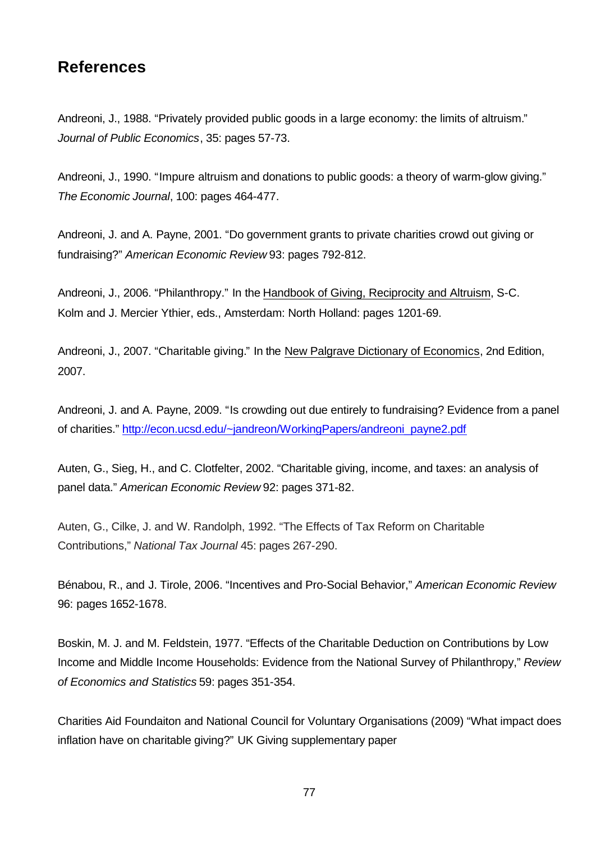## **References**

Andreoni, J., 1988. "Privately provided public goods in a large economy: the limits of altruism." *Journal of Public Economics*, 35: pages 57-73.

Andreoni, J., 1990. "Impure altruism and donations to public goods: a theory of warm-glow giving." *The Economic Journal*, 100: pages 464-477.

Andreoni, J. and A. Payne, 2001. "Do government grants to private charities crowd out giving or fundraising?" *American Economic Review* 93: pages 792-812.

Andreoni, J., 2006. "Philanthropy." In the Handbook of Giving, Reciprocity and Altruism, S-C. Kolm and J. Mercier Ythier, eds., Amsterdam: North Holland: pages 1201-69.

Andreoni, J., 2007. "Charitable giving." In the New Palgrave Dictionary of Economics, 2nd Edition, 2007.

Andreoni, J. and A. Payne, 2009. "Is crowding out due entirely to fundraising? Evidence from a panel of charities." http://econ.ucsd.edu/~jandreon/WorkingPapers/andreoni\_payne2.pdf

Auten, G., Sieg, H., and C. Clotfelter, 2002. "Charitable giving, income, and taxes: an analysis of panel data." *American Economic Review* 92: pages 371-82.

Auten, G., Cilke, J. and W. Randolph, 1992. "The Effects of Tax Reform on Charitable Contributions," *National Tax Journal* 45: pages 267-290.

Bénabou, R., and J. Tirole, 2006. "Incentives and Pro-Social Behavior," *American Economic Review* 96: pages 1652-1678.

Boskin, M. J. and M. Feldstein, 1977. "Effects of the Charitable Deduction on Contributions by Low Income and Middle Income Households: Evidence from the National Survey of Philanthropy," *Review of Economics and Statistics* 59: pages 351-354.

Charities Aid Foundaiton and National Council for Voluntary Organisations (2009) "What impact does inflation have on charitable giving?" UK Giving supplementary paper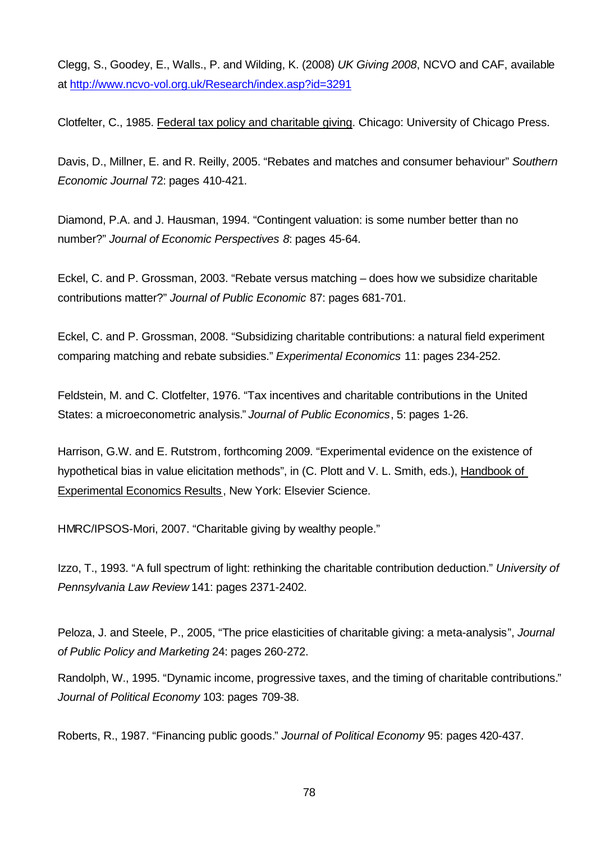Clegg, S., Goodey, E., Walls., P. and Wilding, K. (2008) *UK Giving 2008*, NCVO and CAF, available at http://www.ncvo-vol.org.uk/Research/index.asp?id=3291

Clotfelter, C., 1985. Federal tax policy and charitable giving. Chicago: University of Chicago Press.

Davis, D., Millner, E. and R. Reilly, 2005. "Rebates and matches and consumer behaviour" *Southern Economic Journal* 72: pages 410-421.

Diamond, P.A. and J. Hausman, 1994. "Contingent valuation: is some number better than no number?" *Journal of Economic Perspectives 8*: pages 45-64.

Eckel, C. and P. Grossman, 2003. "Rebate versus matching – does how we subsidize charitable contributions matter?" *Journal of Public Economic* 87: pages 681-701.

Eckel, C. and P. Grossman, 2008. "Subsidizing charitable contributions: a natural field experiment comparing matching and rebate subsidies." *Experimental Economics* 11: pages 234-252.

Feldstein, M. and C. Clotfelter, 1976. "Tax incentives and charitable contributions in the United States: a microeconometric analysis." *Journal of Public Economics*, 5: pages 1-26.

Harrison, G.W. and E. Rutstrom, forthcoming 2009. "Experimental evidence on the existence of hypothetical bias in value elicitation methods", in (C. Plott and V. L. Smith, eds.), Handbook of Experimental Economics Results, New York: Elsevier Science.

HMRC/IPSOS-Mori, 2007. "Charitable giving by wealthy people."

Izzo, T., 1993. "A full spectrum of light: rethinking the charitable contribution deduction." *University of Pennsylvania Law Review* 141: pages 2371-2402.

Peloza, J. and Steele, P., 2005, "The price elasticities of charitable giving: a meta-analysis", *Journal of Public Policy and Marketing* 24: pages 260-272.

Randolph, W., 1995. "Dynamic income, progressive taxes, and the timing of charitable contributions." *Journal of Political Economy* 103: pages 709-38.

Roberts, R., 1987. "Financing public goods." *Journal of Political Economy* 95: pages 420-437.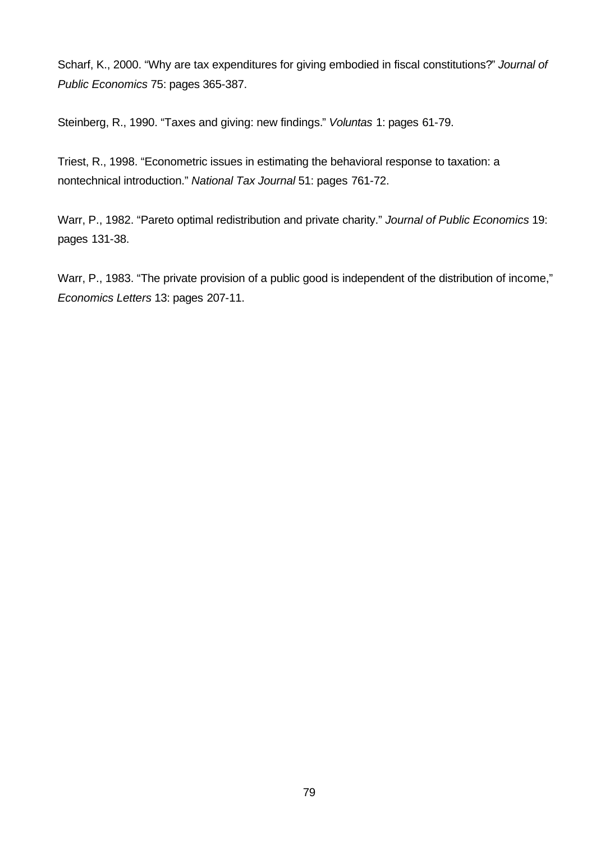Scharf, K., 2000. "Why are tax expenditures for giving embodied in fiscal constitutions?" *Journal of Public Economics* 75: pages 365-387.

Steinberg, R., 1990. "Taxes and giving: new findings." *Voluntas* 1: pages 61-79.

Triest, R., 1998. "Econometric issues in estimating the behavioral response to taxation: a nontechnical introduction." *National Tax Journal* 51: pages 761-72.

Warr, P., 1982. "Pareto optimal redistribution and private charity." *Journal of Public Economics* 19: pages 131-38.

Warr, P., 1983. "The private provision of a public good is independent of the distribution of income," *Economics Letters* 13: pages 207-11.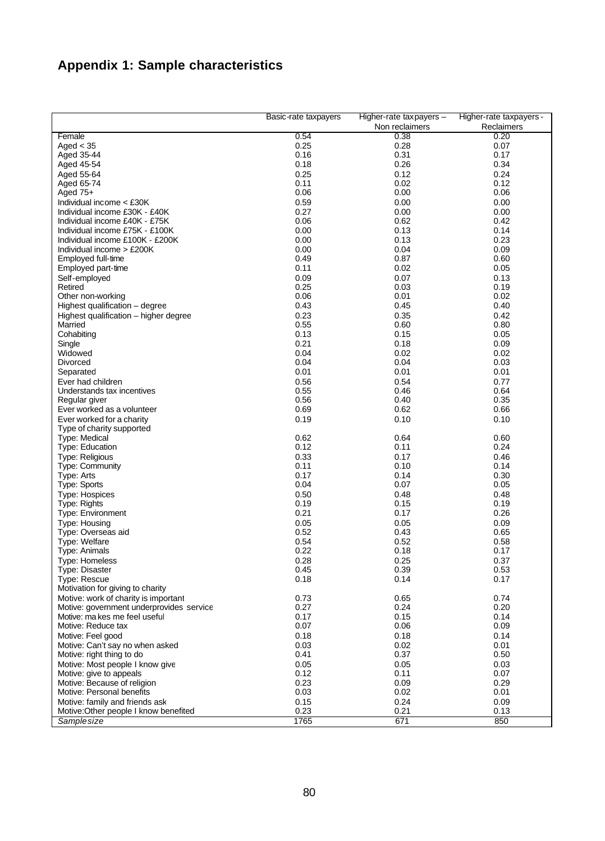# **Appendix 1: Sample characteristics**

|                                                        | Basic-rate taxpayers | Higher-rate taxpayers - | Higher-rate taxpayers - |
|--------------------------------------------------------|----------------------|-------------------------|-------------------------|
|                                                        |                      | Non reclaimers          | Reclaimers              |
| Female                                                 | 0.54                 | 0.38                    | 0.20                    |
| Aged $<$ 35                                            | 0.25                 | 0.28<br>0.31            | 0.07                    |
| Aged 35-44<br>Aged 45-54                               | 0.16<br>0.18         | 0.26                    | 0.17<br>0.34            |
| Aged 55-64                                             | 0.25                 | 0.12                    | 0.24                    |
| Aged 65-74                                             | 0.11                 | 0.02                    | 0.12                    |
| Aged $75+$                                             | 0.06                 | 0.00                    | 0.06                    |
| Individual income < £30K                               | 0.59                 | 0.00                    | 0.00                    |
| Individual income £30K - £40K                          | 0.27                 | 0.00                    | 0.00                    |
| Individual income £40K - £75K                          | 0.06                 | 0.62                    | 0.42                    |
| Individual income £75K - £100K                         | 0.00                 | 0.13                    | 0.14                    |
| Individual income £100K - £200K                        | 0.00                 | 0.13                    | 0.23                    |
| Individual income > £200K                              | 0.00<br>0.49         | 0.04<br>0.87            | 0.09<br>0.60            |
| Employed full-time<br>Employed part-time               | 0.11                 | 0.02                    | 0.05                    |
| Self-employed                                          | 0.09                 | 0.07                    | 0.13                    |
| Retired                                                | 0.25                 | 0.03                    | 0.19                    |
| Other non-working                                      | 0.06                 | 0.01                    | 0.02                    |
| Highest qualification - degree                         | 0.43                 | 0.45                    | 0.40                    |
| Highest qualification - higher degree                  | 0.23                 | 0.35                    | 0.42                    |
| Married                                                | 0.55                 | 0.60                    | 0.80                    |
| Cohabiting                                             | 0.13                 | 0.15                    | 0.05                    |
| Single                                                 | 0.21                 | 0.18                    | 0.09                    |
| Widowed                                                | 0.04<br>0.04         | 0.02<br>0.04            | 0.02<br>0.03            |
| Divorced<br>Separated                                  | 0.01                 | 0.01                    | 0.01                    |
| Ever had children                                      | 0.56                 | 0.54                    | 0.77                    |
| Understands tax incentives                             | 0.55                 | 0.46                    | 0.64                    |
| Regular giver                                          | 0.56                 | 0.40                    | 0.35                    |
| Ever worked as a volunteer                             | 0.69                 | 0.62                    | 0.66                    |
| Ever worked for a charity                              | 0.19                 | 0.10                    | 0.10                    |
| Type of charity supported                              |                      |                         |                         |
| Type: Medical                                          | 0.62                 | 0.64                    | 0.60                    |
| Type: Education                                        | 0.12                 | 0.11                    | 0.24                    |
| <b>Type: Religious</b>                                 | 0.33<br>0.11         | 0.17                    | 0.46                    |
| <b>Type: Community</b><br>Type: Arts                   | 0.17                 | 0.10<br>0.14            | 0.14<br>0.30            |
| Type: Sports                                           | 0.04                 | 0.07                    | 0.05                    |
| <b>Type: Hospices</b>                                  | 0.50                 | 0.48                    | 0.48                    |
| <b>Type: Rights</b>                                    | 0.19                 | 0.15                    | 0.19                    |
| <b>Type: Environment</b>                               | 0.21                 | 0.17                    | 0.26                    |
| <b>Type: Housing</b>                                   | 0.05                 | 0.05                    | 0.09                    |
| Type: Overseas aid                                     | 0.52                 | 0.43                    | 0.65                    |
| <b>Type: Welfare</b>                                   | 0.54                 | 0.52                    | 0.58                    |
| <b>Type: Animals</b>                                   | 0.22                 | 0.18                    | 0.17                    |
| <b>Type: Homeless</b>                                  | 0.28                 | 0.25                    | 0.37                    |
| Type: Disaster<br>Type: Rescue                         | 0.45<br>0.18         | 0.39<br>0.14            | 0.53<br>0.17            |
| Motivation for giving to charity                       |                      |                         |                         |
| Motive: work of charity is important                   | 0.73                 | 0.65                    | 0.74                    |
| Motive: government underprovides service               | 0.27                 | 0.24                    | 0.20                    |
| Motive: ma kes me feel useful                          | 0.17                 | 0.15                    | 0.14                    |
| Motive: Reduce tax                                     | 0.07                 | 0.06                    | 0.09                    |
| Motive: Feel good                                      | 0.18                 | 0.18                    | 0.14                    |
| Motive: Can't say no when asked                        | 0.03                 | 0.02                    | 0.01                    |
| Motive: right thing to do                              | 0.41                 | 0.37                    | 0.50                    |
| Motive: Most people I know give                        | 0.05                 | 0.05<br>0.11            | 0.03                    |
| Motive: give to appeals<br>Motive: Because of religion | 0.12<br>0.23         | 0.09                    | 0.07<br>0.29            |
| Motive: Personal benefits                              | 0.03                 | 0.02                    | 0.01                    |
| Motive: family and friends ask                         | 0.15                 | 0.24                    | 0.09                    |
| Motive: Other people I know benefited                  | 0.23                 | 0.21                    | 0.13                    |
| Sample size                                            | 1765                 | 671                     | 850                     |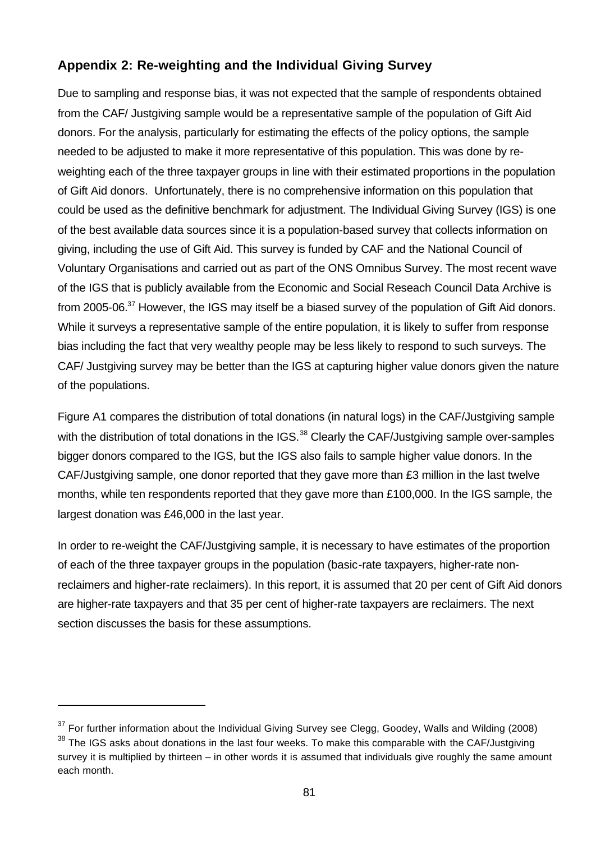## **Appendix 2: Re-weighting and the Individual Giving Survey**

Due to sampling and response bias, it was not expected that the sample of respondents obtained from the CAF/ Justgiving sample would be a representative sample of the population of Gift Aid donors. For the analysis, particularly for estimating the effects of the policy options, the sample needed to be adjusted to make it more representative of this population. This was done by reweighting each of the three taxpayer groups in line with their estimated proportions in the population of Gift Aid donors. Unfortunately, there is no comprehensive information on this population that could be used as the definitive benchmark for adjustment. The Individual Giving Survey (IGS) is one of the best available data sources since it is a population-based survey that collects information on giving, including the use of Gift Aid. This survey is funded by CAF and the National Council of Voluntary Organisations and carried out as part of the ONS Omnibus Survey. The most recent wave of the IGS that is publicly available from the Economic and Social Reseach Council Data Archive is from 2005-06.<sup>37</sup> However, the IGS may itself be a biased survey of the population of Gift Aid donors. While it surveys a representative sample of the entire population, it is likely to suffer from response bias including the fact that very wealthy people may be less likely to respond to such surveys. The CAF/ Justgiving survey may be better than the IGS at capturing higher value donors given the nature of the populations.

Figure A1 compares the distribution of total donations (in natural logs) in the CAF/Justgiving sample with the distribution of total donations in the IGS.<sup>38</sup> Clearly the CAF/Justgiving sample over-samples bigger donors compared to the IGS, but the IGS also fails to sample higher value donors. In the CAF/Justgiving sample, one donor reported that they gave more than £3 million in the last twelve months, while ten respondents reported that they gave more than £100,000. In the IGS sample, the largest donation was £46,000 in the last year.

In order to re-weight the CAF/Justgiving sample, it is necessary to have estimates of the proportion of each of the three taxpayer groups in the population (basic-rate taxpayers, higher-rate nonreclaimers and higher-rate reclaimers). In this report, it is assumed that 20 per cent of Gift Aid donors are higher-rate taxpayers and that 35 per cent of higher-rate taxpayers are reclaimers. The next section discusses the basis for these assumptions.

l

 $37$  For further information about the Individual Giving Survey see Clegg, Goodey, Walls and Wilding (2008)  $38$  The IGS asks about donations in the last four weeks. To make this comparable with the CAF/Justgiving survey it is multiplied by thirteen – in other words it is assumed that individuals give roughly the same amount each month.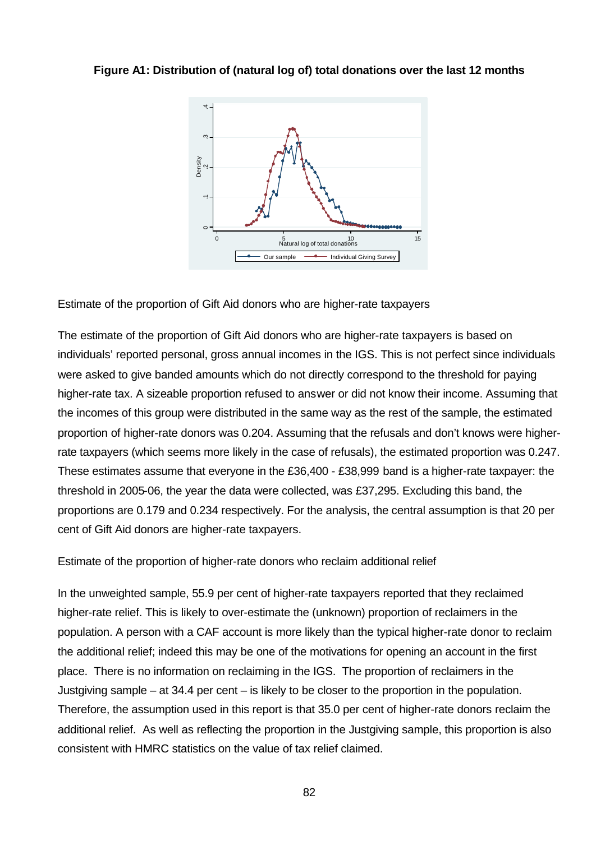#### **Figure A1: Distribution of (natural log of) total donations over the last 12 months**



Estimate of the proportion of Gift Aid donors who are higher-rate taxpayers

The estimate of the proportion of Gift Aid donors who are higher-rate taxpayers is based on individuals' reported personal, gross annual incomes in the IGS. This is not perfect since individuals were asked to give banded amounts which do not directly correspond to the threshold for paying higher-rate tax. A sizeable proportion refused to answer or did not know their income. Assuming that the incomes of this group were distributed in the same way as the rest of the sample, the estimated proportion of higher-rate donors was 0.204. Assuming that the refusals and don't knows were higherrate taxpayers (which seems more likely in the case of refusals), the estimated proportion was 0.247. These estimates assume that everyone in the £36,400 - £38,999 band is a higher-rate taxpayer: the threshold in 2005-06, the year the data were collected, was £37,295. Excluding this band, the proportions are 0.179 and 0.234 respectively. For the analysis, the central assumption is that 20 per cent of Gift Aid donors are higher-rate taxpayers.

Estimate of the proportion of higher-rate donors who reclaim additional relief

In the unweighted sample, 55.9 per cent of higher-rate taxpayers reported that they reclaimed higher-rate relief. This is likely to over-estimate the (unknown) proportion of reclaimers in the population. A person with a CAF account is more likely than the typical higher-rate donor to reclaim the additional relief; indeed this may be one of the motivations for opening an account in the first place. There is no information on reclaiming in the IGS. The proportion of reclaimers in the Justgiving sample – at 34.4 per cent – is likely to be closer to the proportion in the population. Therefore, the assumption used in this report is that 35.0 per cent of higher-rate donors reclaim the additional relief. As well as reflecting the proportion in the Justgiving sample, this proportion is also consistent with HMRC statistics on the value of tax relief claimed.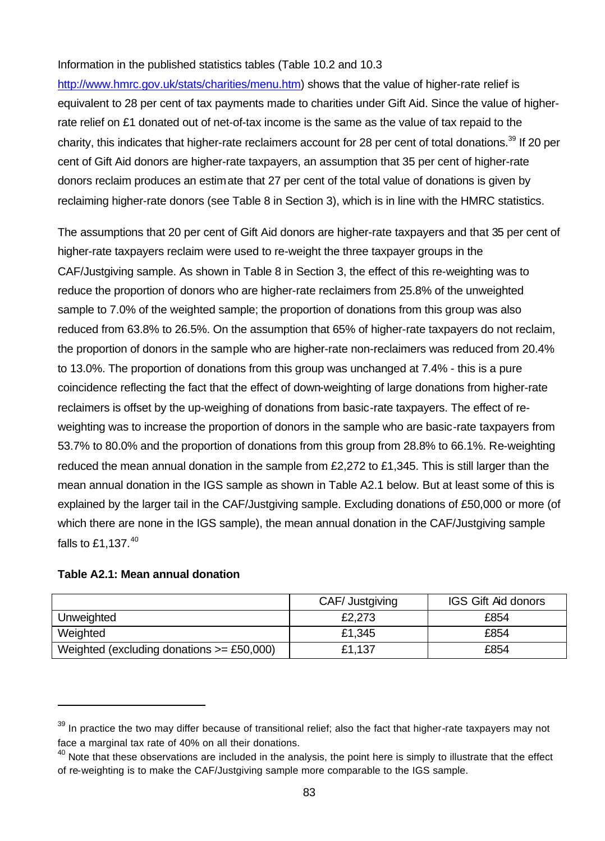#### Information in the published statistics tables (Table 10.2 and 10.3

http://www.hmrc.gov.uk/stats/charities/menu.htm) shows that the value of higher-rate relief is equivalent to 28 per cent of tax payments made to charities under Gift Aid. Since the value of higherrate relief on £1 donated out of net-of-tax income is the same as the value of tax repaid to the charity, this indicates that higher-rate reclaimers account for 28 per cent of total donations.<sup>39</sup> If 20 per cent of Gift Aid donors are higher-rate taxpayers, an assumption that 35 per cent of higher-rate donors reclaim produces an estimate that 27 per cent of the total value of donations is given by reclaiming higher-rate donors (see Table 8 in Section 3), which is in line with the HMRC statistics.

The assumptions that 20 per cent of Gift Aid donors are higher-rate taxpayers and that 35 per cent of higher-rate taxpayers reclaim were used to re-weight the three taxpayer groups in the CAF/Justgiving sample. As shown in Table 8 in Section 3, the effect of this re-weighting was to reduce the proportion of donors who are higher-rate reclaimers from 25.8% of the unweighted sample to 7.0% of the weighted sample; the proportion of donations from this group was also reduced from 63.8% to 26.5%. On the assumption that 65% of higher-rate taxpayers do not reclaim, the proportion of donors in the sample who are higher-rate non-reclaimers was reduced from 20.4% to 13.0%. The proportion of donations from this group was unchanged at 7.4% - this is a pure coincidence reflecting the fact that the effect of down-weighting of large donations from higher-rate reclaimers is offset by the up-weighing of donations from basic-rate taxpayers. The effect of reweighting was to increase the proportion of donors in the sample who are basic-rate taxpayers from 53.7% to 80.0% and the proportion of donations from this group from 28.8% to 66.1%. Re-weighting reduced the mean annual donation in the sample from £2,272 to £1,345. This is still larger than the mean annual donation in the IGS sample as shown in Table A2.1 below. But at least some of this is explained by the larger tail in the CAF/Justgiving sample. Excluding donations of £50,000 or more (of which there are none in the IGS sample), the mean annual donation in the CAF/Justgiving sample falls to  $£1.137.<sup>40</sup>$ 

#### **Table A2.1: Mean annual donation**

l

|                                               | CAF/ Justgiving | <b>IGS Gift Aid donors</b> |
|-----------------------------------------------|-----------------|----------------------------|
| Unweighted                                    | £2,273          | £854                       |
| Weighted                                      | £1,345          | £854                       |
| Weighted (excluding donations $\geq$ £50,000) | £1,137          | £854                       |

 $39$  In practice the two may differ because of transitional relief; also the fact that higher-rate taxpayers may not face a marginal tax rate of 40% on all their donations.

 $40$  Note that these observations are included in the analysis, the point here is simply to illustrate that the effect of re-weighting is to make the CAF/Justgiving sample more comparable to the IGS sample.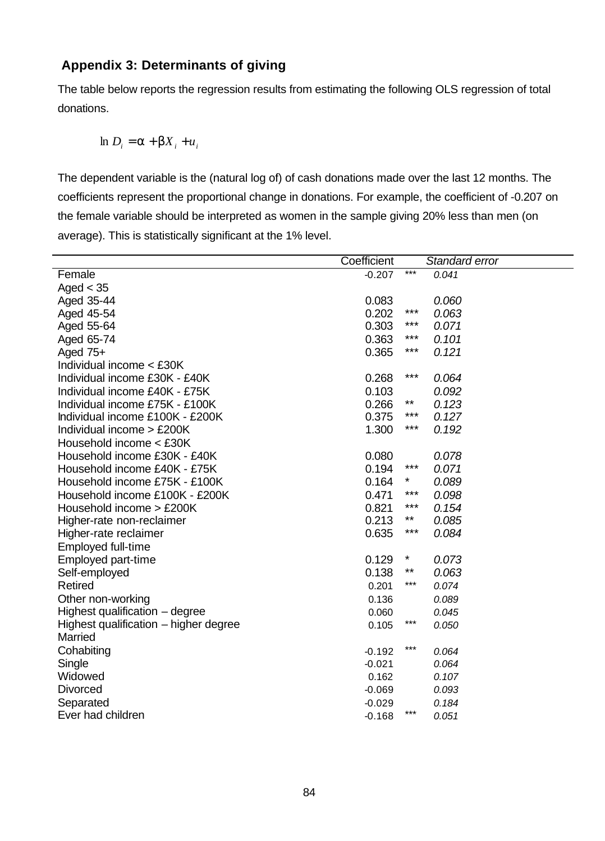## **Appendix 3: Determinants of giving**

The table below reports the regression results from estimating the following OLS regression of total donations.

$$
\ln D_i = \mathbf{a} + \mathbf{b} X_i + u_i
$$

The dependent variable is the (natural log of) of cash donations made over the last 12 months. The coefficients represent the proportional change in donations. For example, the coefficient of -0.207 on the female variable should be interpreted as women in the sample giving 20% less than men (on average). This is statistically significant at the 1% level.

|                                       | Coefficient |         | Standard error |
|---------------------------------------|-------------|---------|----------------|
| Female                                | $-0.207$    | $***$   | 0.041          |
| Aged $<$ 35                           |             |         |                |
| Aged 35-44                            | 0.083       |         | 0.060          |
| Aged 45-54                            | 0.202       | ***     | 0.063          |
| Aged 55-64                            | 0.303       | ***     | 0.071          |
| Aged 65-74                            | 0.363       | ***     | 0.101          |
| Aged $75+$                            | 0.365       | ***     | 0.121          |
| Individual income < £30K              |             |         |                |
| Individual income £30K - £40K         | 0.268       | ***     | 0.064          |
| Individual income £40K - £75K         | 0.103       |         | 0.092          |
| Individual income £75K - £100K        | 0.266       | $***$   | 0.123          |
| Individual income £100K - £200K       | 0.375       | ***     | 0.127          |
| Individual income $>$ £200K           | 1.300       | ***     | 0.192          |
| Household income < £30K               |             |         |                |
| Household income £30K - £40K          | 0.080       |         | 0.078          |
| Household income £40K - £75K          | 0.194       | ***     | 0.071          |
| Household income £75K - £100K         | 0.164       | *       | 0.089          |
| Household income £100K - £200K        | 0.471       | ***     | 0.098          |
| Household income > £200K              | 0.821       | ***     | 0.154          |
| Higher-rate non-reclaimer             | 0.213       | **      | 0.085          |
| Higher-rate reclaimer                 | 0.635       | ***     | 0.084          |
| <b>Employed full-time</b>             |             |         |                |
| Employed part-time                    | 0.129       | $\star$ | 0.073          |
| Self-employed                         | 0.138       | $***$   | 0.063          |
| <b>Retired</b>                        | 0.201       | $***$   | 0.074          |
| Other non-working                     | 0.136       |         | 0.089          |
| Highest qualification - degree        | 0.060       |         | 0.045          |
| Highest qualification - higher degree | 0.105       | $***$   | 0.050          |
| Married                               |             |         |                |
| Cohabiting                            | $-0.192$    | $***$   | 0.064          |
| Single                                | $-0.021$    |         | 0.064          |
| Widowed                               | 0.162       |         | 0.107          |
| <b>Divorced</b>                       | $-0.069$    |         | 0.093          |
| Separated                             | $-0.029$    |         | 0.184          |
| Ever had children                     | $-0.168$    | ***     | 0.051          |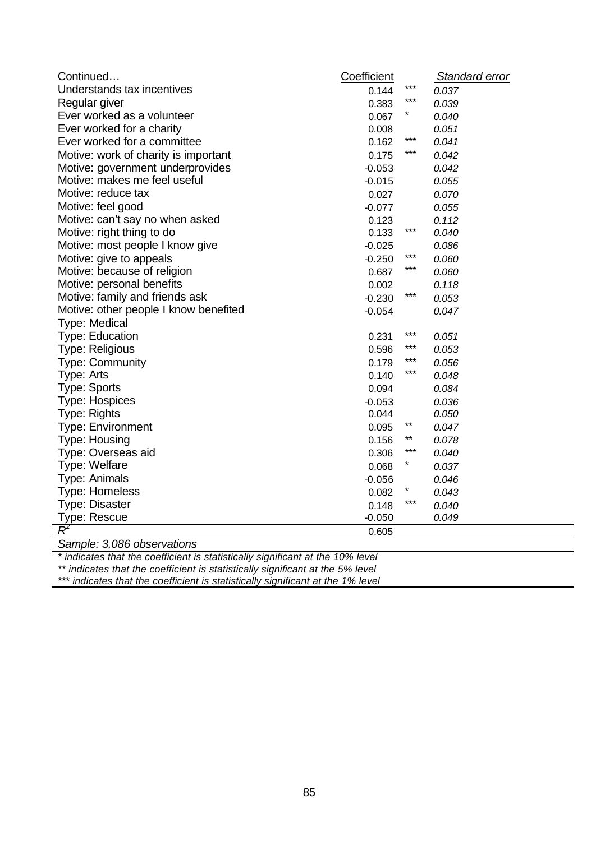| Continued                             | Coefficient |              | Standard error |
|---------------------------------------|-------------|--------------|----------------|
| Understands tax incentives            | 0.144       | $***$        | 0.037          |
| Regular giver                         | 0.383       | $***$        | 0.039          |
| Ever worked as a volunteer            | 0.067       |              | 0.040          |
| Ever worked for a charity             | 0.008       |              | 0.051          |
| Ever worked for a committee           | 0.162       | $***$        | 0.041          |
| Motive: work of charity is important  | 0.175       | $***$        | 0.042          |
| Motive: government underprovides      | $-0.053$    |              | 0.042          |
| Motive: makes me feel useful          | $-0.015$    |              | 0.055          |
| Motive: reduce tax                    | 0.027       |              | 0.070          |
| Motive: feel good                     | $-0.077$    |              | 0.055          |
| Motive: can't say no when asked       | 0.123       |              | 0.112          |
| Motive: right thing to do             | 0.133       | $***$        | 0.040          |
| Motive: most people I know give       | $-0.025$    |              | 0.086          |
| Motive: give to appeals               | $-0.250$    | $***$        | 0.060          |
| Motive: because of religion           | 0.687       | $***$        | 0.060          |
| Motive: personal benefits             | 0.002       |              | 0.118          |
| Motive: family and friends ask        | $-0.230$    | $***$        | 0.053          |
| Motive: other people I know benefited | $-0.054$    |              | 0.047          |
| Type: Medical                         |             |              |                |
| <b>Type: Education</b>                | 0.231       | ***          | 0.051          |
| <b>Type: Religious</b>                | 0.596       | ***          | 0.053          |
| <b>Type: Community</b>                | 0.179       | $***$        | 0.056          |
| Type: Arts                            | 0.140       | $***$        | 0.048          |
| Type: Sports                          | 0.094       |              | 0.084          |
| <b>Type: Hospices</b>                 | $-0.053$    |              | 0.036          |
| Type: Rights                          | 0.044       |              | 0.050          |
| <b>Type: Environment</b>              | 0.095       | $***$        | 0.047          |
| <b>Type: Housing</b>                  | 0.156       | $\star\star$ | 0.078          |
| Type: Overseas aid                    | 0.306       | $***$        | 0.040          |
| Type: Welfare                         | 0.068       | $\ast$       | 0.037          |
| Type: Animals                         | $-0.056$    |              | 0.046          |
| <b>Type: Homeless</b>                 | 0.082       | $^\star$     | 0.043          |
| <b>Type: Disaster</b>                 | 0.148       | $***$        | 0.040          |
| Type: Rescue                          | $-0.050$    |              | 0.049          |
| $\overline{\mathcal{R}}$              | 0.605       |              |                |

*Sample: 3,086 observations*

*\* indicates that the coefficient is statistically significant at the 10% level*

*\*\* indicates that the coefficient is statistically significant at the 5% level*

*\*\*\* indicates that the coefficient is statistically significant at the 1% level*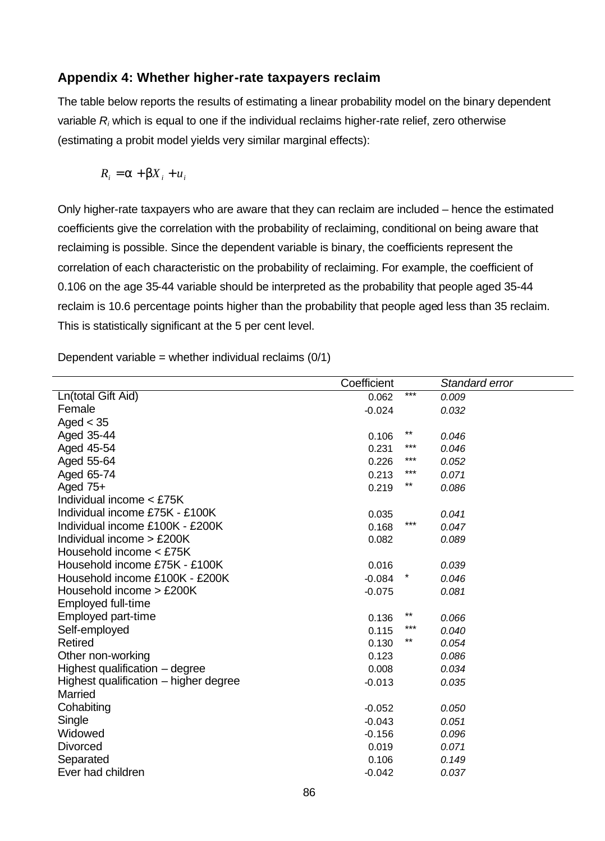## **Appendix 4: Whether higher-rate taxpayers reclaim**

The table below reports the results of estimating a linear probability model on the binary dependent variable *R<sup>i</sup>* which is equal to one if the individual reclaims higher-rate relief, zero otherwise (estimating a probit model yields very similar marginal effects):

$$
R_i = \mathbf{a} + \mathbf{b}X_i + u_i
$$

Only higher-rate taxpayers who are aware that they can reclaim are included – hence the estimated coefficients give the correlation with the probability of reclaiming, conditional on being aware that reclaiming is possible. Since the dependent variable is binary, the coefficients represent the correlation of each characteristic on the probability of reclaiming. For example, the coefficient of 0.106 on the age 35-44 variable should be interpreted as the probability that people aged 35-44 reclaim is 10.6 percentage points higher than the probability that people aged less than 35 reclaim. This is statistically significant at the 5 per cent level.

Dependent variable = whether individual reclaims  $(0/1)$ 

|                                       | Coefficient |       | Standard error |
|---------------------------------------|-------------|-------|----------------|
| Ln(total Gift Aid)                    | 0.062       | $***$ | 0.009          |
| Female                                | $-0.024$    |       | 0.032          |
| Aged $<$ 35                           |             |       |                |
| Aged 35-44                            | 0.106       | $***$ | 0.046          |
| Aged 45-54                            | 0.231       | ***   | 0.046          |
| Aged 55-64                            | 0.226       | $***$ | 0.052          |
| Aged 65-74                            | 0.213       | $***$ | 0.071          |
| Aged 75+                              | 0.219       | $***$ | 0.086          |
| Individual income < £75K              |             |       |                |
| Individual income £75K - £100K        | 0.035       |       | 0.041          |
| Individual income £100K - £200K       | 0.168       | $***$ | 0.047          |
| Individual income > £200K             | 0.082       |       | 0.089          |
| Household income < £75K               |             |       |                |
| Household income £75K - £100K         | 0.016       |       | 0.039          |
| Household income £100K - £200K        | $-0.084$    |       | 0.046          |
| Household income > £200K              | $-0.075$    |       | 0.081          |
| Employed full-time                    |             |       |                |
| Employed part-time                    | 0.136       | $***$ | 0.066          |
| Self-employed                         | 0.115       | $***$ | 0.040          |
| Retired                               | 0.130       | $***$ | 0.054          |
| Other non-working                     | 0.123       |       | 0.086          |
| Highest qualification - degree        | 0.008       |       | 0.034          |
| Highest qualification – higher degree | $-0.013$    |       | 0.035          |
| Married                               |             |       |                |
| Cohabiting                            | $-0.052$    |       | 0.050          |
| Single                                | $-0.043$    |       | 0.051          |
| Widowed                               | $-0.156$    |       | 0.096          |
| <b>Divorced</b>                       | 0.019       |       | 0.071          |
| Separated                             | 0.106       |       | 0.149          |
| Ever had children                     | $-0.042$    |       | 0.037          |
|                                       |             |       |                |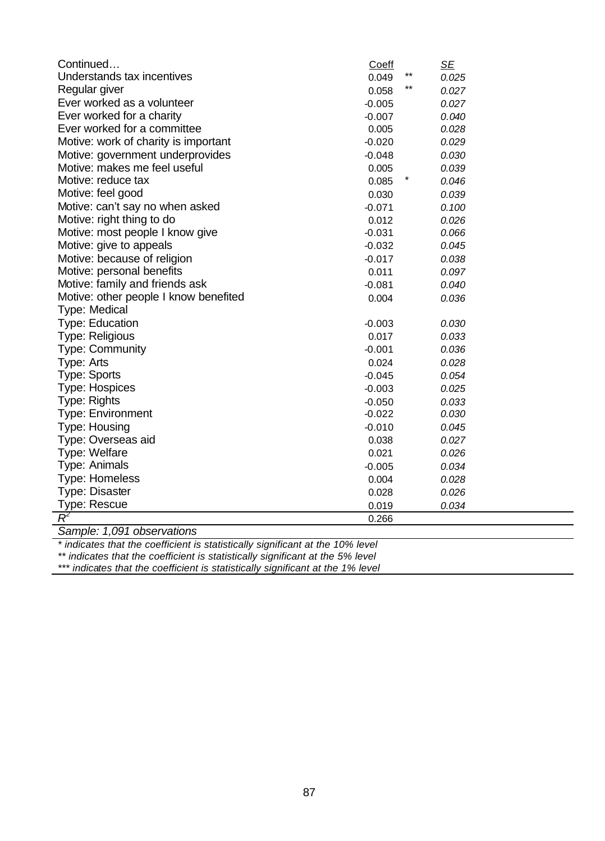| $***$<br>Understands tax incentives<br>0.049<br>0.025<br>$***$<br>Regular giver<br>0.058<br>0.027<br>Ever worked as a volunteer<br>$-0.005$<br>0.027<br>Ever worked for a charity<br>$-0.007$<br>0.040<br>Ever worked for a committee<br>0.005<br>0.028<br>Motive: work of charity is important<br>$-0.020$<br>0.029<br>Motive: government underprovides<br>$-0.048$<br>0.030<br>Motive: makes me feel useful<br>0.005<br>0.039<br>Motive: reduce tax<br>0.085<br>0.046<br>Motive: feel good<br>0.030<br>0.039<br>Motive: can't say no when asked<br>$-0.071$<br>0.100<br>Motive: right thing to do<br>0.012<br>0.026<br>Motive: most people I know give<br>$-0.031$<br>0.066<br>Motive: give to appeals<br>$-0.032$<br>0.045<br>Motive: because of religion<br>$-0.017$<br>0.038<br>Motive: personal benefits<br>0.011<br>0.097<br>Motive: family and friends ask<br>$-0.081$<br>0.040<br>Motive: other people I know benefited<br>0.004<br>0.036<br>Type: Medical<br><b>Type: Education</b><br>$-0.003$<br>0.030<br><b>Type: Religious</b><br>0.017<br>0.033<br><b>Type: Community</b><br>$-0.001$<br>0.036<br>Type: Arts<br>0.024<br>0.028<br><b>Type: Sports</b><br>0.054<br>$-0.045$<br><b>Type: Hospices</b><br>0.025<br>$-0.003$<br>Type: Rights<br>0.033<br>$-0.050$<br><b>Type: Environment</b><br>$-0.022$<br>0.030<br><b>Type: Housing</b><br>$-0.010$<br>0.045<br>Type: Overseas aid<br>0.038<br>0.027<br>Type: Welfare<br>0.021<br>0.026<br>Type: Animals<br>$-0.005$<br>0.034<br><b>Type: Homeless</b><br>0.004<br>0.028<br><b>Type: Disaster</b><br>0.028<br>0.026<br>Type: Rescue<br>0.019<br>0.034<br>$\overline{\mathcal{R}}^2$<br>0.266 | Continued | Coeff | <u>SE</u> |
|------------------------------------------------------------------------------------------------------------------------------------------------------------------------------------------------------------------------------------------------------------------------------------------------------------------------------------------------------------------------------------------------------------------------------------------------------------------------------------------------------------------------------------------------------------------------------------------------------------------------------------------------------------------------------------------------------------------------------------------------------------------------------------------------------------------------------------------------------------------------------------------------------------------------------------------------------------------------------------------------------------------------------------------------------------------------------------------------------------------------------------------------------------------------------------------------------------------------------------------------------------------------------------------------------------------------------------------------------------------------------------------------------------------------------------------------------------------------------------------------------------------------------------------------------------------------------------------------------------------------------------------------------------|-----------|-------|-----------|
|                                                                                                                                                                                                                                                                                                                                                                                                                                                                                                                                                                                                                                                                                                                                                                                                                                                                                                                                                                                                                                                                                                                                                                                                                                                                                                                                                                                                                                                                                                                                                                                                                                                            |           |       |           |
|                                                                                                                                                                                                                                                                                                                                                                                                                                                                                                                                                                                                                                                                                                                                                                                                                                                                                                                                                                                                                                                                                                                                                                                                                                                                                                                                                                                                                                                                                                                                                                                                                                                            |           |       |           |
|                                                                                                                                                                                                                                                                                                                                                                                                                                                                                                                                                                                                                                                                                                                                                                                                                                                                                                                                                                                                                                                                                                                                                                                                                                                                                                                                                                                                                                                                                                                                                                                                                                                            |           |       |           |
|                                                                                                                                                                                                                                                                                                                                                                                                                                                                                                                                                                                                                                                                                                                                                                                                                                                                                                                                                                                                                                                                                                                                                                                                                                                                                                                                                                                                                                                                                                                                                                                                                                                            |           |       |           |
|                                                                                                                                                                                                                                                                                                                                                                                                                                                                                                                                                                                                                                                                                                                                                                                                                                                                                                                                                                                                                                                                                                                                                                                                                                                                                                                                                                                                                                                                                                                                                                                                                                                            |           |       |           |
|                                                                                                                                                                                                                                                                                                                                                                                                                                                                                                                                                                                                                                                                                                                                                                                                                                                                                                                                                                                                                                                                                                                                                                                                                                                                                                                                                                                                                                                                                                                                                                                                                                                            |           |       |           |
|                                                                                                                                                                                                                                                                                                                                                                                                                                                                                                                                                                                                                                                                                                                                                                                                                                                                                                                                                                                                                                                                                                                                                                                                                                                                                                                                                                                                                                                                                                                                                                                                                                                            |           |       |           |
|                                                                                                                                                                                                                                                                                                                                                                                                                                                                                                                                                                                                                                                                                                                                                                                                                                                                                                                                                                                                                                                                                                                                                                                                                                                                                                                                                                                                                                                                                                                                                                                                                                                            |           |       |           |
|                                                                                                                                                                                                                                                                                                                                                                                                                                                                                                                                                                                                                                                                                                                                                                                                                                                                                                                                                                                                                                                                                                                                                                                                                                                                                                                                                                                                                                                                                                                                                                                                                                                            |           |       |           |
|                                                                                                                                                                                                                                                                                                                                                                                                                                                                                                                                                                                                                                                                                                                                                                                                                                                                                                                                                                                                                                                                                                                                                                                                                                                                                                                                                                                                                                                                                                                                                                                                                                                            |           |       |           |
|                                                                                                                                                                                                                                                                                                                                                                                                                                                                                                                                                                                                                                                                                                                                                                                                                                                                                                                                                                                                                                                                                                                                                                                                                                                                                                                                                                                                                                                                                                                                                                                                                                                            |           |       |           |
|                                                                                                                                                                                                                                                                                                                                                                                                                                                                                                                                                                                                                                                                                                                                                                                                                                                                                                                                                                                                                                                                                                                                                                                                                                                                                                                                                                                                                                                                                                                                                                                                                                                            |           |       |           |
|                                                                                                                                                                                                                                                                                                                                                                                                                                                                                                                                                                                                                                                                                                                                                                                                                                                                                                                                                                                                                                                                                                                                                                                                                                                                                                                                                                                                                                                                                                                                                                                                                                                            |           |       |           |
|                                                                                                                                                                                                                                                                                                                                                                                                                                                                                                                                                                                                                                                                                                                                                                                                                                                                                                                                                                                                                                                                                                                                                                                                                                                                                                                                                                                                                                                                                                                                                                                                                                                            |           |       |           |
|                                                                                                                                                                                                                                                                                                                                                                                                                                                                                                                                                                                                                                                                                                                                                                                                                                                                                                                                                                                                                                                                                                                                                                                                                                                                                                                                                                                                                                                                                                                                                                                                                                                            |           |       |           |
|                                                                                                                                                                                                                                                                                                                                                                                                                                                                                                                                                                                                                                                                                                                                                                                                                                                                                                                                                                                                                                                                                                                                                                                                                                                                                                                                                                                                                                                                                                                                                                                                                                                            |           |       |           |
|                                                                                                                                                                                                                                                                                                                                                                                                                                                                                                                                                                                                                                                                                                                                                                                                                                                                                                                                                                                                                                                                                                                                                                                                                                                                                                                                                                                                                                                                                                                                                                                                                                                            |           |       |           |
|                                                                                                                                                                                                                                                                                                                                                                                                                                                                                                                                                                                                                                                                                                                                                                                                                                                                                                                                                                                                                                                                                                                                                                                                                                                                                                                                                                                                                                                                                                                                                                                                                                                            |           |       |           |
|                                                                                                                                                                                                                                                                                                                                                                                                                                                                                                                                                                                                                                                                                                                                                                                                                                                                                                                                                                                                                                                                                                                                                                                                                                                                                                                                                                                                                                                                                                                                                                                                                                                            |           |       |           |
|                                                                                                                                                                                                                                                                                                                                                                                                                                                                                                                                                                                                                                                                                                                                                                                                                                                                                                                                                                                                                                                                                                                                                                                                                                                                                                                                                                                                                                                                                                                                                                                                                                                            |           |       |           |
|                                                                                                                                                                                                                                                                                                                                                                                                                                                                                                                                                                                                                                                                                                                                                                                                                                                                                                                                                                                                                                                                                                                                                                                                                                                                                                                                                                                                                                                                                                                                                                                                                                                            |           |       |           |
|                                                                                                                                                                                                                                                                                                                                                                                                                                                                                                                                                                                                                                                                                                                                                                                                                                                                                                                                                                                                                                                                                                                                                                                                                                                                                                                                                                                                                                                                                                                                                                                                                                                            |           |       |           |
|                                                                                                                                                                                                                                                                                                                                                                                                                                                                                                                                                                                                                                                                                                                                                                                                                                                                                                                                                                                                                                                                                                                                                                                                                                                                                                                                                                                                                                                                                                                                                                                                                                                            |           |       |           |
|                                                                                                                                                                                                                                                                                                                                                                                                                                                                                                                                                                                                                                                                                                                                                                                                                                                                                                                                                                                                                                                                                                                                                                                                                                                                                                                                                                                                                                                                                                                                                                                                                                                            |           |       |           |
|                                                                                                                                                                                                                                                                                                                                                                                                                                                                                                                                                                                                                                                                                                                                                                                                                                                                                                                                                                                                                                                                                                                                                                                                                                                                                                                                                                                                                                                                                                                                                                                                                                                            |           |       |           |
|                                                                                                                                                                                                                                                                                                                                                                                                                                                                                                                                                                                                                                                                                                                                                                                                                                                                                                                                                                                                                                                                                                                                                                                                                                                                                                                                                                                                                                                                                                                                                                                                                                                            |           |       |           |
|                                                                                                                                                                                                                                                                                                                                                                                                                                                                                                                                                                                                                                                                                                                                                                                                                                                                                                                                                                                                                                                                                                                                                                                                                                                                                                                                                                                                                                                                                                                                                                                                                                                            |           |       |           |
|                                                                                                                                                                                                                                                                                                                                                                                                                                                                                                                                                                                                                                                                                                                                                                                                                                                                                                                                                                                                                                                                                                                                                                                                                                                                                                                                                                                                                                                                                                                                                                                                                                                            |           |       |           |
|                                                                                                                                                                                                                                                                                                                                                                                                                                                                                                                                                                                                                                                                                                                                                                                                                                                                                                                                                                                                                                                                                                                                                                                                                                                                                                                                                                                                                                                                                                                                                                                                                                                            |           |       |           |
|                                                                                                                                                                                                                                                                                                                                                                                                                                                                                                                                                                                                                                                                                                                                                                                                                                                                                                                                                                                                                                                                                                                                                                                                                                                                                                                                                                                                                                                                                                                                                                                                                                                            |           |       |           |
|                                                                                                                                                                                                                                                                                                                                                                                                                                                                                                                                                                                                                                                                                                                                                                                                                                                                                                                                                                                                                                                                                                                                                                                                                                                                                                                                                                                                                                                                                                                                                                                                                                                            |           |       |           |
|                                                                                                                                                                                                                                                                                                                                                                                                                                                                                                                                                                                                                                                                                                                                                                                                                                                                                                                                                                                                                                                                                                                                                                                                                                                                                                                                                                                                                                                                                                                                                                                                                                                            |           |       |           |
|                                                                                                                                                                                                                                                                                                                                                                                                                                                                                                                                                                                                                                                                                                                                                                                                                                                                                                                                                                                                                                                                                                                                                                                                                                                                                                                                                                                                                                                                                                                                                                                                                                                            |           |       |           |
|                                                                                                                                                                                                                                                                                                                                                                                                                                                                                                                                                                                                                                                                                                                                                                                                                                                                                                                                                                                                                                                                                                                                                                                                                                                                                                                                                                                                                                                                                                                                                                                                                                                            |           |       |           |
|                                                                                                                                                                                                                                                                                                                                                                                                                                                                                                                                                                                                                                                                                                                                                                                                                                                                                                                                                                                                                                                                                                                                                                                                                                                                                                                                                                                                                                                                                                                                                                                                                                                            |           |       |           |

*Sample: 1,091 observations*

*\* indicates that the coefficient is statistically significant at the 10% level*

*\*\* indicates that the coefficient is statistically significant at the 5% level*

*\*\*\* indicates that the coefficient is statistically significant at the 1% level*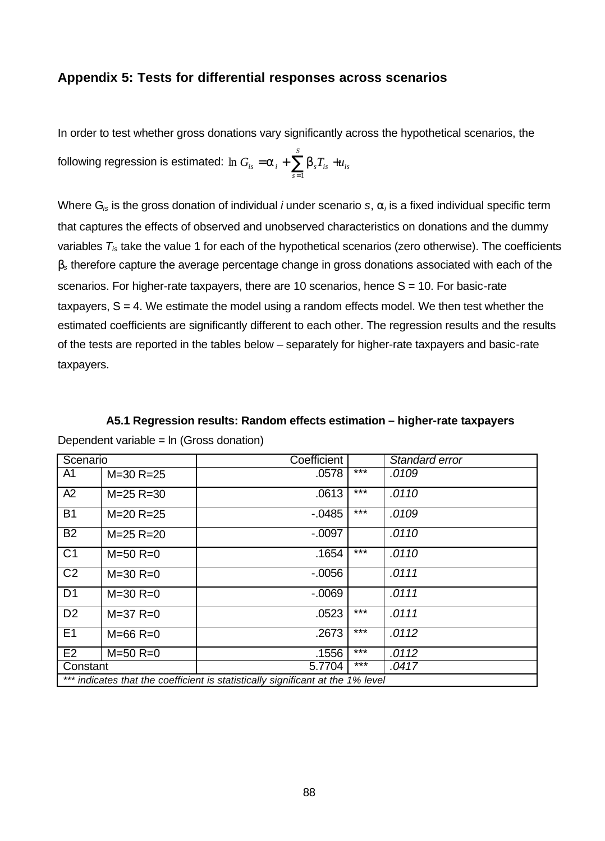#### **Appendix 5: Tests for differential responses across scenarios**

In order to test whether gross donations vary significantly across the hypothetical scenarios, the

following regression is estimated:  $\ln G_{_{ls}}=$   $\bm{a}_{_l}+$   $\sum \bm{b}_{_s}T_{_{ls}}$   $+u_{_{ls}}$ *S*  $G_{is} = a_i + \sum_{s=1}^{n} b_s T_{is} + u$  $= a_{i} + \sum b_{s} T_{is} +$ 1  $\ln G_{is} = a_i + \sum b_i$ 

Where G*is* is the gross donation of individual *i* under scenario *s*, *a<sup>i</sup>* is a fixed individual specific term that captures the effects of observed and unobserved characteristics on donations and the dummy variables *Tis* take the value 1 for each of the hypothetical scenarios (zero otherwise). The coefficients *b<sup>s</sup>* therefore capture the average percentage change in gross donations associated with each of the scenarios. For higher-rate taxpayers, there are 10 scenarios, hence  $S = 10$ . For basic-rate taxpayers,  $S = 4$ . We estimate the model using a random effects model. We then test whether the estimated coefficients are significantly different to each other. The regression results and the results of the tests are reported in the tables below – separately for higher-rate taxpayers and basic-rate taxpayers.

**A5.1 Regression results: Random effects estimation – higher-rate taxpayers**

| Scenario                                                                        |                 | Coefficient |       | Standard error |  |  |
|---------------------------------------------------------------------------------|-----------------|-------------|-------|----------------|--|--|
| A1                                                                              | $M = 30 R = 25$ | .0578       | $***$ | .0109          |  |  |
| A2                                                                              | $M = 25$ R=30   | .0613       | $***$ | .0110          |  |  |
| <b>B1</b>                                                                       | $M = 20 R = 25$ | $-0.0485$   | $***$ | .0109          |  |  |
| <b>B2</b>                                                                       | $M = 25 R = 20$ | $-0.097$    |       | .0110          |  |  |
| C <sub>1</sub>                                                                  | $M = 50 R = 0$  | .1654       | $***$ | .0110          |  |  |
| C <sub>2</sub>                                                                  | $M = 30 R = 0$  | $-0.0056$   |       | .0111          |  |  |
| D <sub>1</sub>                                                                  | $M = 30 R = 0$  | $-0.069$    |       | .0111          |  |  |
| D <sub>2</sub>                                                                  | $M = 37 R = 0$  | .0523       | $***$ | .0111          |  |  |
| E1                                                                              | $M = 66$ R=0    | .2673       | $***$ | .0112          |  |  |
| E2                                                                              | $M = 50$ R=0    | .1556       | $***$ | .0112          |  |  |
| Constant                                                                        |                 | 5.7704      | $***$ | .0417          |  |  |
| *** indicates that the coefficient is statistically significant at the 1% level |                 |             |       |                |  |  |

Dependent variable = ln (Gross donation)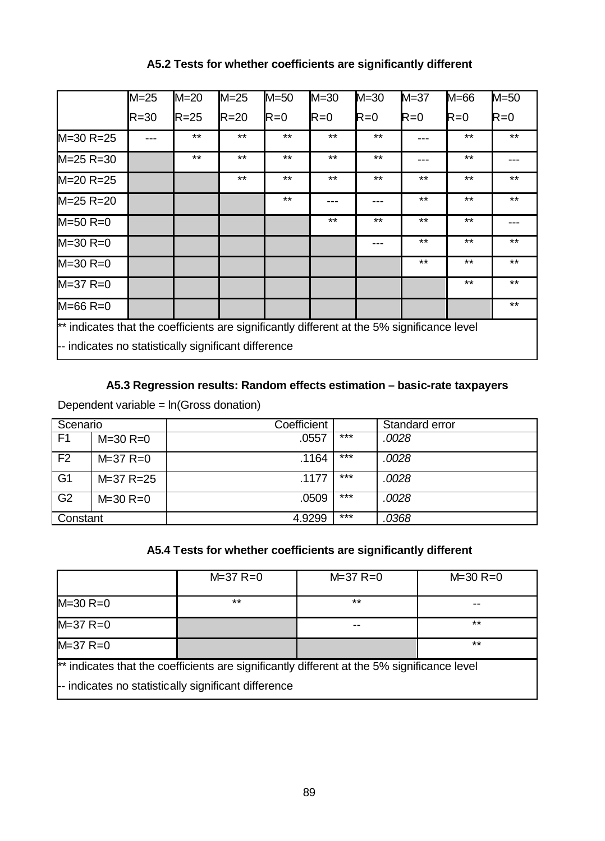## **A5.2 Tests for whether coefficients are significantly different**

|                                                                                             | $M = 25$ | $M = 20$ | $M = 25$ | $M = 50$ | $M = 30$ | $M = 30$ | $M = 37$ | $M=66$ | $M = 50$ |
|---------------------------------------------------------------------------------------------|----------|----------|----------|----------|----------|----------|----------|--------|----------|
|                                                                                             | $R = 30$ | $R = 25$ | $R = 20$ | $R=0$    | $R=0$    | $R=0$    | $R=0$    | $R=0$  | $R=0$    |
| $M = 30 R = 25$                                                                             |          | $***$    | $***$    | $***$    | $***$    | $***$    |          | $***$  | $***$    |
| $M = 25 R = 30$                                                                             |          | $***$    | $***$    | $***$    | $***$    | $***$    | ---      | $***$  |          |
| $M = 20 R = 25$                                                                             |          |          | $***$    | $***$    | $***$    | $***$    | $***$    | $***$  | $***$    |
| $M = 25 R = 20$                                                                             |          |          |          | $***$    |          |          | $***$    | $***$  | $***$    |
| $M = 50 R = 0$                                                                              |          |          |          |          | $***$    | $***$    | $***$    | $***$  |          |
| $M = 30 R = 0$                                                                              |          |          |          |          |          | ---      | $***$    | $***$  | $***$    |
| $M = 30 R = 0$                                                                              |          |          |          |          |          |          | $***$    | $***$  | $***$    |
| $M = 37 R = 0$                                                                              |          |          |          |          |          |          |          | $***$  | $***$    |
| $M = 66 R = 0$                                                                              |          |          |          |          |          |          |          |        | $***$    |
| ** indicates that the coefficients are significantly different at the 5% significance level |          |          |          |          |          |          |          |        |          |
| -- indicates no statistically significant difference                                        |          |          |          |          |          |          |          |        |          |

## **A5.3 Regression results: Random effects estimation – basic-rate taxpayers**

Dependent variable = ln(Gross donation)

| Scenario       |                | Coefficient |     | Standard error |
|----------------|----------------|-------------|-----|----------------|
| F <sub>1</sub> | $M = 30 R = 0$ | .0557       | *** | .0028          |
| F <sub>2</sub> | $M = 37 R = 0$ | .1164       | *** | .0028          |
| G <sub>1</sub> | M=37 R=25      | .1177       | *** | .0028          |
| G <sub>2</sub> | $M = 30 R = 0$ | .0509       | *** | .0028          |
| Constant       |                | 4.9299      | *** | .0368          |

## **A5.4 Tests for whether coefficients are significantly different**

|                                                                                             | $M = 37 R = 0$ | $M = 37 R = 0$ | $M = 30 R = 0$ |  |  |  |
|---------------------------------------------------------------------------------------------|----------------|----------------|----------------|--|--|--|
| $M = 30 R = 0$                                                                              | $***$          | $***$          |                |  |  |  |
| $M = 37 R = 0$                                                                              |                |                | $***$          |  |  |  |
| $M = 37 R = 0$                                                                              |                |                | $***$          |  |  |  |
| ** indicates that the coefficients are significantly different at the 5% significance level |                |                |                |  |  |  |
| -- indicates no statistically significant difference                                        |                |                |                |  |  |  |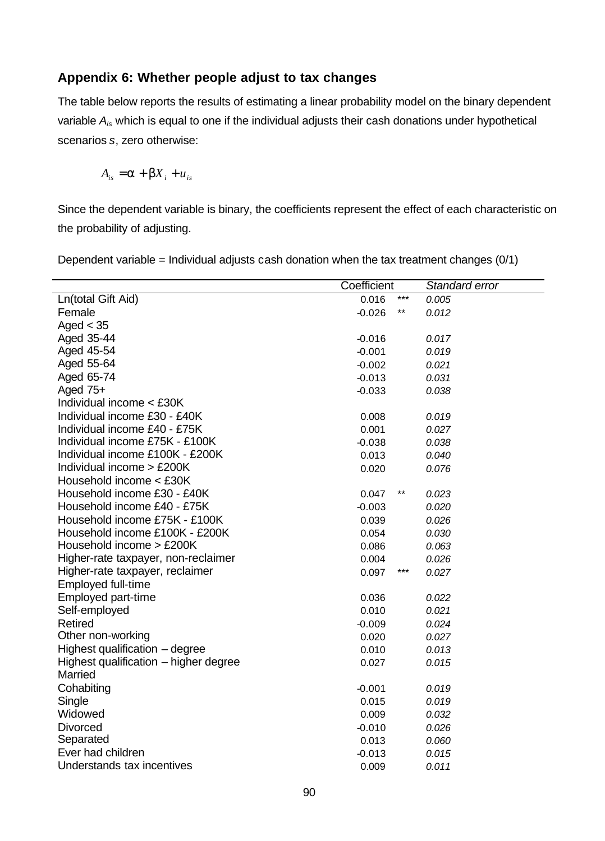## **Appendix 6: Whether people adjust to tax changes**

The table below reports the results of estimating a linear probability model on the binary dependent variable *Ais* which is equal to one if the individual adjusts their cash donations under hypothetical scenarios *s*, zero otherwise:

$$
A_{is} = \mathbf{a} + \mathbf{b}X_i + u_{is}
$$

Since the dependent variable is binary, the coefficients represent the effect of each characteristic on the probability of adjusting.

Dependent variable = Individual adjusts cash donation when the tax treatment changes  $(0/1)$ 

|                                       | Coefficient |     | Standard error |
|---------------------------------------|-------------|-----|----------------|
| Ln(total Gift Aid)                    | 0.016       | *** | 0.005          |
| Female                                | $-0.026$    | **  | 0.012          |
| Aged $<$ 35                           |             |     |                |
| Aged 35-44                            | $-0.016$    |     | 0.017          |
| Aged 45-54                            | $-0.001$    |     | 0.019          |
| Aged 55-64                            | $-0.002$    |     | 0.021          |
| Aged 65-74                            | $-0.013$    |     | 0.031          |
| Aged $75+$                            | $-0.033$    |     | 0.038          |
| Individual income < £30K              |             |     |                |
| Individual income £30 - £40K          | 0.008       |     | 0.019          |
| Individual income £40 - £75K          | 0.001       |     | 0.027          |
| Individual income £75K - £100K        | $-0.038$    |     | 0.038          |
| Individual income £100K - £200K       | 0.013       |     | 0.040          |
| Individual income > £200K             | 0.020       |     | 0.076          |
| Household income < £30K               |             |     |                |
| Household income £30 - £40K           | 0.047       | **  | 0.023          |
| Household income £40 - £75K           | $-0.003$    |     | 0.020          |
| Household income £75K - £100K         | 0.039       |     | 0.026          |
| Household income £100K - £200K        | 0.054       |     | 0.030          |
| Household income > £200K              | 0.086       |     | 0.063          |
| Higher-rate taxpayer, non-reclaimer   | 0.004       |     | 0.026          |
| Higher-rate taxpayer, reclaimer       | 0.097       | *** | 0.027          |
| Employed full-time                    |             |     |                |
| Employed part-time                    | 0.036       |     | 0.022          |
| Self-employed                         | 0.010       |     | 0.021          |
| <b>Retired</b>                        | $-0.009$    |     | 0.024          |
| Other non-working                     | 0.020       |     | 0.027          |
| Highest qualification - degree        | 0.010       |     | 0.013          |
| Highest qualification – higher degree | 0.027       |     | 0.015          |
| Married                               |             |     |                |
| Cohabiting                            | $-0.001$    |     | 0.019          |
| Single                                | 0.015       |     | 0.019          |
| Widowed                               | 0.009       |     | 0.032          |
| <b>Divorced</b>                       | $-0.010$    |     | 0.026          |
| Separated                             | 0.013       |     | 0.060          |
| Ever had children                     | $-0.013$    |     | 0.015          |
| Understands tax incentives            | 0.009       |     | 0.011          |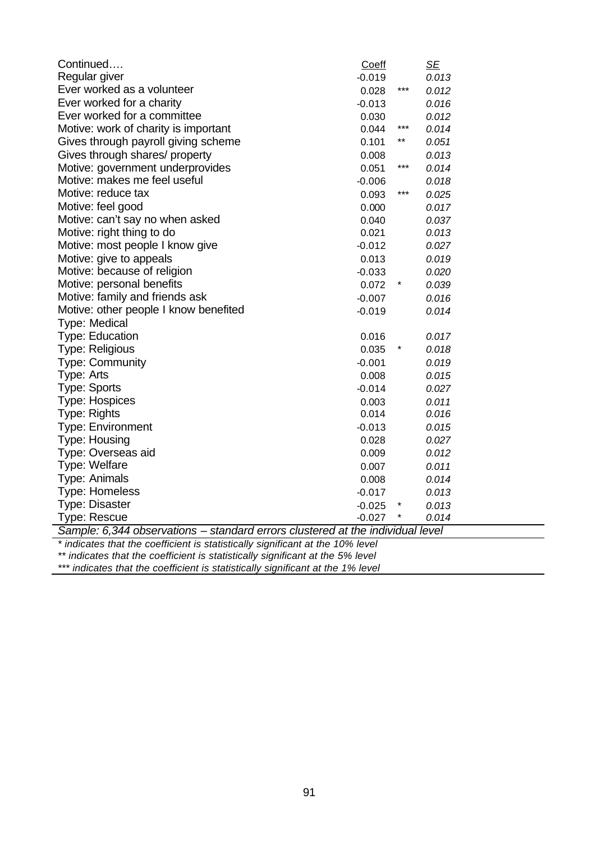| Continued                                                                      | <b>Coeff</b> |        | <u>SE</u> |
|--------------------------------------------------------------------------------|--------------|--------|-----------|
| Regular giver                                                                  | $-0.019$     |        | 0.013     |
| Ever worked as a volunteer                                                     | 0.028        | ***    | 0.012     |
| Ever worked for a charity                                                      | $-0.013$     |        | 0.016     |
| Ever worked for a committee                                                    | 0.030        |        | 0.012     |
| Motive: work of charity is important                                           | 0.044        | $***$  | 0.014     |
| Gives through payroll giving scheme                                            | 0.101        | $***$  | 0.051     |
| Gives through shares/ property                                                 | 0.008        |        | 0.013     |
| Motive: government underprovides                                               | 0.051        | $***$  | 0.014     |
| Motive: makes me feel useful                                                   | $-0.006$     |        | 0.018     |
| Motive: reduce tax                                                             | 0.093        | $***$  | 0.025     |
| Motive: feel good                                                              | 0.000        |        | 0.017     |
| Motive: can't say no when asked                                                | 0.040        |        | 0.037     |
| Motive: right thing to do                                                      | 0.021        |        | 0.013     |
| Motive: most people I know give                                                | $-0.012$     |        | 0.027     |
| Motive: give to appeals                                                        | 0.013        |        | 0.019     |
| Motive: because of religion                                                    | $-0.033$     |        | 0.020     |
| Motive: personal benefits                                                      | 0.072        | $\ast$ | 0.039     |
| Motive: family and friends ask                                                 | $-0.007$     |        | 0.016     |
| Motive: other people I know benefited                                          | $-0.019$     |        | 0.014     |
| Type: Medical                                                                  |              |        |           |
| <b>Type: Education</b>                                                         | 0.016        |        | 0.017     |
| <b>Type: Religious</b>                                                         | 0.035        | $\ast$ | 0.018     |
| <b>Type: Community</b>                                                         | $-0.001$     |        | 0.019     |
| Type: Arts                                                                     | 0.008        |        | 0.015     |
| <b>Type: Sports</b>                                                            | $-0.014$     |        | 0.027     |
| <b>Type: Hospices</b>                                                          | 0.003        |        | 0.011     |
| <b>Type: Rights</b>                                                            | 0.014        |        | 0.016     |
| <b>Type: Environment</b>                                                       | $-0.013$     |        | 0.015     |
| <b>Type: Housing</b>                                                           | 0.028        |        | 0.027     |
| Type: Overseas aid                                                             | 0.009        |        | 0.012     |
| Type: Welfare                                                                  | 0.007        |        | 0.011     |
| Type: Animals                                                                  | 0.008        |        | 0.014     |
| <b>Type: Homeless</b>                                                          | $-0.017$     |        | 0.013     |
| <b>Type: Disaster</b>                                                          | $-0.025$     | $\ast$ | 0.013     |
| <b>Type: Rescue</b>                                                            | $-0.027$     |        | 0.014     |
| Sample: 6,344 observations - standard errors clustered at the individual level |              |        |           |
| * indicatos that the coefficient is statistically significant at the 10% level |              |        |           |

*\* indicates that the coefficient is statistically significant at the 10% level*

*\*\* indicates that the coefficient is statistically significant at the 5% level*

*\*\*\* indicates that the coefficient is statistically significant at the 1% level*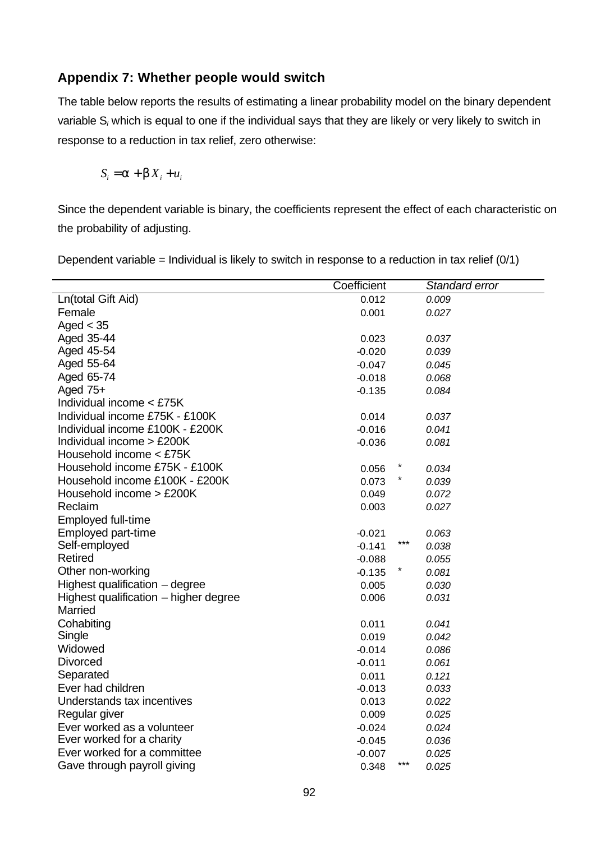## **Appendix 7: Whether people would switch**

The table below reports the results of estimating a linear probability model on the binary dependent variable S*<sup>i</sup>* which is equal to one if the individual says that they are likely or very likely to switch in response to a reduction in tax relief, zero otherwise:

$$
S_i = \mathbf{a} + \mathbf{b} X_i + u_i
$$

Since the dependent variable is binary, the coefficients represent the effect of each characteristic on the probability of adjusting.

Dependent variable = Individual is likely to switch in response to a reduction in tax relief (0/1)

|                                       | Coefficient |       | Standard error |
|---------------------------------------|-------------|-------|----------------|
| Ln(total Gift Aid)                    | 0.012       |       | 0.009          |
| Female                                | 0.001       |       | 0.027          |
| Aged $<$ 35                           |             |       |                |
| Aged 35-44                            | 0.023       |       | 0.037          |
| Aged 45-54                            | $-0.020$    |       | 0.039          |
| Aged 55-64                            | $-0.047$    |       | 0.045          |
| Aged 65-74                            | $-0.018$    |       | 0.068          |
| Aged $75+$                            | $-0.135$    |       | 0.084          |
| Individual income < £75K              |             |       |                |
| Individual income £75K - £100K        | 0.014       |       | 0.037          |
| Individual income £100K - £200K       | $-0.016$    |       | 0.041          |
| Individual income $>$ £200K           | $-0.036$    |       | 0.081          |
| Household income < £75K               |             |       |                |
| Household income £75K - £100K         | 0.056       |       | 0.034          |
| Household income £100K - £200K        | 0.073       |       | 0.039          |
| Household income > £200K              | 0.049       |       | 0.072          |
| Reclaim                               | 0.003       |       | 0.027          |
| Employed full-time                    |             |       |                |
| Employed part-time                    | $-0.021$    |       | 0.063          |
| Self-employed                         | $-0.141$    | $***$ | 0.038          |
| <b>Retired</b>                        | $-0.088$    |       | 0.055          |
| Other non-working                     | $-0.135$    |       | 0.081          |
| Highest qualification - degree        | 0.005       |       | 0.030          |
| Highest qualification – higher degree | 0.006       |       | 0.031          |
| Married                               |             |       |                |
| Cohabiting                            | 0.011       |       | 0.041          |
| Single                                | 0.019       |       | 0.042          |
| Widowed                               | $-0.014$    |       | 0.086          |
| <b>Divorced</b>                       | $-0.011$    |       | 0.061          |
| Separated                             | 0.011       |       | 0.121          |
| Ever had children                     | $-0.013$    |       | 0.033          |
| Understands tax incentives            | 0.013       |       | 0.022          |
| Regular giver                         | 0.009       |       | 0.025          |
| Ever worked as a volunteer            | $-0.024$    |       | 0.024          |
| Ever worked for a charity             | $-0.045$    |       | 0.036          |
| Ever worked for a committee           | $-0.007$    |       | 0.025          |
| Gave through payroll giving           | 0.348       | $***$ | 0.025          |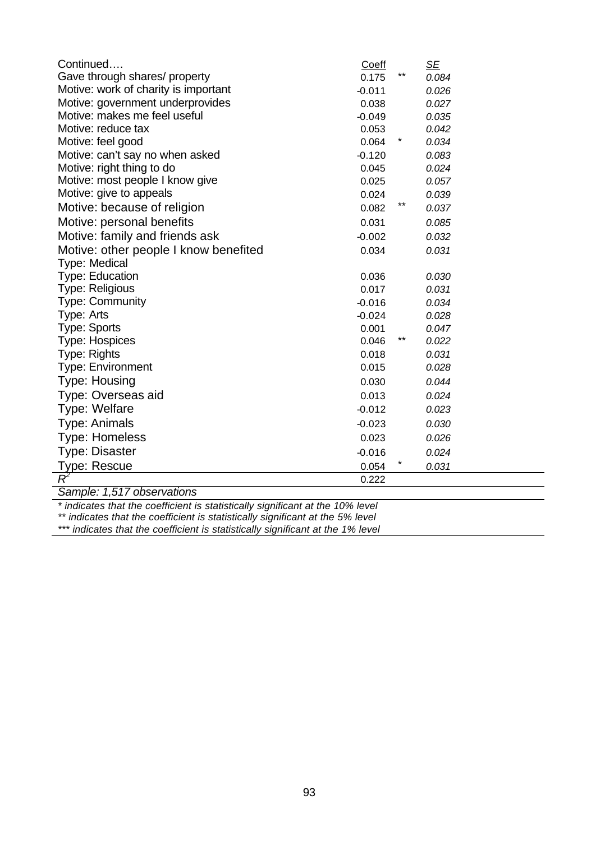| Continued                             | Coeff    |        | <u>SE</u> |
|---------------------------------------|----------|--------|-----------|
| Gave through shares/ property         | 0.175    | $***$  | 0.084     |
| Motive: work of charity is important  | $-0.011$ |        | 0.026     |
| Motive: government underprovides      | 0.038    |        | 0.027     |
| Motive: makes me feel useful          | $-0.049$ |        | 0.035     |
| Motive: reduce tax                    | 0.053    |        | 0.042     |
| Motive: feel good                     | 0.064    | $\ast$ | 0.034     |
| Motive: can't say no when asked       | $-0.120$ |        | 0.083     |
| Motive: right thing to do             | 0.045    |        | 0.024     |
| Motive: most people I know give       | 0.025    |        | 0.057     |
| Motive: give to appeals               | 0.024    |        | 0.039     |
| Motive: because of religion           | 0.082    | $***$  | 0.037     |
| Motive: personal benefits             | 0.031    |        | 0.085     |
| Motive: family and friends ask        | $-0.002$ |        | 0.032     |
| Motive: other people I know benefited | 0.034    |        | 0.031     |
| Type: Medical                         |          |        |           |
| <b>Type: Education</b>                | 0.036    |        | 0.030     |
| <b>Type: Religious</b>                | 0.017    |        | 0.031     |
| <b>Type: Community</b>                | $-0.016$ |        | 0.034     |
| Type: Arts                            | $-0.024$ |        | 0.028     |
| <b>Type: Sports</b>                   | 0.001    |        | 0.047     |
| <b>Type: Hospices</b>                 | 0.046    | **     | 0.022     |
| Type: Rights                          | 0.018    |        | 0.031     |
| <b>Type: Environment</b>              | 0.015    |        | 0.028     |
| <b>Type: Housing</b>                  | 0.030    |        | 0.044     |
| Type: Overseas aid                    | 0.013    |        | 0.024     |
| Type: Welfare                         | $-0.012$ |        | 0.023     |
| <b>Type: Animals</b>                  | $-0.023$ |        | 0.030     |
| <b>Type: Homeless</b>                 | 0.023    |        | 0.026     |
| <b>Type: Disaster</b>                 | $-0.016$ |        | 0.024     |
| <b>Type: Rescue</b>                   | 0.054    |        | 0.031     |
|                                       | 0.222    |        |           |

*Sample: 1,517 observations*

*\* indicates that the coefficient is statistically significant at the 10% level*

*\*\* indicates that the coefficient is statistically significant at the 5% level*

*\*\*\* indicates that the coefficient is statistically significant at the 1% level*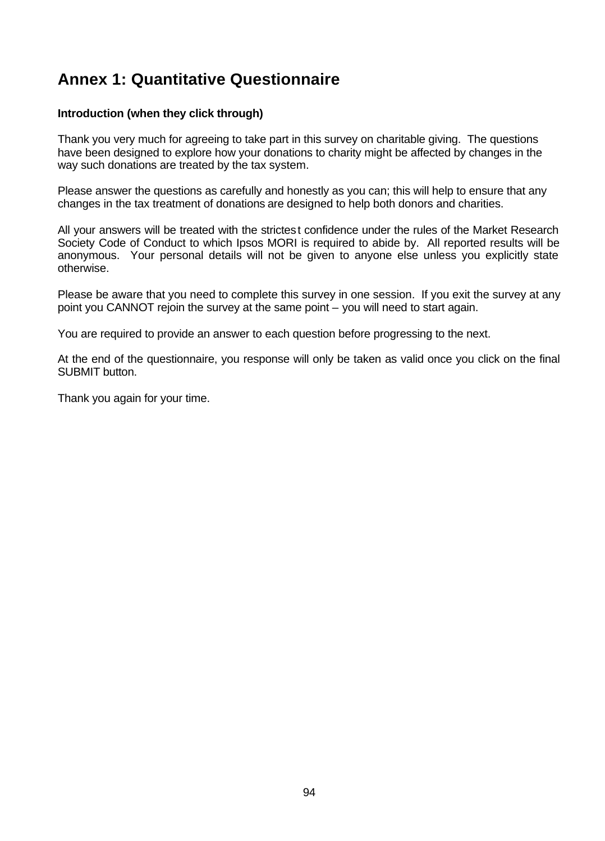# **Annex 1: Quantitative Questionnaire**

#### **Introduction (when they click through)**

Thank you very much for agreeing to take part in this survey on charitable giving. The questions have been designed to explore how your donations to charity might be affected by changes in the way such donations are treated by the tax system.

Please answer the questions as carefully and honestly as you can; this will help to ensure that any changes in the tax treatment of donations are designed to help both donors and charities.

All your answers will be treated with the strictest confidence under the rules of the Market Research Society Code of Conduct to which Ipsos MORI is required to abide by. All reported results will be anonymous. Your personal details will not be given to anyone else unless you explicitly state otherwise.

Please be aware that you need to complete this survey in one session. If you exit the survey at any point you CANNOT rejoin the survey at the same point – you will need to start again.

You are required to provide an answer to each question before progressing to the next.

At the end of the questionnaire, you response will only be taken as valid once you click on the final SUBMIT button.

Thank you again for your time.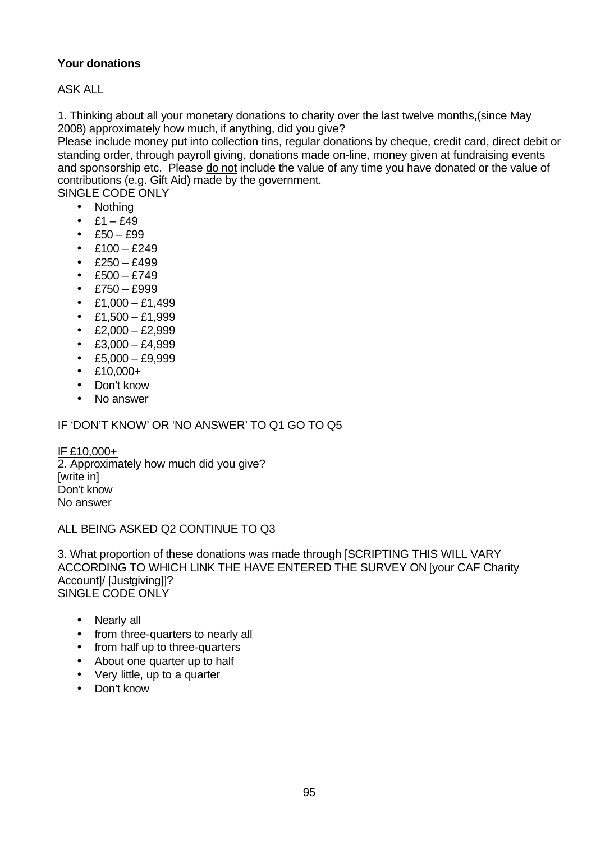## **Your donations**

ASK ALL

1. Thinking about all your monetary donations to charity over the last twelve months,(since May 2008) approximately how much, if anything, did you give?

Please include money put into collection tins, regular donations by cheque, credit card, direct debit or standing order, through payroll giving, donations made on-line, money given at fundraising events and sponsorship etc. Please do not include the value of any time you have donated or the value of contributions (e.g. Gift Aid) made by the government.

SINGLE CODE ONLY

- Nothing
- $£1 £49$
- $E50 £99$
- £100 £249
- $E250 £499$
- $\text{•}$  £500 £749
- $\text{E}750 \text{E}999$
- $£1,000 £1,499$
- $\cdot$  £1,500 £1,999
- $£2,000 £2,999$
- $£3,000 £4,999$
- $\textdegree$  £5,000 £9,999
- $•$  £10,000+
- Don't know
- No answer

#### IF 'DON'T KNOW' OR 'NO ANSWER' TO Q1 GO TO Q5

IF £10,000+ 2. Approximately how much did you give? [write in] Don't know No answer

#### ALL BEING ASKED Q2 CONTINUE TO Q3

3. What proportion of these donations was made through [SCRIPTING THIS WILL VARY ACCORDING TO WHICH LINK THE HAVE ENTERED THE SURVEY ON [your CAF Charity Account]/ [Justgiving]]? SINGLE CODE ONLY

- Nearly all
- from three-quarters to nearly all
- from half up to three-quarters
- About one quarter up to half
- Very little, up to a quarter
- Don't know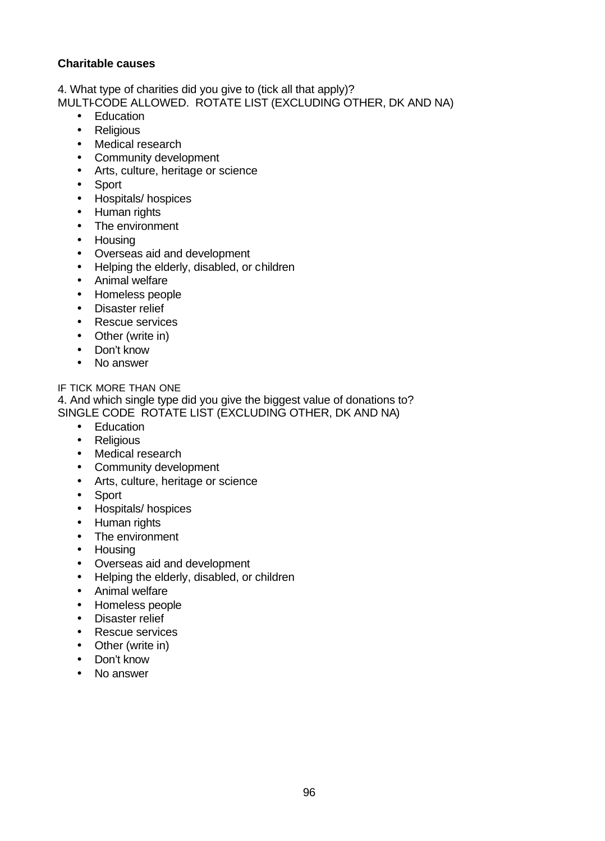#### **Charitable causes**

4. What type of charities did you give to (tick all that apply)? MULTI-CODE ALLOWED. ROTATE LIST (EXCLUDING OTHER, DK AND NA)

- Education
- Religious
- Medical research
- Community development
- Arts, culture, heritage or science
- Sport
- Hospitals/ hospices
- Human rights
- The environment
- Housing
- Overseas aid and development
- Helping the elderly, disabled, or children
- Animal welfare
- Homeless people
- Disaster relief
- Rescue services
- Other (write in)
- Don't know
- No answer

IF TICK MORE THAN ONE

4. And which single type did you give the biggest value of donations to? SINGLE CODE ROTATE LIST (EXCLUDING OTHER, DK AND NA)

- Education
- Religious
- Medical research
- Community development
- Arts, culture, heritage or science
- Sport
- Hospitals/ hospices
- Human rights
- The environment
- Housing
- Overseas aid and development
- Helping the elderly, disabled, or children
- Animal welfare
- Homeless people
- Disaster relief
- Rescue services
- Other (write in)
- Don't know
- No answer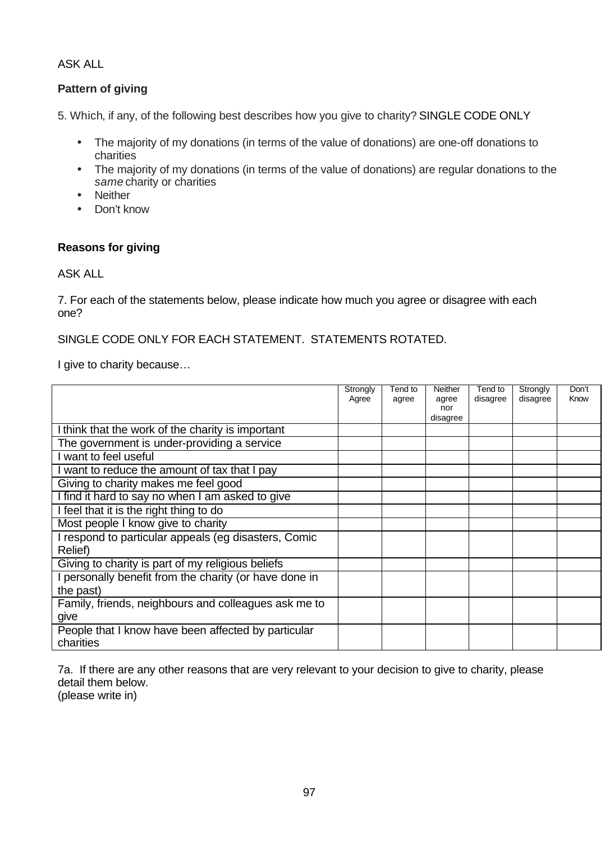### ASK ALL

## **Pattern of giving**

5. Which, if any, of the following best describes how you give to charity? SINGLE CODE ONLY

- The majority of my donations (in terms of the value of donations) are one-off donations to charities
- The majority of my donations (in terms of the value of donations) are regular donations to the *same* charity or charities
- Neither
- Don't know

#### **Reasons for giving**

#### ASK ALL

7. For each of the statements below, please indicate how much you agree or disagree with each one?

SINGLE CODE ONLY FOR EACH STATEMENT. STATEMENTS ROTATED.

I give to charity because…

|                                                                  | Strongly<br>Agree | Tend to<br>agree | Neither<br>agree<br>nor<br>disagree | Tend to<br>disagree | Strongly<br>disagree | Don't<br>Know |
|------------------------------------------------------------------|-------------------|------------------|-------------------------------------|---------------------|----------------------|---------------|
| think that the work of the charity is important                  |                   |                  |                                     |                     |                      |               |
| The government is under-providing a service                      |                   |                  |                                     |                     |                      |               |
| want to feel useful                                              |                   |                  |                                     |                     |                      |               |
| want to reduce the amount of tax that I pay                      |                   |                  |                                     |                     |                      |               |
| Giving to charity makes me feel good                             |                   |                  |                                     |                     |                      |               |
| I find it hard to say no when I am asked to give                 |                   |                  |                                     |                     |                      |               |
| I feel that it is the right thing to do                          |                   |                  |                                     |                     |                      |               |
| Most people I know give to charity                               |                   |                  |                                     |                     |                      |               |
| I respond to particular appeals (eg disasters, Comic<br>Relief)  |                   |                  |                                     |                     |                      |               |
| Giving to charity is part of my religious beliefs                |                   |                  |                                     |                     |                      |               |
| personally benefit from the charity (or have done in             |                   |                  |                                     |                     |                      |               |
| the past)                                                        |                   |                  |                                     |                     |                      |               |
| Family, friends, neighbours and colleagues ask me to             |                   |                  |                                     |                     |                      |               |
| give                                                             |                   |                  |                                     |                     |                      |               |
| People that I know have been affected by particular<br>charities |                   |                  |                                     |                     |                      |               |

7a. If there are any other reasons that are very relevant to your decision to give to charity, please detail them below.

(please write in)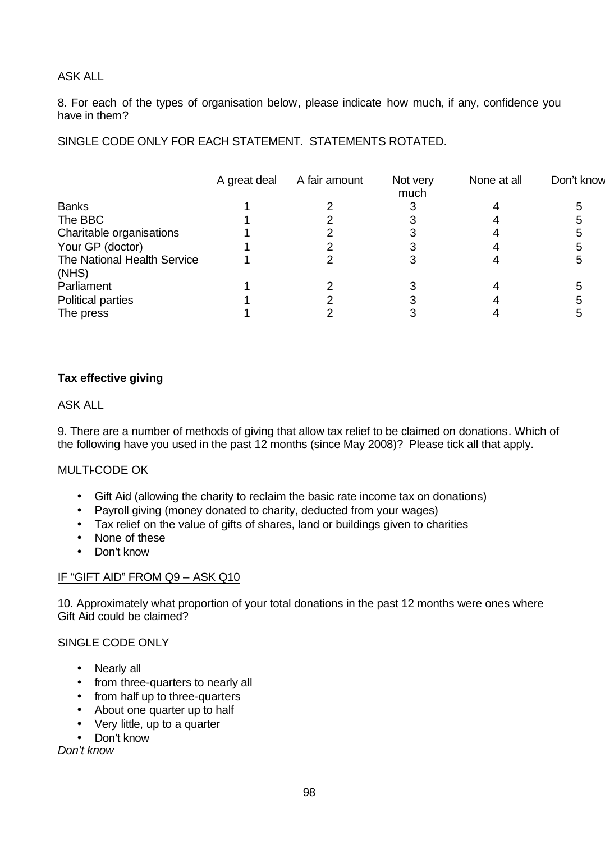#### ASK ALL

8. For each of the types of organisation below, please indicate how much, if any, confidence you have in them?

SINGLE CODE ONLY FOR EACH STATEMENT. STATEMENTS ROTATED.

|                                      | A great deal | A fair amount | Not very<br>much | None at all | Don't know |
|--------------------------------------|--------------|---------------|------------------|-------------|------------|
| <b>Banks</b>                         |              |               |                  |             |            |
| The BBC                              |              |               |                  |             |            |
| Charitable organisations             |              |               |                  |             |            |
| Your GP (doctor)                     |              |               |                  |             |            |
| The National Health Service<br>(NHS) |              |               |                  |             |            |
| Parliament                           |              |               |                  |             |            |
| <b>Political parties</b>             |              |               |                  |             |            |
| The press                            |              |               |                  |             |            |

## **Tax effective giving**

#### ASK ALL

9. There are a number of methods of giving that allow tax relief to be claimed on donations. Which of the following have you used in the past 12 months (since May 2008)? Please tick all that apply.

#### **MULTI-CODE OK**

- Gift Aid (allowing the charity to reclaim the basic rate income tax on donations)
- Payroll giving (money donated to charity, deducted from your wages)
- Tax relief on the value of gifts of shares, land or buildings given to charities
- None of these
- Don't know

#### IF "GIFT AID" FROM Q9 – ASK Q10

10. Approximately what proportion of your total donations in the past 12 months were ones where Gift Aid could be claimed?

#### SINGLE CODE ONLY

- Nearly all
- from three-quarters to nearly all
- from half up to three-quarters
- About one quarter up to half
- Very little, up to a quarter
- Don't know

#### *Don't know*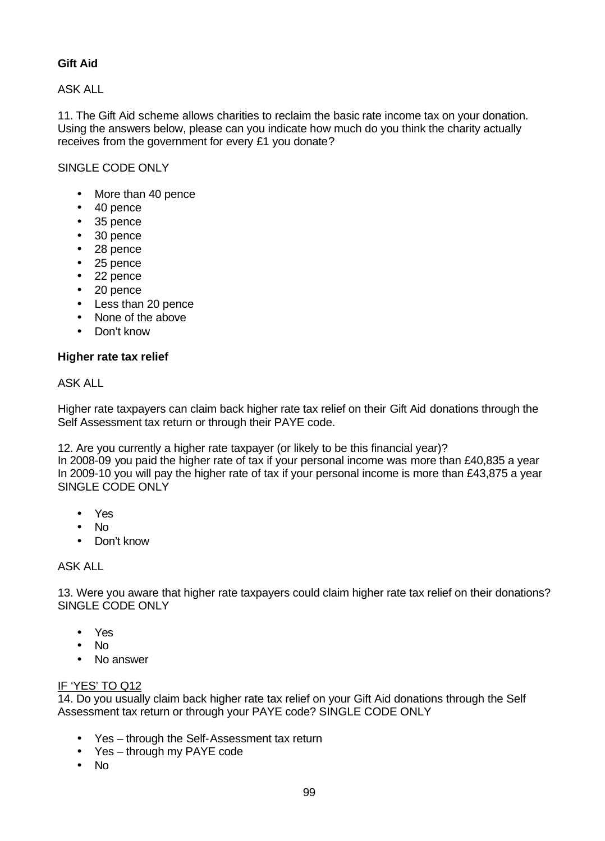### **Gift Aid**

ASK ALL

11. The Gift Aid scheme allows charities to reclaim the basic rate income tax on your donation. Using the answers below, please can you indicate how much do you think the charity actually receives from the government for every £1 you donate?

#### SINGLE CODE ONLY

- More than 40 pence
- 40 pence
- 35 pence
- 30 pence
- 28 pence
- 25 pence
- 22 pence
- 20 pence
- Less than 20 pence
- None of the above
- Don't know

#### **Higher rate tax relief**

#### ASK ALL

Higher rate taxpayers can claim back higher rate tax relief on their Gift Aid donations through the Self Assessment tax return or through their PAYE code.

12. Are you currently a higher rate taxpayer (or likely to be this financial year)?

In 2008-09 you paid the higher rate of tax if your personal income was more than £40,835 a year In 2009-10 you will pay the higher rate of tax if your personal income is more than £43,875 a year SINGLE CODE ONLY

- Yes
- No
- Don't know

#### ASK ALL

13. Were you aware that higher rate taxpayers could claim higher rate tax relief on their donations? SINGLE CODE ONLY

- Yes
- No
- No answer

#### IF 'YES' TO Q12

14. Do you usually claim back higher rate tax relief on your Gift Aid donations through the Self Assessment tax return or through your PAYE code? SINGLE CODE ONLY

- Yes through the Self-Assessment tax return
- Yes through my PAYE code
- No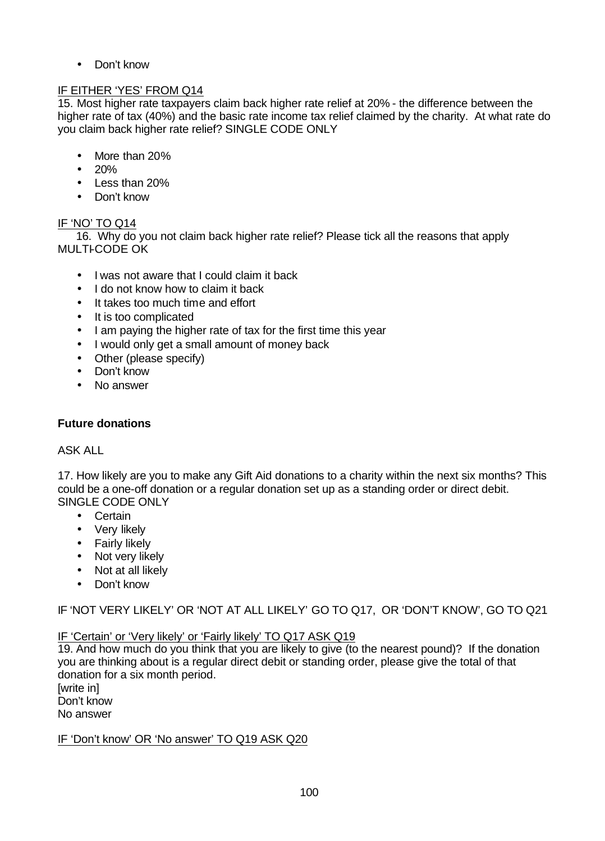• Don't know

#### IF EITHER 'YES' FROM Q14

15. Most higher rate taxpayers claim back higher rate relief at 20% - the difference between the higher rate of tax (40%) and the basic rate income tax relief claimed by the charity. At what rate do you claim back higher rate relief? SINGLE CODE ONLY

- More than 20%
- 20%
- Less than 20%
- Don't know

## IF 'NO' TO Q14

16. Why do you not claim back higher rate relief? Please tick all the reasons that apply MULTI-CODE OK

- I was not aware that I could claim it back
- I do not know how to claim it back
- It takes too much time and effort
- It is too complicated
- I am paying the higher rate of tax for the first time this year
- I would only get a small amount of money back
- Other (please specify)
- Don't know
- No answer

#### **Future donations**

#### ASK ALL

17. How likely are you to make any Gift Aid donations to a charity within the next six months? This could be a one-off donation or a regular donation set up as a standing order or direct debit. SINGLE CODE ONLY

- Certain
- Very likely
- Fairly likely
- Not very likely
- Not at all likely
- Don't know

IF 'NOT VERY LIKELY' OR 'NOT AT ALL LIKELY' GO TO Q17, OR 'DON'T KNOW', GO TO Q21

#### IF 'Certain' or 'Very likely' or 'Fairly likely' TO Q17 ASK Q19

19. And how much do you think that you are likely to give (to the nearest pound)? If the donation you are thinking about is a regular direct debit or standing order, please give the total of that donation for a six month period.

[write in] Don't know No answer

#### IF 'Don't know' OR 'No answer' TO Q19 ASK Q20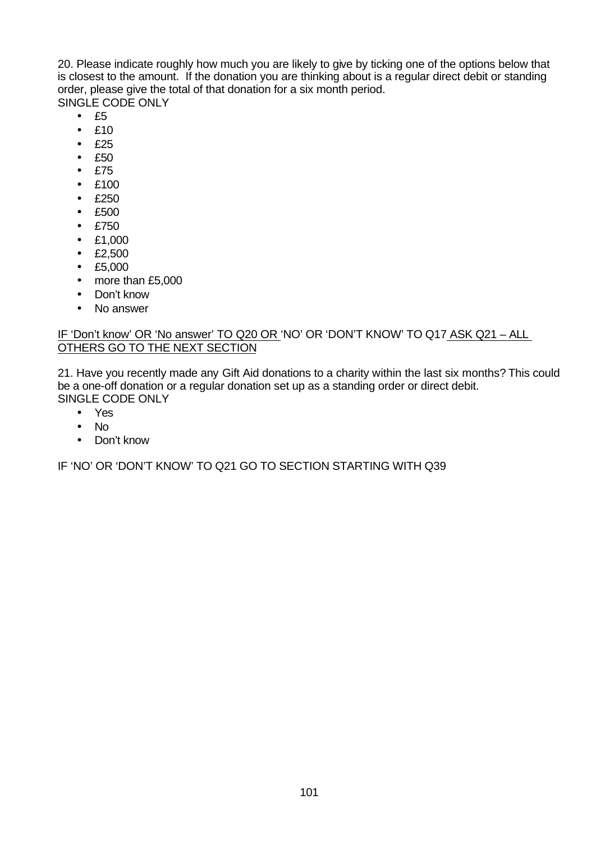20. Please indicate roughly how much you are likely to give by ticking one of the options below that is closest to the amount. If the donation you are thinking about is a regular direct debit or standing order, please give the total of that donation for a six month period.

SINGLE CODE ONLY

- $•$  £5
- £10
- £25
- £50
- £75
- £100
- £250
- £500
- £750
- £1,000
- £2,500
- £5,000
- more than £5,000
- Don't know
- No answer

#### IF 'Don't know' OR 'No answer' TO Q20 OR 'NO' OR 'DON'T KNOW' TO Q17 ASK Q21 – ALL OTHERS GO TO THE NEXT SECTION

21. Have you recently made any Gift Aid donations to a charity within the last six months? This could be a one-off donation or a regular donation set up as a standing order or direct debit. SINGLE CODE ONLY

- Yes
- No
- Don't know

IF 'NO' OR 'DON'T KNOW' TO Q21 GO TO SECTION STARTING WITH Q39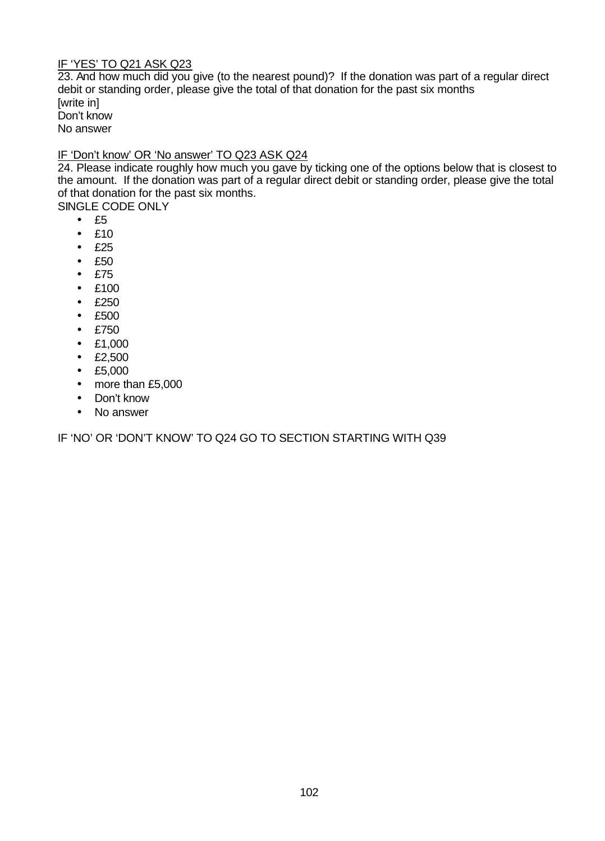#### IF 'YES' TO Q21 ASK Q23

23. And how much did you give (to the nearest pound)? If the donation was part of a regular direct debit or standing order, please give the total of that donation for the past six months [write in] Don't know No answer

#### IF 'Don't know' OR 'No answer' TO Q23 ASK Q24

24. Please indicate roughly how much you gave by ticking one of the options below that is closest to the amount. If the donation was part of a regular direct debit or standing order, please give the total of that donation for the past six months.

SINGLE CODE ONLY

- $•$  £5
- £10
- £25
- £50
- £75
- £100
- £250
- £500
- £750
- £1,000
- £2,500
- £5,000
- more than £5,000
- Don't know
- No answer

IF 'NO' OR 'DON'T KNOW' TO Q24 GO TO SECTION STARTING WITH Q39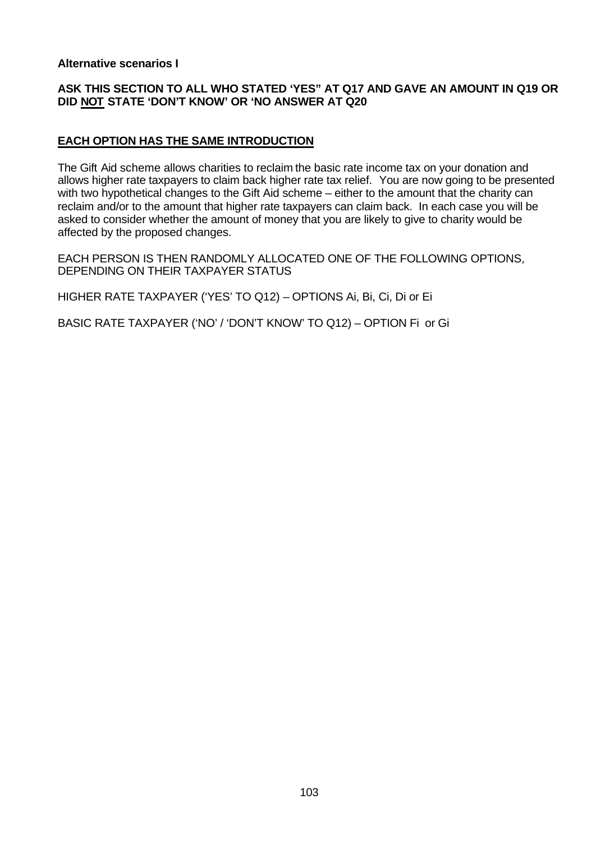#### **Alternative scenarios I**

#### **ASK THIS SECTION TO ALL WHO STATED 'YES" AT Q17 AND GAVE AN AMOUNT IN Q19 OR DID NOT STATE 'DON'T KNOW' OR 'NO ANSWER AT Q20**

#### **EACH OPTION HAS THE SAME INTRODUCTION**

The Gift Aid scheme allows charities to reclaim the basic rate income tax on your donation and allows higher rate taxpayers to claim back higher rate tax relief. You are now going to be presented with two hypothetical changes to the Gift Aid scheme – either to the amount that the charity can reclaim and/or to the amount that higher rate taxpayers can claim back. In each case you will be asked to consider whether the amount of money that you are likely to give to charity would be affected by the proposed changes.

EACH PERSON IS THEN RANDOMLY ALLOCATED ONE OF THE FOLLOWING OPTIONS, DEPENDING ON THEIR TAXPAYER STATUS

HIGHER RATE TAXPAYER ('YES' TO Q12) – OPTIONS Ai, Bi, Ci, Di or Ei

BASIC RATE TAXPAYER ('NO' / 'DON'T KNOW' TO Q12) – OPTION Fi or Gi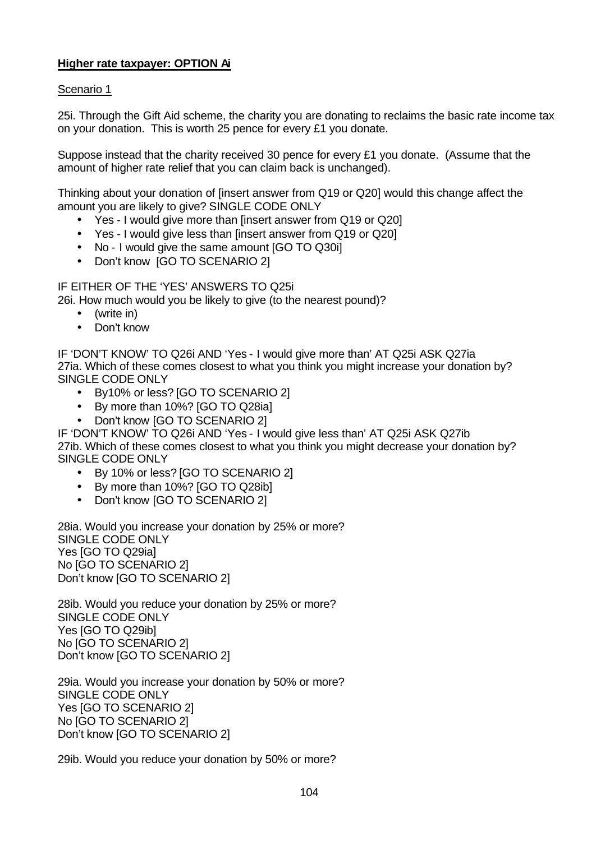## **Higher rate taxpayer: OPTION Ai**

#### Scenario 1

25i. Through the Gift Aid scheme, the charity you are donating to reclaims the basic rate income tax on your donation. This is worth 25 pence for every £1 you donate.

Suppose instead that the charity received 30 pence for every £1 you donate. (Assume that the amount of higher rate relief that you can claim back is unchanged).

Thinking about your donation of [insert answer from Q19 or Q20] would this change affect the amount you are likely to give? SINGLE CODE ONLY

- Yes I would give more than [insert answer from Q19 or Q20]
- Yes I would give less than [insert answer from Q19 or Q20]
- No I would give the same amount [GO TO Q30i]
- Don't know [GO TO SCENARIO 2]

IF EITHER OF THE 'YES' ANSWERS TO Q25i

26i. How much would you be likely to give (to the nearest pound)?

- (write in)
- Don't know

IF 'DON'T KNOW' TO Q26i AND 'Yes - I would give more than' AT Q25i ASK Q27ia 27ia. Which of these comes closest to what you think you might increase your donation by? SINGLE CODE ONLY

- By10% or less? [GO TO SCENARIO 2]
- By more than 10%? [GO TO Q28ia]
- Don't know [GO TO SCENARIO 2]

IF 'DON'T KNOW' TO Q26i AND 'Yes - I would give less than' AT Q25i ASK Q27ib 27ib. Which of these comes closest to what you think you might decrease your donation by? SINGLE CODE ONLY

- By 10% or less? [GO TO SCENARIO 2]
- By more than 10%? [GO TO Q28ib]
- Don't know [GO TO SCENARIO 2]

28ia. Would you increase your donation by 25% or more? SINGLE CODE ONLY Yes [GO TO Q29ia] No [GO TO SCENARIO 2] Don't know [GO TO SCENARIO 2]

28ib. Would you reduce your donation by 25% or more? SINGLE CODE ONLY Yes [GO TO Q29ib] No [GO TO SCENARIO 2] Don't know [GO TO SCENARIO 2]

29ia. Would you increase your donation by 50% or more? SINGLE CODE ONLY Yes [GO TO SCENARIO 2] No [GO TO SCENARIO 2] Don't know [GO TO SCENARIO 2]

29ib. Would you reduce your donation by 50% or more?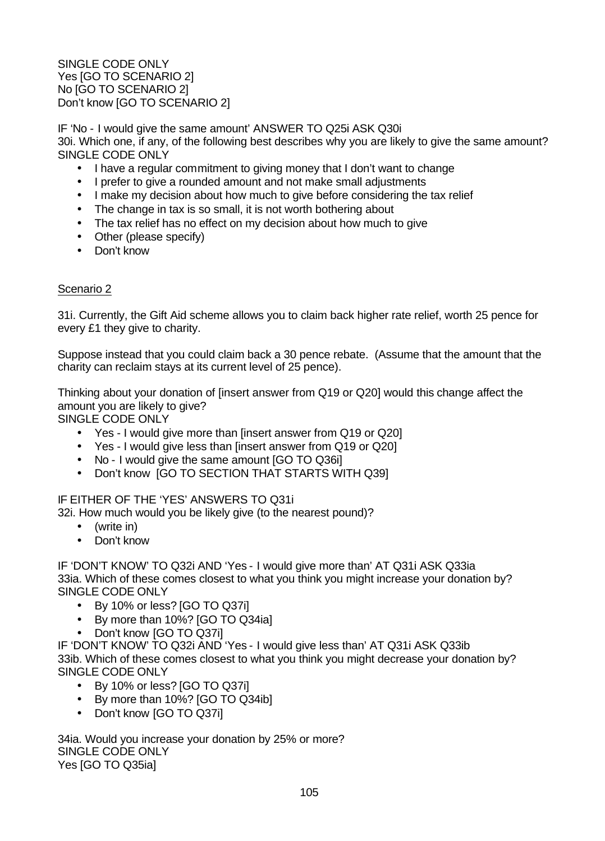SINGLE CODE ONLY Yes [GO TO SCENARIO 2] No [GO TO SCENARIO 2] Don't know [GO TO SCENARIO 2]

IF 'No - I would give the same amount' ANSWER TO Q25i ASK Q30i 30i. Which one, if any, of the following best describes why you are likely to give the same amount? SINGLE CODE ONLY

- I have a regular commitment to giving money that I don't want to change
- I prefer to give a rounded amount and not make small adjustments
- I make my decision about how much to give before considering the tax relief
- The change in tax is so small, it is not worth bothering about
- The tax relief has no effect on my decision about how much to give
- Other (please specify)
- Don't know

#### Scenario 2

31i. Currently, the Gift Aid scheme allows you to claim back higher rate relief, worth 25 pence for every £1 they give to charity.

Suppose instead that you could claim back a 30 pence rebate. (Assume that the amount that the charity can reclaim stays at its current level of 25 pence).

Thinking about your donation of [insert answer from Q19 or Q20] would this change affect the amount you are likely to give?

SINGLE CODE ONLY

- Yes I would give more than [insert answer from Q19 or Q20]
- Yes I would give less than [insert answer from Q19 or Q20]
- No I would give the same amount [GO TO Q36i]
- Don't know [GO TO SECTION THAT STARTS WITH Q39]

#### IF EITHER OF THE 'YES' ANSWERS TO Q31i

32i. How much would you be likely give (to the nearest pound)?

- (write in)
- Don't know

IF 'DON'T KNOW' TO Q32i AND 'Yes - I would give more than' AT Q31i ASK Q33ia 33ia. Which of these comes closest to what you think you might increase your donation by? SINGLE CODE ONLY

- By 10% or less? [GO TO Q37i]
- By more than 10%? [GO TO Q34ia]
- Don't know [GO TO Q37i]

IF 'DON'T KNOW' TO Q32i AND 'Yes - I would give less than' AT Q31i ASK Q33ib 33ib. Which of these comes closest to what you think you might decrease your donation by? SINGLE CODE ONLY

- By 10% or less? [GO TO Q37i]
- By more than 10%? [GO TO Q34ib]
- Don't know [GO TO Q37i]

34ia. Would you increase your donation by 25% or more? SINGLE CODE ONLY Yes [GO TO Q35ia]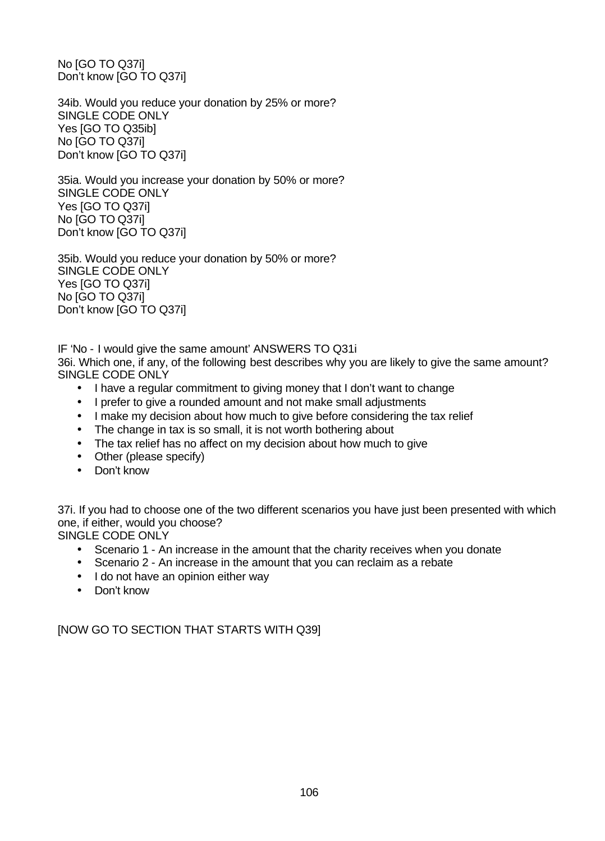No [GO TO Q37i] Don't know [GO TO Q37i]

34ib. Would you reduce your donation by 25% or more? SINGLE CODE ONLY Yes [GO TO Q35ib] No [GO TO Q37i] Don't know [GO TO Q37i]

35ia. Would you increase your donation by 50% or more? SINGLE CODE ONLY Yes [GO TO Q37i] No [GO TO Q37i] Don't know [GO TO Q37i]

35ib. Would you reduce your donation by 50% or more? SINGLE CODE ONLY Yes [GO TO Q37i] No [GO TO Q37i] Don't know [GO TO Q37i]

IF 'No - I would give the same amount' ANSWERS TO Q31i 36i. Which one, if any, of the following best describes why you are likely to give the same amount? SINGLE CODE ONLY

- I have a regular commitment to giving money that I don't want to change
- I prefer to give a rounded amount and not make small adjustments
- I make my decision about how much to give before considering the tax relief
- The change in tax is so small, it is not worth bothering about
- The tax relief has no affect on my decision about how much to give
- Other (please specify)
- Don't know

37i. If you had to choose one of the two different scenarios you have just been presented with which one, if either, would you choose?

SINGLE CODE ONLY

- Scenario 1 An increase in the amount that the charity receives when you donate
- Scenario 2 An increase in the amount that you can reclaim as a rebate
- I do not have an opinion either way
- Don't know

[NOW GO TO SECTION THAT STARTS WITH Q39]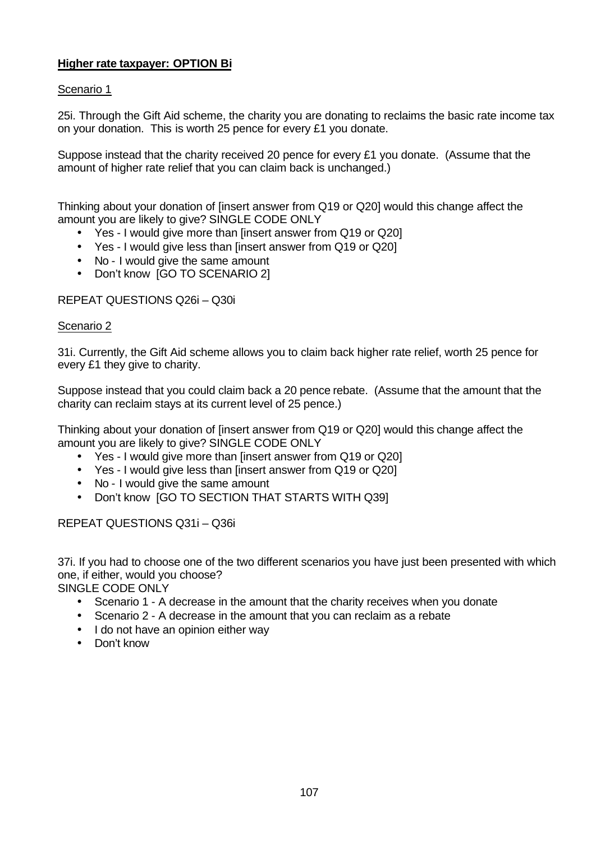## **Higher rate taxpayer: OPTION Bi**

#### Scenario 1

25i. Through the Gift Aid scheme, the charity you are donating to reclaims the basic rate income tax on your donation. This is worth 25 pence for every £1 you donate.

Suppose instead that the charity received 20 pence for every £1 you donate. (Assume that the amount of higher rate relief that you can claim back is unchanged.)

Thinking about your donation of [insert answer from Q19 or Q20] would this change affect the amount you are likely to give? SINGLE CODE ONLY

- Yes I would give more than [insert answer from Q19 or Q20]
- Yes I would give less than [insert answer from Q19 or Q20]
- No I would give the same amount
- Don't know [GO TO SCENARIO 2]

#### REPEAT QUESTIONS Q26i – Q30i

#### Scenario 2

31i. Currently, the Gift Aid scheme allows you to claim back higher rate relief, worth 25 pence for every £1 they give to charity.

Suppose instead that you could claim back a 20 pence rebate. (Assume that the amount that the charity can reclaim stays at its current level of 25 pence.)

Thinking about your donation of [insert answer from Q19 or Q20] would this change affect the amount you are likely to give? SINGLE CODE ONLY

- Yes I would give more than [insert answer from Q19 or Q20]
- Yes I would give less than [insert answer from Q19 or Q20]
- No I would give the same amount
- Don't know [GO TO SECTION THAT STARTS WITH Q39]

#### REPEAT QUESTIONS Q31i – Q36i

37i. If you had to choose one of the two different scenarios you have just been presented with which one, if either, would you choose?

SINGLE CODE ONLY

- Scenario 1 A decrease in the amount that the charity receives when you donate
- Scenario 2 A decrease in the amount that you can reclaim as a rebate
- I do not have an opinion either way
- Don't know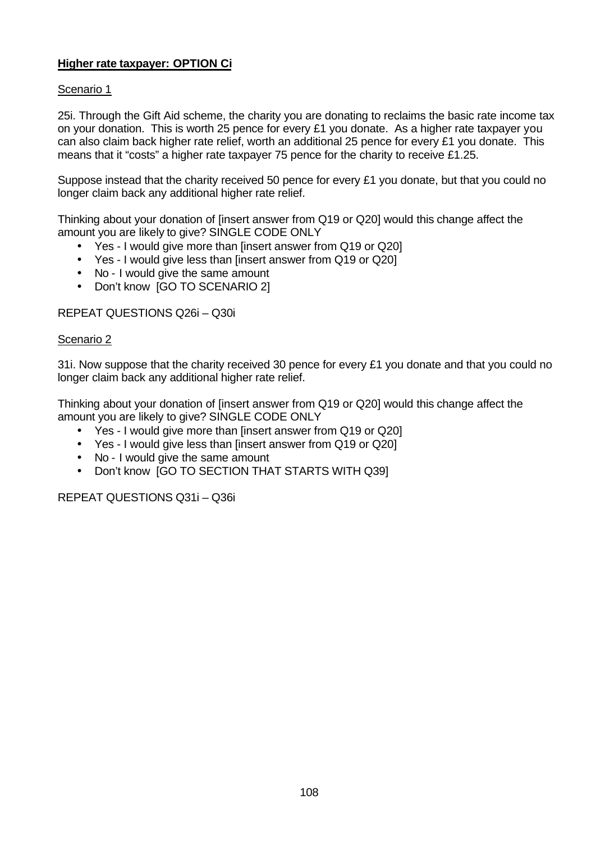## **Higher rate taxpayer: OPTION Ci**

#### Scenario 1

25i. Through the Gift Aid scheme, the charity you are donating to reclaims the basic rate income tax on your donation. This is worth 25 pence for every £1 you donate. As a higher rate taxpayer you can also claim back higher rate relief, worth an additional 25 pence for every £1 you donate. This means that it "costs" a higher rate taxpayer 75 pence for the charity to receive £1.25.

Suppose instead that the charity received 50 pence for every £1 you donate, but that you could no longer claim back any additional higher rate relief.

Thinking about your donation of [insert answer from Q19 or Q20] would this change affect the amount you are likely to give? SINGLE CODE ONLY

- Yes I would give more than [insert answer from Q19 or Q20]
- Yes I would give less than linsert answer from Q19 or Q201
- No I would give the same amount
- Don't know [GO TO SCENARIO 2]

#### REPEAT QUESTIONS Q26i – Q30i

#### Scenario 2

31i. Now suppose that the charity received 30 pence for every £1 you donate and that you could no longer claim back any additional higher rate relief.

Thinking about your donation of [insert answer from Q19 or Q20] would this change affect the amount you are likely to give? SINGLE CODE ONLY

- Yes I would give more than [insert answer from Q19 or Q20]
- Yes I would give less than linsert answer from Q19 or Q201
- No I would give the same amount
- Don't know [GO TO SECTION THAT STARTS WITH Q39]

#### REPEAT QUESTIONS Q31i – Q36i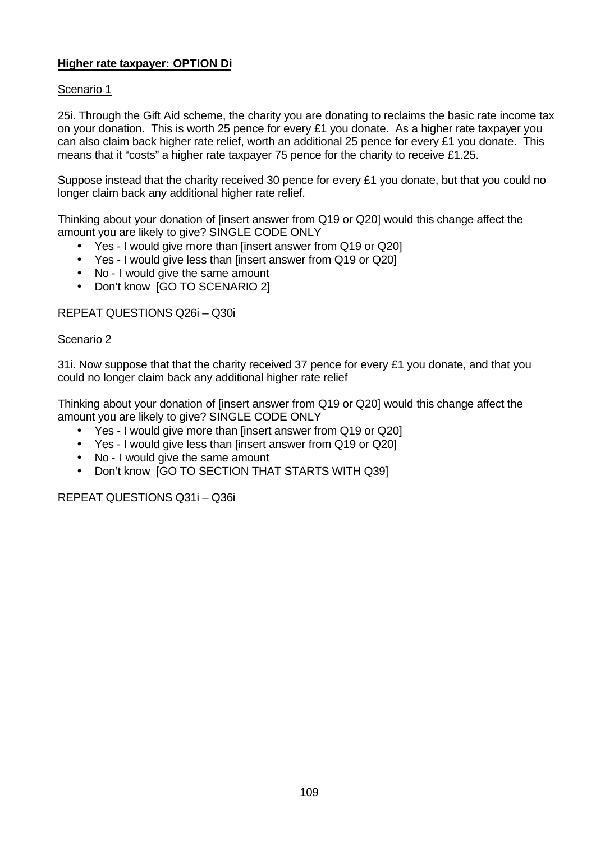# **Higher rate taxpayer: OPTION Di**

# Scenario 1

25i. Through the Gift Aid scheme, the charity you are donating to reclaims the basic rate income tax on your donation. This is worth 25 pence for every £1 you donate. As a higher rate taxpayer you can also claim back higher rate relief, worth an additional 25 pence for every £1 you donate. This means that it "costs" a higher rate taxpayer 75 pence for the charity to receive £1.25.

Suppose instead that the charity received 30 pence for every £1 you donate, but that you could no longer claim back any additional higher rate relief.

Thinking about your donation of [insert answer from Q19 or Q20] would this change affect the amount you are likely to give? SINGLE CODE ONLY

- Yes I would give more than [insert answer from Q19 or Q20]
- Yes I would give less than linsert answer from Q19 or Q201
- No I would give the same amount
- Don't know [GO TO SCENARIO 2]

#### REPEAT QUESTIONS Q26i – Q30i

#### Scenario 2

31. Now suppose that that the charity received 37 pence for every  $£1$  you donate, and that you could no longer claim back any additional higher rate relief

Thinking about your donation of [insert answer from Q19 or Q20] would this change affect the amount you are likely to give? SINGLE CODE ONLY

- Yes I would give more than [insert answer from Q19 or Q20]
- Yes I would give less than [insert answer from Q19 or Q20]
- No I would give the same amount
- Don't know [GO TO SECTION THAT STARTS WITH Q39]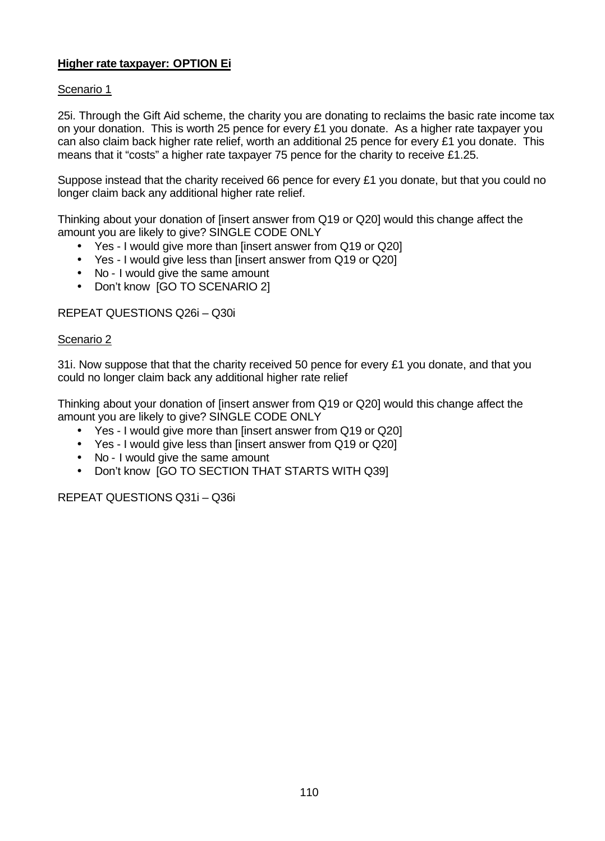# **Higher rate taxpayer: OPTION Ei**

# Scenario 1

25i. Through the Gift Aid scheme, the charity you are donating to reclaims the basic rate income tax on your donation. This is worth 25 pence for every £1 you donate. As a higher rate taxpayer you can also claim back higher rate relief, worth an additional 25 pence for every £1 you donate. This means that it "costs" a higher rate taxpayer 75 pence for the charity to receive £1.25.

Suppose instead that the charity received 66 pence for every £1 you donate, but that you could no longer claim back any additional higher rate relief.

Thinking about your donation of [insert answer from Q19 or Q20] would this change affect the amount you are likely to give? SINGLE CODE ONLY

- Yes I would give more than [insert answer from Q19 or Q20]
- Yes I would give less than linsert answer from Q19 or Q201
- No I would give the same amount
- Don't know [GO TO SCENARIO 2]

#### REPEAT QUESTIONS Q26i – Q30i

#### Scenario 2

31. Now suppose that that the charity received 50 pence for every  $£1$  you donate, and that you could no longer claim back any additional higher rate relief

Thinking about your donation of [insert answer from Q19 or Q20] would this change affect the amount you are likely to give? SINGLE CODE ONLY

- Yes I would give more than [insert answer from Q19 or Q20]
- Yes I would give less than [insert answer from Q19 or Q20]
- No I would give the same amount
- Don't know [GO TO SECTION THAT STARTS WITH Q39]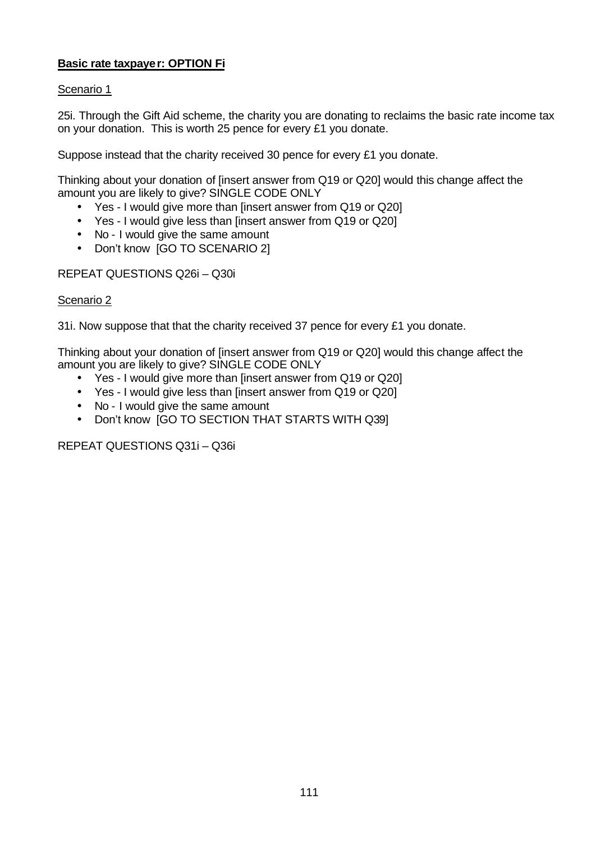# **Basic rate taxpayer: OPTION Fi**

# Scenario 1

25i. Through the Gift Aid scheme, the charity you are donating to reclaims the basic rate income tax on your donation. This is worth 25 pence for every £1 you donate.

Suppose instead that the charity received 30 pence for every £1 you donate.

Thinking about your donation of [insert answer from Q19 or Q20] would this change affect the amount you are likely to give? SINGLE CODE ONLY

- Yes I would give more than [insert answer from Q19 or Q20]
- Yes I would give less than [insert answer from Q19 or Q20]
- No I would give the same amount
- Don't know [GO TO SCENARIO 2]

REPEAT QUESTIONS Q26i – Q30i

### Scenario 2

31i. Now suppose that that the charity received 37 pence for every £1 you donate.

Thinking about your donation of [insert answer from Q19 or Q20] would this change affect the amount you are likely to give? SINGLE CODE ONLY

- Yes I would give more than [insert answer from Q19 or Q20]
- Yes I would give less than [insert answer from Q19 or Q20]
- No I would give the same amount
- Don't know [GO TO SECTION THAT STARTS WITH Q39]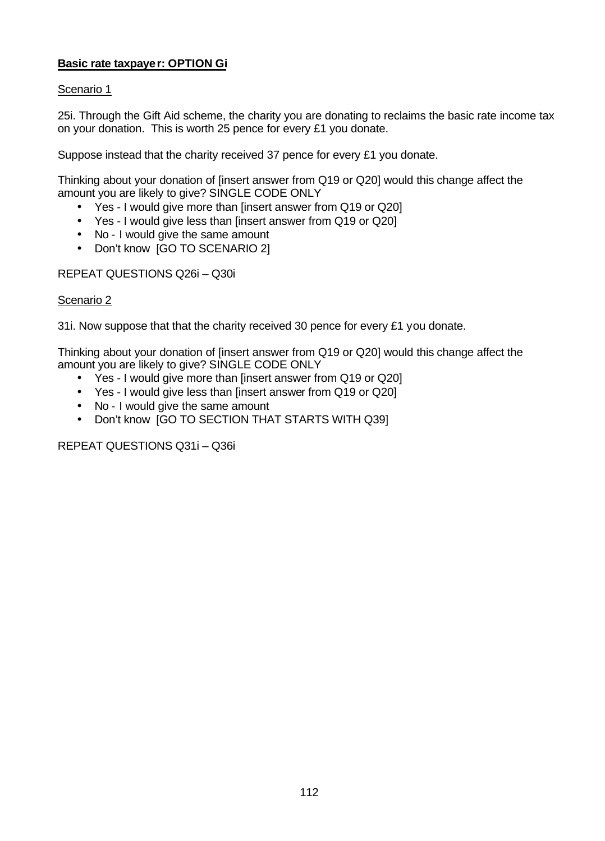# **Basic rate taxpayer: OPTION Gi**

# Scenario 1

25i. Through the Gift Aid scheme, the charity you are donating to reclaims the basic rate income tax on your donation. This is worth 25 pence for every £1 you donate.

Suppose instead that the charity received 37 pence for every £1 you donate.

Thinking about your donation of [insert answer from Q19 or Q20] would this change affect the amount you are likely to give? SINGLE CODE ONLY

- Yes I would give more than [insert answer from Q19 or Q20]
- Yes I would give less than [insert answer from Q19 or Q20]
- No I would give the same amount
- Don't know [GO TO SCENARIO 2]

REPEAT QUESTIONS Q26i – Q30i

### Scenario 2

31i. Now suppose that that the charity received 30 pence for every £1 you donate.

Thinking about your donation of [insert answer from Q19 or Q20] would this change affect the amount you are likely to give? SINGLE CODE ONLY

- Yes I would give more than [insert answer from Q19 or Q20]
- Yes I would give less than [insert answer from Q19 or Q20]
- No I would give the same amount
- Don't know [GO TO SECTION THAT STARTS WITH Q39]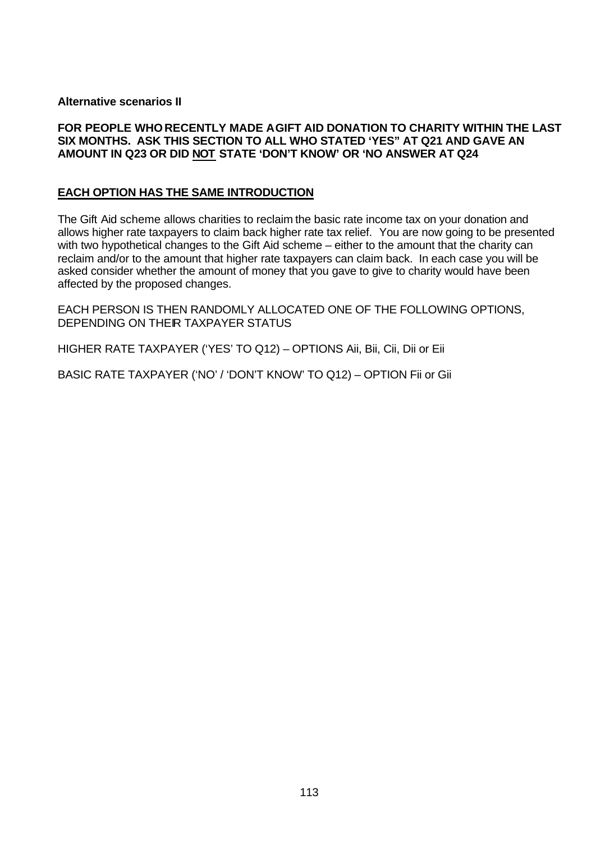#### **Alternative scenarios II**

### **FOR PEOPLE WHO RECENTLY MADE AGIFT AID DONATION TO CHARITY WITHIN THE LAST SIX MONTHS. ASK THIS SECTION TO ALL WHO STATED 'YES" AT Q21 AND GAVE AN AMOUNT IN Q23 OR DID NOT STATE 'DON'T KNOW' OR 'NO ANSWER AT Q24**

### **EACH OPTION HAS THE SAME INTRODUCTION**

The Gift Aid scheme allows charities to reclaim the basic rate income tax on your donation and allows higher rate taxpayers to claim back higher rate tax relief. You are now going to be presented with two hypothetical changes to the Gift Aid scheme – either to the amount that the charity can reclaim and/or to the amount that higher rate taxpayers can claim back. In each case you will be asked consider whether the amount of money that you gave to give to charity would have been affected by the proposed changes.

EACH PERSON IS THEN RANDOMLY ALLOCATED ONE OF THE FOLLOWING OPTIONS, DEPENDING ON THEIR TAXPAYER STATUS

HIGHER RATE TAXPAYER ('YES' TO Q12) – OPTIONS Aii, Bii, Cii, Dii or Eii

BASIC RATE TAXPAYER ('NO' / 'DON'T KNOW' TO Q12) – OPTION Fii or Gii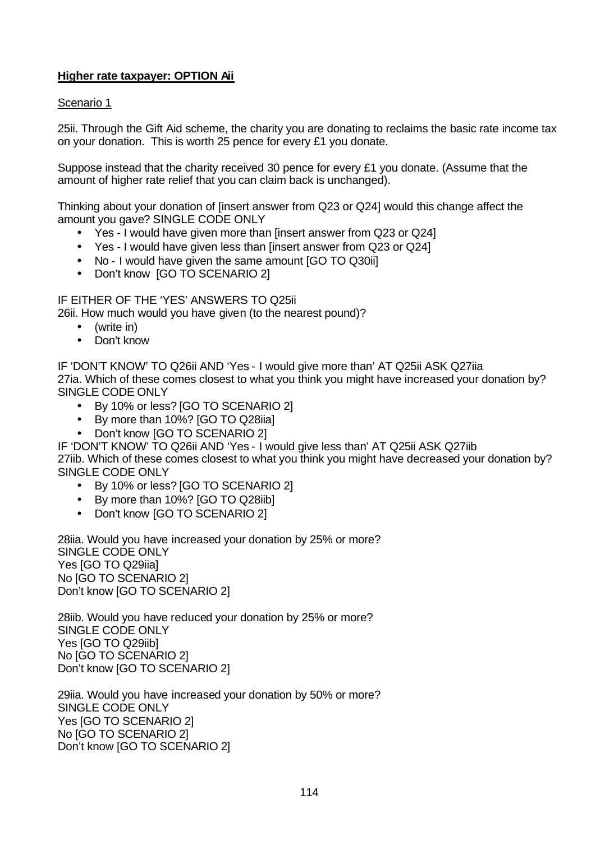# **Higher rate taxpayer: OPTION Aii**

### Scenario 1

25ii. Through the Gift Aid scheme, the charity you are donating to reclaims the basic rate income tax on your donation. This is worth 25 pence for every £1 you donate.

Suppose instead that the charity received 30 pence for every £1 you donate. (Assume that the amount of higher rate relief that you can claim back is unchanged).

Thinking about your donation of [insert answer from Q23 or Q24] would this change affect the amount you gave? SINGLE CODE ONLY

- Yes I would have given more than [insert answer from Q23 or Q24]
- Yes I would have given less than [insert answer from Q23 or Q24]
- No I would have given the same amount IGO TO Q30iil
- Don't know [GO TO SCENARIO 2]

IF EITHER OF THE 'YES' ANSWERS TO Q25ii

26ii. How much would you have given (to the nearest pound)?

- (write in)
- Don't know

IF 'DON'T KNOW' TO Q26ii AND 'Yes - I would give more than' AT Q25ii ASK Q27iia 27ia. Which of these comes closest to what you think you might have increased your donation by? SINGLE CODE ONLY

- By 10% or less? [GO TO SCENARIO 2]
- By more than 10%? [GO TO Q28iia]
- Don't know [GO TO SCENARIO 2]

IF 'DON'T KNOW' TO Q26ii AND 'Yes - I would give less than' AT Q25ii ASK Q27iib

27iib. Which of these comes closest to what you think you might have decreased your donation by? SINGLE CODE ONLY

- By 10% or less? [GO TO SCENARIO 2]
- By more than 10%? [GO TO Q28iib]
- Don't know [GO TO SCENARIO 2]

28iia. Would you have increased your donation by 25% or more? SINGLE CODE ONLY Yes [GO TO Q29iia] No [GO TO SCENARIO 2] Don't know [GO TO SCENARIO 2]

28iib. Would you have reduced your donation by 25% or more? SINGLE CODE ONLY Yes [GO TO Q29iib] No [GO TO SCENARIO 2] Don't know [GO TO SCENARIO 2]

29iia. Would you have increased your donation by 50% or more? SINGLE CODE ONLY Yes [GO TO SCENARIO 2] No [GO TO SCENARIO 2] Don't know [GO TO SCENARIO 2]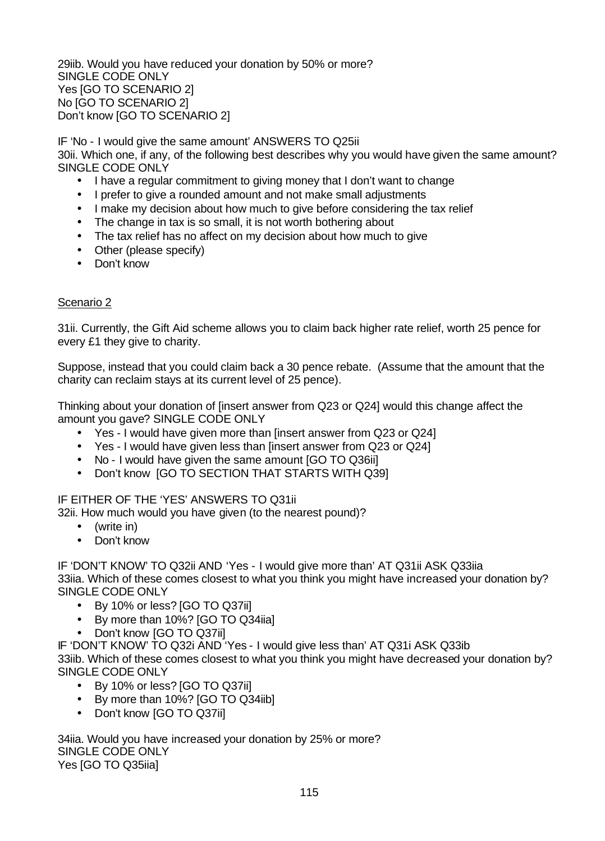29iib. Would you have reduced your donation by 50% or more? SINGLE CODE ONLY Yes [GO TO SCENARIO 2] No [GO TO SCENARIO 2] Don't know [GO TO SCENARIO 2]

IF 'No - I would give the same amount' ANSWERS TO Q25ii 30ii. Which one, if any, of the following best describes why you would have given the same amount? SINGLE CODE ONLY

- I have a regular commitment to giving money that I don't want to change
- I prefer to give a rounded amount and not make small adjustments
- I make my decision about how much to give before considering the tax relief
- The change in tax is so small, it is not worth bothering about
- The tax relief has no affect on my decision about how much to give
- Other (please specify)
- Don't know

### Scenario 2

31ii. Currently, the Gift Aid scheme allows you to claim back higher rate relief, worth 25 pence for every £1 they give to charity.

Suppose, instead that you could claim back a 30 pence rebate. (Assume that the amount that the charity can reclaim stays at its current level of 25 pence).

Thinking about your donation of [insert answer from Q23 or Q24] would this change affect the amount you gave? SINGLE CODE ONLY

- Yes I would have given more than [insert answer from Q23 or Q24]
- Yes I would have given less than [insert answer from Q23 or Q24]
- No I would have given the same amount [GO TO Q36ii]
- Don't know [GO TO SECTION THAT STARTS WITH Q39]

# IF EITHER OF THE 'YES' ANSWERS TO Q31ii

32ii. How much would you have given (to the nearest pound)?

- (write in)
- Don't know

IF 'DON'T KNOW' TO Q32ii AND 'Yes - I would give more than' AT Q31ii ASK Q33iia 33iia. Which of these comes closest to what you think you might have increased your donation by? SINGLE CODE ONLY

- By 10% or less? [GO TO Q37ii]
- By more than 10%? [GO TO Q34iia]
- Don't know [GO TO Q37ii]

IF 'DON'T KNOW' TO Q32i AND 'Yes - I would give less than' AT Q31i ASK Q33ib

33iib. Which of these comes closest to what you think you might have decreased your donation by? SINGLE CODE ONLY

- By 10% or less? [GO TO Q37ii]
- By more than 10%? [GO TO Q34iib]
- Don't know [GO TO Q37ii]

34iia. Would you have increased your donation by 25% or more? SINGLE CODE ONLY Yes [GO TO Q35iia]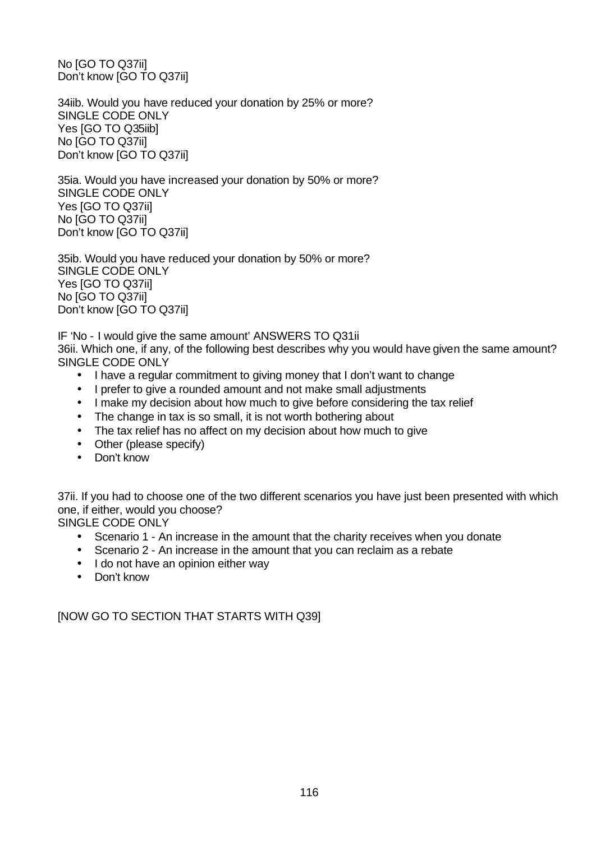No [GO TO Q37ii] Don't know [GO TO Q37ii]

34iib. Would you have reduced your donation by 25% or more? SINGLE CODE ONLY Yes [GO TO Q35iib] No [GO TO Q37ii] Don't know [GO TO Q37ii]

35ia. Would you have increased your donation by 50% or more? SINGLE CODE ONLY Yes [GO TO Q37ii] No [GO TO Q37ii] Don't know [GO TO Q37ii]

35ib. Would you have reduced your donation by 50% or more? SINGLE CODE ONLY Yes [GO TO Q37ii] No [GO TO Q37ii] Don't know [GO TO Q37ii]

IF 'No - I would give the same amount' ANSWERS TO Q31ii 36ii. Which one, if any, of the following best describes why you would have given the same amount? SINGLE CODE ONLY

- I have a regular commitment to giving money that I don't want to change
- I prefer to give a rounded amount and not make small adjustments
- I make my decision about how much to give before considering the tax relief
- The change in tax is so small, it is not worth bothering about
- The tax relief has no affect on my decision about how much to give
- Other (please specify)
- Don't know

37ii. If you had to choose one of the two different scenarios you have just been presented with which one, if either, would you choose?

SINGLE CODE ONLY

- Scenario 1 An increase in the amount that the charity receives when you donate
- Scenario 2 An increase in the amount that you can reclaim as a rebate
- I do not have an opinion either way
- Don't know

[NOW GO TO SECTION THAT STARTS WITH Q39]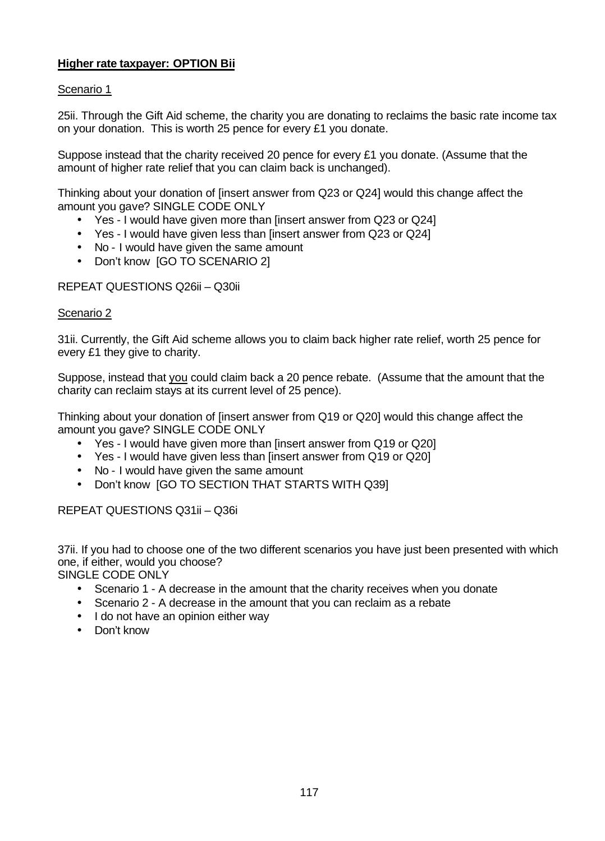# **Higher rate taxpayer: OPTION Bii**

# Scenario 1

25ii. Through the Gift Aid scheme, the charity you are donating to reclaims the basic rate income tax on your donation. This is worth 25 pence for every £1 you donate.

Suppose instead that the charity received 20 pence for every £1 you donate. (Assume that the amount of higher rate relief that you can claim back is unchanged).

Thinking about your donation of [insert answer from Q23 or Q24] would this change affect the amount you gave? SINGLE CODE ONLY

- Yes I would have given more than [insert answer from Q23 or Q24]
- Yes I would have given less than [insert answer from Q23 or Q24]
- No I would have given the same amount
- Don't know [GO TO SCENARIO 2]

# REPEAT QUESTIONS Q26ii – Q30ii

# Scenario 2

31ii. Currently, the Gift Aid scheme allows you to claim back higher rate relief, worth 25 pence for every £1 they give to charity.

Suppose, instead that you could claim back a 20 pence rebate. (Assume that the amount that the charity can reclaim stays at its current level of 25 pence).

Thinking about your donation of [insert answer from Q19 or Q20] would this change affect the amount you gave? SINGLE CODE ONLY

- Yes I would have given more than [insert answer from Q19 or Q20]
- Yes I would have given less than [insert answer from Q19 or Q20]
- No I would have given the same amount
- Don't know IGO TO SECTION THAT STARTS WITH Q391

REPEAT QUESTIONS Q31ii – Q36i

37ii. If you had to choose one of the two different scenarios you have just been presented with which one, if either, would you choose?

SINGLE CODE ONLY

- Scenario 1 A decrease in the amount that the charity receives when you donate
- Scenario 2 A decrease in the amount that you can reclaim as a rebate
- I do not have an opinion either way
- Don't know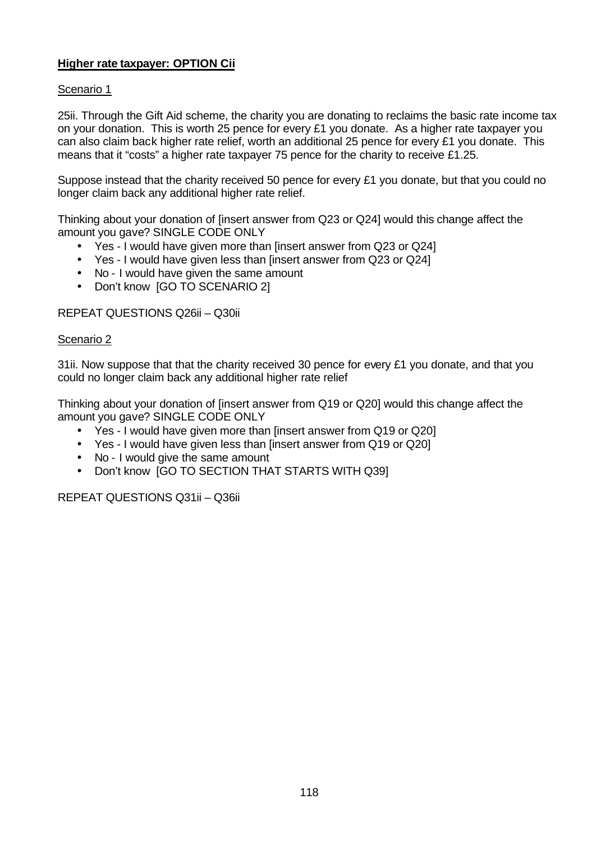# **Higher rate taxpayer: OPTION Cii**

# Scenario 1

25ii. Through the Gift Aid scheme, the charity you are donating to reclaims the basic rate income tax on your donation. This is worth 25 pence for every £1 you donate. As a higher rate taxpayer you can also claim back higher rate relief, worth an additional 25 pence for every £1 you donate. This means that it "costs" a higher rate taxpayer 75 pence for the charity to receive £1.25.

Suppose instead that the charity received 50 pence for every £1 you donate, but that you could no longer claim back any additional higher rate relief.

Thinking about your donation of [insert answer from Q23 or Q24] would this change affect the amount you gave? SINGLE CODE ONLY

- Yes I would have given more than [insert answer from Q23 or Q24]
- Yes I would have given less than linsert answer from Q23 or Q241
- No I would have given the same amount
- Don't know [GO TO SCENARIO 2]

# REPEAT QUESTIONS Q26ii – Q30ii

#### Scenario 2

31ii. Now suppose that that the charity received 30 pence for every £1 you donate, and that you could no longer claim back any additional higher rate relief

Thinking about your donation of [insert answer from Q19 or Q20] would this change affect the amount you gave? SINGLE CODE ONLY

- Yes I would have given more than [insert answer from Q19 or Q20]
- Yes I would have given less than [insert answer from Q19 or Q20]
- No I would give the same amount
- Don't know [GO TO SECTION THAT STARTS WITH Q39]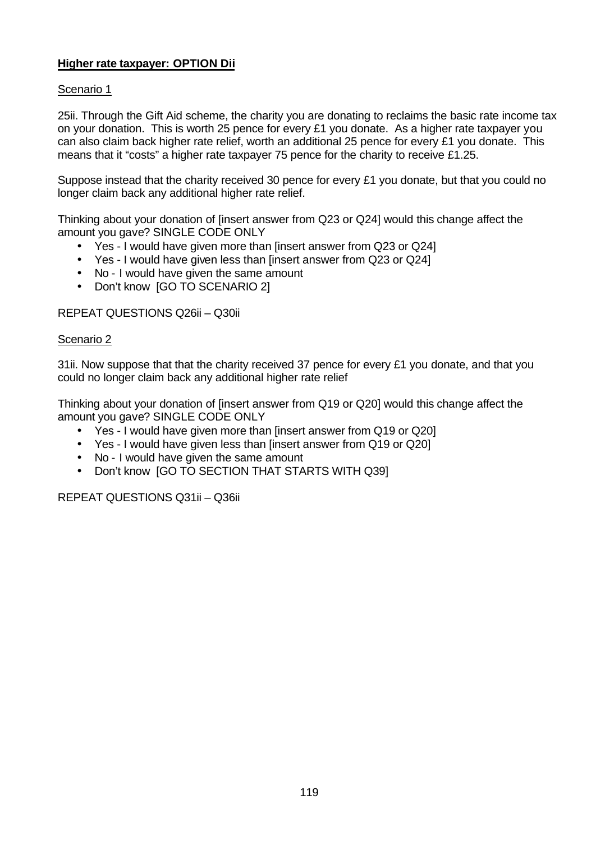# **Higher rate taxpayer: OPTION Dii**

# Scenario 1

25ii. Through the Gift Aid scheme, the charity you are donating to reclaims the basic rate income tax on your donation. This is worth 25 pence for every £1 you donate. As a higher rate taxpayer you can also claim back higher rate relief, worth an additional 25 pence for every £1 you donate. This means that it "costs" a higher rate taxpayer 75 pence for the charity to receive £1.25.

Suppose instead that the charity received 30 pence for every £1 you donate, but that you could no longer claim back any additional higher rate relief.

Thinking about your donation of [insert answer from Q23 or Q24] would this change affect the amount you gave? SINGLE CODE ONLY

- Yes I would have given more than [insert answer from Q23 or Q24]
- Yes I would have given less than linsert answer from Q23 or Q241
- No I would have given the same amount
- Don't know [GO TO SCENARIO 2]

# REPEAT QUESTIONS Q26ii – Q30ii

#### Scenario 2

31ii. Now suppose that that the charity received 37 pence for every £1 you donate, and that you could no longer claim back any additional higher rate relief

Thinking about your donation of [insert answer from Q19 or Q20] would this change affect the amount you gave? SINGLE CODE ONLY

- Yes I would have given more than [insert answer from Q19 or Q20]
- Yes I would have given less than linsert answer from Q19 or Q201
- No I would have given the same amount
- Don't know [GO TO SECTION THAT STARTS WITH Q39]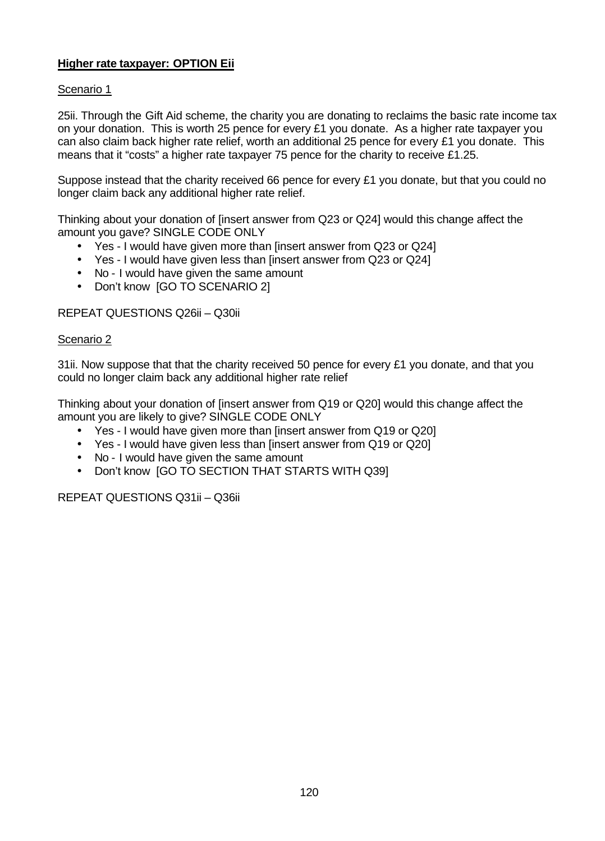# **Higher rate taxpayer: OPTION Eii**

# Scenario 1

25ii. Through the Gift Aid scheme, the charity you are donating to reclaims the basic rate income tax on your donation. This is worth 25 pence for every £1 you donate. As a higher rate taxpayer you can also claim back higher rate relief, worth an additional 25 pence for every £1 you donate. This means that it "costs" a higher rate taxpayer 75 pence for the charity to receive £1.25.

Suppose instead that the charity received 66 pence for every £1 you donate, but that you could no longer claim back any additional higher rate relief.

Thinking about your donation of [insert answer from Q23 or Q24] would this change affect the amount you gave? SINGLE CODE ONLY

- Yes I would have given more than [insert answer from Q23 or Q24]
- Yes I would have given less than linsert answer from Q23 or Q241
- No I would have given the same amount
- Don't know [GO TO SCENARIO 2]

### REPEAT QUESTIONS Q26ii – Q30ii

#### Scenario 2

31ii. Now suppose that that the charity received 50 pence for every £1 you donate, and that you could no longer claim back any additional higher rate relief

Thinking about your donation of [insert answer from Q19 or Q20] would this change affect the amount you are likely to give? SINGLE CODE ONLY

- Yes I would have given more than [insert answer from Q19 or Q20]
- Yes I would have given less than linsert answer from Q19 or Q201
- No I would have given the same amount
- Don't know [GO TO SECTION THAT STARTS WITH Q39]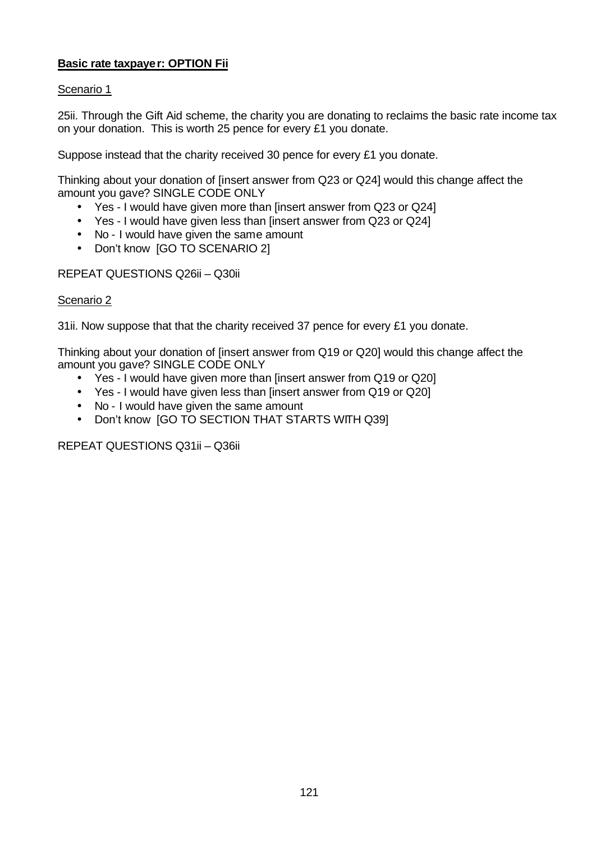# **Basic rate taxpayer: OPTION Fii**

# Scenario 1

25ii. Through the Gift Aid scheme, the charity you are donating to reclaims the basic rate income tax on your donation. This is worth 25 pence for every £1 you donate.

Suppose instead that the charity received 30 pence for every £1 you donate.

Thinking about your donation of [insert answer from Q23 or Q24] would this change affect the amount you gave? SINGLE CODE ONLY

- Yes I would have given more than [insert answer from Q23 or Q24]
- Yes I would have given less than [insert answer from Q23 or Q24]
- No I would have given the same amount
- Don't know [GO TO SCENARIO 2]

REPEAT QUESTIONS Q26ii – Q30ii

### Scenario 2

31ii. Now suppose that that the charity received 37 pence for every £1 you donate.

Thinking about your donation of [insert answer from Q19 or Q20] would this change affect the amount you gave? SINGLE CODE ONLY

- Yes I would have given more than [insert answer from Q19 or Q20]
- Yes I would have given less than [insert answer from Q19 or Q20]
- No I would have given the same amount
- Don't know [GO TO SECTION THAT STARTS WITH Q39]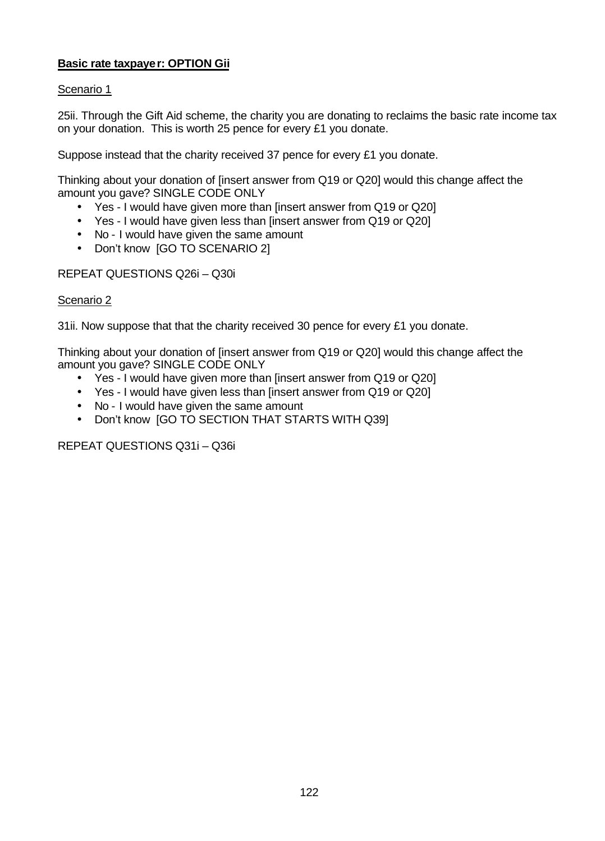# **Basic rate taxpayer: OPTION Gii**

# Scenario 1

25ii. Through the Gift Aid scheme, the charity you are donating to reclaims the basic rate income tax on your donation. This is worth 25 pence for every £1 you donate.

Suppose instead that the charity received 37 pence for every £1 you donate.

Thinking about your donation of [insert answer from Q19 or Q20] would this change affect the amount you gave? SINGLE CODE ONLY

- Yes I would have given more than [insert answer from Q19 or Q20]
- Yes I would have given less than [insert answer from Q19 or Q20]
- No I would have given the same amount
- Don't know [GO TO SCENARIO 2]

REPEAT QUESTIONS Q26i – Q30i

#### Scenario 2

31ii. Now suppose that that the charity received 30 pence for every £1 you donate.

Thinking about your donation of [insert answer from Q19 or Q20] would this change affect the amount you gave? SINGLE CODE ONLY

- Yes I would have given more than [insert answer from Q19 or Q20]
- Yes I would have given less than [insert answer from Q19 or Q20]
- No I would have given the same amount
- Don't know [GO TO SECTION THAT STARTS WITH Q39]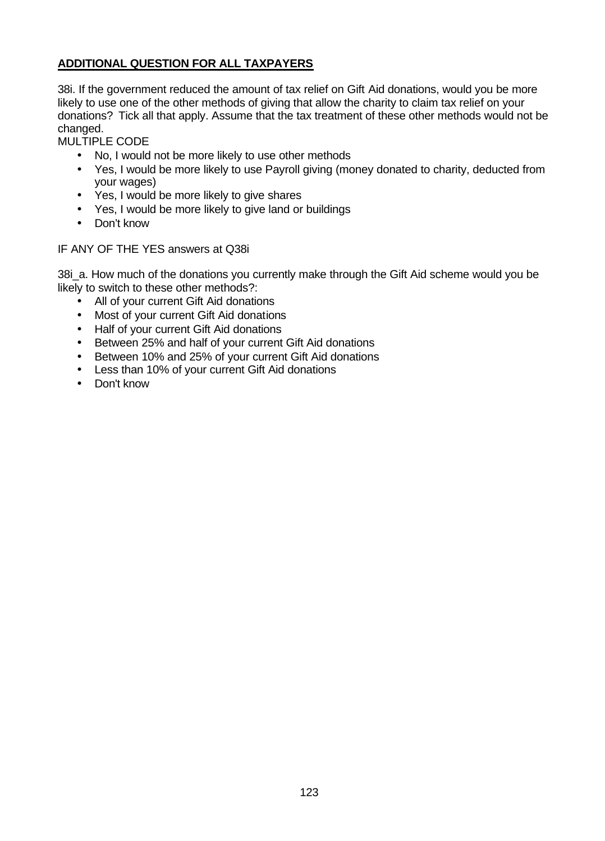# **ADDITIONAL QUESTION FOR ALL TAXPAYERS**

38i. If the government reduced the amount of tax relief on Gift Aid donations, would you be more likely to use one of the other methods of giving that allow the charity to claim tax relief on your donations? Tick all that apply. Assume that the tax treatment of these other methods would not be changed.

MULTIPLE CODE

- No, I would not be more likely to use other methods
- Yes, I would be more likely to use Payroll giving (money donated to charity, deducted from your wages)
- Yes, I would be more likely to give shares
- Yes, I would be more likely to give land or buildings
- Don't know

# IF ANY OF THE YES answers at Q38i

38i\_a. How much of the donations you currently make through the Gift Aid scheme would you be likely to switch to these other methods?:

- All of your current Gift Aid donations
- Most of your current Gift Aid donations
- Half of your current Gift Aid donations
- Between 25% and half of your current Gift Aid donations
- Between 10% and 25% of your current Gift Aid donations
- Less than 10% of your current Gift Aid donations
- Don't know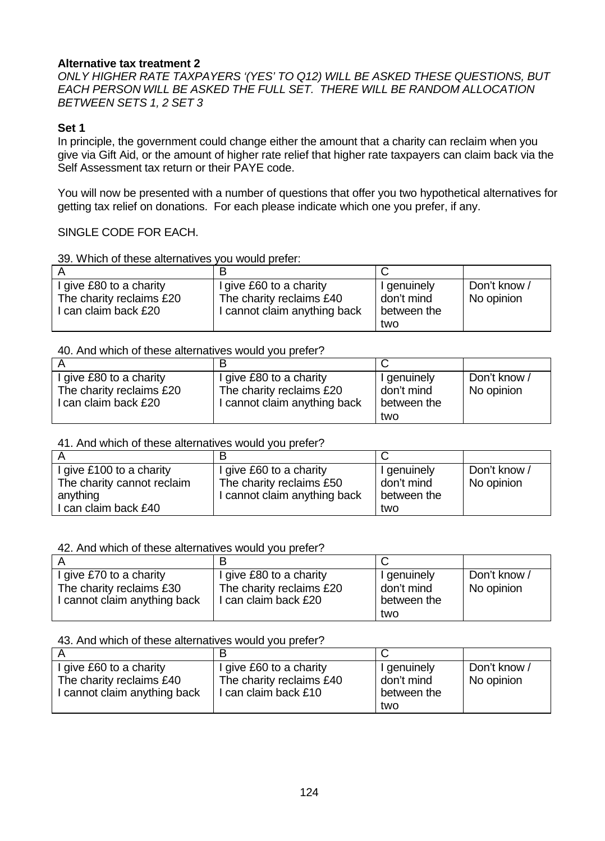# **Alternative tax treatment 2**

*ONLY HIGHER RATE TAXPAYERS '(YES' TO Q12) WILL BE ASKED THESE QUESTIONS, BUT EACH PERSON WILL BE ASKED THE FULL SET. THERE WILL BE RANDOM ALLOCATION BETWEEN SETS 1, 2 SET 3*

# **Set 1**

In principle, the government could change either the amount that a charity can reclaim when you give via Gift Aid, or the amount of higher rate relief that higher rate taxpayers can claim back via the Self Assessment tax return or their PAYE code.

You will now be presented with a number of questions that offer you two hypothetical alternatives for getting tax relief on donations. For each please indicate which one you prefer, if any.

# SINGLE CODE FOR EACH.

| 39. Which of these alternatives you would prefer: |  |
|---------------------------------------------------|--|
|                                                   |  |

| I give £80 to a charity  | give £60 to a charity      | I genuinely | Don't know / |
|--------------------------|----------------------------|-------------|--------------|
| The charity reclaims £20 | The charity reclaims £40   | don't mind  | No opinion   |
| I can claim back £20     | cannot claim anything back | between the |              |
|                          |                            | two         |              |

### 40. And which of these alternatives would you prefer?

| give £80 to a charity    | I give £80 to a charity      | I genuinely | Don't know / |
|--------------------------|------------------------------|-------------|--------------|
| The charity reclaims £20 | The charity reclaims £20     | don't mind  | No opinion   |
| l can claim back £20     | I cannot claim anything back | between the |              |
|                          |                              | two         |              |

#### 41. And which of these alternatives would you prefer?

| I give £100 to a charity   | give £60 to a charity      | I genuinely | Don't know / |
|----------------------------|----------------------------|-------------|--------------|
| The charity cannot reclaim | The charity reclaims £50   | don't mind  | No opinion   |
| anything                   | cannot claim anything back | between the |              |
| can claim back £40         |                            | two         |              |

# 42. And which of these alternatives would you prefer?

| I give £70 to a charity      | I give £80 to a charity  | I genuinely | Don't know / |
|------------------------------|--------------------------|-------------|--------------|
| The charity reclaims £30     | The charity reclaims £20 | don't mind  | No opinion   |
| I cannot claim anything back | I can claim back £20     | between the |              |
|                              |                          | two         |              |

### 43. And which of these alternatives would you prefer?

| I give £60 to a charity        | I give £60 to a charity  | I genuinely | Don't know / |
|--------------------------------|--------------------------|-------------|--------------|
| The charity reclaims £40       | The charity reclaims £40 | don't mind  | No opinion   |
| I I cannot claim anything back | I can claim back £10     | between the |              |
|                                |                          | two         |              |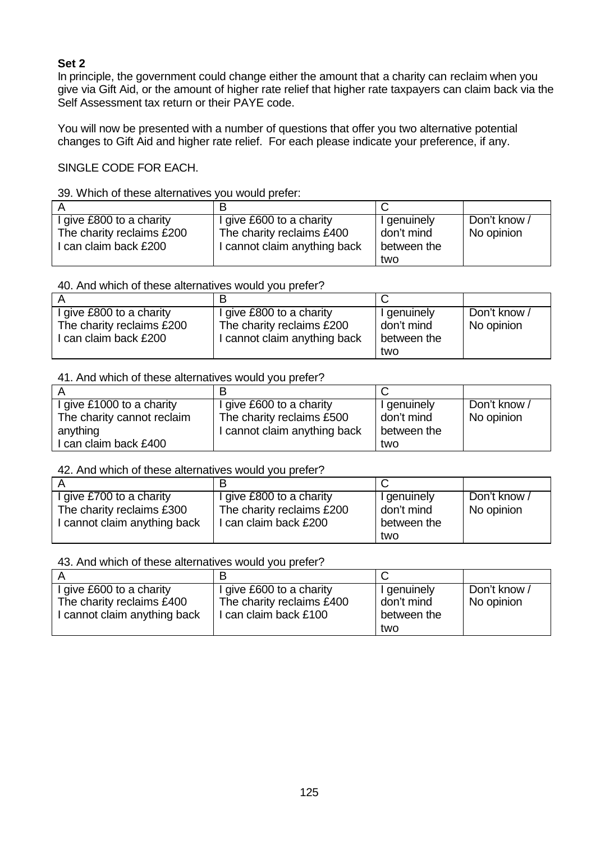# **Set 2**

In principle, the government could change either the amount that a charity can reclaim when you give via Gift Aid, or the amount of higher rate relief that higher rate taxpayers can claim back via the Self Assessment tax return or their PAYE code.

You will now be presented with a number of questions that offer you two alternative potential changes to Gift Aid and higher rate relief. For each please indicate your preference, if any.

SINGLE CODE FOR EACH.

39. Which of these alternatives you would prefer:

| give £800 to a charity    | I give £600 to a charity     | I genuinely | Don't know / |
|---------------------------|------------------------------|-------------|--------------|
| The charity reclaims £200 | The charity reclaims £400    | don't mind  | No opinion   |
| can claim back £200       | I cannot claim anything back | between the |              |
|                           |                              | two         |              |

### 40. And which of these alternatives would you prefer?

| I give £800 to a charity  | I give £800 to a charity     | I genuinely | Don't know / |
|---------------------------|------------------------------|-------------|--------------|
| The charity reclaims £200 | The charity reclaims £200    | don't mind  | No opinion   |
| I can claim back £200     | I cannot claim anything back | between the |              |
|                           |                              | two         |              |

### 41. And which of these alternatives would you prefer?

| l give £1000 to a charity  | I give £600 to a charity     | I genuinely | Don't know / |
|----------------------------|------------------------------|-------------|--------------|
| The charity cannot reclaim | The charity reclaims £500    | don't mind  | No opinion   |
| anything                   | I cannot claim anything back | between the |              |
| can claim back £400        |                              | two         |              |

# 42. And which of these alternatives would you prefer?

| I give £700 to a charity     | I give £800 to a charity  | I genuinely | Don't know / |
|------------------------------|---------------------------|-------------|--------------|
| The charity reclaims £300    | The charity reclaims £200 | don't mind  | No opinion   |
| I cannot claim anything back | I can claim back £200     | between the |              |
|                              |                           | two         |              |

43. And which of these alternatives would you prefer?

| I give £600 to a charity     | I give £600 to a charity  | I genuinely | Don't know |
|------------------------------|---------------------------|-------------|------------|
| The charity reclaims £400    | The charity reclaims £400 | don't mind  | No opinion |
| I cannot claim anything back | l can claim back £100     | between the |            |
|                              |                           | two         |            |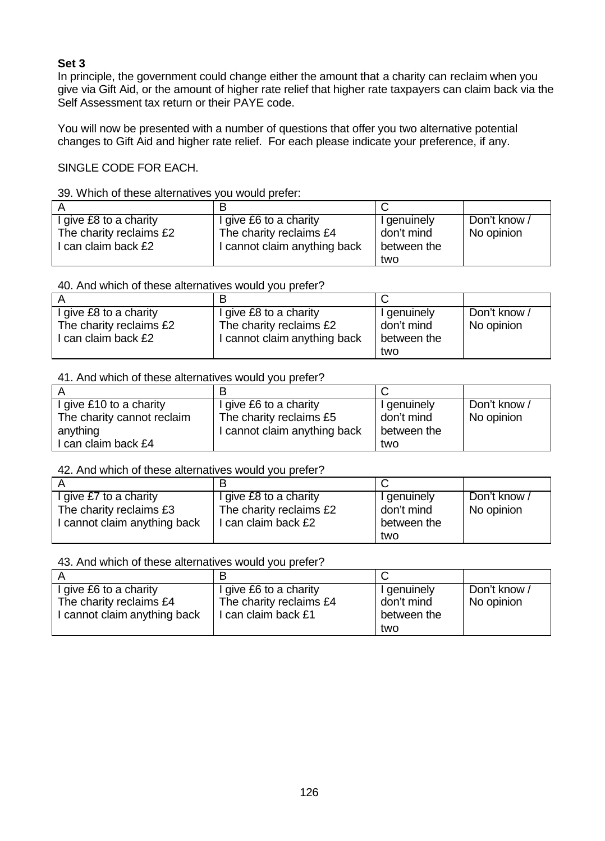# **Set 3**

In principle, the government could change either the amount that a charity can reclaim when you give via Gift Aid, or the amount of higher rate relief that higher rate taxpayers can claim back via the Self Assessment tax return or their PAYE code.

You will now be presented with a number of questions that offer you two alternative potential changes to Gift Aid and higher rate relief. For each please indicate your preference, if any.

SINGLE CODE FOR EACH.

### 39. Which of these alternatives you would prefer:

| I give £8 to a charity  | I give £6 to a charity       | I genuinely | Don't know / |
|-------------------------|------------------------------|-------------|--------------|
| The charity reclaims £2 | The charity reclaims £4      | don't mind  | No opinion   |
| I can claim back £2     | I cannot claim anything back | between the |              |
|                         |                              | two         |              |

### 40. And which of these alternatives would you prefer?

| give £8 to a charity    | I give £8 to a charity       | I genuinely | Don't know / |
|-------------------------|------------------------------|-------------|--------------|
| The charity reclaims £2 | The charity reclaims £2      | don't mind  | No opinion   |
| can claim back £2       | I cannot claim anything back | between the |              |
|                         |                              | two         |              |

### 41. And which of these alternatives would you prefer?

| l give £10 to a charity    | I give £6 to a charity       | I genuinely | Don't know / |
|----------------------------|------------------------------|-------------|--------------|
| The charity cannot reclaim | The charity reclaims £5      | don't mind  | No opinion   |
| anything                   | I cannot claim anything back | between the |              |
| l can claim back £4        |                              | two         |              |

# 42. And which of these alternatives would you prefer?

| give £7 to a charity       | I give £8 to a charity  | I genuinely | Don't know / |
|----------------------------|-------------------------|-------------|--------------|
| The charity reclaims £3    | The charity reclaims £2 | don't mind  | No opinion   |
| cannot claim anything back | I can claim back £2     | between the |              |
|                            |                         | two         |              |

### 43. And which of these alternatives would you prefer?

| I give £6 to a charity       | I give £6 to a charity  | I genuinely | Don't know / |
|------------------------------|-------------------------|-------------|--------------|
| The charity reclaims £4      | The charity reclaims £4 | don't mind  | No opinion   |
| I cannot claim anything back | l can claim back £1     | between the |              |
|                              |                         | two         |              |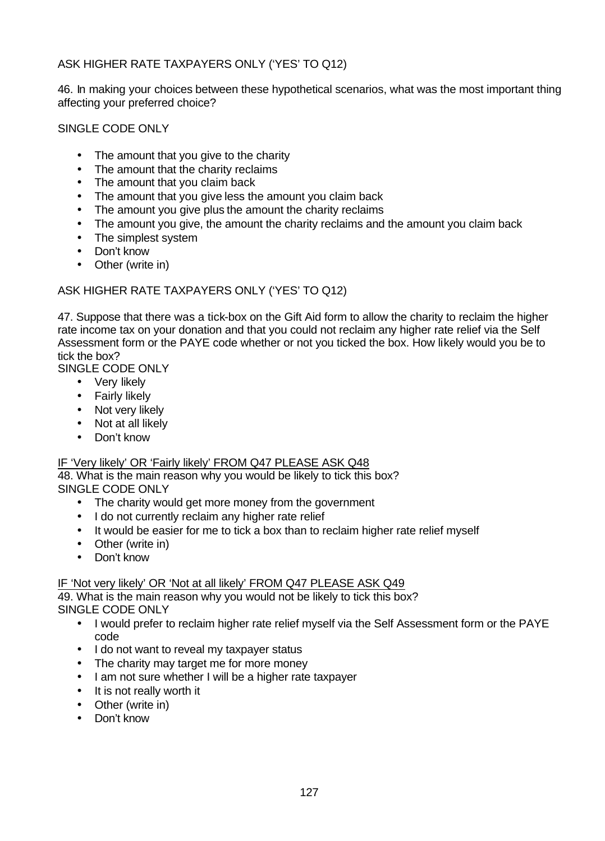# ASK HIGHER RATE TAXPAYERS ONLY ('YES' TO Q12)

46. In making your choices between these hypothetical scenarios, what was the most important thing affecting your preferred choice?

SINGLE CODE ONLY

- The amount that you give to the charity
- The amount that the charity reclaims
- The amount that you claim back
- The amount that you give less the amount you claim back
- The amount you give plus the amount the charity reclaims
- The amount you give, the amount the charity reclaims and the amount you claim back
- The simplest system
- Don't know
- Other (write in)

# ASK HIGHER RATE TAXPAYERS ONLY ('YES' TO Q12)

47. Suppose that there was a tick-box on the Gift Aid form to allow the charity to reclaim the higher rate income tax on your donation and that you could not reclaim any higher rate relief via the Self Assessment form or the PAYE code whether or not you ticked the box. How likely would you be to tick the box?

SINGLE CODE ONLY

- Very likely
- Fairly likely
- Not very likely
- Not at all likely
- Don't know

# IF 'Very likely' OR 'Fairly likely' FROM Q47 PLEASE ASK Q48

48. What is the main reason why you would be likely to tick this box? SINGLE CODE ONLY

- The charity would get more money from the government
- I do not currently reclaim any higher rate relief
- It would be easier for me to tick a box than to reclaim higher rate relief myself
- Other (write in)
- Don't know

IF 'Not very likely' OR 'Not at all likely' FROM Q47 PLEASE ASK Q49

49. What is the main reason why you would not be likely to tick this box? SINGLE CODE ONLY

- I would prefer to reclaim higher rate relief myself via the Self Assessment form or the PAYE code
- I do not want to reveal my taxpayer status
- The charity may target me for more money
- I am not sure whether I will be a higher rate taxpayer
- It is not really worth it
- Other (write in)
- Don't know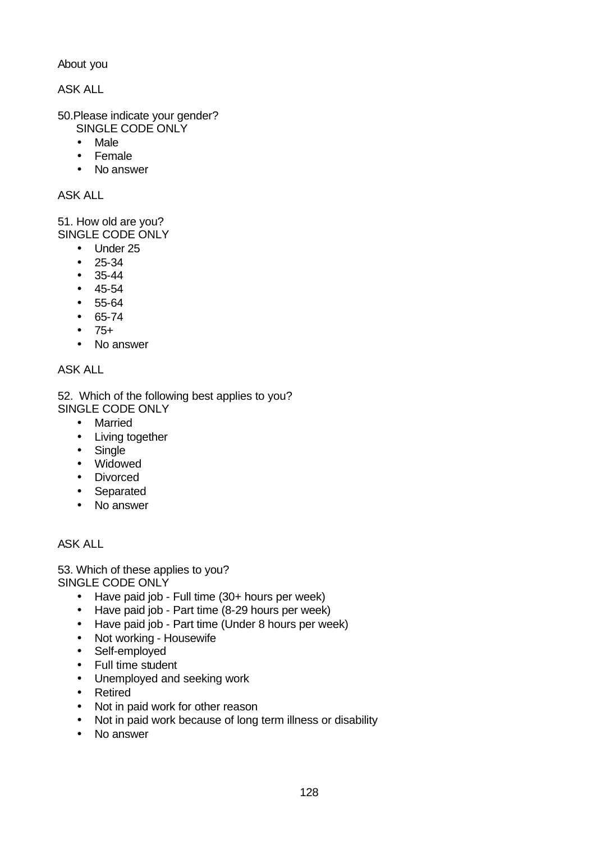About you

ASK ALL

- 50.Please indicate your gender? SINGLE CODE ONLY
	- Male
	- Female
	- No answer

ASK ALL

51. How old are you? SINGLE CODE ONLY

- Under 25
- 25-34
- 35-44
- 45-54
- 55-64
- 65-74
- 75+
- No answer

# ASK ALL

52. Which of the following best applies to you? SINGLE CODE ONLY

- Married
- Living together
- Single
- Widowed
- Divorced
- Separated
- No answer

# ASK ALL

53. Which of these applies to you? SINGLE CODE ONLY

- Have paid job Full time (30+ hours per week)
- Have paid job Part time (8-29 hours per week)
- Have paid job Part time (Under 8 hours per week)
- Not working Housewife
- Self-employed
- Full time student
- Unemployed and seeking work
- Retired
- Not in paid work for other reason
- Not in paid work because of long term illness or disability
- No answer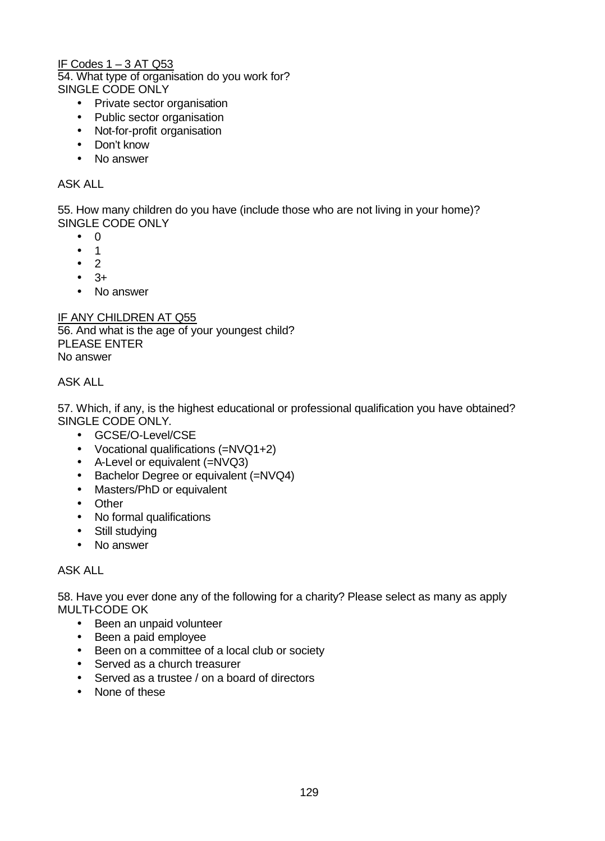# IF Codes 1 – 3 AT Q53

54. What type of organisation do you work for? SINGLE CODE ONLY

- Private sector organisation
- Public sector organisation
- Not-for-profit organisation
- Don't know
- No answer

### ASK ALL

55. How many children do you have (include those who are not living in your home)? SINGLE CODE ONLY

- 0
- 1
- 2
- $\bullet$  3+
- No answer

### IF ANY CHILDREN AT Q55

56. And what is the age of your youngest child? PLEASE ENTER No answer

### ASK ALL

57. Which, if any, is the highest educational or professional qualification you have obtained? SINGLE CODE ONLY.

- GCSE/O-Level/CSE
- Vocational qualifications (=NVQ1+2)
- A-Level or equivalent (=NVQ3)
- Bachelor Degree or equivalent (=NVQ4)
- Masters/PhD or equivalent
- Other
- No formal qualifications
- Still studying
- No answer

# ASK ALL

58. Have you ever done any of the following for a charity? Please select as many as apply MULTI-CODE OK

- Been an unpaid volunteer
- Been a paid employee
- Been on a committee of a local club or society
- Served as a church treasurer
- Served as a trustee / on a board of directors
- None of these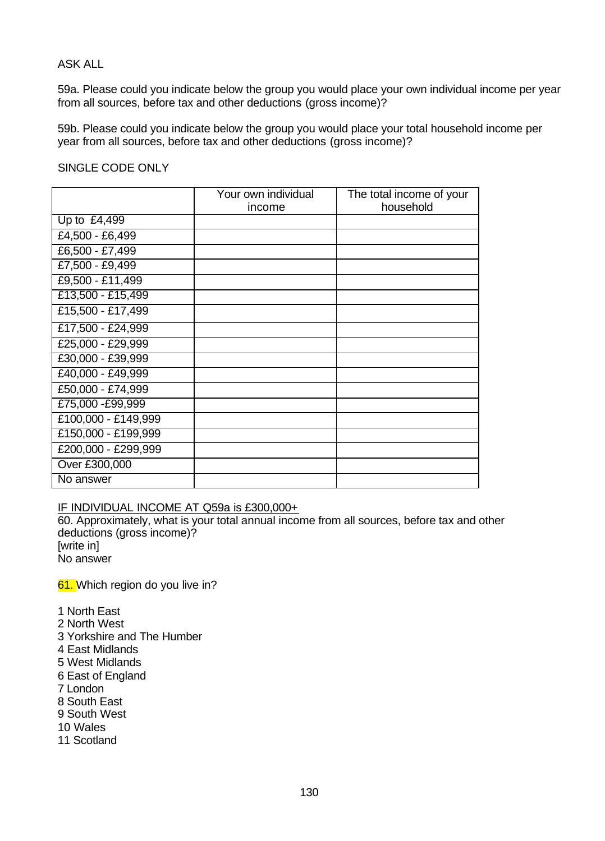### ASK ALL

59a. Please could you indicate below the group you would place your own individual income per year from all sources, before tax and other deductions (gross income)?

59b. Please could you indicate below the group you would place your total household income per year from all sources, before tax and other deductions (gross income)?

### SINGLE CODE ONLY

|                     | Your own individual<br>income | The total income of your<br>household |
|---------------------|-------------------------------|---------------------------------------|
|                     |                               |                                       |
| Up to £4,499        |                               |                                       |
| £4,500 - £6,499     |                               |                                       |
| £6,500 - £7,499     |                               |                                       |
| £7,500 - £9,499     |                               |                                       |
| £9,500 - £11,499    |                               |                                       |
| £13,500 - £15,499   |                               |                                       |
| £15,500 - £17,499   |                               |                                       |
| £17,500 - £24,999   |                               |                                       |
| £25,000 - £29,999   |                               |                                       |
| £30,000 - £39,999   |                               |                                       |
| £40,000 - £49,999   |                               |                                       |
| £50,000 - £74,999   |                               |                                       |
| £75,000 - £99,999   |                               |                                       |
| £100,000 - £149,999 |                               |                                       |
| £150,000 - £199,999 |                               |                                       |
| £200,000 - £299,999 |                               |                                       |
| Over £300,000       |                               |                                       |
| No answer           |                               |                                       |
|                     |                               |                                       |

IF INDIVIDUAL INCOME AT Q59a is £300,000+

60. Approximately, what is your total annual income from all sources, before tax and other deductions (gross income)? [write in]

No answer

61. Which region do you live in?

- 1 North East
- 2 North West
- 3 Yorkshire and The Humber
- 4 East Midlands
- 5 West Midlands
- 6 East of England
- 7 London
- 8 South East
- 9 South West
- 10 Wales
- 11 Scotland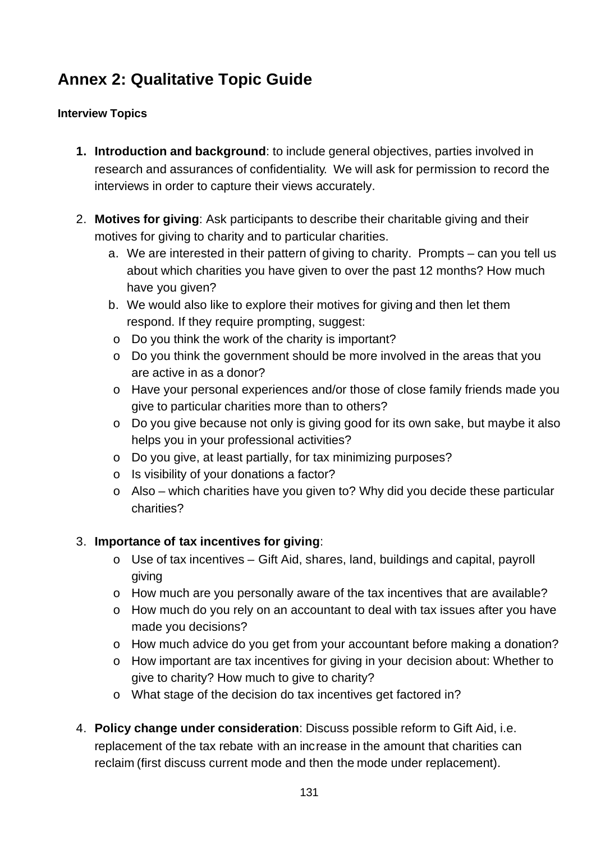# **Annex 2: Qualitative Topic Guide**

# **Interview Topics**

- **1. Introduction and background**: to include general objectives, parties involved in research and assurances of confidentiality. We will ask for permission to record the interviews in order to capture their views accurately.
- 2. **Motives for giving**: Ask participants to describe their charitable giving and their motives for giving to charity and to particular charities.
	- a. We are interested in their pattern of giving to charity. Prompts can you tell us about which charities you have given to over the past 12 months? How much have you given?
	- b. We would also like to explore their motives for giving and then let them respond. If they require prompting, suggest:
	- o Do you think the work of the charity is important?
	- $\circ$  Do you think the government should be more involved in the areas that you are active in as a donor?
	- o Have your personal experiences and/or those of close family friends made you give to particular charities more than to others?
	- o Do you give because not only is giving good for its own sake, but maybe it also helps you in your professional activities?
	- o Do you give, at least partially, for tax minimizing purposes?
	- o Is visibility of your donations a factor?
	- $\circ$  Also which charities have you given to? Why did you decide these particular charities?

# 3. **Importance of tax incentives for giving**:

- o Use of tax incentives Gift Aid, shares, land, buildings and capital, payroll giving
- o How much are you personally aware of the tax incentives that are available?
- o How much do you rely on an accountant to deal with tax issues after you have made you decisions?
- o How much advice do you get from your accountant before making a donation?
- o How important are tax incentives for giving in your decision about: Whether to give to charity? How much to give to charity?
- o What stage of the decision do tax incentives get factored in?
- 4. **Policy change under consideration**: Discuss possible reform to Gift Aid, i.e. replacement of the tax rebate with an increase in the amount that charities can reclaim (first discuss current mode and then the mode under replacement).